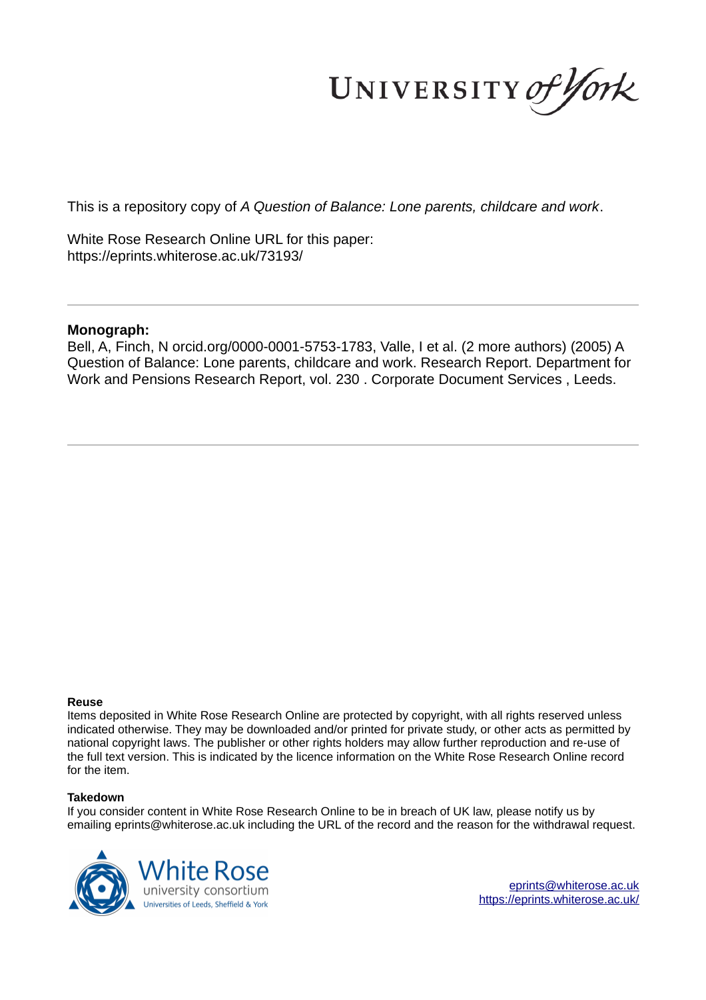UNIVERSITY of York

This is a repository copy of *A Question of Balance: Lone parents, childcare and work*.

White Rose Research Online URL for this paper: https://eprints.whiterose.ac.uk/73193/

#### **Monograph:**

Bell, A, Finch, N orcid.org/0000-0001-5753-1783, Valle, I et al. (2 more authors) (2005) A Question of Balance: Lone parents, childcare and work. Research Report. Department for Work and Pensions Research Report, vol. 230 . Corporate Document Services , Leeds.

#### **Reuse**

Items deposited in White Rose Research Online are protected by copyright, with all rights reserved unless indicated otherwise. They may be downloaded and/or printed for private study, or other acts as permitted by national copyright laws. The publisher or other rights holders may allow further reproduction and re-use of the full text version. This is indicated by the licence information on the White Rose Research Online record for the item.

#### **Takedown**

If you consider content in White Rose Research Online to be in breach of UK law, please notify us by emailing eprints@whiterose.ac.uk including the URL of the record and the reason for the withdrawal request.



eprints@whiterose.ac.uk https://eprints.whiterose.ac.uk/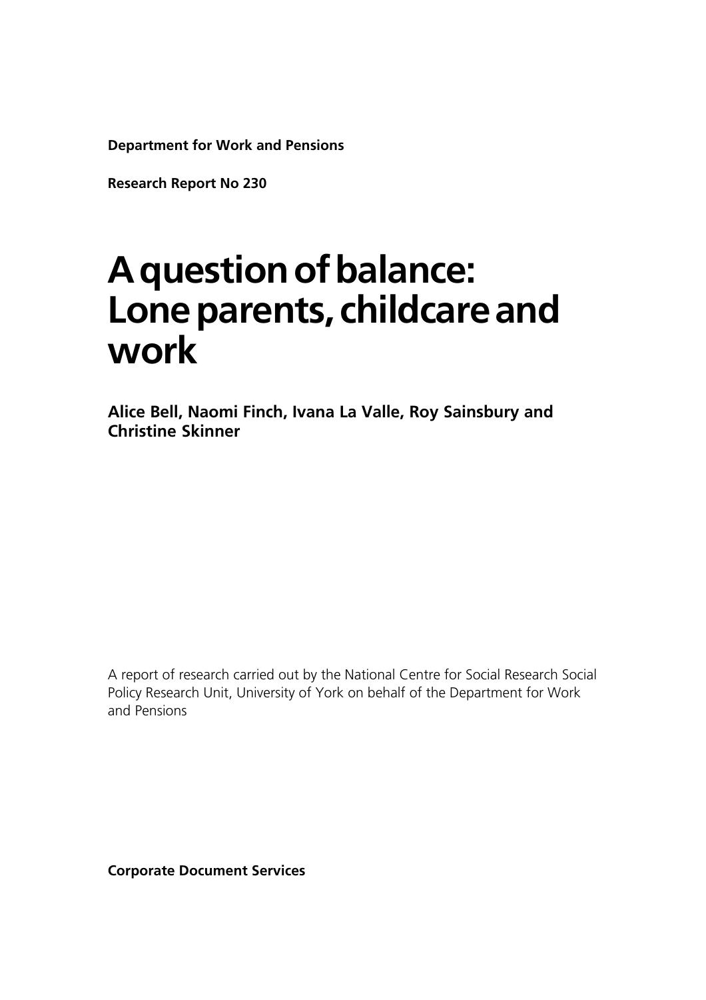**Department for Work and Pensions**

**Research Report No 230**

## **A question of balance: Lone parents, childcare and work**

**Alice Bell, Naomi Finch, Ivana La Valle, Roy Sainsbury and Christine Skinner**

A report of research carried out by the National Centre for Social Research Social Policy Research Unit, University of York on behalf of the Department for Work and Pensions

**Corporate Document Services**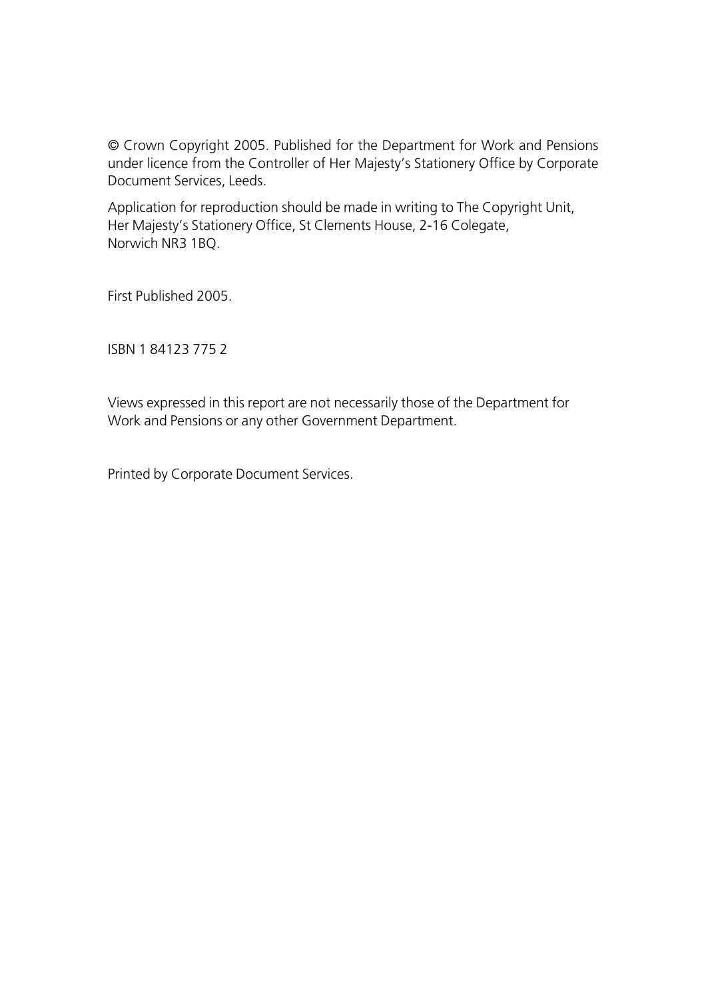© Crown Copyright 2005. Published for the Department for Work and Pensions under licence from the Controller of Her Majesty's Stationery Office by Corporate Document Services, Leeds.

Application for reproduction should be made in writing to The Copyright Unit, Her Majesty's Stationery Office, St Clements House, 2-16 Colegate, Norwich NR3 1BQ.

First Published 2005.

ISBN 1 84123 775 2

Views expressed in this report are not necessarily those of the Department for Work and Pensions or any other Government Department.

Printed by Corporate Document Services.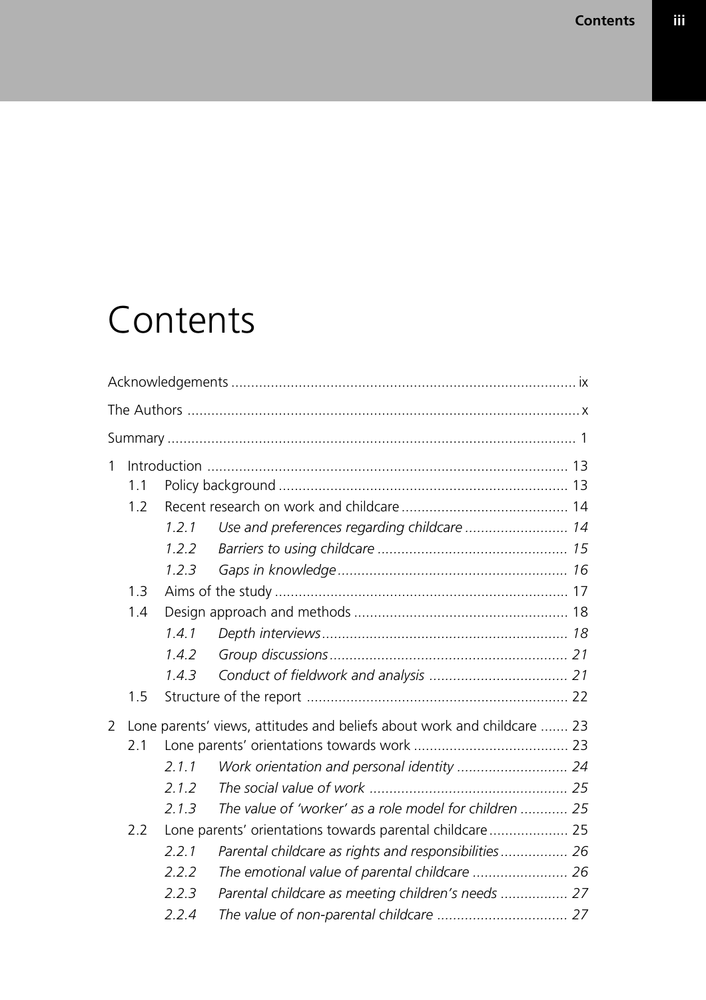# **Contents**

| $\mathbf{1}$ |     |       |                                                                         |  |
|--------------|-----|-------|-------------------------------------------------------------------------|--|
|              | 1.1 |       |                                                                         |  |
|              | 1.2 |       |                                                                         |  |
|              |     | 1.2.1 | Use and preferences regarding childcare  14                             |  |
|              |     | 1.2.2 |                                                                         |  |
|              |     | 1.2.3 |                                                                         |  |
|              | 1.3 |       |                                                                         |  |
|              | 1.4 |       |                                                                         |  |
|              |     | 1.4.1 |                                                                         |  |
|              |     | 1.4.2 |                                                                         |  |
|              |     | 1.4.3 |                                                                         |  |
|              | 1.5 |       |                                                                         |  |
| 2            |     |       | Lone parents' views, attitudes and beliefs about work and childcare  23 |  |
|              | 2.1 |       |                                                                         |  |
|              |     | 2.1.1 |                                                                         |  |
|              |     | 2.1.2 |                                                                         |  |
|              |     | 2.1.3 | The value of 'worker' as a role model for children  25                  |  |
|              | 2.2 |       | Lone parents' orientations towards parental childcare 25                |  |
|              |     | 2.2.1 | Parental childcare as rights and responsibilities 26                    |  |
|              |     | 2.2.2 | The emotional value of parental childcare  26                           |  |
|              |     | 2.2.3 | Parental childcare as meeting children's needs  27                      |  |
|              |     | 2.2.4 |                                                                         |  |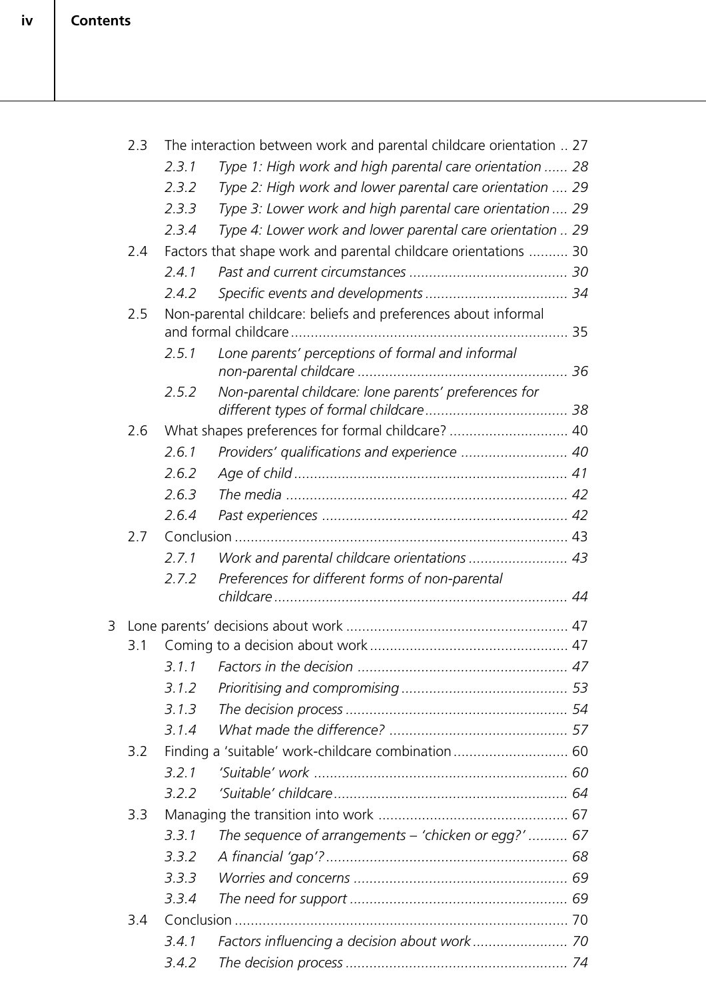|   | 2.3 | The interaction between work and parental childcare orientation  27 |                                                                 |  |  |
|---|-----|---------------------------------------------------------------------|-----------------------------------------------------------------|--|--|
|   |     | 2.3.1                                                               | Type 1: High work and high parental care orientation  28        |  |  |
|   |     | 2.3.2                                                               | Type 2: High work and lower parental care orientation  29       |  |  |
|   |     | 2.3.3                                                               | Type 3: Lower work and high parental care orientation  29       |  |  |
|   |     | 2.3.4                                                               | Type 4: Lower work and lower parental care orientation  29      |  |  |
|   | 2.4 |                                                                     | Factors that shape work and parental childcare orientations  30 |  |  |
|   |     | 2.4.1                                                               |                                                                 |  |  |
|   |     | 2.4.2                                                               |                                                                 |  |  |
|   | 2.5 |                                                                     | Non-parental childcare: beliefs and preferences about informal  |  |  |
|   |     | 2.5.1                                                               | Lone parents' perceptions of formal and informal                |  |  |
|   |     | 2.5.2                                                               | Non-parental childcare: lone parents' preferences for           |  |  |
|   | 2.6 |                                                                     | What shapes preferences for formal childcare? 40                |  |  |
|   |     | 2.6.1                                                               | Providers' qualifications and experience  40                    |  |  |
|   |     | 2.6.2                                                               |                                                                 |  |  |
|   |     | 2.6.3                                                               |                                                                 |  |  |
|   |     | 2.6.4                                                               |                                                                 |  |  |
|   | 2.7 |                                                                     |                                                                 |  |  |
|   |     | 2.7.1                                                               | Work and parental childcare orientations  43                    |  |  |
|   |     | 2.7.2                                                               | Preferences for different forms of non-parental                 |  |  |
|   |     |                                                                     |                                                                 |  |  |
| 3 |     |                                                                     |                                                                 |  |  |
|   | 3.1 |                                                                     |                                                                 |  |  |
|   |     |                                                                     |                                                                 |  |  |
|   |     | 3.1.2                                                               |                                                                 |  |  |
|   |     | 3.1.3                                                               |                                                                 |  |  |
|   |     | 3.1.4                                                               |                                                                 |  |  |
|   | 3.2 |                                                                     | Finding a 'suitable' work-childcare combination 60              |  |  |
|   |     | 3.2.1                                                               |                                                                 |  |  |
|   |     | 3.2.2                                                               |                                                                 |  |  |
|   | 3.3 |                                                                     |                                                                 |  |  |
|   |     | 3.3.1                                                               | The sequence of arrangements - 'chicken or egg?'  67            |  |  |
|   |     | 3.3.2                                                               |                                                                 |  |  |
|   |     | 3.3.3                                                               |                                                                 |  |  |
|   |     | 3.3.4                                                               |                                                                 |  |  |
|   | 3.4 |                                                                     |                                                                 |  |  |
|   |     | 3.4.1                                                               |                                                                 |  |  |
|   |     | 3.4.2                                                               |                                                                 |  |  |
|   |     |                                                                     |                                                                 |  |  |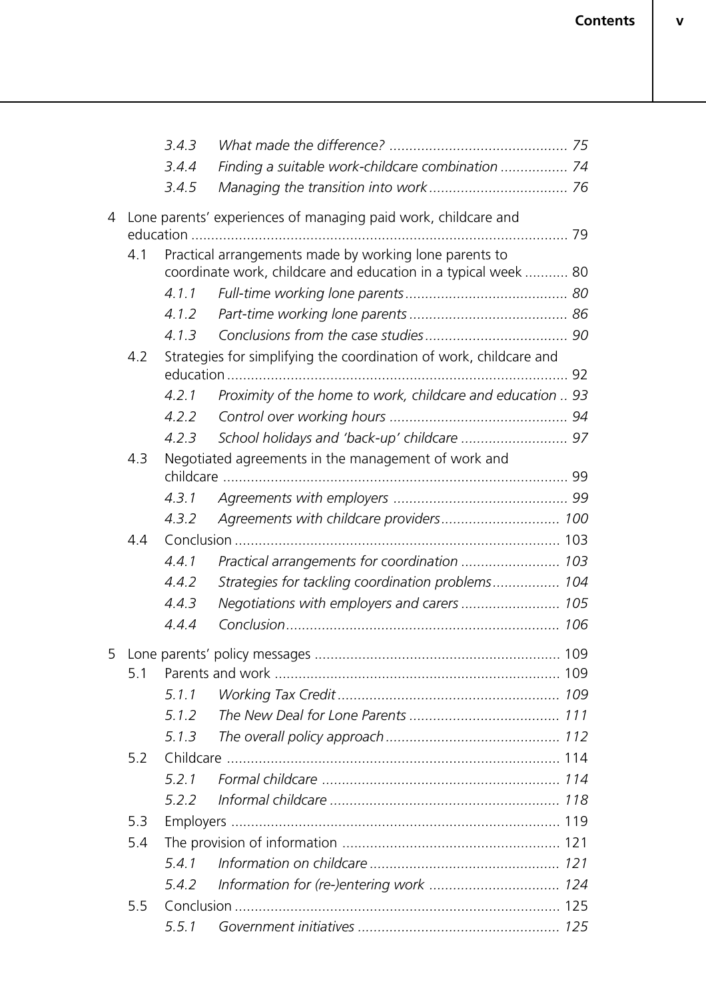|   |     | 3.4.3 |                                                                    |  |
|---|-----|-------|--------------------------------------------------------------------|--|
|   |     | 3.4.4 | Finding a suitable work-childcare combination  74                  |  |
|   |     | 3.4.5 |                                                                    |  |
| 4 |     |       | Lone parents' experiences of managing paid work, childcare and     |  |
|   |     |       |                                                                    |  |
|   | 4.1 |       | Practical arrangements made by working lone parents to             |  |
|   |     |       | coordinate work, childcare and education in a typical week  80     |  |
|   |     | 4.1.1 |                                                                    |  |
|   |     | 4.1.2 |                                                                    |  |
|   |     | 4.1.3 |                                                                    |  |
|   | 4.2 |       | Strategies for simplifying the coordination of work, childcare and |  |
|   |     | 4.2.1 | Proximity of the home to work, childcare and education  93         |  |
|   |     | 4.2.2 |                                                                    |  |
|   |     | 4.2.3 |                                                                    |  |
|   | 4.3 |       | Negotiated agreements in the management of work and                |  |
|   |     |       |                                                                    |  |
|   |     | 4.3.1 |                                                                    |  |
|   |     | 4.3.2 | Agreements with childcare providers 100                            |  |
|   | 4.4 |       |                                                                    |  |
|   |     | 4.4.1 | Practical arrangements for coordination  103                       |  |
|   |     | 4.4.2 | Strategies for tackling coordination problems 104                  |  |
|   |     | 4.4.3 | Negotiations with employers and carers  105                        |  |
|   |     | 4.4.4 |                                                                    |  |
| 5 |     |       |                                                                    |  |
|   | 5.1 |       |                                                                    |  |
|   |     | 5.1.1 |                                                                    |  |
|   |     | 5.1.2 |                                                                    |  |
|   |     | 5.1.3 |                                                                    |  |
|   | 5.2 |       |                                                                    |  |
|   |     | 5.2.1 |                                                                    |  |
|   |     | 5.2.2 |                                                                    |  |
|   | 5.3 |       |                                                                    |  |
|   | 5.4 |       |                                                                    |  |
|   |     | 5.4.1 |                                                                    |  |
|   |     | 5.4.2 | Information for (re-)entering work  124                            |  |
|   | 5.5 |       |                                                                    |  |
|   |     | 5.5.1 |                                                                    |  |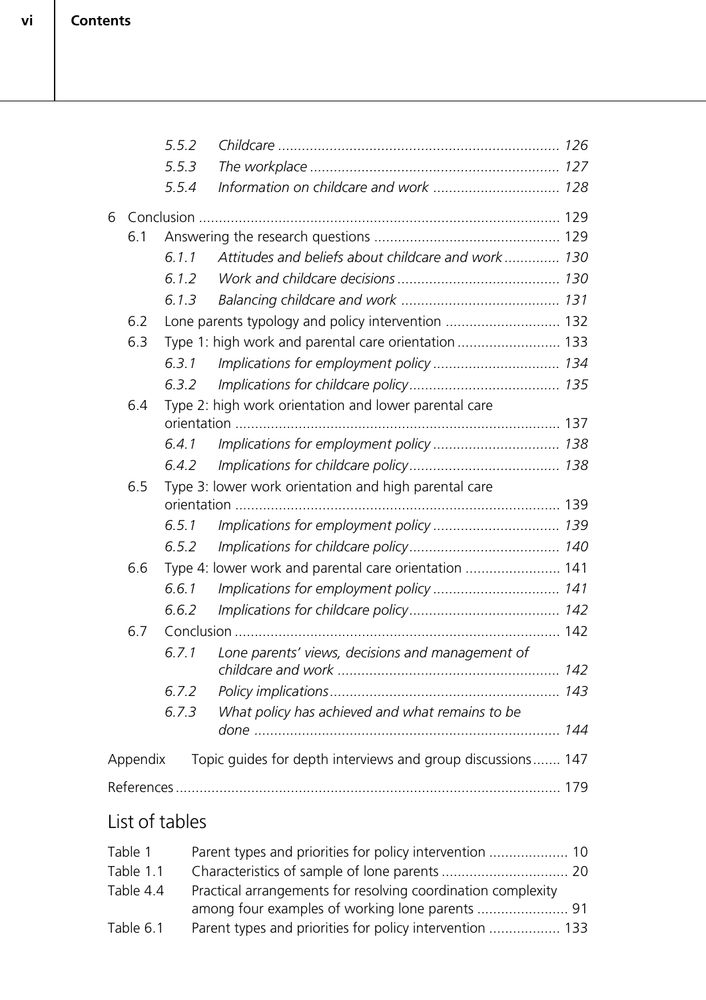**vi**

|                                                              |                                                                         | 5.5.2 |                                                       |  |  |
|--------------------------------------------------------------|-------------------------------------------------------------------------|-------|-------------------------------------------------------|--|--|
|                                                              |                                                                         | 5.5.3 |                                                       |  |  |
|                                                              |                                                                         | 5.5.4 |                                                       |  |  |
| 6                                                            |                                                                         |       |                                                       |  |  |
|                                                              | 6.1                                                                     |       |                                                       |  |  |
|                                                              |                                                                         | 6.1.1 | Attitudes and beliefs about childcare and work 130    |  |  |
|                                                              |                                                                         | 6.1.2 |                                                       |  |  |
|                                                              |                                                                         | 6.1.3 |                                                       |  |  |
|                                                              | 6.2                                                                     |       | Lone parents typology and policy intervention  132    |  |  |
|                                                              | 6.3                                                                     |       | Type 1: high work and parental care orientation  133  |  |  |
|                                                              |                                                                         | 6.3.1 | Implications for employment policy 134                |  |  |
|                                                              |                                                                         | 6.3.2 |                                                       |  |  |
|                                                              | 6.4                                                                     |       | Type 2: high work orientation and lower parental care |  |  |
|                                                              |                                                                         |       |                                                       |  |  |
|                                                              |                                                                         | 6.4.1 |                                                       |  |  |
|                                                              |                                                                         | 6.4.2 |                                                       |  |  |
| Type 3: lower work orientation and high parental care<br>6.5 |                                                                         |       |                                                       |  |  |
|                                                              |                                                                         |       |                                                       |  |  |
|                                                              |                                                                         | 6.5.1 |                                                       |  |  |
|                                                              |                                                                         | 6.5.2 |                                                       |  |  |
|                                                              | 6.6                                                                     |       | Type 4: lower work and parental care orientation  141 |  |  |
|                                                              |                                                                         | 6.6.1 | Implications for employment policy  141               |  |  |
|                                                              |                                                                         | 6.6.2 |                                                       |  |  |
|                                                              | 6.7                                                                     |       |                                                       |  |  |
|                                                              |                                                                         | 6.7.1 | Lone parents' views, decisions and management of      |  |  |
|                                                              |                                                                         | 6.7.2 |                                                       |  |  |
|                                                              |                                                                         | 6.7.3 | What policy has achieved and what remains to be       |  |  |
|                                                              | Topic guides for depth interviews and group discussions 147<br>Appendix |       |                                                       |  |  |
|                                                              |                                                                         |       |                                                       |  |  |
|                                                              |                                                                         |       |                                                       |  |  |
|                                                              |                                                                         |       |                                                       |  |  |

## List of tables

| Table 1   |                                                              |  |
|-----------|--------------------------------------------------------------|--|
| Table 1.1 |                                                              |  |
| Table 4.4 | Practical arrangements for resolving coordination complexity |  |
|           |                                                              |  |
| Table 6.1 | Parent types and priorities for policy intervention  133     |  |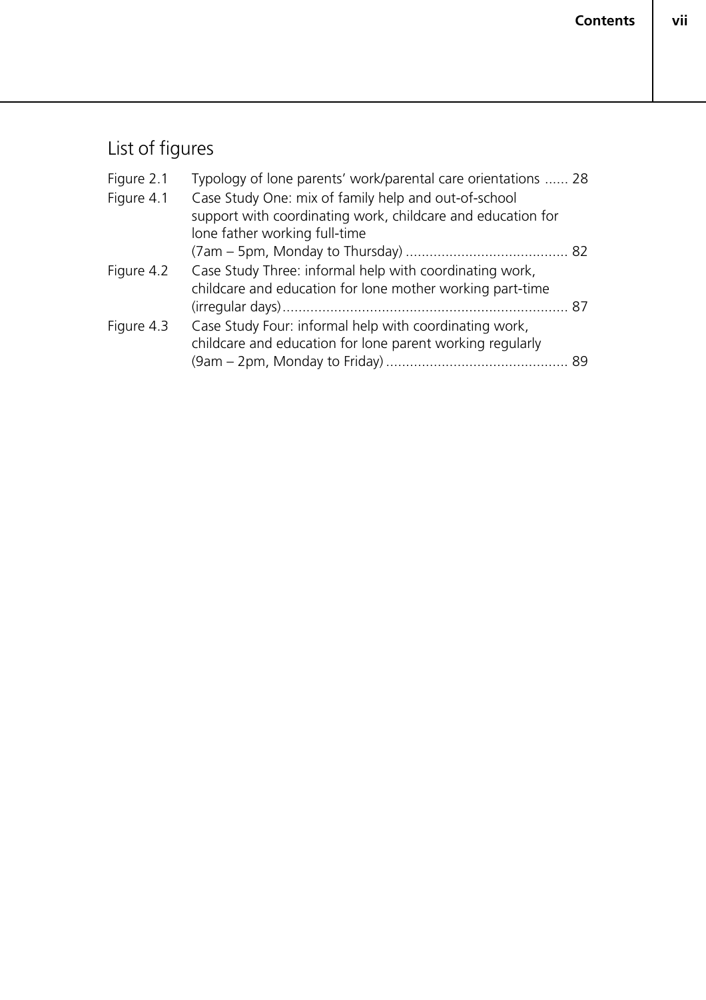## List of figures

| Figure 2.1 | Typology of lone parents' work/parental care orientations  28 |    |
|------------|---------------------------------------------------------------|----|
| Figure 4.1 | Case Study One: mix of family help and out-of-school          |    |
|            | support with coordinating work, childcare and education for   |    |
|            | lone father working full-time                                 |    |
|            |                                                               |    |
| Figure 4.2 | Case Study Three: informal help with coordinating work,       |    |
|            | childcare and education for lone mother working part-time     |    |
|            |                                                               | 87 |
| Figure 4.3 | Case Study Four: informal help with coordinating work,        |    |
|            | childcare and education for lone parent working regularly     |    |
|            |                                                               |    |
|            |                                                               |    |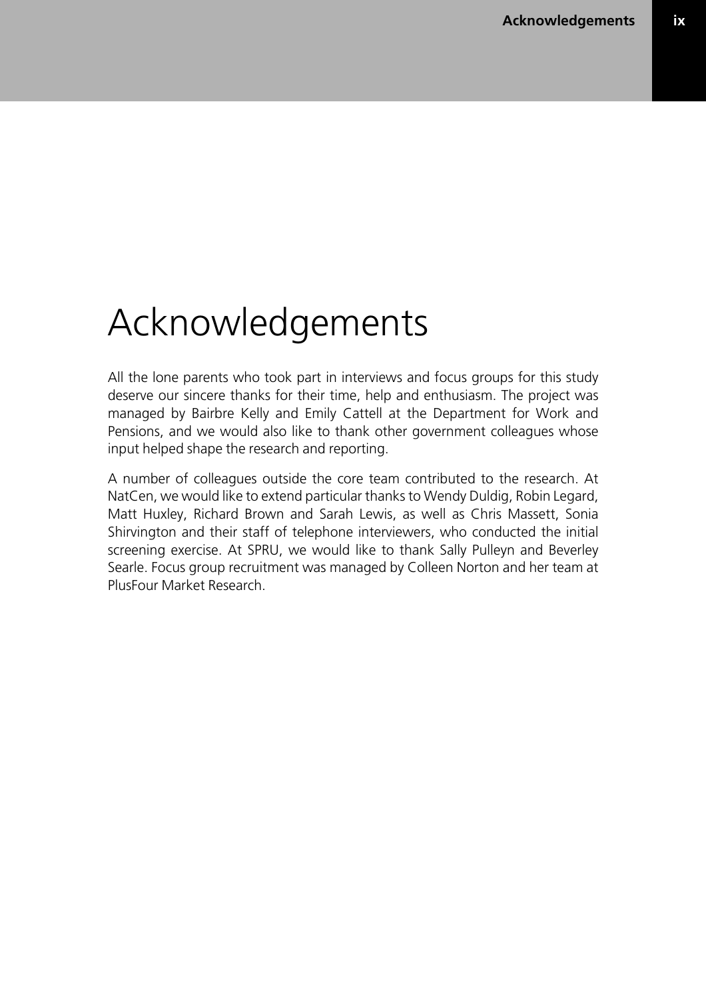**ix**

## Acknowledgements

All the lone parents who took part in interviews and focus groups for this study deserve our sincere thanks for their time, help and enthusiasm. The project was managed by Bairbre Kelly and Emily Cattell at the Department for Work and Pensions, and we would also like to thank other government colleagues whose input helped shape the research and reporting.

A number of colleagues outside the core team contributed to the research. At NatCen, we would like to extend particular thanks to Wendy Duldig, Robin Legard, Matt Huxley, Richard Brown and Sarah Lewis, as well as Chris Massett, Sonia Shirvington and their staff of telephone interviewers, who conducted the initial screening exercise. At SPRU, we would like to thank Sally Pulleyn and Beverley Searle. Focus group recruitment was managed by Colleen Norton and her team at PlusFour Market Research.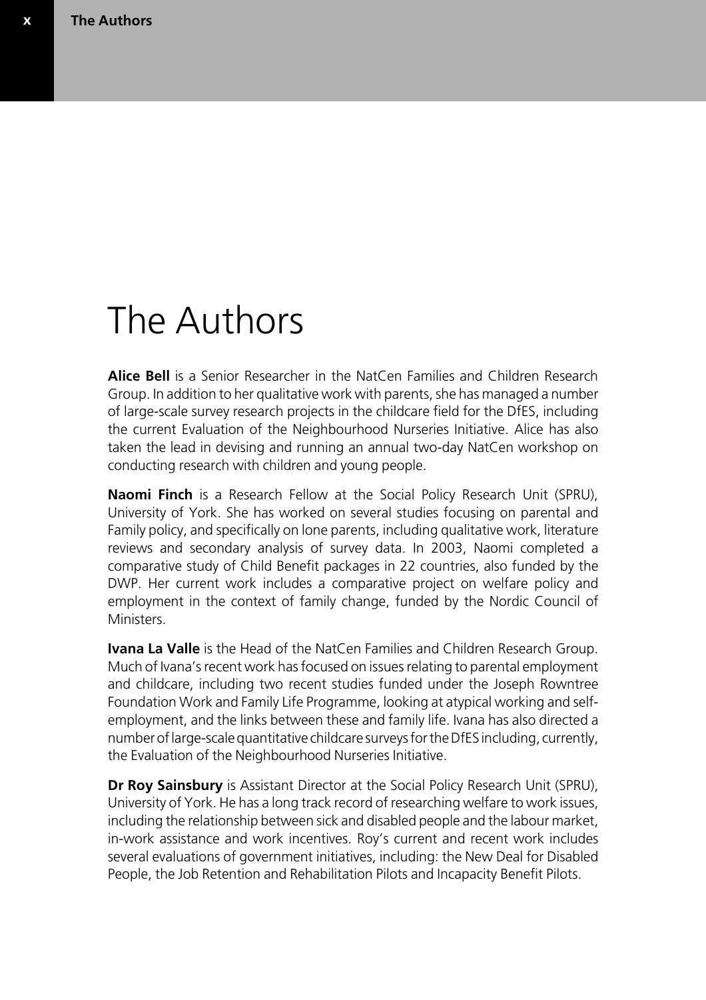**x**

## The Authors

**Alice Bell** is a Senior Researcher in the NatCen Families and Children Research Group. In addition to her qualitative work with parents, she has managed a number of large-scale survey research projects in the childcare field for the DfES, including the current Evaluation of the Neighbourhood Nurseries Initiative. Alice has also taken the lead in devising and running an annual two-day NatCen workshop on conducting research with children and young people.

**Naomi Finch** is a Research Fellow at the Social Policy Research Unit (SPRU), University of York. She has worked on several studies focusing on parental and Family policy, and specifically on lone parents, including qualitative work, literature reviews and secondary analysis of survey data. In 2003, Naomi completed a comparative study of Child Benefit packages in 22 countries, also funded by the DWP. Her current work includes a comparative project on welfare policy and employment in the context of family change, funded by the Nordic Council of **Ministers** 

**Ivana La Valle** is the Head of the NatCen Families and Children Research Group. Much of Ivana's recent work has focused on issues relating to parental employment and childcare, including two recent studies funded under the Joseph Rowntree Foundation Work and Family Life Programme, looking at atypical working and selfemployment, and the links between these and family life. Ivana has also directed a number of large-scale quantitative childcare surveys for the DfES including, currently, the Evaluation of the Neighbourhood Nurseries Initiative.

**Dr Roy Sainsbury** is Assistant Director at the Social Policy Research Unit (SPRU), University of York. He has a long track record of researching welfare to work issues, including the relationship between sick and disabled people and the labour market, in-work assistance and work incentives. Roy's current and recent work includes several evaluations of government initiatives, including: the New Deal for Disabled People, the Job Retention and Rehabilitation Pilots and Incapacity Benefit Pilots.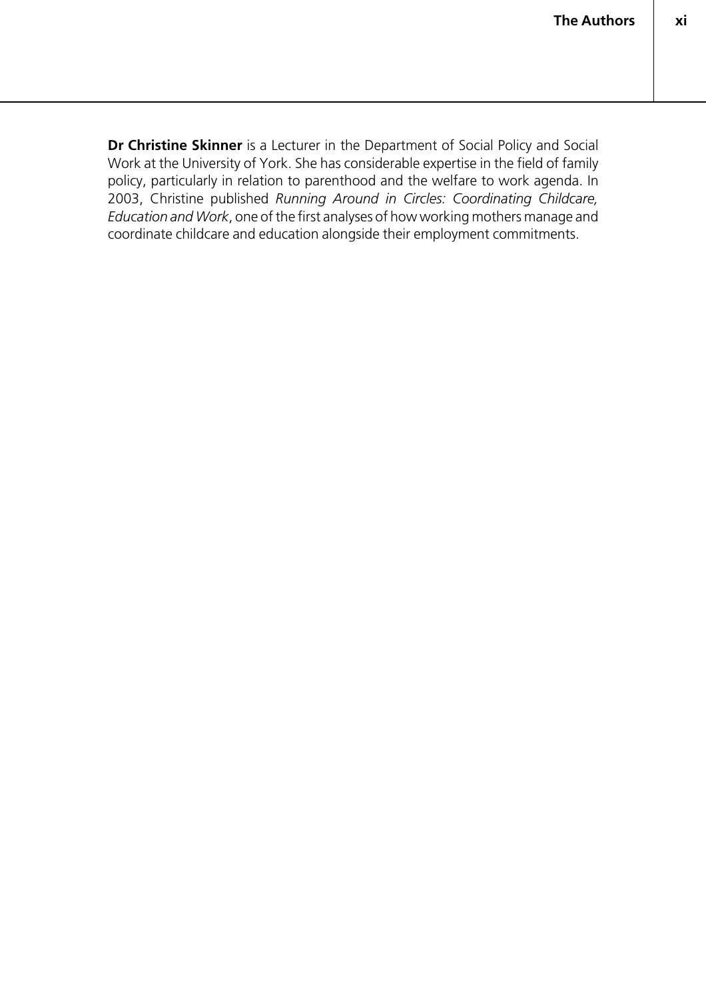**Dr Christine Skinner** is a Lecturer in the Department of Social Policy and Social Work at the University of York. She has considerable expertise in the field of family policy, particularly in relation to parenthood and the welfare to work agenda. In 2003, Christine published *Running Around in Circles: Coordinating Childcare, Education and Work*, one of the first analyses of how working mothers manage and coordinate childcare and education alongside their employment commitments.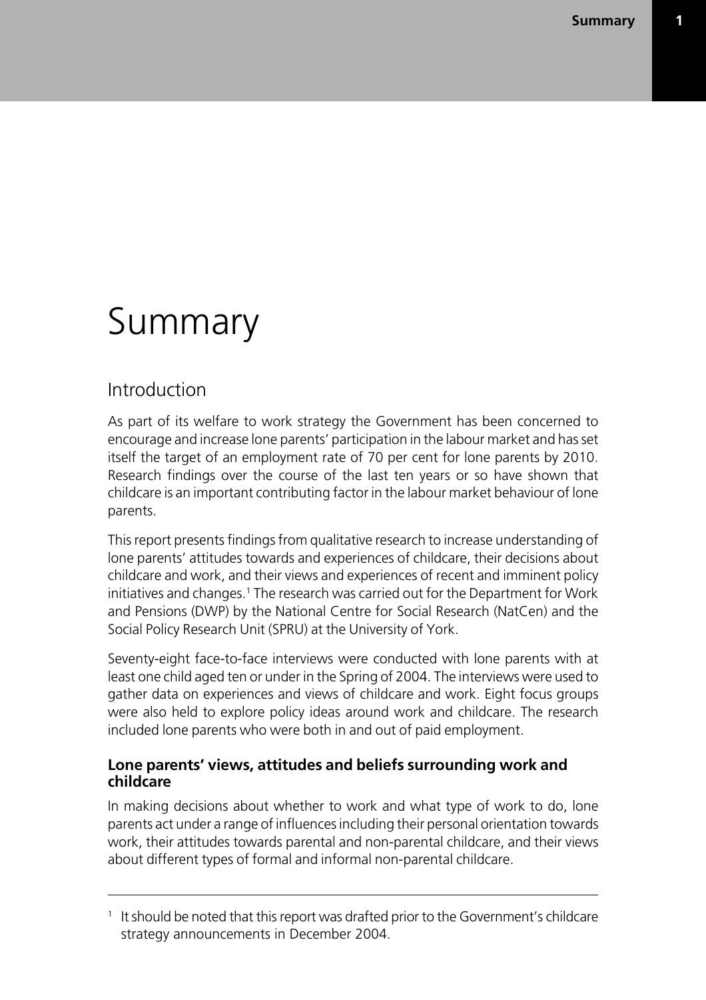## Summary

## Introduction

As part of its welfare to work strategy the Government has been concerned to encourage and increase lone parents' participation in the labour market and has set itself the target of an employment rate of 70 per cent for lone parents by 2010. Research findings over the course of the last ten years or so have shown that childcare is an important contributing factor in the labour market behaviour of lone parents.

This report presents findings from qualitative research to increase understanding of lone parents' attitudes towards and experiences of childcare, their decisions about childcare and work, and their views and experiences of recent and imminent policy initiatives and changes.<sup>1</sup> The research was carried out for the Department for Work and Pensions (DWP) by the National Centre for Social Research (NatCen) and the Social Policy Research Unit (SPRU) at the University of York.

Seventy-eight face-to-face interviews were conducted with lone parents with at least one child aged ten or under in the Spring of 2004. The interviews were used to gather data on experiences and views of childcare and work. Eight focus groups were also held to explore policy ideas around work and childcare. The research included lone parents who were both in and out of paid employment.

#### **Lone parents' views, attitudes and beliefs surrounding work and childcare**

In making decisions about whether to work and what type of work to do, lone parents act under a range of influences including their personal orientation towards work, their attitudes towards parental and non-parental childcare, and their views about different types of formal and informal non-parental childcare.

<sup>1</sup> It should be noted that this report was drafted prior to the Government's childcare strategy announcements in December 2004.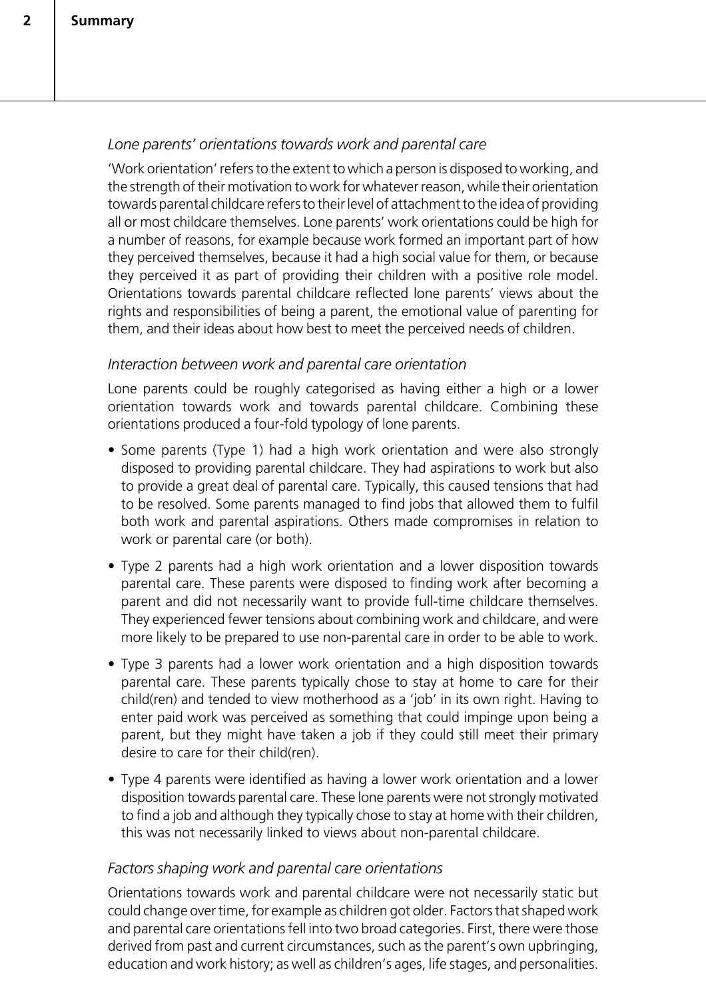#### *Lone parents' orientations towards work and parental care*

'Work orientation' refers to the extent to which a person is disposed to working, and the strength of their motivation to work for whatever reason, while their orientation towards parental childcare refers to their level of attachment to the idea of providing all or most childcare themselves. Lone parents' work orientations could be high for a number of reasons, for example because work formed an important part of how they perceived themselves, because it had a high social value for them, or because they perceived it as part of providing their children with a positive role model. Orientations towards parental childcare reflected lone parents' views about the rights and responsibilities of being a parent, the emotional value of parenting for them, and their ideas about how best to meet the perceived needs of children.

#### *Interaction between work and parental care orientation*

Lone parents could be roughly categorised as having either a high or a lower orientation towards work and towards parental childcare. Combining these orientations produced a four-fold typology of lone parents.

- Some parents (Type 1) had a high work orientation and were also strongly disposed to providing parental childcare. They had aspirations to work but also to provide a great deal of parental care. Typically, this caused tensions that had to be resolved. Some parents managed to find jobs that allowed them to fulfil both work and parental aspirations. Others made compromises in relation to work or parental care (or both).
- Type 2 parents had a high work orientation and a lower disposition towards parental care. These parents were disposed to finding work after becoming a parent and did not necessarily want to provide full-time childcare themselves. They experienced fewer tensions about combining work and childcare, and were more likely to be prepared to use non-parental care in order to be able to work.
- Type 3 parents had a lower work orientation and a high disposition towards parental care. These parents typically chose to stay at home to care for their child(ren) and tended to view motherhood as a 'job' in its own right. Having to enter paid work was perceived as something that could impinge upon being a parent, but they might have taken a job if they could still meet their primary desire to care for their child(ren).
- Type 4 parents were identified as having a lower work orientation and a lower disposition towards parental care. These lone parents were not strongly motivated to find a job and although they typically chose to stay at home with their children, this was not necessarily linked to views about non-parental childcare.

#### *Factors shaping work and parental care orientations*

Orientations towards work and parental childcare were not necessarily static but could change over time, for example as children got older. Factors that shaped work and parental care orientations fell into two broad categories. First, there were those derived from past and current circumstances, such as the parent's own upbringing, education and work history; as well as children's ages, life stages, and personalities.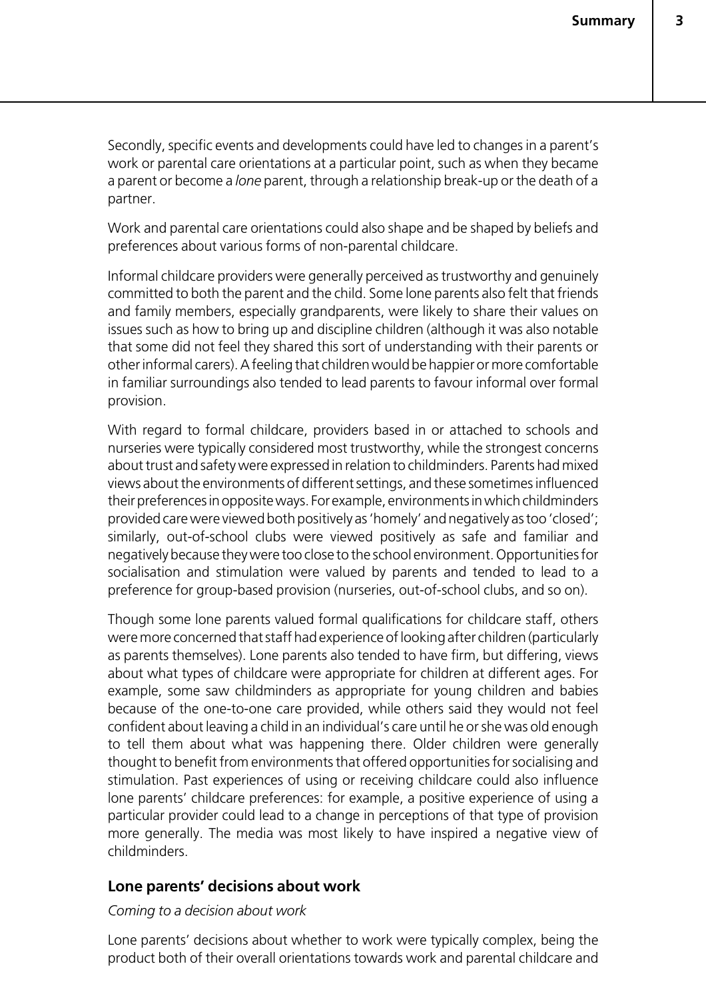Secondly, specific events and developments could have led to changes in a parent's work or parental care orientations at a particular point, such as when they became a parent or become a *lone* parent, through a relationship break-up or the death of a partner.

Work and parental care orientations could also shape and be shaped by beliefs and preferences about various forms of non-parental childcare.

Informal childcare providers were generally perceived as trustworthy and genuinely committed to both the parent and the child. Some lone parents also felt that friends and family members, especially grandparents, were likely to share their values on issues such as how to bring up and discipline children (although it was also notable that some did not feel they shared this sort of understanding with their parents or other informal carers). A feeling that children would be happier or more comfortable in familiar surroundings also tended to lead parents to favour informal over formal provision.

With regard to formal childcare, providers based in or attached to schools and nurseries were typically considered most trustworthy, while the strongest concerns about trust and safety were expressed in relation to childminders. Parents had mixed views about the environments of different settings, and these sometimes influenced their preferences in opposite ways. For example, environments in which childminders provided care were viewed both positively as 'homely' and negatively as too 'closed'; similarly, out-of-school clubs were viewed positively as safe and familiar and negatively because they were too close to the school environment. Opportunities for socialisation and stimulation were valued by parents and tended to lead to a preference for group-based provision (nurseries, out-of-school clubs, and so on).

Though some lone parents valued formal qualifications for childcare staff, others were more concerned that staff had experience of looking after children (particularly as parents themselves). Lone parents also tended to have firm, but differing, views about what types of childcare were appropriate for children at different ages. For example, some saw childminders as appropriate for young children and babies because of the one-to-one care provided, while others said they would not feel confident about leaving a child in an individual's care until he or she was old enough to tell them about what was happening there. Older children were generally thought to benefit from environments that offered opportunities for socialising and stimulation. Past experiences of using or receiving childcare could also influence lone parents' childcare preferences: for example, a positive experience of using a particular provider could lead to a change in perceptions of that type of provision more generally. The media was most likely to have inspired a negative view of childminders.

#### **Lone parents' decisions about work**

#### *Coming to a decision about work*

Lone parents' decisions about whether to work were typically complex, being the product both of their overall orientations towards work and parental childcare and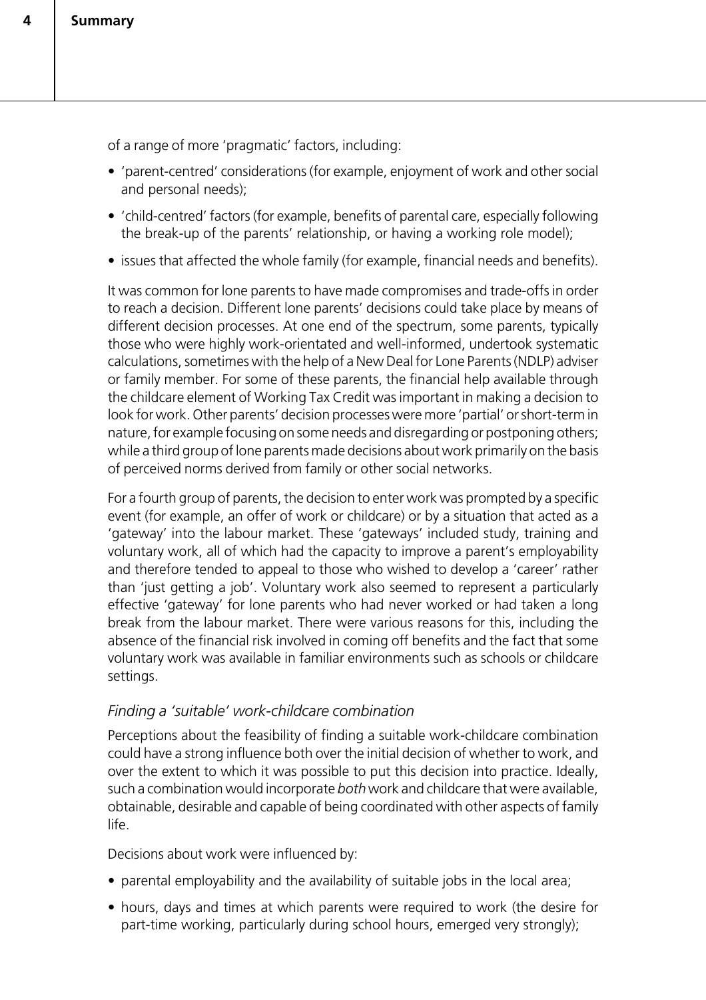of a range of more 'pragmatic' factors, including:

- 'parent-centred' considerations (for example, enjoyment of work and other social and personal needs);
- 'child-centred' factors (for example, benefits of parental care, especially following the break-up of the parents' relationship, or having a working role model);
- issues that affected the whole family (for example, financial needs and benefits).

It was common for lone parents to have made compromises and trade-offs in order to reach a decision. Different lone parents' decisions could take place by means of different decision processes. At one end of the spectrum, some parents, typically those who were highly work-orientated and well-informed, undertook systematic calculations, sometimes with the help of a New Deal for Lone Parents (NDLP) adviser or family member. For some of these parents, the financial help available through the childcare element of Working Tax Credit was important in making a decision to look for work. Other parents' decision processes were more 'partial' or short-term in nature, for example focusing on some needs and disregarding or postponing others; while a third group of lone parents made decisions about work primarily on the basis of perceived norms derived from family or other social networks.

For a fourth group of parents, the decision to enter work was prompted by a specific event (for example, an offer of work or childcare) or by a situation that acted as a 'gateway' into the labour market. These 'gateways' included study, training and voluntary work, all of which had the capacity to improve a parent's employability and therefore tended to appeal to those who wished to develop a 'career' rather than 'just getting a job'. Voluntary work also seemed to represent a particularly effective 'gateway' for lone parents who had never worked or had taken a long break from the labour market. There were various reasons for this, including the absence of the financial risk involved in coming off benefits and the fact that some voluntary work was available in familiar environments such as schools or childcare settings.

#### *Finding a 'suitable' work-childcare combination*

Perceptions about the feasibility of finding a suitable work-childcare combination could have a strong influence both over the initial decision of whether to work, and over the extent to which it was possible to put this decision into practice. Ideally, such a combination would incorporate *both* work and childcare that were available, obtainable, desirable and capable of being coordinated with other aspects of family life.

Decisions about work were influenced by:

- parental employability and the availability of suitable jobs in the local area;
- hours, days and times at which parents were required to work (the desire for part-time working, particularly during school hours, emerged very strongly);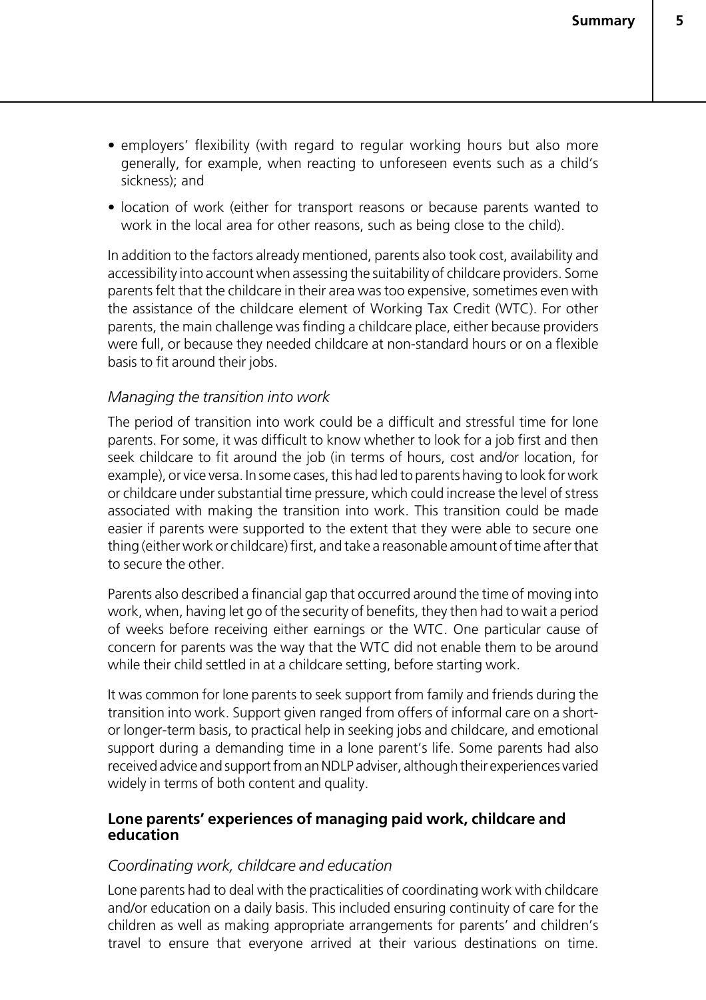- employers' flexibility (with regard to regular working hours but also more generally, for example, when reacting to unforeseen events such as a child's sickness); and
- location of work (either for transport reasons or because parents wanted to work in the local area for other reasons, such as being close to the child).

In addition to the factors already mentioned, parents also took cost, availability and accessibility into account when assessing the suitability of childcare providers. Some parents felt that the childcare in their area was too expensive, sometimes even with the assistance of the childcare element of Working Tax Credit (WTC). For other parents, the main challenge was finding a childcare place, either because providers were full, or because they needed childcare at non-standard hours or on a flexible basis to fit around their jobs.

#### *Managing the transition into work*

The period of transition into work could be a difficult and stressful time for lone parents. For some, it was difficult to know whether to look for a job first and then seek childcare to fit around the job (in terms of hours, cost and/or location, for example), or vice versa. In some cases, this had led to parents having to look for work or childcare under substantial time pressure, which could increase the level of stress associated with making the transition into work. This transition could be made easier if parents were supported to the extent that they were able to secure one thing (either work or childcare) first, and take a reasonable amount of time after that to secure the other.

Parents also described a financial gap that occurred around the time of moving into work, when, having let go of the security of benefits, they then had to wait a period of weeks before receiving either earnings or the WTC. One particular cause of concern for parents was the way that the WTC did not enable them to be around while their child settled in at a childcare setting, before starting work.

It was common for lone parents to seek support from family and friends during the transition into work. Support given ranged from offers of informal care on a shortor longer-term basis, to practical help in seeking jobs and childcare, and emotional support during a demanding time in a lone parent's life. Some parents had also received advice and support from an NDLP adviser, although their experiences varied widely in terms of both content and quality.

#### **Lone parents' experiences of managing paid work, childcare and education**

#### *Coordinating work, childcare and education*

Lone parents had to deal with the practicalities of coordinating work with childcare and/or education on a daily basis. This included ensuring continuity of care for the children as well as making appropriate arrangements for parents' and children's travel to ensure that everyone arrived at their various destinations on time.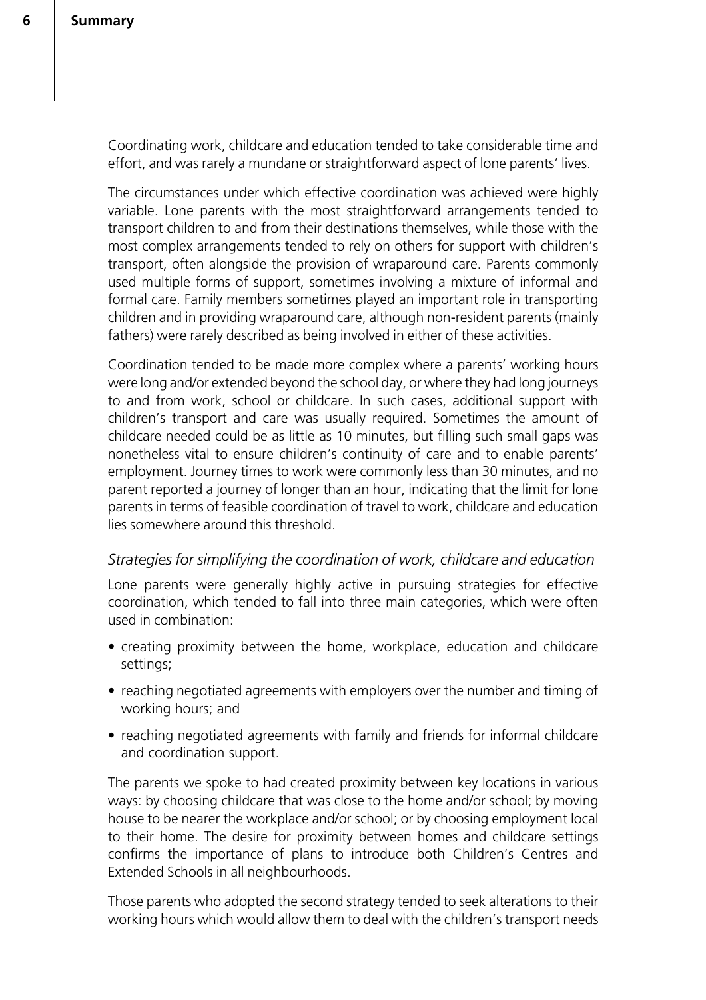Coordinating work, childcare and education tended to take considerable time and effort, and was rarely a mundane or straightforward aspect of lone parents' lives.

The circumstances under which effective coordination was achieved were highly variable. Lone parents with the most straightforward arrangements tended to transport children to and from their destinations themselves, while those with the most complex arrangements tended to rely on others for support with children's transport, often alongside the provision of wraparound care. Parents commonly used multiple forms of support, sometimes involving a mixture of informal and formal care. Family members sometimes played an important role in transporting children and in providing wraparound care, although non-resident parents (mainly fathers) were rarely described as being involved in either of these activities.

Coordination tended to be made more complex where a parents' working hours were long and/or extended beyond the school day, or where they had long journeys to and from work, school or childcare. In such cases, additional support with children's transport and care was usually required. Sometimes the amount of childcare needed could be as little as 10 minutes, but filling such small gaps was nonetheless vital to ensure children's continuity of care and to enable parents' employment. Journey times to work were commonly less than 30 minutes, and no parent reported a journey of longer than an hour, indicating that the limit for lone parents in terms of feasible coordination of travel to work, childcare and education lies somewhere around this threshold.

#### *Strategies for simplifying the coordination of work, childcare and education*

Lone parents were generally highly active in pursuing strategies for effective coordination, which tended to fall into three main categories, which were often used in combination:

- creating proximity between the home, workplace, education and childcare settings;
- reaching negotiated agreements with employers over the number and timing of working hours; and
- reaching negotiated agreements with family and friends for informal childcare and coordination support.

The parents we spoke to had created proximity between key locations in various ways: by choosing childcare that was close to the home and/or school; by moving house to be nearer the workplace and/or school; or by choosing employment local to their home. The desire for proximity between homes and childcare settings confirms the importance of plans to introduce both Children's Centres and Extended Schools in all neighbourhoods.

Those parents who adopted the second strategy tended to seek alterations to their working hours which would allow them to deal with the children's transport needs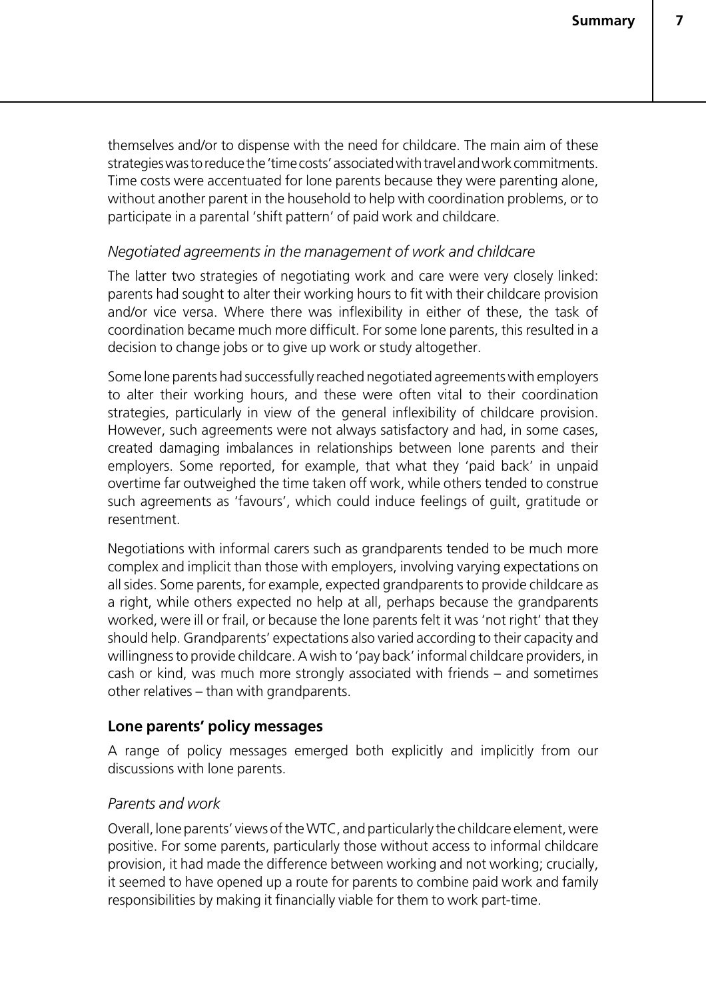themselves and/or to dispense with the need for childcare. The main aim of these strategies was to reduce the 'time costs' associated with travel and work commitments. Time costs were accentuated for lone parents because they were parenting alone, without another parent in the household to help with coordination problems, or to participate in a parental 'shift pattern' of paid work and childcare.

#### *Negotiated agreements in the management of work and childcare*

The latter two strategies of negotiating work and care were very closely linked: parents had sought to alter their working hours to fit with their childcare provision and/or vice versa. Where there was inflexibility in either of these, the task of coordination became much more difficult. For some lone parents, this resulted in a decision to change jobs or to give up work or study altogether.

Some lone parents had successfully reached negotiated agreements with employers to alter their working hours, and these were often vital to their coordination strategies, particularly in view of the general inflexibility of childcare provision. However, such agreements were not always satisfactory and had, in some cases, created damaging imbalances in relationships between lone parents and their employers. Some reported, for example, that what they 'paid back' in unpaid overtime far outweighed the time taken off work, while others tended to construe such agreements as 'favours', which could induce feelings of guilt, gratitude or resentment.

Negotiations with informal carers such as grandparents tended to be much more complex and implicit than those with employers, involving varying expectations on all sides. Some parents, for example, expected grandparents to provide childcare as a right, while others expected no help at all, perhaps because the grandparents worked, were ill or frail, or because the lone parents felt it was 'not right' that they should help. Grandparents' expectations also varied according to their capacity and willingness to provide childcare. A wish to 'pay back' informal childcare providers, in cash or kind, was much more strongly associated with friends – and sometimes other relatives – than with grandparents.

#### **Lone parents' policy messages**

A range of policy messages emerged both explicitly and implicitly from our discussions with lone parents.

#### *Parents and work*

Overall, lone parents' views of the WTC, and particularly the childcare element, were positive. For some parents, particularly those without access to informal childcare provision, it had made the difference between working and not working; crucially, it seemed to have opened up a route for parents to combine paid work and family responsibilities by making it financially viable for them to work part-time.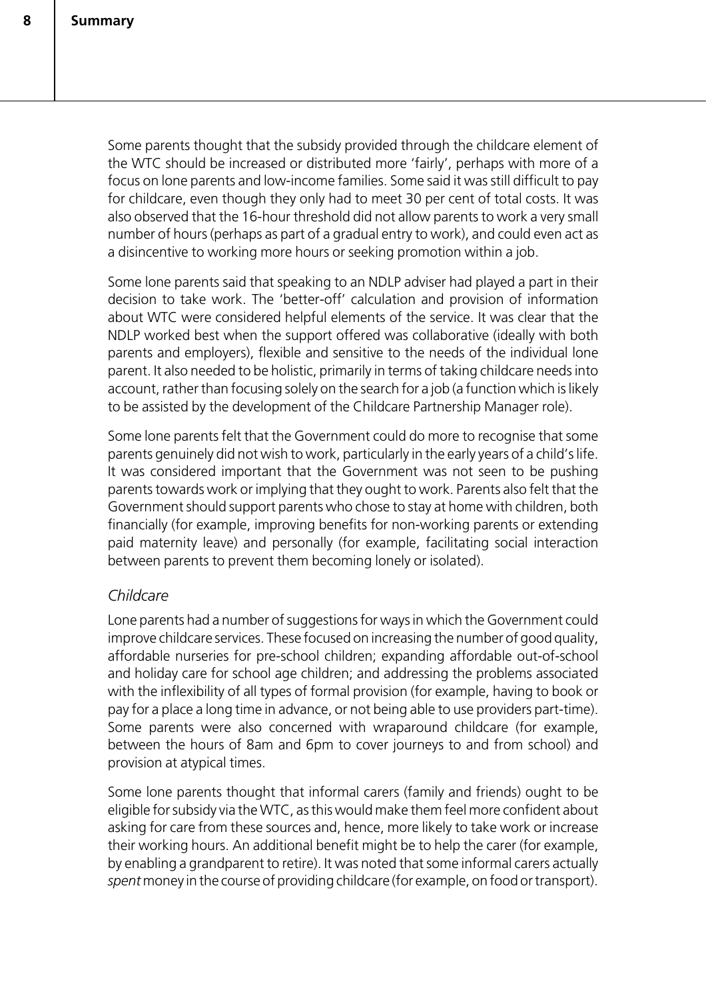Some parents thought that the subsidy provided through the childcare element of the WTC should be increased or distributed more 'fairly', perhaps with more of a focus on lone parents and low-income families. Some said it was still difficult to pay for childcare, even though they only had to meet 30 per cent of total costs. It was also observed that the 16-hour threshold did not allow parents to work a very small number of hours (perhaps as part of a gradual entry to work), and could even act as a disincentive to working more hours or seeking promotion within a job.

Some lone parents said that speaking to an NDLP adviser had played a part in their decision to take work. The 'better-off' calculation and provision of information about WTC were considered helpful elements of the service. It was clear that the NDLP worked best when the support offered was collaborative (ideally with both parents and employers), flexible and sensitive to the needs of the individual lone parent. It also needed to be holistic, primarily in terms of taking childcare needs into account, rather than focusing solely on the search for a job (a function which is likely to be assisted by the development of the Childcare Partnership Manager role).

Some lone parents felt that the Government could do more to recognise that some parents genuinely did not wish to work, particularly in the early years of a child's life. It was considered important that the Government was not seen to be pushing parents towards work or implying that they ought to work. Parents also felt that the Government should support parents who chose to stay at home with children, both financially (for example, improving benefits for non-working parents or extending paid maternity leave) and personally (for example, facilitating social interaction between parents to prevent them becoming lonely or isolated).

#### *Childcare*

Lone parents had a number of suggestions for ways in which the Government could improve childcare services. These focused on increasing the number of good quality, affordable nurseries for pre-school children; expanding affordable out-of-school and holiday care for school age children; and addressing the problems associated with the inflexibility of all types of formal provision (for example, having to book or pay for a place a long time in advance, or not being able to use providers part-time). Some parents were also concerned with wraparound childcare (for example, between the hours of 8am and 6pm to cover journeys to and from school) and provision at atypical times.

Some lone parents thought that informal carers (family and friends) ought to be eligible for subsidy via the WTC, as this would make them feel more confident about asking for care from these sources and, hence, more likely to take work or increase their working hours. An additional benefit might be to help the carer (for example, by enabling a grandparent to retire). It was noted that some informal carers actually *spent* money in the course of providing childcare (for example, on food or transport).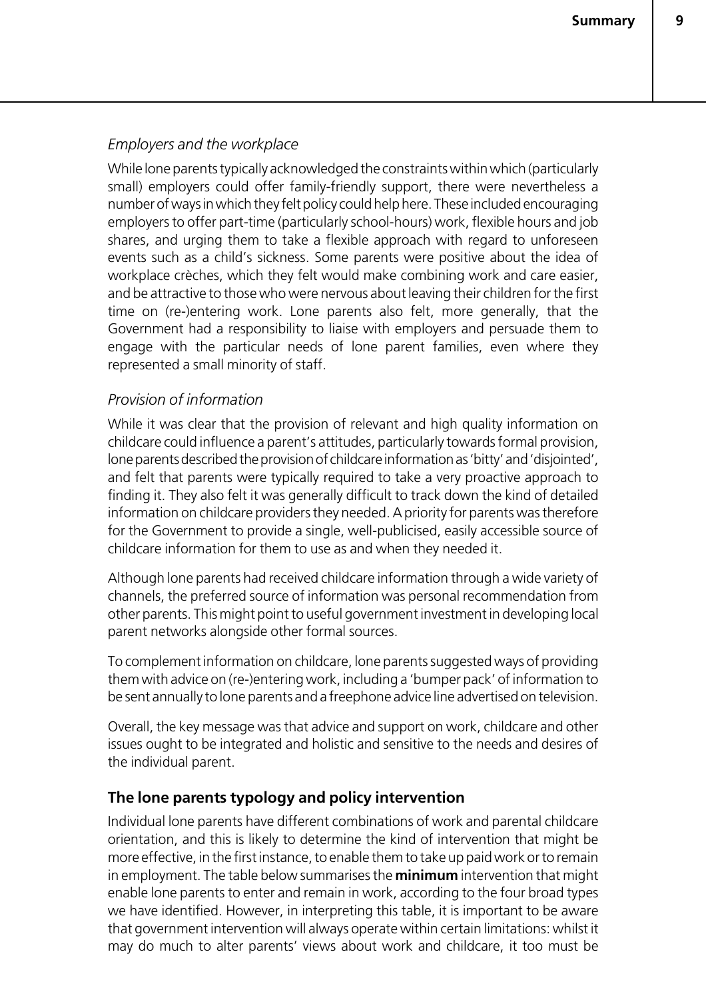#### *Employers and the workplace*

While lone parents typically acknowledged the constraints within which (particularly small) employers could offer family-friendly support, there were nevertheless a number of ways in which they felt policy could help here. These included encouraging employers to offer part-time (particularly school-hours) work, flexible hours and job shares, and urging them to take a flexible approach with regard to unforeseen events such as a child's sickness. Some parents were positive about the idea of workplace crèches, which they felt would make combining work and care easier, and be attractive to those who were nervous about leaving their children for the first time on (re-)entering work. Lone parents also felt, more generally, that the Government had a responsibility to liaise with employers and persuade them to engage with the particular needs of lone parent families, even where they represented a small minority of staff.

#### *Provision of information*

While it was clear that the provision of relevant and high quality information on childcare could influence a parent's attitudes, particularly towards formal provision, lone parents described the provision of childcare information as 'bitty' and 'disjointed', and felt that parents were typically required to take a very proactive approach to finding it. They also felt it was generally difficult to track down the kind of detailed information on childcare providers they needed. A priority for parents was therefore for the Government to provide a single, well-publicised, easily accessible source of childcare information for them to use as and when they needed it.

Although lone parents had received childcare information through a wide variety of channels, the preferred source of information was personal recommendation from other parents. This might point to useful government investment in developing local parent networks alongside other formal sources.

To complement information on childcare, lone parents suggested ways of providing them with advice on (re-)entering work, including a 'bumper pack' of information to be sent annually to lone parents and a freephone advice line advertised on television.

Overall, the key message was that advice and support on work, childcare and other issues ought to be integrated and holistic and sensitive to the needs and desires of the individual parent.

#### **The lone parents typology and policy intervention**

Individual lone parents have different combinations of work and parental childcare orientation, and this is likely to determine the kind of intervention that might be more effective, in the first instance, to enable them to take up paid work or to remain in employment. The table below summarises the **minimum** intervention that might enable lone parents to enter and remain in work, according to the four broad types we have identified. However, in interpreting this table, it is important to be aware that government intervention will always operate within certain limitations: whilst it may do much to alter parents' views about work and childcare, it too must be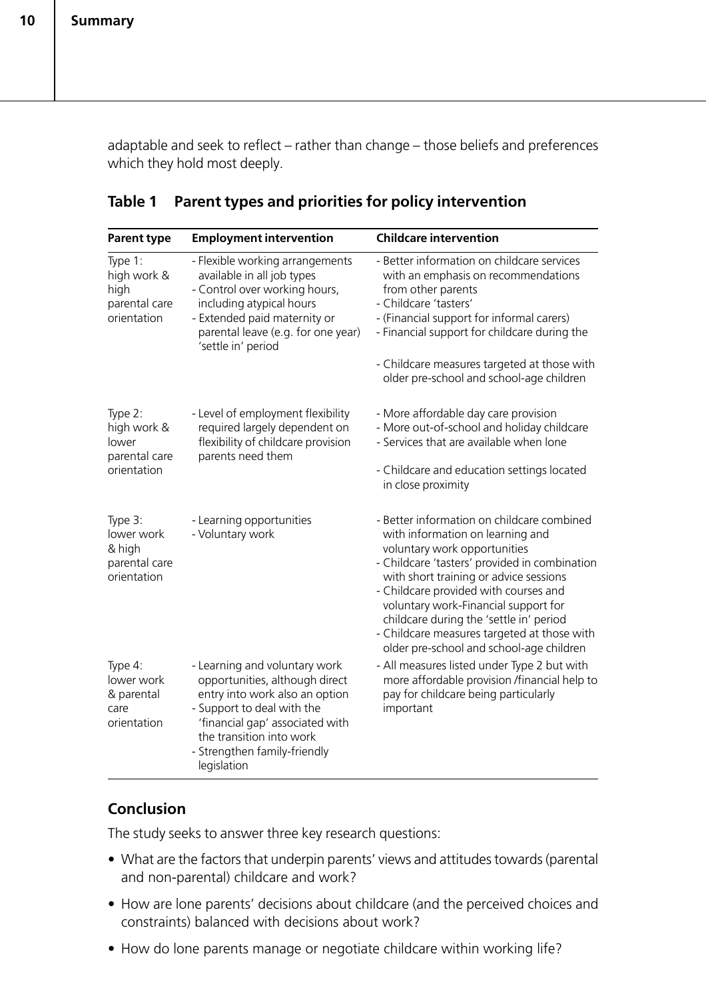adaptable and seek to reflect – rather than change – those beliefs and preferences which they hold most deeply.

| <b>Parent type</b>                                              | <b>Employment intervention</b>                                                                                                                                                                                                                | <b>Childcare intervention</b>                                                                                                                                                                                                                                                                                                                                                                                                    |
|-----------------------------------------------------------------|-----------------------------------------------------------------------------------------------------------------------------------------------------------------------------------------------------------------------------------------------|----------------------------------------------------------------------------------------------------------------------------------------------------------------------------------------------------------------------------------------------------------------------------------------------------------------------------------------------------------------------------------------------------------------------------------|
| Type 1:<br>high work &<br>high<br>parental care<br>orientation  | - Flexible working arrangements<br>available in all job types<br>- Control over working hours,<br>including atypical hours<br>- Extended paid maternity or<br>parental leave (e.g. for one year)<br>'settle in' period                        | - Better information on childcare services<br>with an emphasis on recommendations<br>from other parents<br>- Childcare 'tasters'<br>- (Financial support for informal carers)<br>- Financial support for childcare during the<br>- Childcare measures targeted at those with<br>older pre-school and school-age children                                                                                                         |
| Type 2:<br>high work &<br>lower<br>parental care<br>orientation | - Level of employment flexibility<br>required largely dependent on<br>flexibility of childcare provision<br>parents need them                                                                                                                 | - More affordable day care provision<br>- More out-of-school and holiday childcare<br>- Services that are available when lone<br>- Childcare and education settings located<br>in close proximity                                                                                                                                                                                                                                |
| Type 3:<br>lower work<br>& high<br>parental care<br>orientation | - Learning opportunities<br>- Voluntary work                                                                                                                                                                                                  | - Better information on childcare combined<br>with information on learning and<br>voluntary work opportunities<br>- Childcare 'tasters' provided in combination<br>with short training or advice sessions<br>- Childcare provided with courses and<br>voluntary work-Financial support for<br>childcare during the 'settle in' period<br>- Childcare measures targeted at those with<br>older pre-school and school-age children |
| Type 4:<br>lower work<br>& parental<br>care<br>orientation      | - Learning and voluntary work<br>opportunities, although direct<br>entry into work also an option<br>- Support to deal with the<br>'financial gap' associated with<br>the transition into work<br>- Strengthen family-friendly<br>legislation | - All measures listed under Type 2 but with<br>more affordable provision /financial help to<br>pay for childcare being particularly<br>important                                                                                                                                                                                                                                                                                 |

#### **Table 1 Parent types and priorities for policy intervention**

#### **Conclusion**

The study seeks to answer three key research questions:

- What are the factors that underpin parents' views and attitudes towards (parental and non-parental) childcare and work?
- How are lone parents' decisions about childcare (and the perceived choices and constraints) balanced with decisions about work?
- How do lone parents manage or negotiate childcare within working life?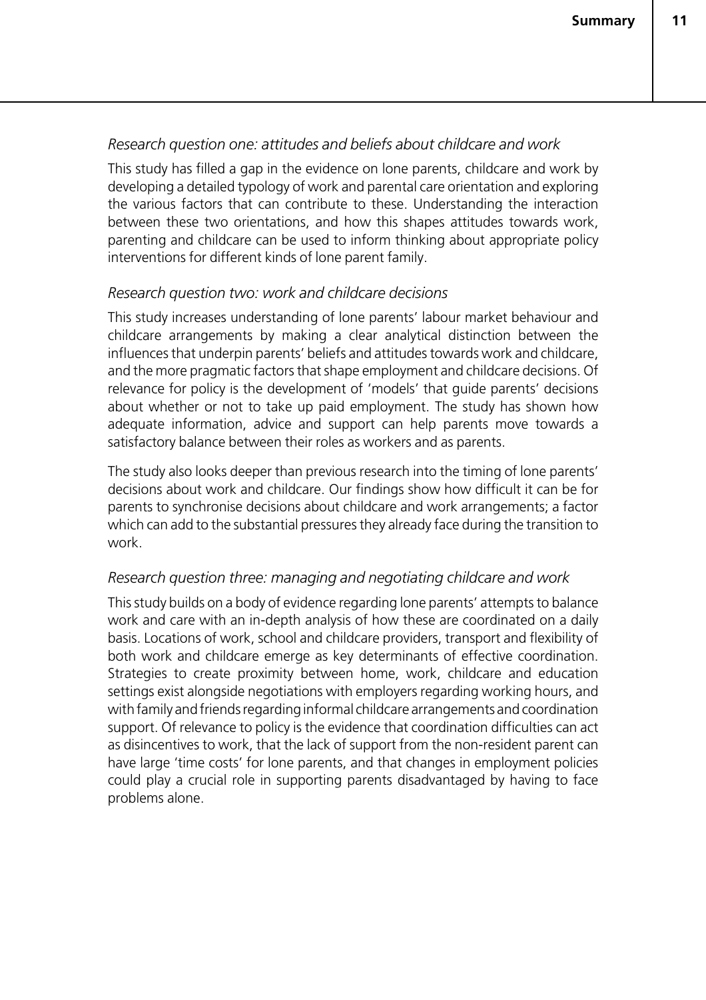#### *Research question one: attitudes and beliefs about childcare and work*

This study has filled a gap in the evidence on lone parents, childcare and work by developing a detailed typology of work and parental care orientation and exploring the various factors that can contribute to these. Understanding the interaction between these two orientations, and how this shapes attitudes towards work, parenting and childcare can be used to inform thinking about appropriate policy interventions for different kinds of lone parent family.

#### *Research question two: work and childcare decisions*

This study increases understanding of lone parents' labour market behaviour and childcare arrangements by making a clear analytical distinction between the influences that underpin parents' beliefs and attitudes towards work and childcare, and the more pragmatic factors that shape employment and childcare decisions. Of relevance for policy is the development of 'models' that guide parents' decisions about whether or not to take up paid employment. The study has shown how adequate information, advice and support can help parents move towards a satisfactory balance between their roles as workers and as parents.

The study also looks deeper than previous research into the timing of lone parents' decisions about work and childcare. Our findings show how difficult it can be for parents to synchronise decisions about childcare and work arrangements; a factor which can add to the substantial pressures they already face during the transition to work.

#### *Research question three: managing and negotiating childcare and work*

This study builds on a body of evidence regarding lone parents' attempts to balance work and care with an in-depth analysis of how these are coordinated on a daily basis. Locations of work, school and childcare providers, transport and flexibility of both work and childcare emerge as key determinants of effective coordination. Strategies to create proximity between home, work, childcare and education settings exist alongside negotiations with employers regarding working hours, and with family and friends regarding informal childcare arrangements and coordination support. Of relevance to policy is the evidence that coordination difficulties can act as disincentives to work, that the lack of support from the non-resident parent can have large 'time costs' for lone parents, and that changes in employment policies could play a crucial role in supporting parents disadvantaged by having to face problems alone.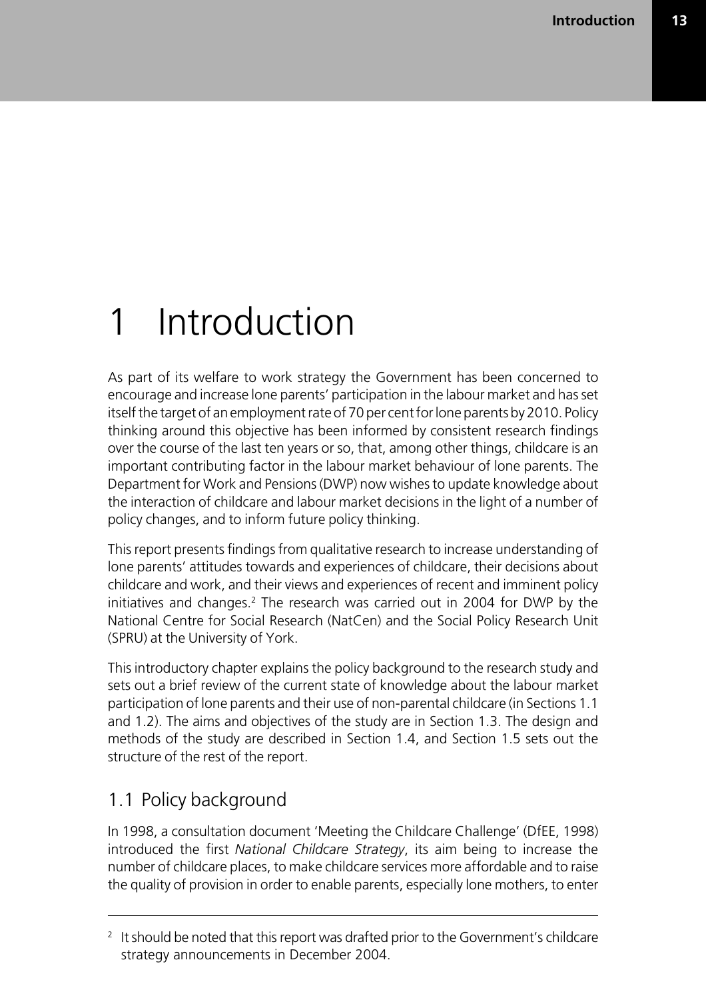## 1 Introduction

As part of its welfare to work strategy the Government has been concerned to encourage and increase lone parents' participation in the labour market and has set itself the target of an employment rate of 70 per cent for lone parents by 2010. Policy thinking around this objective has been informed by consistent research findings over the course of the last ten years or so, that, among other things, childcare is an important contributing factor in the labour market behaviour of lone parents. The Department for Work and Pensions (DWP) now wishes to update knowledge about the interaction of childcare and labour market decisions in the light of a number of policy changes, and to inform future policy thinking.

This report presents findings from qualitative research to increase understanding of lone parents' attitudes towards and experiences of childcare, their decisions about childcare and work, and their views and experiences of recent and imminent policy initiatives and changes.<sup>2</sup> The research was carried out in 2004 for DWP by the National Centre for Social Research (NatCen) and the Social Policy Research Unit (SPRU) at the University of York.

This introductory chapter explains the policy background to the research study and sets out a brief review of the current state of knowledge about the labour market participation of lone parents and their use of non-parental childcare (in Sections 1.1 and 1.2). The aims and objectives of the study are in Section 1.3. The design and methods of the study are described in Section 1.4, and Section 1.5 sets out the structure of the rest of the report.

### 1.1 Policy background

In 1998, a consultation document 'Meeting the Childcare Challenge' (DfEE, 1998) introduced the first *National Childcare Strategy*, its aim being to increase the number of childcare places, to make childcare services more affordable and to raise the quality of provision in order to enable parents, especially lone mothers, to enter

 $2$  It should be noted that this report was drafted prior to the Government's childcare strategy announcements in December 2004.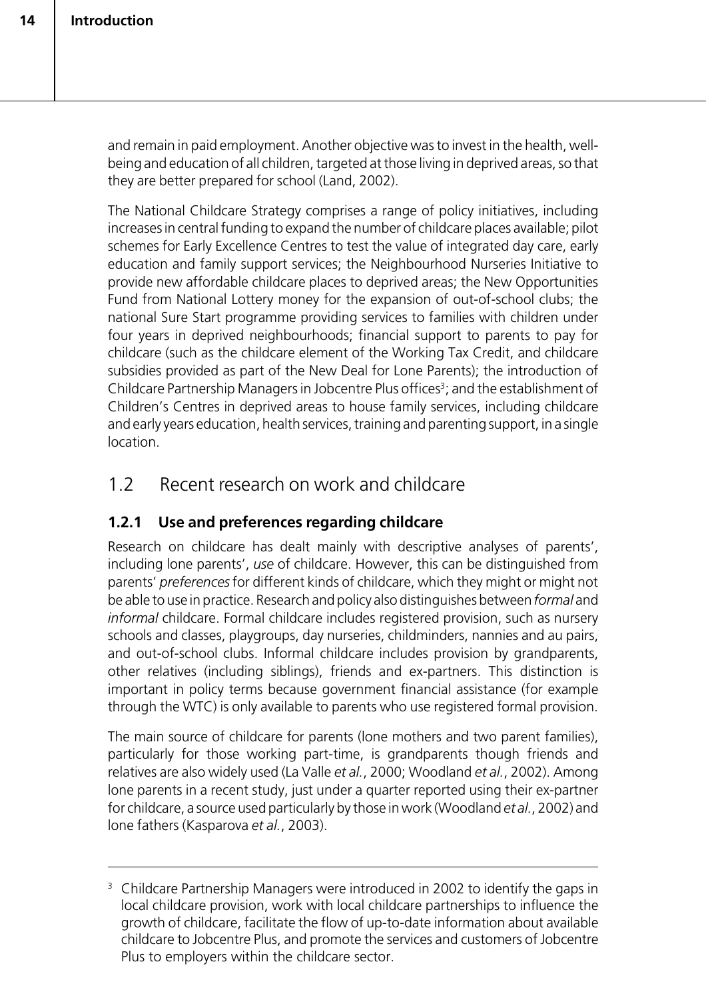and remain in paid employment. Another objective was to invest in the health, wellbeing and education of all children, targeted at those living in deprived areas, so that they are better prepared for school (Land, 2002).

The National Childcare Strategy comprises a range of policy initiatives, including increases in central funding to expand the number of childcare places available; pilot schemes for Early Excellence Centres to test the value of integrated day care, early education and family support services; the Neighbourhood Nurseries Initiative to provide new affordable childcare places to deprived areas; the New Opportunities Fund from National Lottery money for the expansion of out-of-school clubs; the national Sure Start programme providing services to families with children under four years in deprived neighbourhoods; financial support to parents to pay for childcare (such as the childcare element of the Working Tax Credit, and childcare subsidies provided as part of the New Deal for Lone Parents); the introduction of Childcare Partnership Managers in Jobcentre Plus offices<sup>3</sup>; and the establishment of Children's Centres in deprived areas to house family services, including childcare and early years education, health services, training and parenting support, in a single location.

### 1.2 Recent research on work and childcare

#### **1.2.1 Use and preferences regarding childcare**

Research on childcare has dealt mainly with descriptive analyses of parents', including lone parents', *use* of childcare. However, this can be distinguished from parents' *preferences* for different kinds of childcare, which they might or might not be able to use in practice. Research and policy also distinguishes between *formal* and *informal* childcare. Formal childcare includes registered provision, such as nursery schools and classes, playgroups, day nurseries, childminders, nannies and au pairs, and out-of-school clubs. Informal childcare includes provision by grandparents, other relatives (including siblings), friends and ex-partners. This distinction is important in policy terms because government financial assistance (for example through the WTC) is only available to parents who use registered formal provision.

The main source of childcare for parents (lone mothers and two parent families), particularly for those working part-time, is grandparents though friends and relatives are also widely used (La Valle *et al.*, 2000; Woodland *et al.*, 2002). Among lone parents in a recent study, just under a quarter reported using their ex-partner for childcare, a source used particularly by those in work (Woodland *et al.*, 2002) and lone fathers (Kasparova *et al.*, 2003).

<sup>&</sup>lt;sup>3</sup> Childcare Partnership Managers were introduced in 2002 to identify the gaps in local childcare provision, work with local childcare partnerships to influence the growth of childcare, facilitate the flow of up-to-date information about available childcare to Jobcentre Plus, and promote the services and customers of Jobcentre Plus to employers within the childcare sector.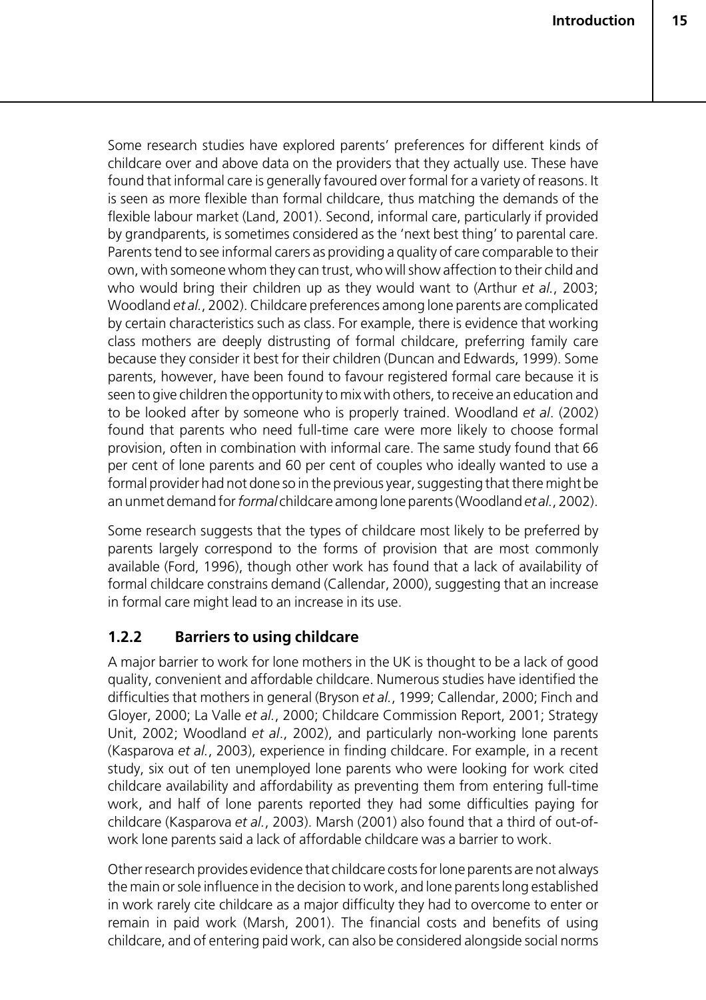Some research studies have explored parents' preferences for different kinds of childcare over and above data on the providers that they actually use. These have found that informal care is generally favoured over formal for a variety of reasons. It is seen as more flexible than formal childcare, thus matching the demands of the flexible labour market (Land, 2001). Second, informal care, particularly if provided by grandparents, is sometimes considered as the 'next best thing' to parental care. Parents tend to see informal carers as providing a quality of care comparable to their own, with someone whom they can trust, who will show affection to their child and who would bring their children up as they would want to (Arthur *et al.*, 2003; Woodland *et al.*, 2002). Childcare preferences among lone parents are complicated by certain characteristics such as class. For example, there is evidence that working class mothers are deeply distrusting of formal childcare, preferring family care because they consider it best for their children (Duncan and Edwards, 1999). Some parents, however, have been found to favour registered formal care because it is seen to give children the opportunity to mix with others, to receive an education and to be looked after by someone who is properly trained. Woodland *et al*. (2002) found that parents who need full-time care were more likely to choose formal provision, often in combination with informal care. The same study found that 66 per cent of lone parents and 60 per cent of couples who ideally wanted to use a formal provider had not done so in the previous year, suggesting that there might be an unmet demand for *formal* childcare among lone parents (Woodland *et al.*, 2002).

Some research suggests that the types of childcare most likely to be preferred by parents largely correspond to the forms of provision that are most commonly available (Ford, 1996), though other work has found that a lack of availability of formal childcare constrains demand (Callendar, 2000), suggesting that an increase in formal care might lead to an increase in its use.

#### **1.2.2 Barriers to using childcare**

A major barrier to work for lone mothers in the UK is thought to be a lack of good quality, convenient and affordable childcare. Numerous studies have identified the difficulties that mothers in general (Bryson *et al.*, 1999; Callendar, 2000; Finch and Gloyer, 2000; La Valle *et al.*, 2000; Childcare Commission Report, 2001; Strategy Unit, 2002; Woodland *et al*., 2002), and particularly non-working lone parents (Kasparova *et al.*, 2003), experience in finding childcare. For example, in a recent study, six out of ten unemployed lone parents who were looking for work cited childcare availability and affordability as preventing them from entering full-time work, and half of lone parents reported they had some difficulties paying for childcare (Kasparova *et al.*, 2003). Marsh (2001) also found that a third of out-ofwork lone parents said a lack of affordable childcare was a barrier to work.

Other research provides evidence that childcare costs for lone parents are not always the main or sole influence in the decision to work, and lone parents long established in work rarely cite childcare as a major difficulty they had to overcome to enter or remain in paid work (Marsh, 2001). The financial costs and benefits of using childcare, and of entering paid work, can also be considered alongside social norms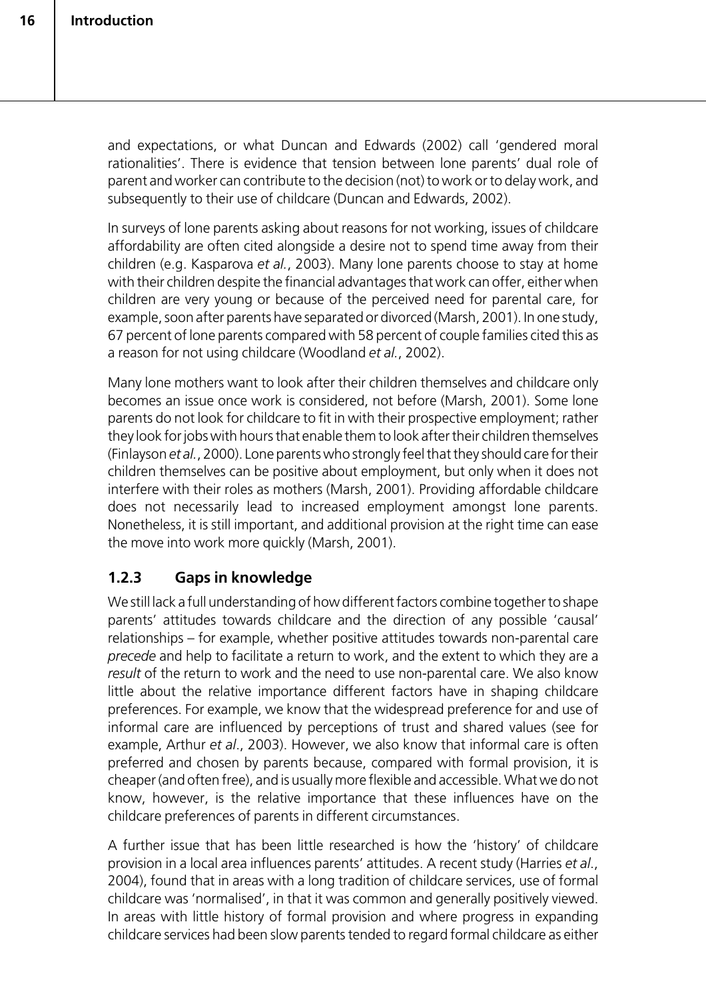and expectations, or what Duncan and Edwards (2002) call 'gendered moral rationalities'. There is evidence that tension between lone parents' dual role of parent and worker can contribute to the decision (not) to work or to delay work, and subsequently to their use of childcare (Duncan and Edwards, 2002).

In surveys of lone parents asking about reasons for not working, issues of childcare affordability are often cited alongside a desire not to spend time away from their children (e.g. Kasparova *et al.*, 2003). Many lone parents choose to stay at home with their children despite the financial advantages that work can offer, either when children are very young or because of the perceived need for parental care, for example, soon after parents have separated or divorced (Marsh, 2001). In one study, 67 percent of lone parents compared with 58 percent of couple families cited this as a reason for not using childcare (Woodland *et al.*, 2002).

Many lone mothers want to look after their children themselves and childcare only becomes an issue once work is considered, not before (Marsh, 2001). Some lone parents do not look for childcare to fit in with their prospective employment; rather they look for jobs with hours that enable them to look after their children themselves (Finlayson *et al.*, 2000). Lone parents who strongly feel that they should care for their children themselves can be positive about employment, but only when it does not interfere with their roles as mothers (Marsh, 2001). Providing affordable childcare does not necessarily lead to increased employment amongst lone parents. Nonetheless, it is still important, and additional provision at the right time can ease the move into work more quickly (Marsh, 2001).

### **1.2.3 Gaps in knowledge**

We still lack a full understanding of how different factors combine together to shape parents' attitudes towards childcare and the direction of any possible 'causal' relationships – for example, whether positive attitudes towards non-parental care *precede* and help to facilitate a return to work, and the extent to which they are a *result* of the return to work and the need to use non-parental care. We also know little about the relative importance different factors have in shaping childcare preferences. For example, we know that the widespread preference for and use of informal care are influenced by perceptions of trust and shared values (see for example, Arthur *et al*., 2003). However, we also know that informal care is often preferred and chosen by parents because, compared with formal provision, it is cheaper (and often free), and is usually more flexible and accessible. What we do not know, however, is the relative importance that these influences have on the childcare preferences of parents in different circumstances.

A further issue that has been little researched is how the 'history' of childcare provision in a local area influences parents' attitudes. A recent study (Harries *et al*., 2004), found that in areas with a long tradition of childcare services, use of formal childcare was 'normalised', in that it was common and generally positively viewed. In areas with little history of formal provision and where progress in expanding childcare services had been slow parents tended to regard formal childcare as either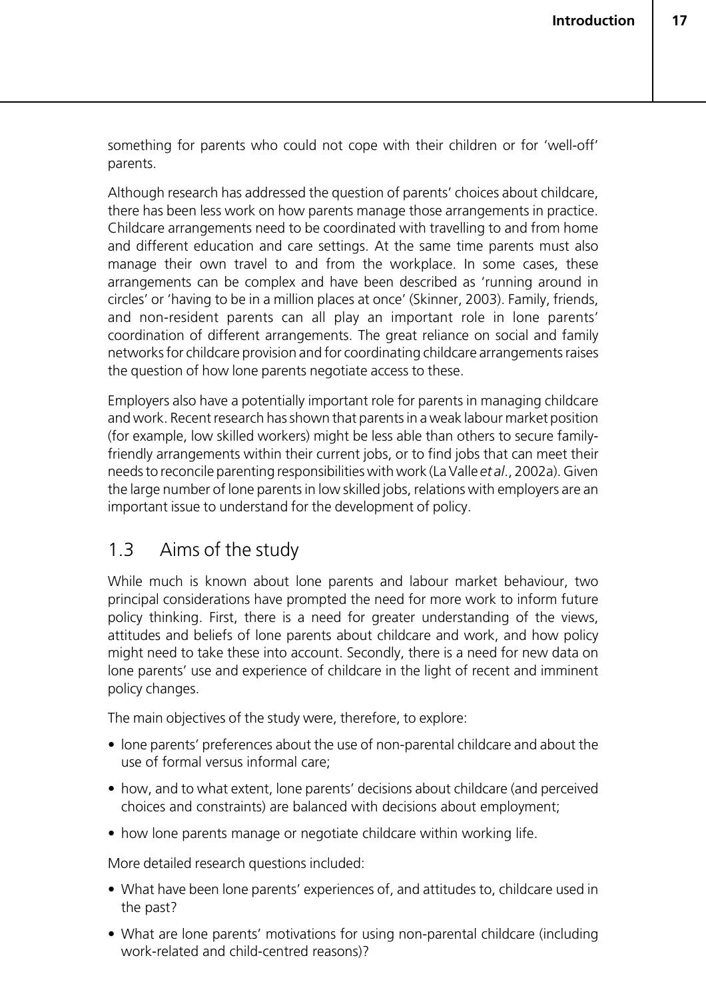something for parents who could not cope with their children or for 'well-off' parents.

Although research has addressed the question of parents' choices about childcare, there has been less work on how parents manage those arrangements in practice. Childcare arrangements need to be coordinated with travelling to and from home and different education and care settings. At the same time parents must also manage their own travel to and from the workplace. In some cases, these arrangements can be complex and have been described as 'running around in circles' or 'having to be in a million places at once' (Skinner, 2003). Family, friends, and non-resident parents can all play an important role in lone parents' coordination of different arrangements. The great reliance on social and family networks for childcare provision and for coordinating childcare arrangements raises the question of how lone parents negotiate access to these.

Employers also have a potentially important role for parents in managing childcare and work. Recent research has shown that parents in a weak labour market position (for example, low skilled workers) might be less able than others to secure familyfriendly arrangements within their current jobs, or to find jobs that can meet their needs to reconcile parenting responsibilities with work (La Valle *et al*., 2002a). Given the large number of lone parents in low skilled jobs, relations with employers are an important issue to understand for the development of policy.

### 1.3 Aims of the study

While much is known about lone parents and labour market behaviour, two principal considerations have prompted the need for more work to inform future policy thinking. First, there is a need for greater understanding of the views, attitudes and beliefs of lone parents about childcare and work, and how policy might need to take these into account. Secondly, there is a need for new data on lone parents' use and experience of childcare in the light of recent and imminent policy changes.

The main objectives of the study were, therefore, to explore:

- lone parents' preferences about the use of non-parental childcare and about the use of formal versus informal care;
- how, and to what extent, lone parents' decisions about childcare (and perceived choices and constraints) are balanced with decisions about employment;
- how lone parents manage or negotiate childcare within working life.

More detailed research questions included:

- What have been lone parents' experiences of, and attitudes to, childcare used in the past?
- What are lone parents' motivations for using non-parental childcare (including work-related and child-centred reasons)?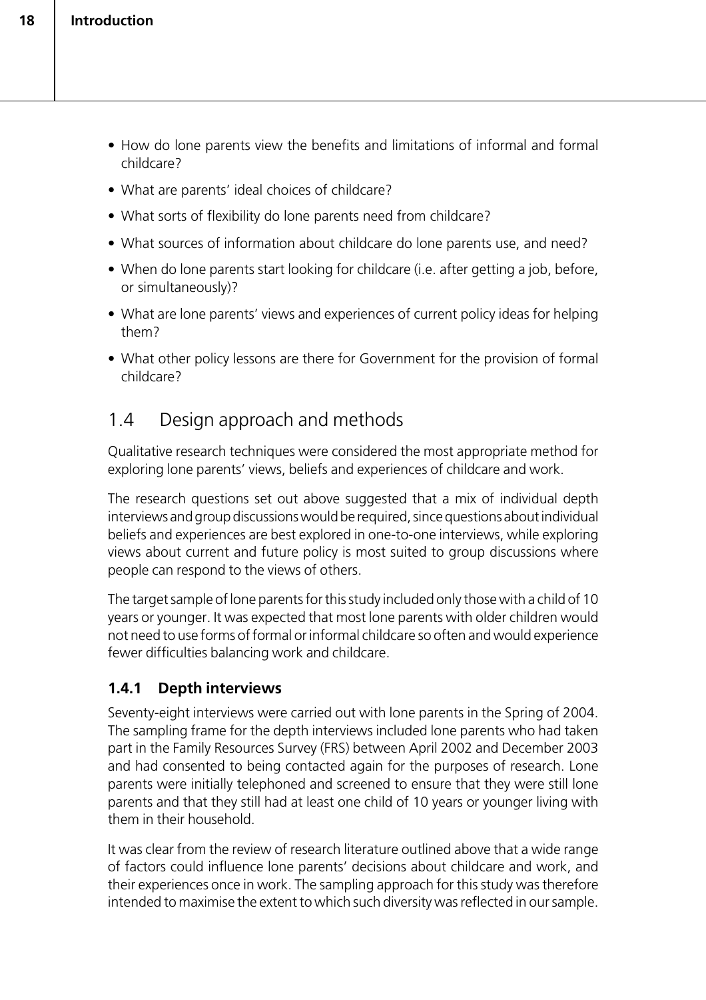- How do lone parents view the benefits and limitations of informal and formal childcare?
- What are parents' ideal choices of childcare?
- What sorts of flexibility do lone parents need from childcare?
- What sources of information about childcare do lone parents use, and need?
- When do lone parents start looking for childcare (i.e. after getting a job, before, or simultaneously)?
- What are lone parents' views and experiences of current policy ideas for helping them?
- What other policy lessons are there for Government for the provision of formal childcare?

### 1.4 Design approach and methods

Qualitative research techniques were considered the most appropriate method for exploring lone parents' views, beliefs and experiences of childcare and work.

The research questions set out above suggested that a mix of individual depth interviews and group discussions would be required, since questions about individual beliefs and experiences are best explored in one-to-one interviews, while exploring views about current and future policy is most suited to group discussions where people can respond to the views of others.

The target sample of lone parents for this study included only those with a child of 10 years or younger. It was expected that most lone parents with older children would not need to use forms of formal or informal childcare so often and would experience fewer difficulties balancing work and childcare.

#### **1.4.1 Depth interviews**

Seventy-eight interviews were carried out with lone parents in the Spring of 2004. The sampling frame for the depth interviews included lone parents who had taken part in the Family Resources Survey (FRS) between April 2002 and December 2003 and had consented to being contacted again for the purposes of research. Lone parents were initially telephoned and screened to ensure that they were still lone parents and that they still had at least one child of 10 years or younger living with them in their household.

It was clear from the review of research literature outlined above that a wide range of factors could influence lone parents' decisions about childcare and work, and their experiences once in work. The sampling approach for this study was therefore intended to maximise the extent to which such diversity was reflected in our sample.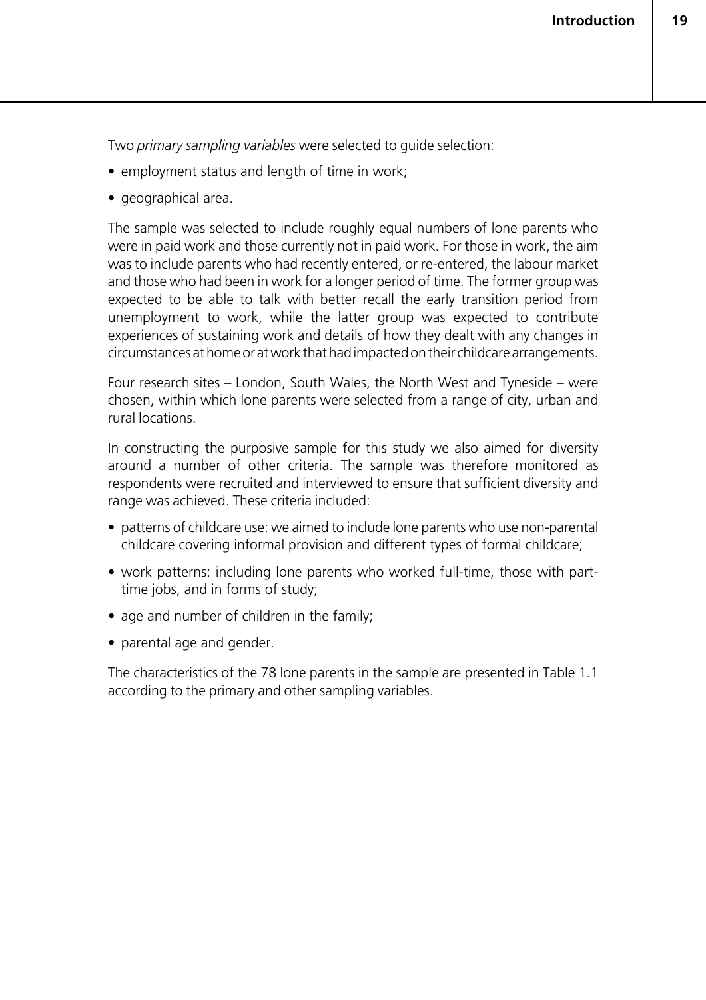Two *primary sampling variables* were selected to guide selection:

- employment status and length of time in work;
- geographical area.

The sample was selected to include roughly equal numbers of lone parents who were in paid work and those currently not in paid work. For those in work, the aim was to include parents who had recently entered, or re-entered, the labour market and those who had been in work for a longer period of time. The former group was expected to be able to talk with better recall the early transition period from unemployment to work, while the latter group was expected to contribute experiences of sustaining work and details of how they dealt with any changes in circumstances at home or at work that had impacted on their childcare arrangements.

Four research sites – London, South Wales, the North West and Tyneside – were chosen, within which lone parents were selected from a range of city, urban and rural locations.

In constructing the purposive sample for this study we also aimed for diversity around a number of other criteria. The sample was therefore monitored as respondents were recruited and interviewed to ensure that sufficient diversity and range was achieved. These criteria included:

- patterns of childcare use: we aimed to include lone parents who use non-parental childcare covering informal provision and different types of formal childcare;
- work patterns: including lone parents who worked full-time, those with parttime jobs, and in forms of study;
- age and number of children in the family;
- parental age and gender.

The characteristics of the 78 lone parents in the sample are presented in Table 1.1 according to the primary and other sampling variables.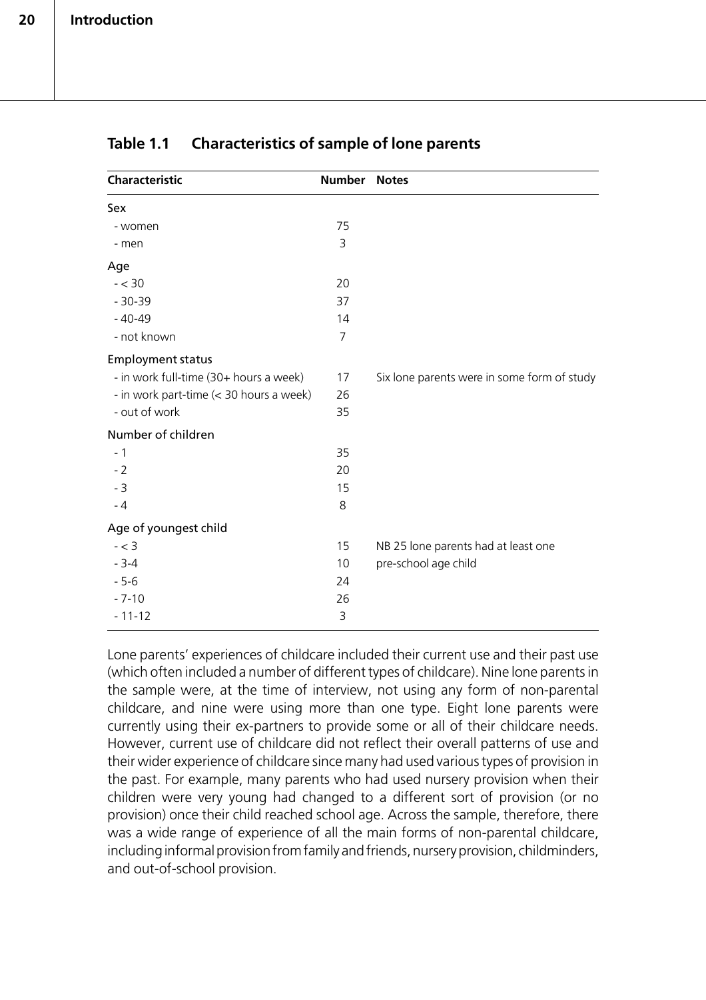| Characteristic                          | <b>Number</b> | <b>Notes</b>                                |
|-----------------------------------------|---------------|---------------------------------------------|
| Sex                                     |               |                                             |
| - women                                 | 75            |                                             |
| - men                                   | 3             |                                             |
| Age                                     |               |                                             |
| $- < 30$                                | 20            |                                             |
| $-30-39$                                | 37            |                                             |
| $-40-49$                                | 14            |                                             |
| - not known                             | 7             |                                             |
| <b>Employment status</b>                |               |                                             |
| - in work full-time (30+ hours a week)  | 17            | Six lone parents were in some form of study |
| - in work part-time (< 30 hours a week) | 26            |                                             |
| - out of work                           | 35            |                                             |
| Number of children                      |               |                                             |
| $-1$                                    | 35            |                                             |
| $-2$                                    | 20            |                                             |
| $-3$                                    | 15            |                                             |
| $-4$                                    | 8             |                                             |
| Age of youngest child                   |               |                                             |
| $- < 3$                                 | 15            | NB 25 lone parents had at least one         |
| $-3-4$                                  | 10            | pre-school age child                        |
| $-5-6$                                  | 24            |                                             |
| $-7-10$                                 | 26            |                                             |
| $-11-12$                                | 3             |                                             |

#### **Table 1.1 Characteristics of sample of lone parents**

Lone parents' experiences of childcare included their current use and their past use (which often included a number of different types of childcare). Nine lone parents in the sample were, at the time of interview, not using any form of non-parental childcare, and nine were using more than one type. Eight lone parents were currently using their ex-partners to provide some or all of their childcare needs. However, current use of childcare did not reflect their overall patterns of use and their wider experience of childcare since many had used various types of provision in the past. For example, many parents who had used nursery provision when their children were very young had changed to a different sort of provision (or no provision) once their child reached school age. Across the sample, therefore, there was a wide range of experience of all the main forms of non-parental childcare, including informal provision from family and friends, nursery provision, childminders, and out-of-school provision.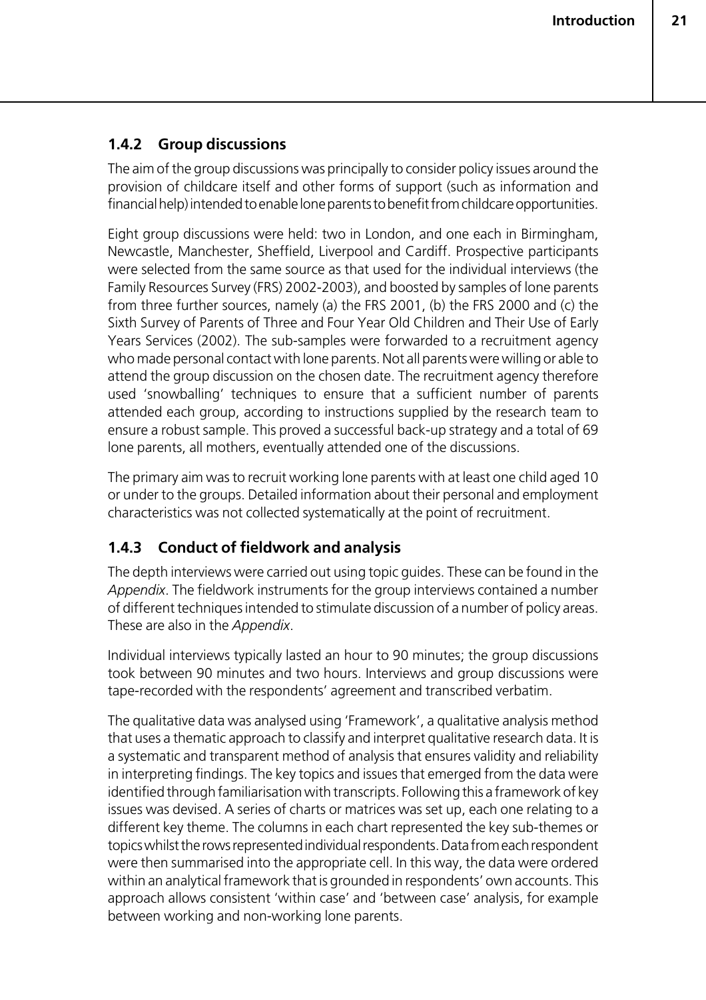#### **1.4.2 Group discussions**

The aim of the group discussions was principally to consider policy issues around the provision of childcare itself and other forms of support (such as information and financial help) intended to enable lone parents to benefit from childcare opportunities.

Eight group discussions were held: two in London, and one each in Birmingham, Newcastle, Manchester, Sheffield, Liverpool and Cardiff. Prospective participants were selected from the same source as that used for the individual interviews (the Family Resources Survey (FRS) 2002-2003), and boosted by samples of lone parents from three further sources, namely (a) the FRS 2001, (b) the FRS 2000 and (c) the Sixth Survey of Parents of Three and Four Year Old Children and Their Use of Early Years Services (2002). The sub-samples were forwarded to a recruitment agency who made personal contact with lone parents. Not all parents were willing or able to attend the group discussion on the chosen date. The recruitment agency therefore used 'snowballing' techniques to ensure that a sufficient number of parents attended each group, according to instructions supplied by the research team to ensure a robust sample. This proved a successful back-up strategy and a total of 69 lone parents, all mothers, eventually attended one of the discussions.

The primary aim was to recruit working lone parents with at least one child aged 10 or under to the groups. Detailed information about their personal and employment characteristics was not collected systematically at the point of recruitment.

#### **1.4.3 Conduct of fieldwork and analysis**

The depth interviews were carried out using topic guides. These can be found in the *Appendix*. The fieldwork instruments for the group interviews contained a number of different techniques intended to stimulate discussion of a number of policy areas. These are also in the *Appendix*.

Individual interviews typically lasted an hour to 90 minutes; the group discussions took between 90 minutes and two hours. Interviews and group discussions were tape-recorded with the respondents' agreement and transcribed verbatim.

The qualitative data was analysed using 'Framework', a qualitative analysis method that uses a thematic approach to classify and interpret qualitative research data. It is a systematic and transparent method of analysis that ensures validity and reliability in interpreting findings. The key topics and issues that emerged from the data were identified through familiarisation with transcripts. Following this a framework of key issues was devised. A series of charts or matrices was set up, each one relating to a different key theme. The columns in each chart represented the key sub-themes or topics whilst the rows represented individual respondents. Data from each respondent were then summarised into the appropriate cell. In this way, the data were ordered within an analytical framework that is grounded in respondents' own accounts. This approach allows consistent 'within case' and 'between case' analysis, for example between working and non-working lone parents.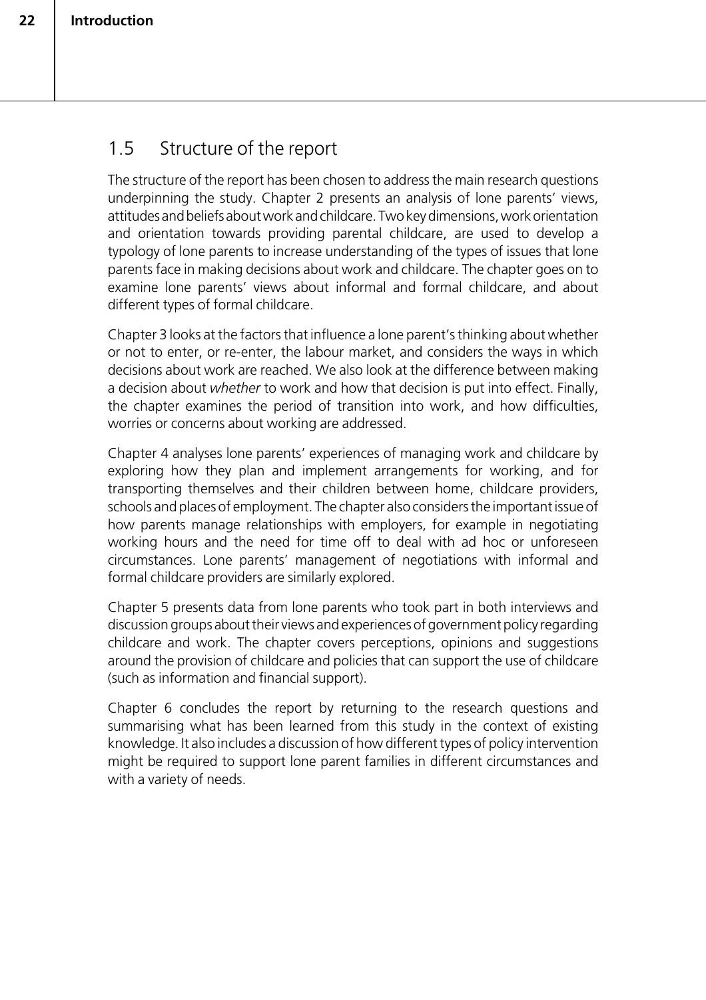### 1.5 Structure of the report

The structure of the report has been chosen to address the main research questions underpinning the study. Chapter 2 presents an analysis of lone parents' views, attitudes and beliefs about work and childcare. Two key dimensions, work orientation and orientation towards providing parental childcare, are used to develop a typology of lone parents to increase understanding of the types of issues that lone parents face in making decisions about work and childcare. The chapter goes on to examine lone parents' views about informal and formal childcare, and about different types of formal childcare.

Chapter 3 looks at the factors that influence a lone parent's thinking about whether or not to enter, or re-enter, the labour market, and considers the ways in which decisions about work are reached. We also look at the difference between making a decision about *whether* to work and how that decision is put into effect. Finally, the chapter examines the period of transition into work, and how difficulties, worries or concerns about working are addressed.

Chapter 4 analyses lone parents' experiences of managing work and childcare by exploring how they plan and implement arrangements for working, and for transporting themselves and their children between home, childcare providers, schools and places of employment. The chapter also considers the important issue of how parents manage relationships with employers, for example in negotiating working hours and the need for time off to deal with ad hoc or unforeseen circumstances. Lone parents' management of negotiations with informal and formal childcare providers are similarly explored.

Chapter 5 presents data from lone parents who took part in both interviews and discussion groups about their views and experiences of government policy regarding childcare and work. The chapter covers perceptions, opinions and suggestions around the provision of childcare and policies that can support the use of childcare (such as information and financial support).

Chapter 6 concludes the report by returning to the research questions and summarising what has been learned from this study in the context of existing knowledge. It also includes a discussion of how different types of policy intervention might be required to support lone parent families in different circumstances and with a variety of needs.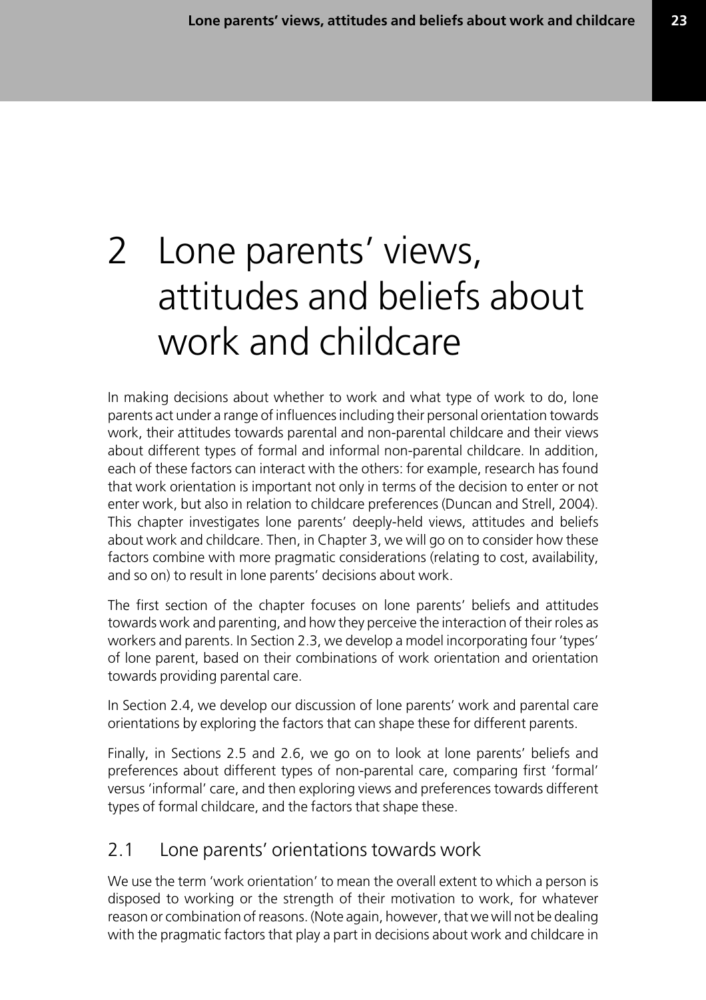**23**

# 2 Lone parents' views, attitudes and beliefs about work and childcare

In making decisions about whether to work and what type of work to do, lone parents act under a range of influences including their personal orientation towards work, their attitudes towards parental and non-parental childcare and their views about different types of formal and informal non-parental childcare. In addition, each of these factors can interact with the others: for example, research has found that work orientation is important not only in terms of the decision to enter or not enter work, but also in relation to childcare preferences (Duncan and Strell, 2004). This chapter investigates lone parents' deeply-held views, attitudes and beliefs about work and childcare. Then, in Chapter 3, we will go on to consider how these factors combine with more pragmatic considerations (relating to cost, availability, and so on) to result in lone parents' decisions about work.

The first section of the chapter focuses on lone parents' beliefs and attitudes towards work and parenting, and how they perceive the interaction of their roles as workers and parents. In Section 2.3, we develop a model incorporating four 'types' of lone parent, based on their combinations of work orientation and orientation towards providing parental care.

In Section 2.4, we develop our discussion of lone parents' work and parental care orientations by exploring the factors that can shape these for different parents.

Finally, in Sections 2.5 and 2.6, we go on to look at lone parents' beliefs and preferences about different types of non-parental care, comparing first 'formal' versus 'informal' care, and then exploring views and preferences towards different types of formal childcare, and the factors that shape these.

### 2.1 Lone parents' orientations towards work

We use the term 'work orientation' to mean the overall extent to which a person is disposed to working or the strength of their motivation to work, for whatever reason or combination of reasons. (Note again, however, that we will not be dealing with the pragmatic factors that play a part in decisions about work and childcare in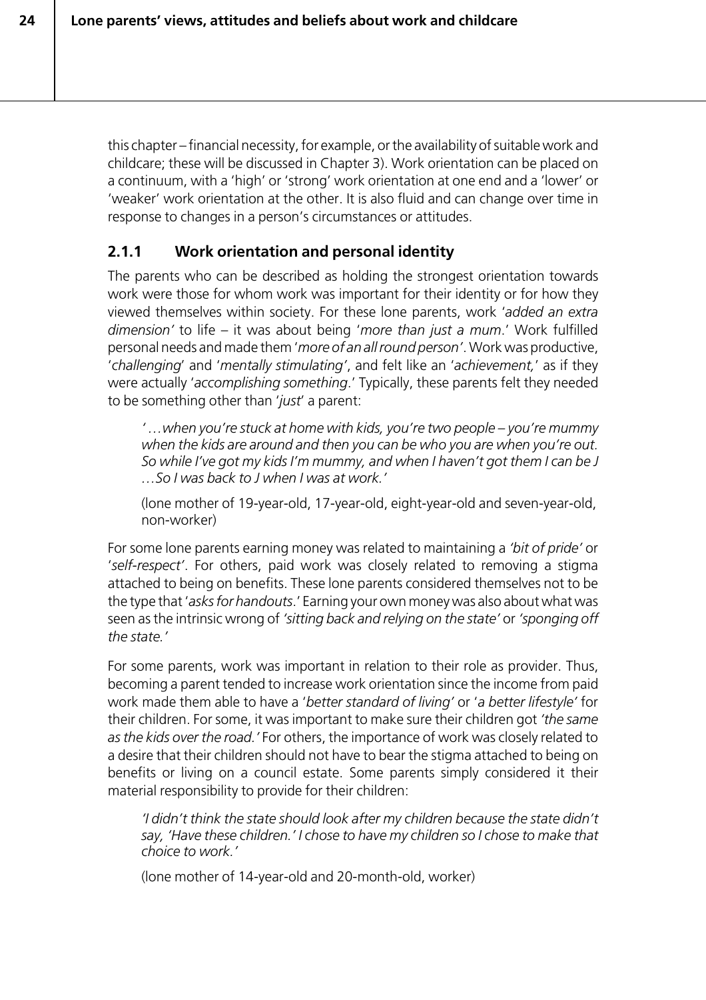this chapter – financial necessity, for example, or the availability of suitable work and childcare; these will be discussed in Chapter 3). Work orientation can be placed on a continuum, with a 'high' or 'strong' work orientation at one end and a 'lower' or 'weaker' work orientation at the other. It is also fluid and can change over time in response to changes in a person's circumstances or attitudes.

# **2.1.1 Work orientation and personal identity**

The parents who can be described as holding the strongest orientation towards work were those for whom work was important for their identity or for how they viewed themselves within society. For these lone parents, work '*added an extra dimension'* to life – it was about being '*more than just a mum*.' Work fulfilled personal needs and made them '*more of an all round person'*. Work was productive, '*challenging*' and '*mentally stimulating'*, and felt like an '*achievement,*' as if they were actually '*accomplishing something*.' Typically, these parents felt they needed to be something other than '*just*' a parent:

*' …when you're stuck at home with kids, you're two people – you're mummy when the kids are around and then you can be who you are when you're out. So while I've got my kids I'm mummy, and when I haven't got them I can be J …So I was back to J when I was at work.'*

(lone mother of 19-year-old, 17-year-old, eight-year-old and seven-year-old, non-worker)

For some lone parents earning money was related to maintaining a *'bit of pride'* or '*self-respect'*. For others, paid work was closely related to removing a stigma attached to being on benefits. These lone parents considered themselves not to be the type that '*asks for handouts*.' Earning your own money was also about what was seen as the intrinsic wrong of *'sitting back and relying on the state'* or *'sponging off the state.'*

For some parents, work was important in relation to their role as provider. Thus, becoming a parent tended to increase work orientation since the income from paid work made them able to have a '*better standard of living'* or '*a better lifestyle'* for their children. For some, it was important to make sure their children got *'the same as the kids over the road.'* For others, the importance of work was closely related to a desire that their children should not have to bear the stigma attached to being on benefits or living on a council estate. Some parents simply considered it their material responsibility to provide for their children:

*'I didn't think the state should look after my children because the state didn't say, 'Have these children.' I chose to have my children so I chose to make that choice to work.'*

(lone mother of 14-year-old and 20-month-old, worker)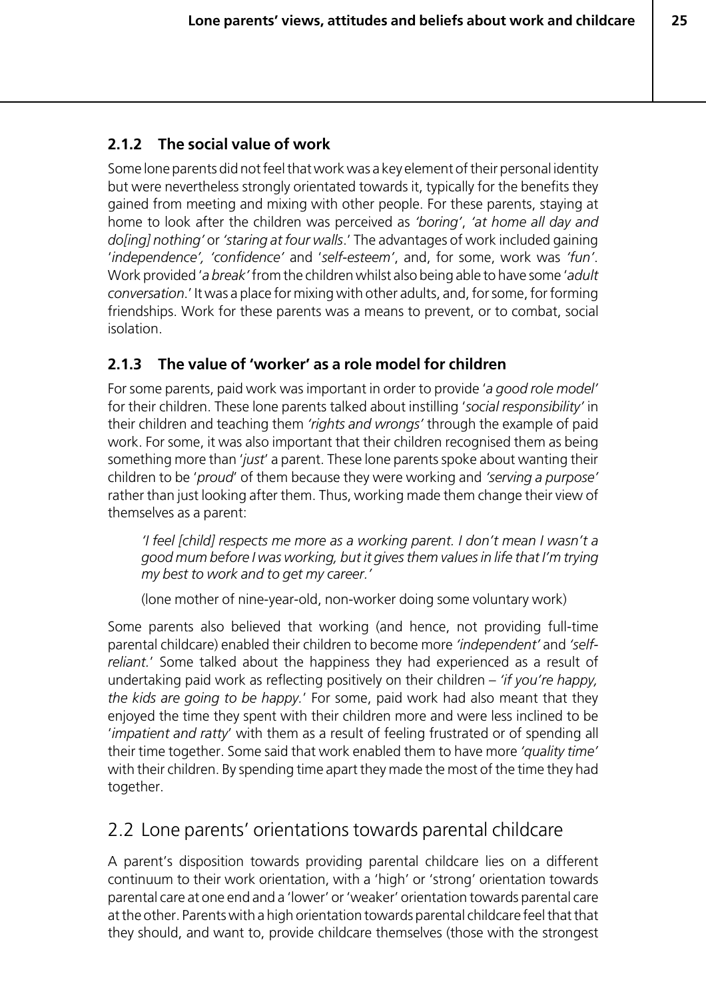# **2.1.2 The social value of work**

Some lone parents did not feel that work was a key element of their personal identity but were nevertheless strongly orientated towards it, typically for the benefits they gained from meeting and mixing with other people. For these parents, staying at home to look after the children was perceived as *'boring'*, *'at home all day and do[ing] nothing'* or *'staring at four walls*.' The advantages of work included gaining '*independence', 'confidence'* and '*self-esteem'*, and, for some, work was *'fun'*. Work provided '*a break'* from the children whilst also being able to have some '*adult conversation*.' It was a place for mixing with other adults, and, for some, for forming friendships. Work for these parents was a means to prevent, or to combat, social isolation.

# **2.1.3 The value of 'worker' as a role model for children**

For some parents, paid work was important in order to provide '*a good role model'* for their children. These lone parents talked about instilling '*social responsibility'* in their children and teaching them *'rights and wrongs'* through the example of paid work. For some, it was also important that their children recognised them as being something more than '*just*' a parent. These lone parents spoke about wanting their children to be '*proud*' of them because they were working and *'serving a purpose'* rather than just looking after them. Thus, working made them change their view of themselves as a parent:

*'I feel [child] respects me more as a working parent. I don't mean I wasn't a good mum before I was working, but it gives them values in life that I'm trying my best to work and to get my career.'*

(lone mother of nine-year-old, non-worker doing some voluntary work)

Some parents also believed that working (and hence, not providing full-time parental childcare) enabled their children to become more *'independent'* and *'selfreliant.*' Some talked about the happiness they had experienced as a result of undertaking paid work as reflecting positively on their children – *'if you're happy, the kids are going to be happy.*' For some, paid work had also meant that they enjoyed the time they spent with their children more and were less inclined to be '*impatient and ratty*' with them as a result of feeling frustrated or of spending all their time together. Some said that work enabled them to have more *'quality time'* with their children. By spending time apart they made the most of the time they had together.

# 2.2 Lone parents' orientations towards parental childcare

A parent's disposition towards providing parental childcare lies on a different continuum to their work orientation, with a 'high' or 'strong' orientation towards parental care at one end and a 'lower' or 'weaker' orientation towards parental care at the other. Parents with a high orientation towards parental childcare feel that that they should, and want to, provide childcare themselves (those with the strongest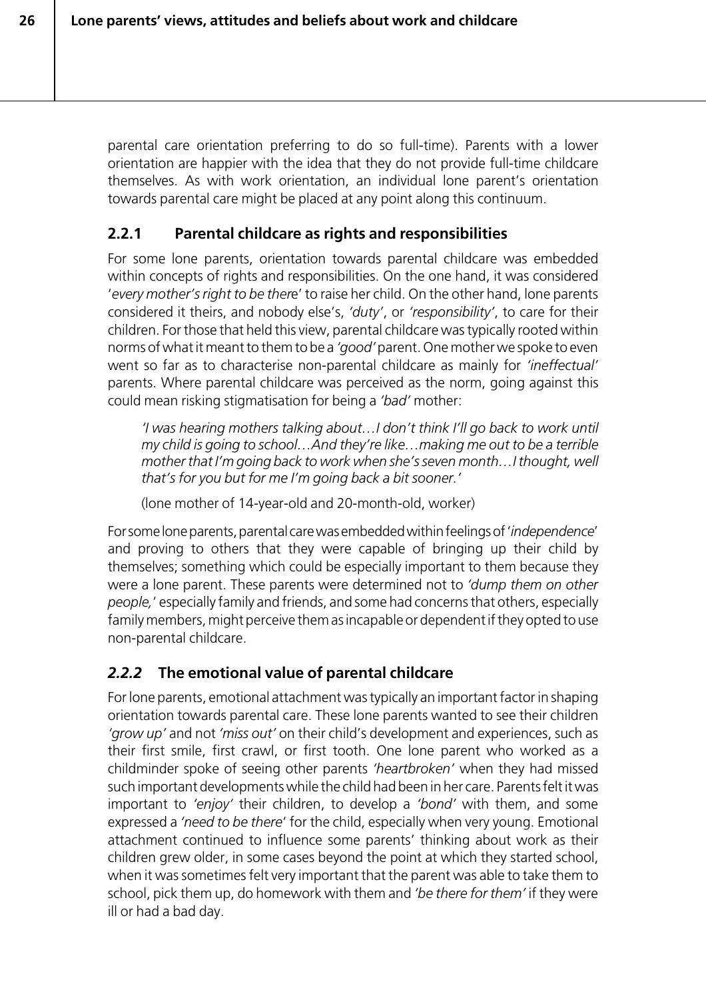parental care orientation preferring to do so full-time). Parents with a lower orientation are happier with the idea that they do not provide full-time childcare themselves. As with work orientation, an individual lone parent's orientation towards parental care might be placed at any point along this continuum.

# **2.2.1 Parental childcare as rights and responsibilities**

For some lone parents, orientation towards parental childcare was embedded within concepts of rights and responsibilities. On the one hand, it was considered '*every mother's right to be ther*e' to raise her child. On the other hand, lone parents considered it theirs, and nobody else's, *'duty'*, or *'responsibility'*, to care for their children. For those that held this view, parental childcare was typically rooted within norms of what it meant to them to be a *'good'* parent. One mother we spoke to even went so far as to characterise non-parental childcare as mainly for *'ineffectual'* parents. Where parental childcare was perceived as the norm, going against this could mean risking stigmatisation for being a *'bad'* mother:

*'I was hearing mothers talking about…I don't think I'll go back to work until my child is going to school…And they're like…making me out to be a terrible mother that I'm going back to work when she's seven month…I thought, well that's for you but for me I'm going back a bit sooner.'*

(lone mother of 14-year-old and 20-month-old, worker)

For some lone parents, parental care was embedded within feelings of '*independence*' and proving to others that they were capable of bringing up their child by themselves; something which could be especially important to them because they were a lone parent. These parents were determined not to *'dump them on other people,*' especially family and friends, and some had concerns that others, especially family members, might perceive them as incapable or dependent if they opted to use non-parental childcare.

# *2.2.2* **The emotional value of parental childcare**

For lone parents, emotional attachment was typically an important factor in shaping orientation towards parental care. These lone parents wanted to see their children *'grow up'* and not *'miss out'* on their child's development and experiences, such as their first smile, first crawl, or first tooth. One lone parent who worked as a childminder spoke of seeing other parents *'heartbroken'* when they had missed such important developments while the child had been in her care. Parents felt it was important to *'enjoy'* their children, to develop a *'bond'* with them, and some expressed a *'need to be there*' for the child, especially when very young. Emotional attachment continued to influence some parents' thinking about work as their children grew older, in some cases beyond the point at which they started school, when it was sometimes felt very important that the parent was able to take them to school, pick them up, do homework with them and *'be there for them'* if they were ill or had a bad day.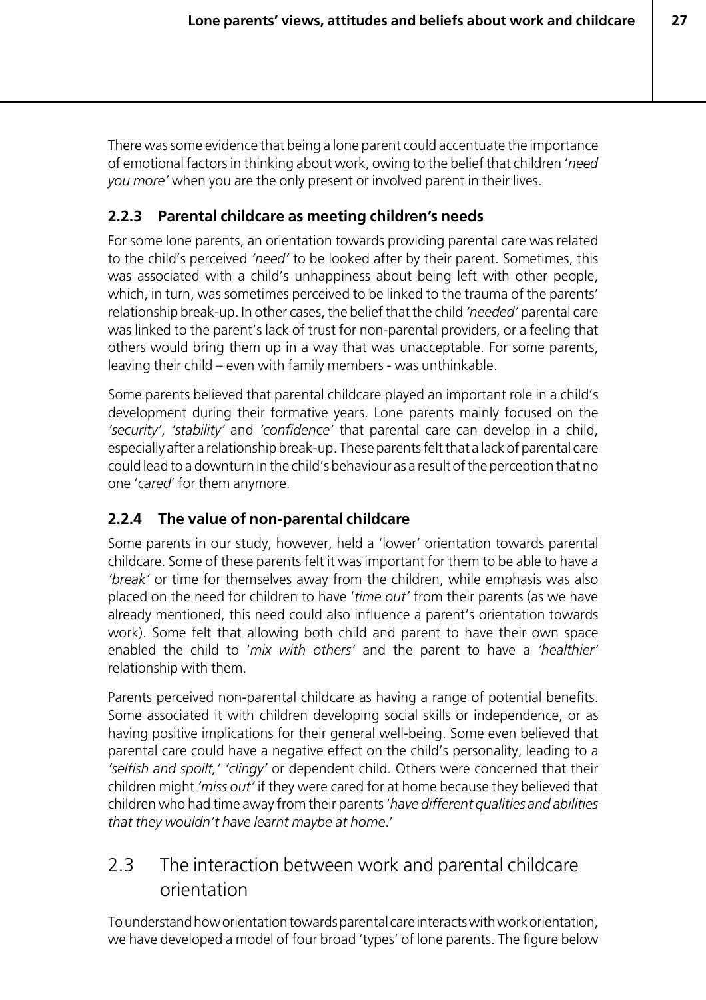There was some evidence that being a lone parent could accentuate the importance of emotional factors in thinking about work, owing to the belief that children '*need you more'* when you are the only present or involved parent in their lives.

# **2.2.3 Parental childcare as meeting children's needs**

For some lone parents, an orientation towards providing parental care was related to the child's perceived *'need'* to be looked after by their parent. Sometimes, this was associated with a child's unhappiness about being left with other people, which, in turn, was sometimes perceived to be linked to the trauma of the parents' relationship break-up. In other cases, the belief that the child *'needed'* parental care was linked to the parent's lack of trust for non-parental providers, or a feeling that others would bring them up in a way that was unacceptable. For some parents, leaving their child – even with family members - was unthinkable.

Some parents believed that parental childcare played an important role in a child's development during their formative years. Lone parents mainly focused on the *'security'*, *'stability'* and *'confidence'* that parental care can develop in a child, especially after a relationship break-up. These parents felt that a lack of parental care could lead to a downturn in the child's behaviour as a result of the perception that no one '*cared*' for them anymore.

# **2.2.4 The value of non-parental childcare**

Some parents in our study, however, held a 'lower' orientation towards parental childcare. Some of these parents felt it was important for them to be able to have a *'break'* or time for themselves away from the children, while emphasis was also placed on the need for children to have '*time out'* from their parents (as we have already mentioned, this need could also influence a parent's orientation towards work). Some felt that allowing both child and parent to have their own space enabled the child to '*mix with others'* and the parent to have a *'healthier'* relationship with them.

Parents perceived non-parental childcare as having a range of potential benefits. Some associated it with children developing social skills or independence, or as having positive implications for their general well-being. Some even believed that parental care could have a negative effect on the child's personality, leading to a *'selfish and spoilt,' 'clingy'* or dependent child. Others were concerned that their children might *'miss out'* if they were cared for at home because they believed that children who had time away from their parents '*have different qualities and abilities that they wouldn't have learnt maybe at home*.'

# 2.3 The interaction between work and parental childcare orientation

To understand how orientation towards parental care interacts with work orientation, we have developed a model of four broad 'types' of lone parents. The figure below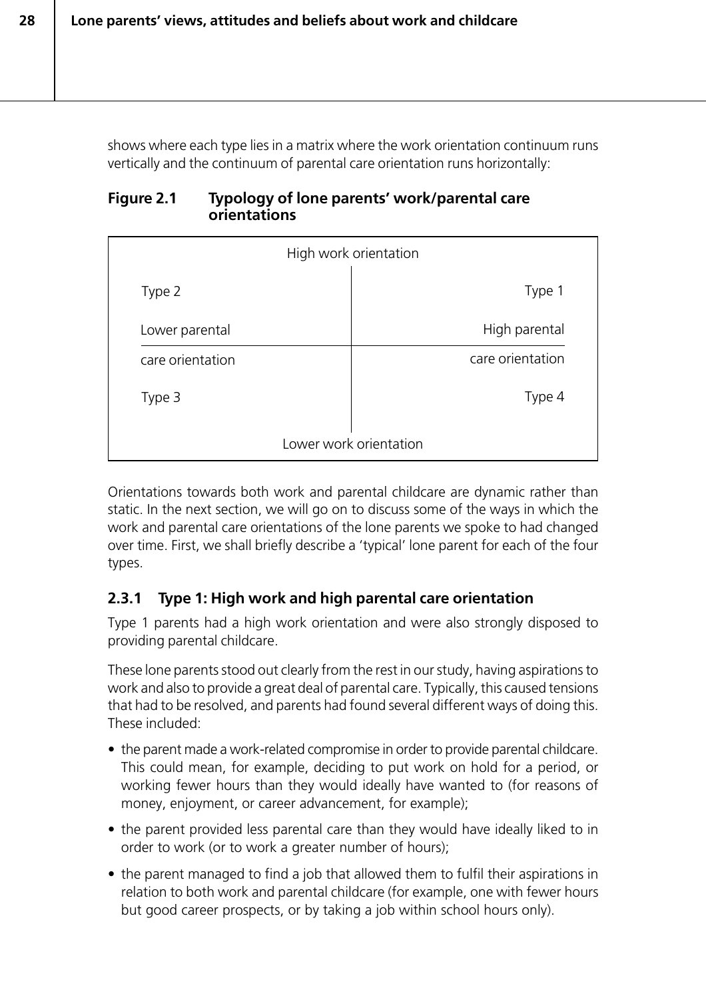shows where each type lies in a matrix where the work orientation continuum runs vertically and the continuum of parental care orientation runs horizontally:

#### **Figure 2.1 Typology of lone parents' work/parental care orientations**

| High work orientation  |  |                  |
|------------------------|--|------------------|
| Type 2                 |  | Type 1           |
| Lower parental         |  | High parental    |
| care orientation       |  | care orientation |
| Type 3                 |  | Type 4           |
| Lower work orientation |  |                  |

Orientations towards both work and parental childcare are dynamic rather than static. In the next section, we will go on to discuss some of the ways in which the work and parental care orientations of the lone parents we spoke to had changed over time. First, we shall briefly describe a 'typical' lone parent for each of the four types.

# **2.3.1 Type 1: High work and high parental care orientation**

Type 1 parents had a high work orientation and were also strongly disposed to providing parental childcare.

These lone parents stood out clearly from the rest in our study, having aspirations to work and also to provide a great deal of parental care. Typically, this caused tensions that had to be resolved, and parents had found several different ways of doing this. These included:

- the parent made a work-related compromise in order to provide parental childcare. This could mean, for example, deciding to put work on hold for a period, or working fewer hours than they would ideally have wanted to (for reasons of money, enjoyment, or career advancement, for example);
- the parent provided less parental care than they would have ideally liked to in order to work (or to work a greater number of hours);
- the parent managed to find a job that allowed them to fulfil their aspirations in relation to both work and parental childcare (for example, one with fewer hours but good career prospects, or by taking a job within school hours only).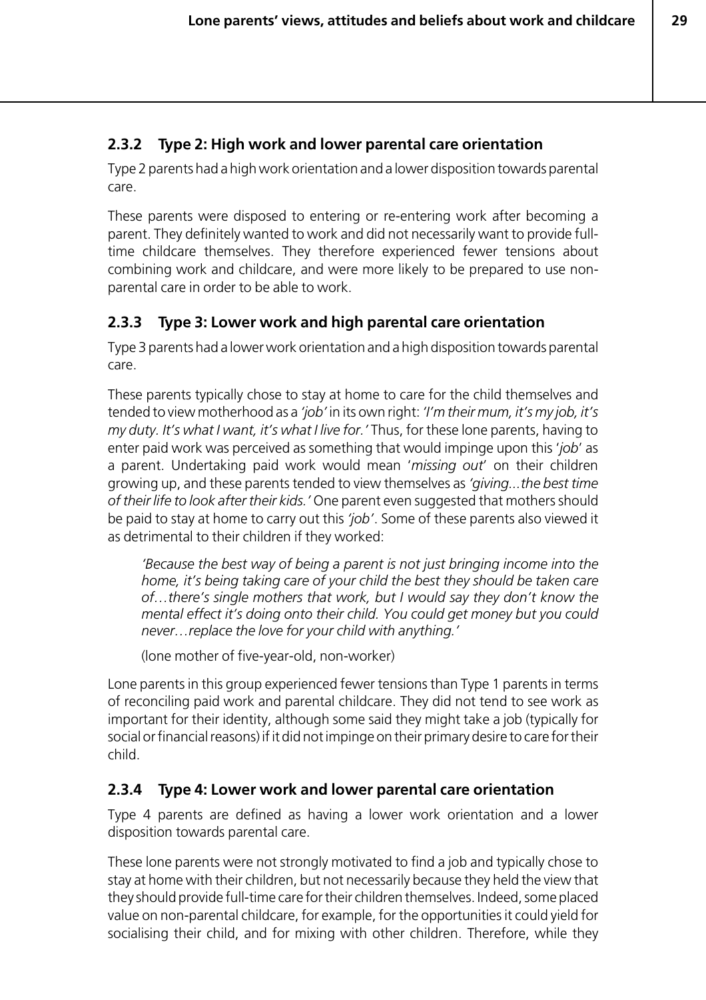# **2.3.2 Type 2: High work and lower parental care orientation**

Type 2 parents had a high work orientation and a lower disposition towards parental care.

These parents were disposed to entering or re-entering work after becoming a parent. They definitely wanted to work and did not necessarily want to provide fulltime childcare themselves. They therefore experienced fewer tensions about combining work and childcare, and were more likely to be prepared to use nonparental care in order to be able to work.

# **2.3.3 Type 3: Lower work and high parental care orientation**

Type 3 parents had a lower work orientation and a high disposition towards parental care.

These parents typically chose to stay at home to care for the child themselves and tended to view motherhood as a *'job'* in its own right: *'I'm their mum, it's my job, it's my duty. It's what I want, it's what I live for.'* Thus, for these lone parents, having to enter paid work was perceived as something that would impinge upon this '*job*' as a parent. Undertaking paid work would mean '*missing out*' on their children growing up, and these parents tended to view themselves as *'giving...the best time of their life to look after their kids.'* One parent even suggested that mothers should be paid to stay at home to carry out this *'job'*. Some of these parents also viewed it as detrimental to their children if they worked:

*'Because the best way of being a parent is not just bringing income into the home, it's being taking care of your child the best they should be taken care of…there's single mothers that work, but I would say they don't know the mental effect it's doing onto their child. You could get money but you could never…replace the love for your child with anything.'*

(lone mother of five-year-old, non-worker)

Lone parents in this group experienced fewer tensions than Type 1 parents in terms of reconciling paid work and parental childcare. They did not tend to see work as important for their identity, although some said they might take a job (typically for social or financial reasons) if it did not impinge on their primary desire to care for their child.

# **2.3.4 Type 4: Lower work and lower parental care orientation**

Type 4 parents are defined as having a lower work orientation and a lower disposition towards parental care.

These lone parents were not strongly motivated to find a job and typically chose to stay at home with their children, but not necessarily because they held the view that they should provide full-time care for their children themselves. Indeed, some placed value on non-parental childcare, for example, for the opportunities it could yield for socialising their child, and for mixing with other children. Therefore, while they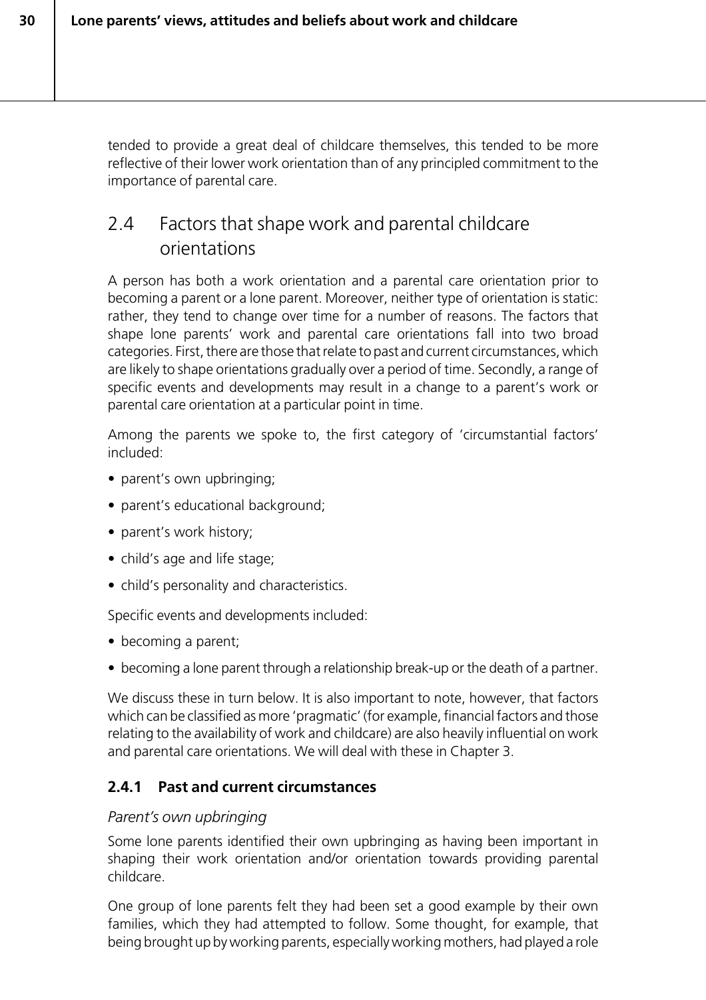tended to provide a great deal of childcare themselves, this tended to be more reflective of their lower work orientation than of any principled commitment to the importance of parental care.

# 2.4 Factors that shape work and parental childcare orientations

A person has both a work orientation and a parental care orientation prior to becoming a parent or a lone parent. Moreover, neither type of orientation is static: rather, they tend to change over time for a number of reasons. The factors that shape lone parents' work and parental care orientations fall into two broad categories. First, there are those that relate to past and current circumstances, which are likely to shape orientations gradually over a period of time. Secondly, a range of specific events and developments may result in a change to a parent's work or parental care orientation at a particular point in time.

Among the parents we spoke to, the first category of 'circumstantial factors' included:

- parent's own upbringing:
- parent's educational background;
- parent's work history;
- child's age and life stage;
- child's personality and characteristics.

Specific events and developments included:

- becoming a parent;
- becoming a lone parent through a relationship break-up or the death of a partner.

We discuss these in turn below. It is also important to note, however, that factors which can be classified as more 'pragmatic' (for example, financial factors and those relating to the availability of work and childcare) are also heavily influential on work and parental care orientations. We will deal with these in Chapter 3.

# **2.4.1 Past and current circumstances**

#### *Parent's own upbringing*

Some lone parents identified their own upbringing as having been important in shaping their work orientation and/or orientation towards providing parental childcare.

One group of lone parents felt they had been set a good example by their own families, which they had attempted to follow. Some thought, for example, that being brought up by working parents, especially working mothers, had played a role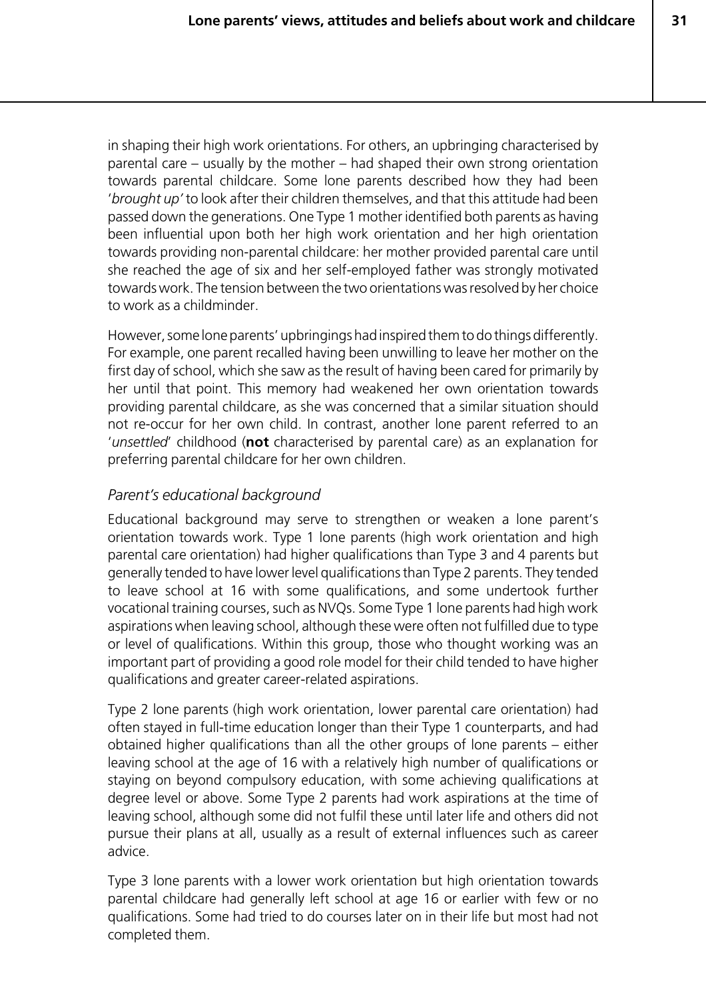**31**

in shaping their high work orientations. For others, an upbringing characterised by parental care – usually by the mother – had shaped their own strong orientation towards parental childcare. Some lone parents described how they had been '*brought up'* to look after their children themselves, and that this attitude had been passed down the generations. One Type 1 mother identified both parents as having been influential upon both her high work orientation and her high orientation towards providing non-parental childcare: her mother provided parental care until she reached the age of six and her self-employed father was strongly motivated towards work. The tension between the two orientations was resolved by her choice to work as a childminder.

However, some lone parents' upbringings had inspired them to do things differently. For example, one parent recalled having been unwilling to leave her mother on the first day of school, which she saw as the result of having been cared for primarily by her until that point. This memory had weakened her own orientation towards providing parental childcare, as she was concerned that a similar situation should not re-occur for her own child. In contrast, another lone parent referred to an '*unsettled*' childhood (**not** characterised by parental care) as an explanation for preferring parental childcare for her own children.

#### *Parent's educational background*

Educational background may serve to strengthen or weaken a lone parent's orientation towards work. Type 1 lone parents (high work orientation and high parental care orientation) had higher qualifications than Type 3 and 4 parents but generally tended to have lower level qualifications than Type 2 parents. They tended to leave school at 16 with some qualifications, and some undertook further vocational training courses, such as NVQs. Some Type 1 lone parents had high work aspirations when leaving school, although these were often not fulfilled due to type or level of qualifications. Within this group, those who thought working was an important part of providing a good role model for their child tended to have higher qualifications and greater career-related aspirations.

Type 2 lone parents (high work orientation, lower parental care orientation) had often stayed in full-time education longer than their Type 1 counterparts, and had obtained higher qualifications than all the other groups of lone parents – either leaving school at the age of 16 with a relatively high number of qualifications or staying on beyond compulsory education, with some achieving qualifications at degree level or above. Some Type 2 parents had work aspirations at the time of leaving school, although some did not fulfil these until later life and others did not pursue their plans at all, usually as a result of external influences such as career advice.

Type 3 lone parents with a lower work orientation but high orientation towards parental childcare had generally left school at age 16 or earlier with few or no qualifications. Some had tried to do courses later on in their life but most had not completed them.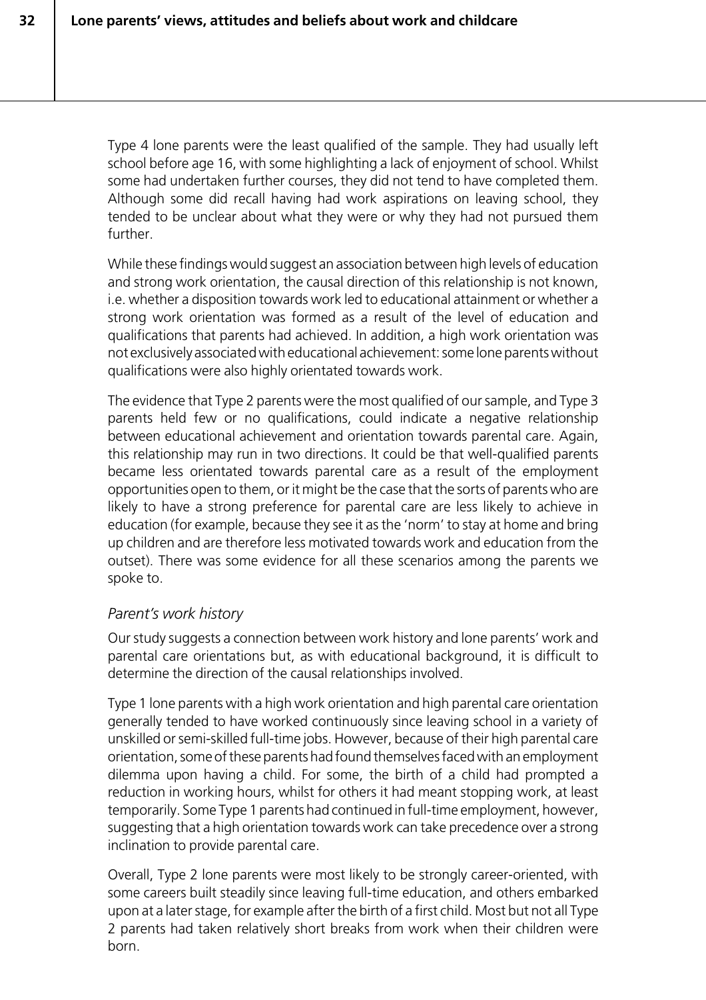Type 4 lone parents were the least qualified of the sample. They had usually left school before age 16, with some highlighting a lack of enjoyment of school. Whilst some had undertaken further courses, they did not tend to have completed them. Although some did recall having had work aspirations on leaving school, they tended to be unclear about what they were or why they had not pursued them further.

While these findings would suggest an association between high levels of education and strong work orientation, the causal direction of this relationship is not known, i.e. whether a disposition towards work led to educational attainment or whether a strong work orientation was formed as a result of the level of education and qualifications that parents had achieved. In addition, a high work orientation was not exclusively associated with educational achievement: some lone parents without qualifications were also highly orientated towards work.

The evidence that Type 2 parents were the most qualified of our sample, and Type 3 parents held few or no qualifications, could indicate a negative relationship between educational achievement and orientation towards parental care. Again, this relationship may run in two directions. It could be that well-qualified parents became less orientated towards parental care as a result of the employment opportunities open to them, or it might be the case that the sorts of parents who are likely to have a strong preference for parental care are less likely to achieve in education (for example, because they see it as the 'norm' to stay at home and bring up children and are therefore less motivated towards work and education from the outset). There was some evidence for all these scenarios among the parents we spoke to.

#### *Parent's work history*

Our study suggests a connection between work history and lone parents' work and parental care orientations but, as with educational background, it is difficult to determine the direction of the causal relationships involved.

Type 1 lone parents with a high work orientation and high parental care orientation generally tended to have worked continuously since leaving school in a variety of unskilled or semi-skilled full-time jobs. However, because of their high parental care orientation, some of these parents had found themselves faced with an employment dilemma upon having a child. For some, the birth of a child had prompted a reduction in working hours, whilst for others it had meant stopping work, at least temporarily. Some Type 1 parents had continued in full-time employment, however, suggesting that a high orientation towards work can take precedence over a strong inclination to provide parental care.

Overall, Type 2 lone parents were most likely to be strongly career-oriented, with some careers built steadily since leaving full-time education, and others embarked upon at a later stage, for example after the birth of a first child. Most but not all Type 2 parents had taken relatively short breaks from work when their children were born.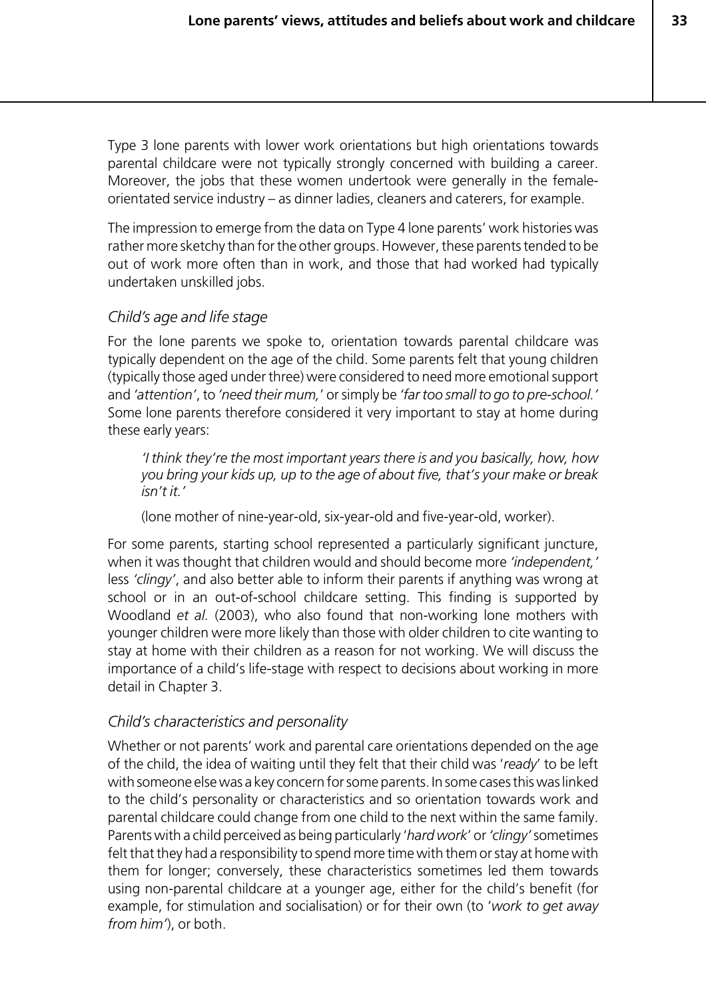Type 3 lone parents with lower work orientations but high orientations towards parental childcare were not typically strongly concerned with building a career. Moreover, the jobs that these women undertook were generally in the femaleorientated service industry – as dinner ladies, cleaners and caterers, for example.

The impression to emerge from the data on Type 4 lone parents' work histories was rather more sketchy than for the other groups. However, these parents tended to be out of work more often than in work, and those that had worked had typically undertaken unskilled jobs.

#### *Child's age and life stage*

For the lone parents we spoke to, orientation towards parental childcare was typically dependent on the age of the child. Some parents felt that young children (typically those aged under three) were considered to need more emotional support and *'attention'*, to *'need their mum,*' or simply be *'far too small to go to pre-school.'* Some lone parents therefore considered it very important to stay at home during these early years:

*'I think they're the most important years there is and you basically, how, how you bring your kids up, up to the age of about five, that's your make or break isn't it.'*

(lone mother of nine-year-old, six-year-old and five-year-old, worker).

For some parents, starting school represented a particularly significant juncture, when it was thought that children would and should become more *'independent,'* less *'clingy'*, and also better able to inform their parents if anything was wrong at school or in an out-of-school childcare setting. This finding is supported by Woodland *et al.* (2003), who also found that non-working lone mothers with younger children were more likely than those with older children to cite wanting to stay at home with their children as a reason for not working. We will discuss the importance of a child's life-stage with respect to decisions about working in more detail in Chapter 3.

#### *Child's characteristics and personality*

Whether or not parents' work and parental care orientations depended on the age of the child, the idea of waiting until they felt that their child was '*ready*' to be left with someone else was a key concern for some parents. In some cases this was linked to the child's personality or characteristics and so orientation towards work and parental childcare could change from one child to the next within the same family. Parents with a child perceived as being particularly '*hard work*' or *'clingy'* sometimes felt that they had a responsibility to spend more time with them or stay at home with them for longer; conversely, these characteristics sometimes led them towards using non-parental childcare at a younger age, either for the child's benefit (for example, for stimulation and socialisation) or for their own (to '*work to get away from him'*), or both.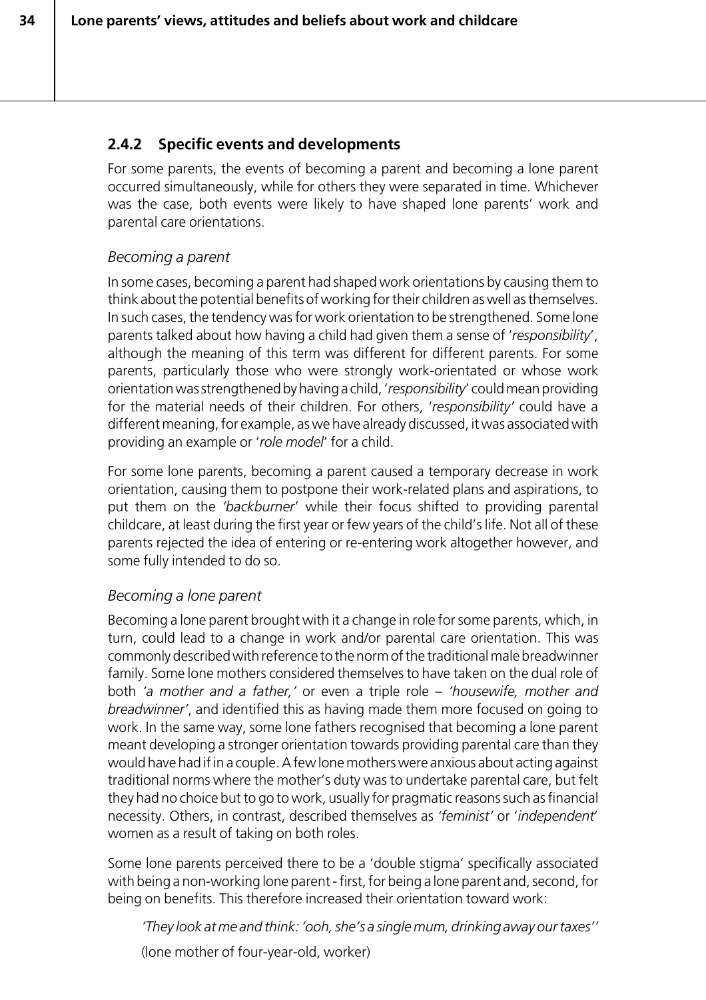# **2.4.2 Specific events and developments**

For some parents, the events of becoming a parent and becoming a lone parent occurred simultaneously, while for others they were separated in time. Whichever was the case, both events were likely to have shaped lone parents' work and parental care orientations.

#### *Becoming a parent*

In some cases, becoming a parent had shaped work orientations by causing them to think about the potential benefits of working for their children as well as themselves. In such cases, the tendency was for work orientation to be strengthened. Some lone parents talked about how having a child had given them a sense of '*responsibility*', although the meaning of this term was different for different parents. For some parents, particularly those who were strongly work-orientated or whose work orientation was strengthened by having a child, '*responsibility*' could mean providing for the material needs of their children. For others, '*responsibility'* could have a different meaning, for example, as we have already discussed, it was associated with providing an example or '*role model*' for a child.

For some lone parents, becoming a parent caused a temporary decrease in work orientation, causing them to postpone their work-related plans and aspirations, to put them on the *'backburner*' while their focus shifted to providing parental childcare, at least during the first year or few years of the child's life. Not all of these parents rejected the idea of entering or re-entering work altogether however, and some fully intended to do so.

#### *Becoming a lone parent*

Becoming a lone parent brought with it a change in role for some parents, which, in turn, could lead to a change in work and/or parental care orientation. This was commonly described with reference to the norm of the traditional male breadwinner family. Some lone mothers considered themselves to have taken on the dual role of both *'a mother and a father,'* or even a triple role – *'housewife, mother and breadwinner'*, and identified this as having made them more focused on going to work. In the same way, some lone fathers recognised that becoming a lone parent meant developing a stronger orientation towards providing parental care than they would have had if in a couple. A few lone mothers were anxious about acting against traditional norms where the mother's duty was to undertake parental care, but felt they had no choice but to go to work, usually for pragmatic reasons such as financial necessity. Others, in contrast, described themselves as *'feminist'* or '*independent*' women as a result of taking on both roles.

Some lone parents perceived there to be a 'double stigma' specifically associated with being a non-working lone parent - first, for being a lone parent and, second, for being on benefits. This therefore increased their orientation toward work:

*'They look at me and think: 'ooh, she's a single mum, drinking away our taxes''*

(lone mother of four-year-old, worker)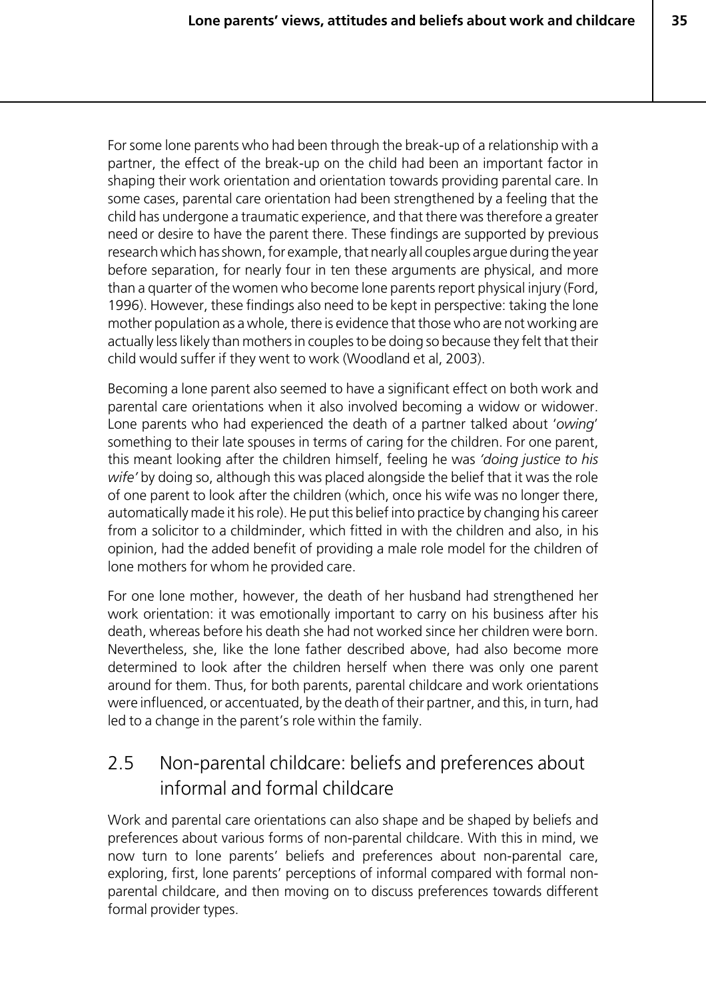**35**

For some lone parents who had been through the break-up of a relationship with a partner, the effect of the break-up on the child had been an important factor in shaping their work orientation and orientation towards providing parental care. In some cases, parental care orientation had been strengthened by a feeling that the child has undergone a traumatic experience, and that there was therefore a greater need or desire to have the parent there. These findings are supported by previous research which has shown, for example, that nearly all couples argue during the year before separation, for nearly four in ten these arguments are physical, and more than a quarter of the women who become lone parents report physical injury (Ford, 1996). However, these findings also need to be kept in perspective: taking the lone mother population as a whole, there is evidence that those who are not working are actually less likely than mothers in couples to be doing so because they felt that their child would suffer if they went to work (Woodland et al, 2003).

Becoming a lone parent also seemed to have a significant effect on both work and parental care orientations when it also involved becoming a widow or widower. Lone parents who had experienced the death of a partner talked about '*owing*' something to their late spouses in terms of caring for the children. For one parent, this meant looking after the children himself, feeling he was *'doing justice to his wife'* by doing so, although this was placed alongside the belief that it was the role of one parent to look after the children (which, once his wife was no longer there, automatically made it his role). He put this belief into practice by changing his career from a solicitor to a childminder, which fitted in with the children and also, in his opinion, had the added benefit of providing a male role model for the children of lone mothers for whom he provided care.

For one lone mother, however, the death of her husband had strengthened her work orientation: it was emotionally important to carry on his business after his death, whereas before his death she had not worked since her children were born. Nevertheless, she, like the lone father described above, had also become more determined to look after the children herself when there was only one parent around for them. Thus, for both parents, parental childcare and work orientations were influenced, or accentuated, by the death of their partner, and this, in turn, had led to a change in the parent's role within the family.

# 2.5 Non-parental childcare: beliefs and preferences about informal and formal childcare

Work and parental care orientations can also shape and be shaped by beliefs and preferences about various forms of non-parental childcare. With this in mind, we now turn to lone parents' beliefs and preferences about non-parental care, exploring, first, lone parents' perceptions of informal compared with formal nonparental childcare, and then moving on to discuss preferences towards different formal provider types.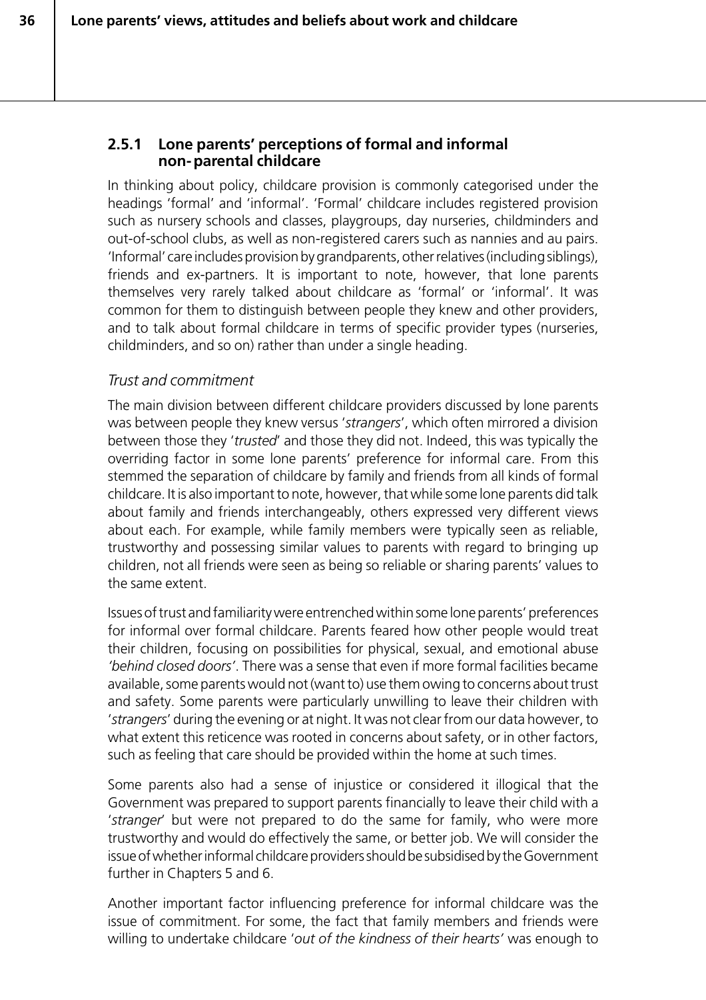#### **2.5.1 Lone parents' perceptions of formal and informal non-parental childcare**

In thinking about policy, childcare provision is commonly categorised under the headings 'formal' and 'informal'. 'Formal' childcare includes registered provision such as nursery schools and classes, playgroups, day nurseries, childminders and out-of-school clubs, as well as non-registered carers such as nannies and au pairs. 'Informal' care includes provision by grandparents, other relatives (including siblings), friends and ex-partners. It is important to note, however, that lone parents themselves very rarely talked about childcare as 'formal' or 'informal'. It was common for them to distinguish between people they knew and other providers, and to talk about formal childcare in terms of specific provider types (nurseries, childminders, and so on) rather than under a single heading.

#### *Trust and commitment*

The main division between different childcare providers discussed by lone parents was between people they knew versus '*strangers*', which often mirrored a division between those they '*trusted*' and those they did not. Indeed, this was typically the overriding factor in some lone parents' preference for informal care. From this stemmed the separation of childcare by family and friends from all kinds of formal childcare. It is also important to note, however, that while some lone parents did talk about family and friends interchangeably, others expressed very different views about each. For example, while family members were typically seen as reliable, trustworthy and possessing similar values to parents with regard to bringing up children, not all friends were seen as being so reliable or sharing parents' values to the same extent.

Issues of trust and familiarity were entrenched within some lone parents' preferences for informal over formal childcare. Parents feared how other people would treat their children, focusing on possibilities for physical, sexual, and emotional abuse *'behind closed doors'*. There was a sense that even if more formal facilities became available, some parents would not (want to) use them owing to concerns about trust and safety. Some parents were particularly unwilling to leave their children with '*strangers*' during the evening or at night. It was not clear from our data however, to what extent this reticence was rooted in concerns about safety, or in other factors, such as feeling that care should be provided within the home at such times.

Some parents also had a sense of injustice or considered it illogical that the Government was prepared to support parents financially to leave their child with a '*stranger*' but were not prepared to do the same for family, who were more trustworthy and would do effectively the same, or better job. We will consider the issue of whether informal childcare providers should be subsidised by the Government further in Chapters 5 and 6.

Another important factor influencing preference for informal childcare was the issue of commitment. For some, the fact that family members and friends were willing to undertake childcare '*out of the kindness of their hearts'* was enough to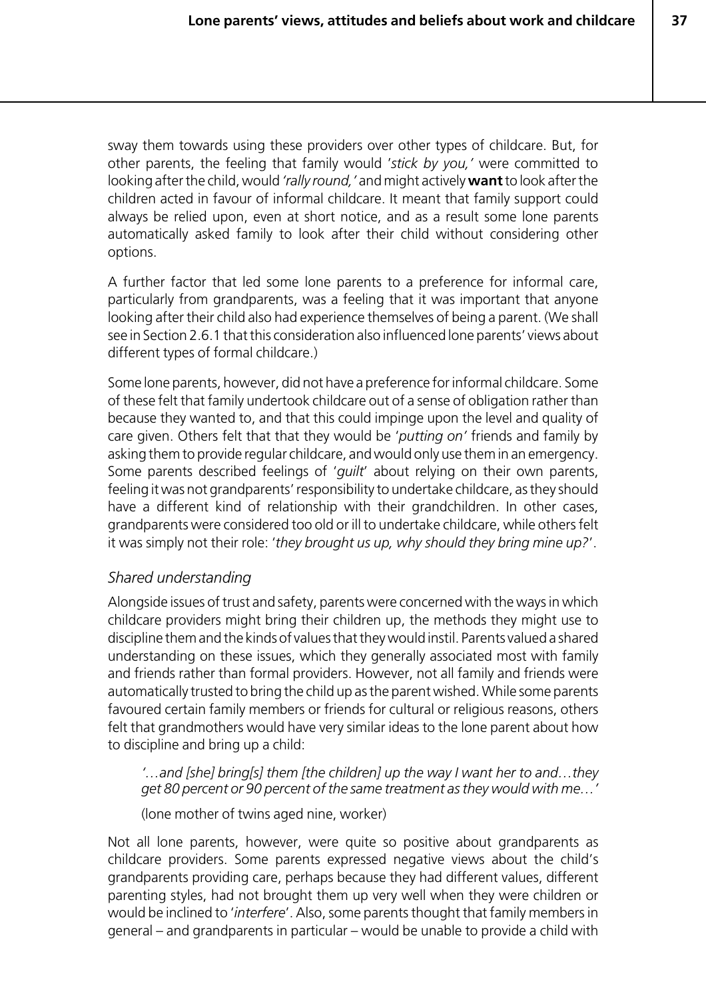sway them towards using these providers over other types of childcare. But, for other parents, the feeling that family would '*stick by you,'* were committed to looking after the child, would *'rally round,'* and might actively **want** to look after the children acted in favour of informal childcare. It meant that family support could always be relied upon, even at short notice, and as a result some lone parents automatically asked family to look after their child without considering other options.

A further factor that led some lone parents to a preference for informal care, particularly from grandparents, was a feeling that it was important that anyone looking after their child also had experience themselves of being a parent. (We shall see in Section 2.6.1 that this consideration also influenced lone parents' views about different types of formal childcare.)

Some lone parents, however, did not have a preference for informal childcare. Some of these felt that family undertook childcare out of a sense of obligation rather than because they wanted to, and that this could impinge upon the level and quality of care given. Others felt that that they would be '*putting on'* friends and family by asking them to provide regular childcare, and would only use them in an emergency. Some parents described feelings of '*guilt*' about relying on their own parents, feeling it was not grandparents' responsibility to undertake childcare, as they should have a different kind of relationship with their grandchildren. In other cases, grandparents were considered too old or ill to undertake childcare, while others felt it was simply not their role: '*they brought us up, why should they bring mine up?*'.

#### *Shared understanding*

Alongside issues of trust and safety, parents were concerned with the ways in which childcare providers might bring their children up, the methods they might use to discipline them and the kinds of values that they would instil. Parents valued a shared understanding on these issues, which they generally associated most with family and friends rather than formal providers. However, not all family and friends were automatically trusted to bring the child up as the parent wished. While some parents favoured certain family members or friends for cultural or religious reasons, others felt that grandmothers would have very similar ideas to the lone parent about how to discipline and bring up a child:

*'…and [she] bring[s] them [the children] up the way I want her to and…they get 80 percent or 90 percent of the same treatment as they would with me…'*

(lone mother of twins aged nine, worker)

Not all lone parents, however, were quite so positive about grandparents as childcare providers. Some parents expressed negative views about the child's grandparents providing care, perhaps because they had different values, different parenting styles, had not brought them up very well when they were children or would be inclined to '*interfere*'. Also, some parents thought that family members in general – and grandparents in particular – would be unable to provide a child with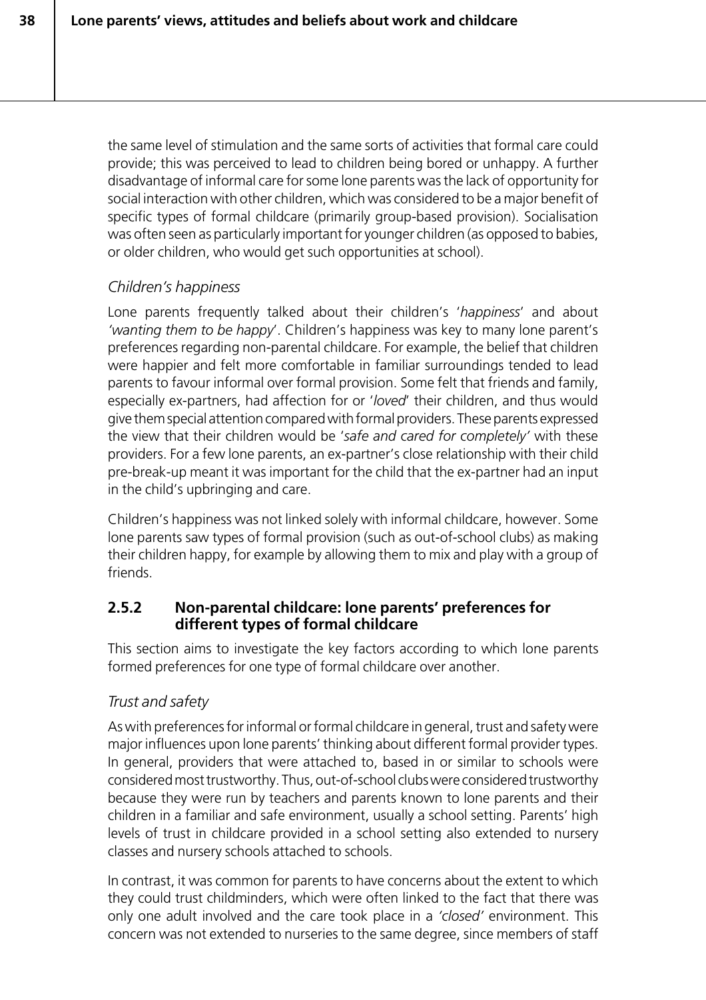the same level of stimulation and the same sorts of activities that formal care could provide; this was perceived to lead to children being bored or unhappy. A further disadvantage of informal care for some lone parents was the lack of opportunity for social interaction with other children, which was considered to be a major benefit of specific types of formal childcare (primarily group-based provision). Socialisation was often seen as particularly important for younger children (as opposed to babies, or older children, who would get such opportunities at school).

# *Children's happiness*

Lone parents frequently talked about their children's '*happiness*' and about *'wanting them to be happy*'. Children's happiness was key to many lone parent's preferences regarding non-parental childcare. For example, the belief that children were happier and felt more comfortable in familiar surroundings tended to lead parents to favour informal over formal provision. Some felt that friends and family, especially ex-partners, had affection for or '*loved*' their children, and thus would give them special attention compared with formal providers. These parents expressed the view that their children would be '*safe and cared for completely'* with these providers. For a few lone parents, an ex-partner's close relationship with their child pre-break-up meant it was important for the child that the ex-partner had an input in the child's upbringing and care.

Children's happiness was not linked solely with informal childcare, however. Some lone parents saw types of formal provision (such as out-of-school clubs) as making their children happy, for example by allowing them to mix and play with a group of friends.

#### **2.5.2 Non-parental childcare: lone parents' preferences for different types of formal childcare**

This section aims to investigate the key factors according to which lone parents formed preferences for one type of formal childcare over another.

# *Trust and safety*

As with preferences for informal or formal childcare in general, trust and safety were major influences upon lone parents' thinking about different formal provider types. In general, providers that were attached to, based in or similar to schools were considered most trustworthy. Thus, out-of-school clubs were considered trustworthy because they were run by teachers and parents known to lone parents and their children in a familiar and safe environment, usually a school setting. Parents' high levels of trust in childcare provided in a school setting also extended to nursery classes and nursery schools attached to schools.

In contrast, it was common for parents to have concerns about the extent to which they could trust childminders, which were often linked to the fact that there was only one adult involved and the care took place in a *'closed'* environment. This concern was not extended to nurseries to the same degree, since members of staff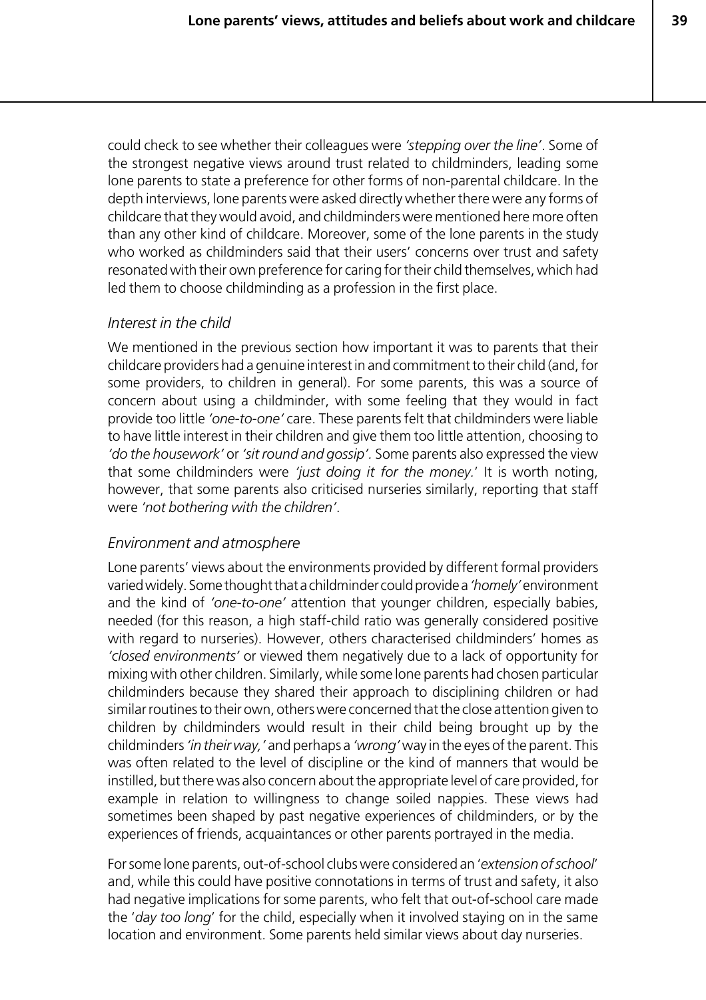**39**

could check to see whether their colleagues were *'stepping over the line'*. Some of the strongest negative views around trust related to childminders, leading some lone parents to state a preference for other forms of non-parental childcare. In the depth interviews, lone parents were asked directly whether there were any forms of childcare that they would avoid, and childminders were mentioned here more often than any other kind of childcare. Moreover, some of the lone parents in the study who worked as childminders said that their users' concerns over trust and safety resonated with their own preference for caring for their child themselves, which had led them to choose childminding as a profession in the first place.

#### *Interest in the child*

We mentioned in the previous section how important it was to parents that their childcare providers had a genuine interest in and commitment to their child (and, for some providers, to children in general). For some parents, this was a source of concern about using a childminder, with some feeling that they would in fact provide too little *'one-to-one'* care. These parents felt that childminders were liable to have little interest in their children and give them too little attention, choosing to *'do the housework'* or *'sit round and gossip'.* Some parents also expressed the view that some childminders were *'just doing it for the money.*' It is worth noting, however, that some parents also criticised nurseries similarly, reporting that staff were *'not bothering with the children'*.

#### *Environment and atmosphere*

Lone parents' views about the environments provided by different formal providers varied widely. Some thought that a childminder could provide a *'homely'* environment and the kind of *'one-to-one'* attention that younger children, especially babies, needed (for this reason, a high staff-child ratio was generally considered positive with regard to nurseries). However, others characterised childminders' homes as *'closed environments'* or viewed them negatively due to a lack of opportunity for mixing with other children. Similarly, while some lone parents had chosen particular childminders because they shared their approach to disciplining children or had similar routines to their own, others were concerned that the close attention given to children by childminders would result in their child being brought up by the childminders *'in their way,'* and perhaps a *'wrong'* way in the eyes of the parent. This was often related to the level of discipline or the kind of manners that would be instilled, but there was also concern about the appropriate level of care provided, for example in relation to willingness to change soiled nappies. These views had sometimes been shaped by past negative experiences of childminders, or by the experiences of friends, acquaintances or other parents portrayed in the media.

For some lone parents, out-of-school clubs were considered an '*extension of school*' and, while this could have positive connotations in terms of trust and safety, it also had negative implications for some parents, who felt that out-of-school care made the '*day too long*' for the child, especially when it involved staying on in the same location and environment. Some parents held similar views about day nurseries.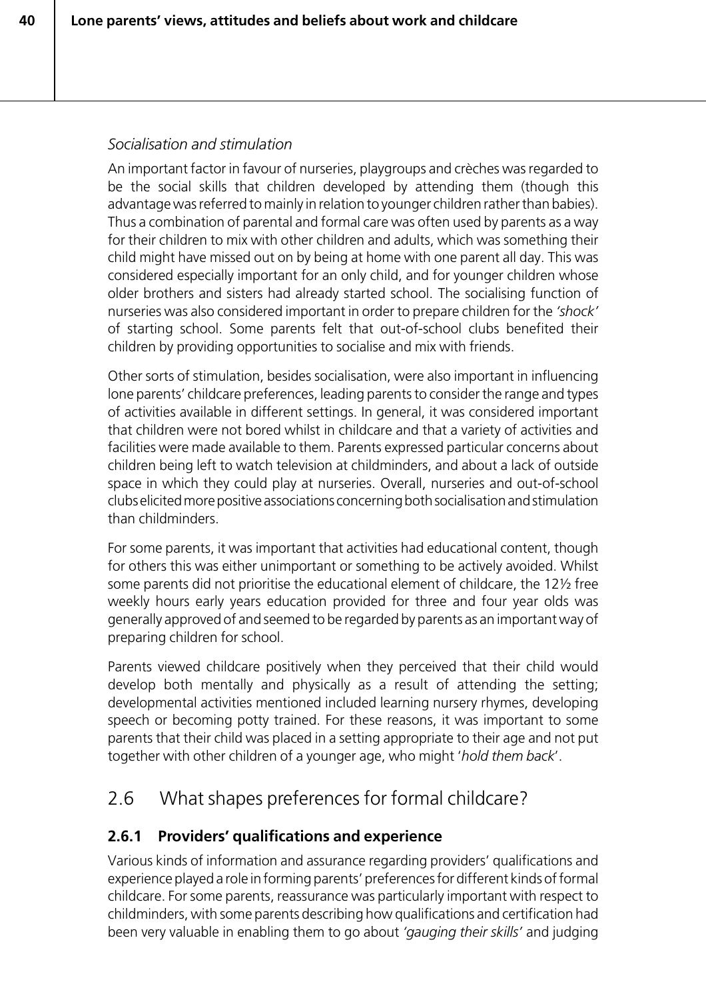# *Socialisation and stimulation*

An important factor in favour of nurseries, playgroups and crèches was regarded to be the social skills that children developed by attending them (though this advantage was referred to mainly in relation to younger children rather than babies). Thus a combination of parental and formal care was often used by parents as a way for their children to mix with other children and adults, which was something their child might have missed out on by being at home with one parent all day. This was considered especially important for an only child, and for younger children whose older brothers and sisters had already started school. The socialising function of nurseries was also considered important in order to prepare children for the *'shock'* of starting school. Some parents felt that out-of-school clubs benefited their children by providing opportunities to socialise and mix with friends.

Other sorts of stimulation, besides socialisation, were also important in influencing lone parents' childcare preferences, leading parents to consider the range and types of activities available in different settings. In general, it was considered important that children were not bored whilst in childcare and that a variety of activities and facilities were made available to them. Parents expressed particular concerns about children being left to watch television at childminders, and about a lack of outside space in which they could play at nurseries. Overall, nurseries and out-of-school clubs elicited more positive associations concerning both socialisation and stimulation than childminders.

For some parents, it was important that activities had educational content, though for others this was either unimportant or something to be actively avoided. Whilst some parents did not prioritise the educational element of childcare, the 12½ free weekly hours early years education provided for three and four year olds was generally approved of and seemed to be regarded by parents as an important way of preparing children for school.

Parents viewed childcare positively when they perceived that their child would develop both mentally and physically as a result of attending the setting; developmental activities mentioned included learning nursery rhymes, developing speech or becoming potty trained. For these reasons, it was important to some parents that their child was placed in a setting appropriate to their age and not put together with other children of a younger age, who might '*hold them back*'.

# 2.6 What shapes preferences for formal childcare?

# **2.6.1 Providers' qualifications and experience**

Various kinds of information and assurance regarding providers' qualifications and experience played a role in forming parents' preferences for different kinds of formal childcare. For some parents, reassurance was particularly important with respect to childminders, with some parents describing how qualifications and certification had been very valuable in enabling them to go about *'gauging their skills'* and judging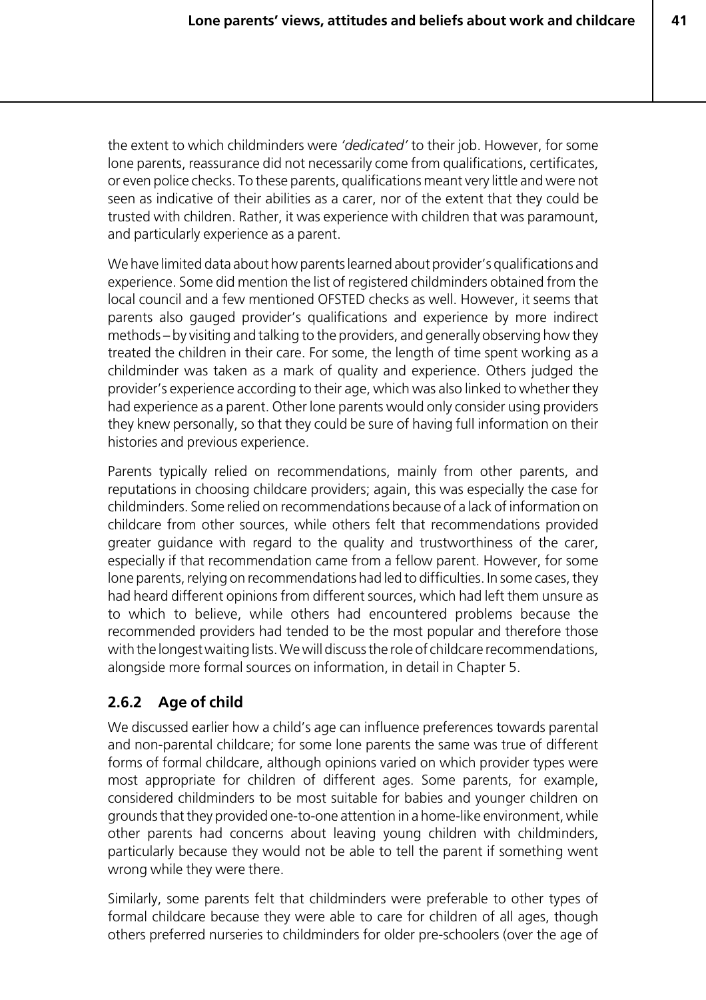the extent to which childminders were *'dedicated'* to their job. However, for some lone parents, reassurance did not necessarily come from qualifications, certificates, or even police checks. To these parents, qualifications meant very little and were not seen as indicative of their abilities as a carer, nor of the extent that they could be trusted with children. Rather, it was experience with children that was paramount, and particularly experience as a parent.

We have limited data about how parents learned about provider's qualifications and experience. Some did mention the list of registered childminders obtained from the local council and a few mentioned OFSTED checks as well. However, it seems that parents also gauged provider's qualifications and experience by more indirect methods – by visiting and talking to the providers, and generally observing how they treated the children in their care. For some, the length of time spent working as a childminder was taken as a mark of quality and experience. Others judged the provider's experience according to their age, which was also linked to whether they had experience as a parent. Other lone parents would only consider using providers they knew personally, so that they could be sure of having full information on their histories and previous experience.

Parents typically relied on recommendations, mainly from other parents, and reputations in choosing childcare providers; again, this was especially the case for childminders. Some relied on recommendations because of a lack of information on childcare from other sources, while others felt that recommendations provided greater guidance with regard to the quality and trustworthiness of the carer, especially if that recommendation came from a fellow parent. However, for some lone parents, relying on recommendations had led to difficulties. In some cases, they had heard different opinions from different sources, which had left them unsure as to which to believe, while others had encountered problems because the recommended providers had tended to be the most popular and therefore those with the longest waiting lists. We will discuss the role of childcare recommendations, alongside more formal sources on information, in detail in Chapter 5.

# **2.6.2 Age of child**

We discussed earlier how a child's age can influence preferences towards parental and non-parental childcare; for some lone parents the same was true of different forms of formal childcare, although opinions varied on which provider types were most appropriate for children of different ages. Some parents, for example, considered childminders to be most suitable for babies and younger children on grounds that they provided one-to-one attention in a home-like environment, while other parents had concerns about leaving young children with childminders, particularly because they would not be able to tell the parent if something went wrong while they were there.

Similarly, some parents felt that childminders were preferable to other types of formal childcare because they were able to care for children of all ages, though others preferred nurseries to childminders for older pre-schoolers (over the age of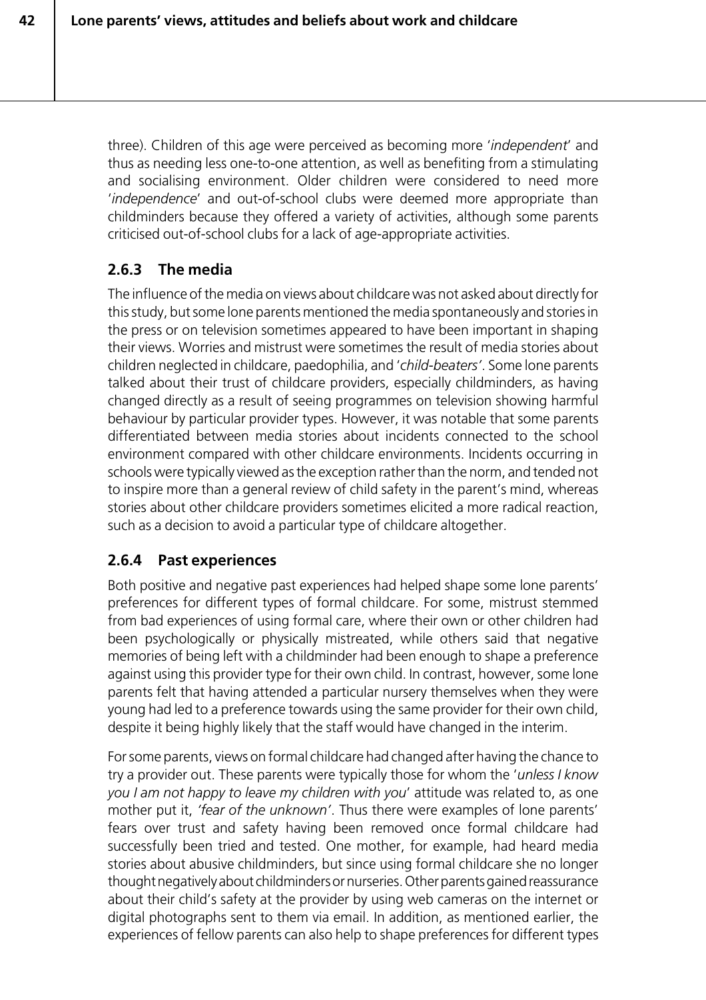three). Children of this age were perceived as becoming more '*independent*' and thus as needing less one-to-one attention, as well as benefiting from a stimulating and socialising environment. Older children were considered to need more '*independence*' and out-of-school clubs were deemed more appropriate than childminders because they offered a variety of activities, although some parents criticised out-of-school clubs for a lack of age-appropriate activities.

# **2.6.3 The media**

**42**

The influence of the media on views about childcare was not asked about directly for this study, but some lone parents mentioned the media spontaneously and stories in the press or on television sometimes appeared to have been important in shaping their views. Worries and mistrust were sometimes the result of media stories about children neglected in childcare, paedophilia, and '*child-beaters'*. Some lone parents talked about their trust of childcare providers, especially childminders, as having changed directly as a result of seeing programmes on television showing harmful behaviour by particular provider types. However, it was notable that some parents differentiated between media stories about incidents connected to the school environment compared with other childcare environments. Incidents occurring in schools were typically viewed as the exception rather than the norm, and tended not to inspire more than a general review of child safety in the parent's mind, whereas stories about other childcare providers sometimes elicited a more radical reaction, such as a decision to avoid a particular type of childcare altogether.

# **2.6.4 Past experiences**

Both positive and negative past experiences had helped shape some lone parents' preferences for different types of formal childcare. For some, mistrust stemmed from bad experiences of using formal care, where their own or other children had been psychologically or physically mistreated, while others said that negative memories of being left with a childminder had been enough to shape a preference against using this provider type for their own child. In contrast, however, some lone parents felt that having attended a particular nursery themselves when they were young had led to a preference towards using the same provider for their own child, despite it being highly likely that the staff would have changed in the interim.

For some parents, views on formal childcare had changed after having the chance to try a provider out. These parents were typically those for whom the '*unless I know you I am not happy to leave my children with you*' attitude was related to, as one mother put it, *'fear of the unknown'*. Thus there were examples of lone parents' fears over trust and safety having been removed once formal childcare had successfully been tried and tested. One mother, for example, had heard media stories about abusive childminders, but since using formal childcare she no longer thought negatively about childminders or nurseries. Other parents gained reassurance about their child's safety at the provider by using web cameras on the internet or digital photographs sent to them via email. In addition, as mentioned earlier, the experiences of fellow parents can also help to shape preferences for different types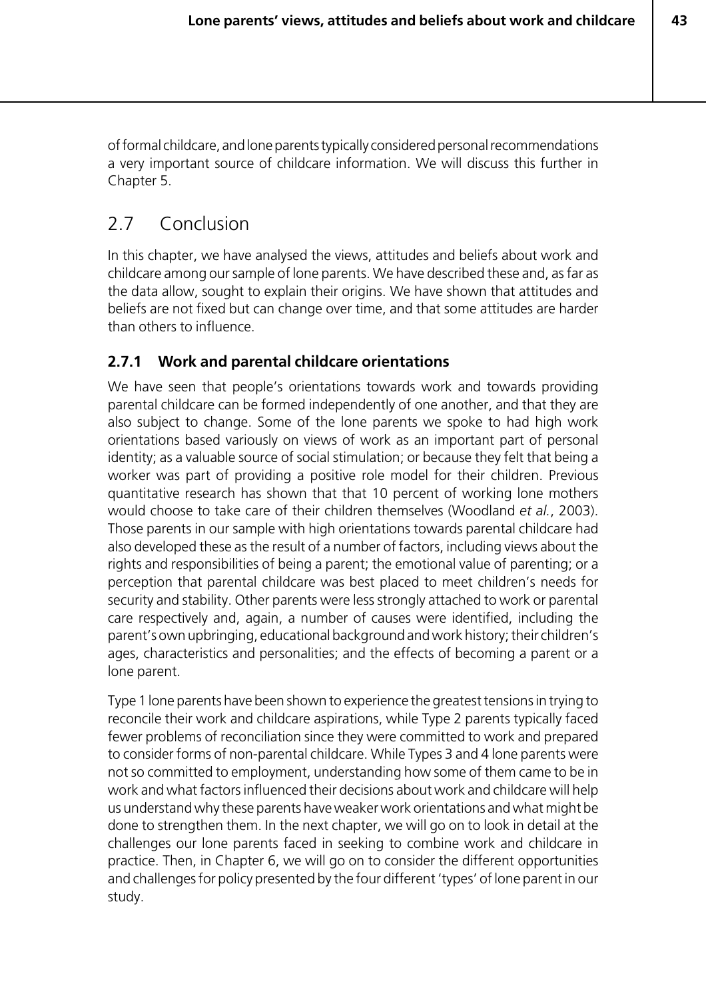of formal childcare, and lone parents typically considered personal recommendations a very important source of childcare information. We will discuss this further in Chapter 5.

# 2.7 Conclusion

In this chapter, we have analysed the views, attitudes and beliefs about work and childcare among our sample of lone parents. We have described these and, as far as the data allow, sought to explain their origins. We have shown that attitudes and beliefs are not fixed but can change over time, and that some attitudes are harder than others to influence.

# **2.7.1 Work and parental childcare orientations**

We have seen that people's orientations towards work and towards providing parental childcare can be formed independently of one another, and that they are also subject to change. Some of the lone parents we spoke to had high work orientations based variously on views of work as an important part of personal identity; as a valuable source of social stimulation; or because they felt that being a worker was part of providing a positive role model for their children. Previous quantitative research has shown that that 10 percent of working lone mothers would choose to take care of their children themselves (Woodland *et al.*, 2003). Those parents in our sample with high orientations towards parental childcare had also developed these as the result of a number of factors, including views about the rights and responsibilities of being a parent; the emotional value of parenting; or a perception that parental childcare was best placed to meet children's needs for security and stability. Other parents were less strongly attached to work or parental care respectively and, again, a number of causes were identified, including the parent's own upbringing, educational background and work history; their children's ages, characteristics and personalities; and the effects of becoming a parent or a lone parent.

Type 1 lone parents have been shown to experience the greatest tensions in trying to reconcile their work and childcare aspirations, while Type 2 parents typically faced fewer problems of reconciliation since they were committed to work and prepared to consider forms of non-parental childcare. While Types 3 and 4 lone parents were not so committed to employment, understanding how some of them came to be in work and what factors influenced their decisions about work and childcare will help us understand why these parents have weaker work orientations and what might be done to strengthen them. In the next chapter, we will go on to look in detail at the challenges our lone parents faced in seeking to combine work and childcare in practice. Then, in Chapter 6, we will go on to consider the different opportunities and challenges for policy presented by the four different 'types' of lone parent in our study.

**43**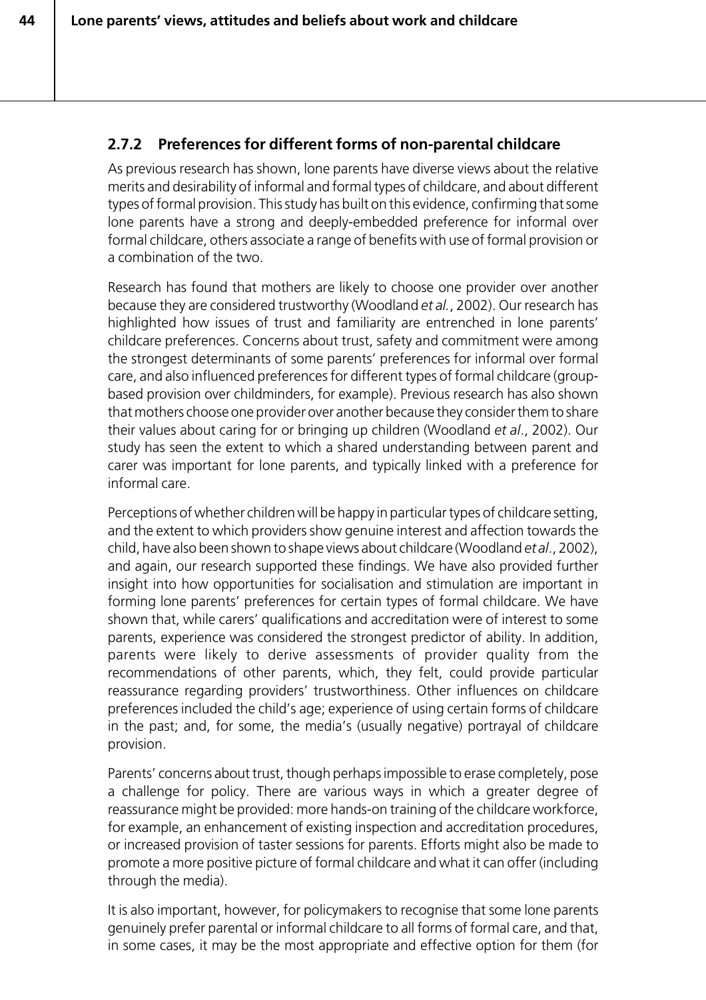# **2.7.2 Preferences for different forms of non-parental childcare**

As previous research has shown, lone parents have diverse views about the relative merits and desirability of informal and formal types of childcare, and about different types of formal provision. This study has built on this evidence, confirming that some lone parents have a strong and deeply-embedded preference for informal over formal childcare, others associate a range of benefits with use of formal provision or a combination of the two.

Research has found that mothers are likely to choose one provider over another because they are considered trustworthy (Woodland *et al.*, 2002). Our research has highlighted how issues of trust and familiarity are entrenched in lone parents' childcare preferences. Concerns about trust, safety and commitment were among the strongest determinants of some parents' preferences for informal over formal care, and also influenced preferences for different types of formal childcare (groupbased provision over childminders, for example). Previous research has also shown that mothers choose one provider over another because they consider them to share their values about caring for or bringing up children (Woodland *et al*., 2002). Our study has seen the extent to which a shared understanding between parent and carer was important for lone parents, and typically linked with a preference for informal care.

Perceptions of whether children will be happy in particular types of childcare setting, and the extent to which providers show genuine interest and affection towards the child, have also been shown to shape views about childcare (Woodland *et al*., 2002), and again, our research supported these findings. We have also provided further insight into how opportunities for socialisation and stimulation are important in forming lone parents' preferences for certain types of formal childcare. We have shown that, while carers' qualifications and accreditation were of interest to some parents, experience was considered the strongest predictor of ability. In addition, parents were likely to derive assessments of provider quality from the recommendations of other parents, which, they felt, could provide particular reassurance regarding providers' trustworthiness. Other influences on childcare preferences included the child's age; experience of using certain forms of childcare in the past; and, for some, the media's (usually negative) portrayal of childcare provision.

Parents' concerns about trust, though perhaps impossible to erase completely, pose a challenge for policy. There are various ways in which a greater degree of reassurance might be provided: more hands-on training of the childcare workforce, for example, an enhancement of existing inspection and accreditation procedures, or increased provision of taster sessions for parents. Efforts might also be made to promote a more positive picture of formal childcare and what it can offer (including through the media).

It is also important, however, for policymakers to recognise that some lone parents genuinely prefer parental or informal childcare to all forms of formal care, and that, in some cases, it may be the most appropriate and effective option for them (for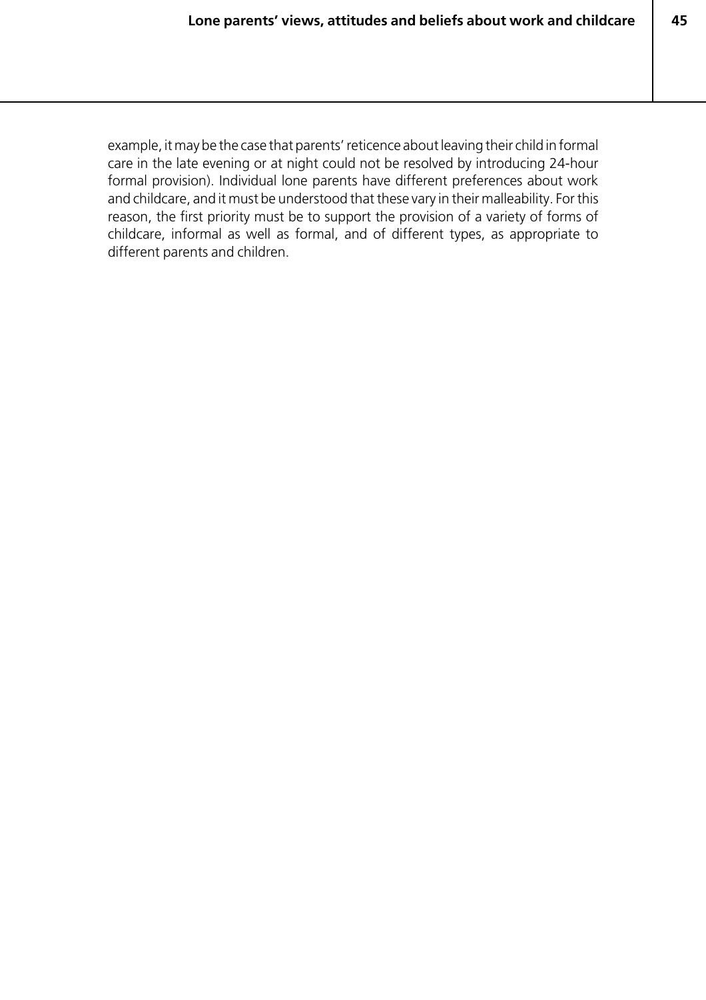**45**

example, it may be the case that parents' reticence about leaving their child in formal care in the late evening or at night could not be resolved by introducing 24-hour formal provision). Individual lone parents have different preferences about work and childcare, and it must be understood that these vary in their malleability. For this reason, the first priority must be to support the provision of a variety of forms of childcare, informal as well as formal, and of different types, as appropriate to different parents and children.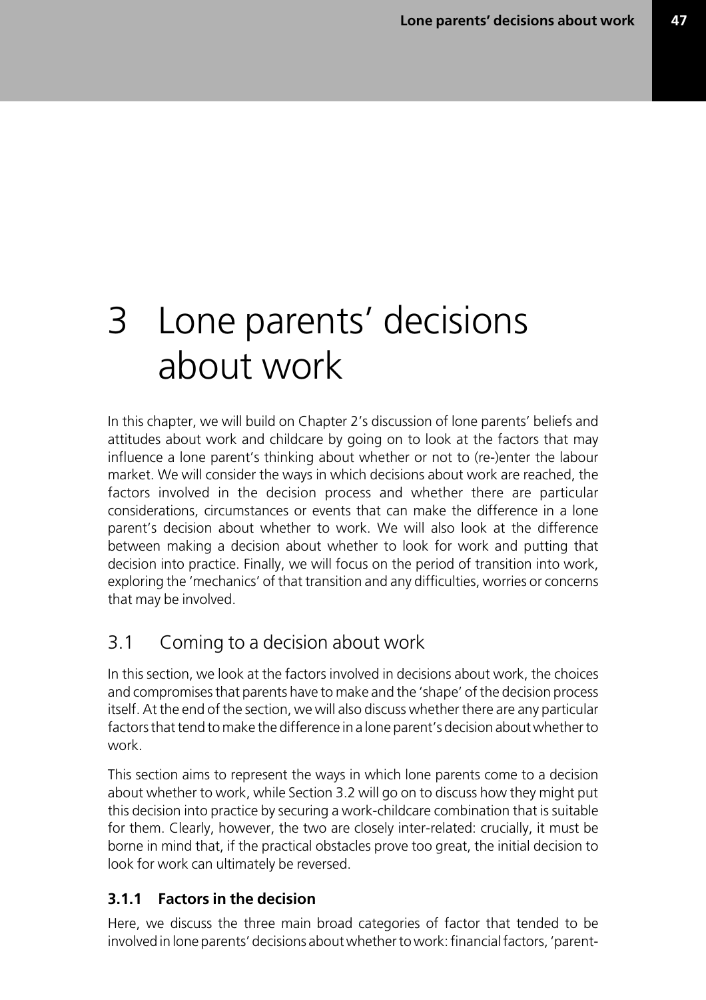**47**

# 3 Lone parents' decisions about work

In this chapter, we will build on Chapter 2's discussion of lone parents' beliefs and attitudes about work and childcare by going on to look at the factors that may influence a lone parent's thinking about whether or not to (re-)enter the labour market. We will consider the ways in which decisions about work are reached, the factors involved in the decision process and whether there are particular considerations, circumstances or events that can make the difference in a lone parent's decision about whether to work. We will also look at the difference between making a decision about whether to look for work and putting that decision into practice. Finally, we will focus on the period of transition into work, exploring the 'mechanics' of that transition and any difficulties, worries or concerns that may be involved.

# 3.1 Coming to a decision about work

In this section, we look at the factors involved in decisions about work, the choices and compromises that parents have to make and the 'shape' of the decision process itself. At the end of the section, we will also discuss whether there are any particular factors that tend to make the difference in a lone parent's decision about whether to work.

This section aims to represent the ways in which lone parents come to a decision about whether to work, while Section 3.2 will go on to discuss how they might put this decision into practice by securing a work-childcare combination that is suitable for them. Clearly, however, the two are closely inter-related: crucially, it must be borne in mind that, if the practical obstacles prove too great, the initial decision to look for work can ultimately be reversed.

# **3.1.1 Factors in the decision**

Here, we discuss the three main broad categories of factor that tended to be involved in lone parents' decisions about whether to work: financial factors, 'parent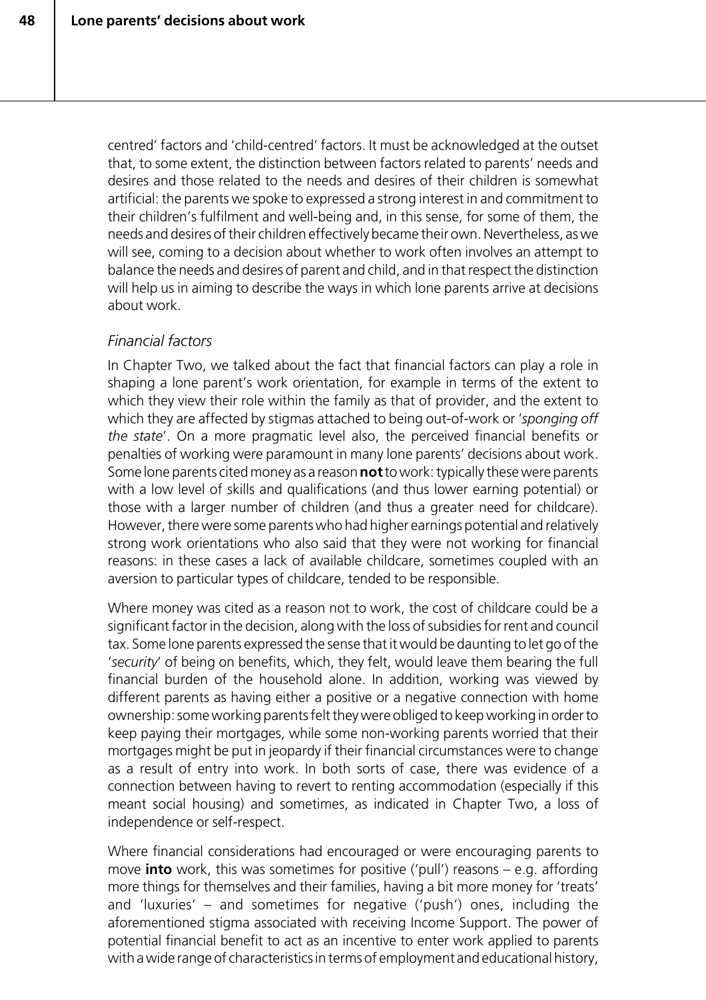centred' factors and 'child-centred' factors. It must be acknowledged at the outset that, to some extent, the distinction between factors related to parents' needs and desires and those related to the needs and desires of their children is somewhat artificial: the parents we spoke to expressed a strong interest in and commitment to their children's fulfilment and well-being and, in this sense, for some of them, the needs and desires of their children effectively became their own. Nevertheless, as we will see, coming to a decision about whether to work often involves an attempt to balance the needs and desires of parent and child, and in that respect the distinction will help us in aiming to describe the ways in which lone parents arrive at decisions about work.

#### *Financial factors*

In Chapter Two, we talked about the fact that financial factors can play a role in shaping a lone parent's work orientation, for example in terms of the extent to which they view their role within the family as that of provider, and the extent to which they are affected by stigmas attached to being out-of-work or '*sponging off the state*'. On a more pragmatic level also, the perceived financial benefits or penalties of working were paramount in many lone parents' decisions about work. Some lone parents cited money as a reason **not** to work: typically these were parents with a low level of skills and qualifications (and thus lower earning potential) or those with a larger number of children (and thus a greater need for childcare). However, there were some parents who had higher earnings potential and relatively strong work orientations who also said that they were not working for financial reasons: in these cases a lack of available childcare, sometimes coupled with an aversion to particular types of childcare, tended to be responsible.

Where money was cited as a reason not to work, the cost of childcare could be a significant factor in the decision, along with the loss of subsidies for rent and council tax. Some lone parents expressed the sense that it would be daunting to let go of the '*security*' of being on benefits, which, they felt, would leave them bearing the full financial burden of the household alone. In addition, working was viewed by different parents as having either a positive or a negative connection with home ownership: some working parents felt they were obliged to keep working in order to keep paying their mortgages, while some non-working parents worried that their mortgages might be put in jeopardy if their financial circumstances were to change as a result of entry into work. In both sorts of case, there was evidence of a connection between having to revert to renting accommodation (especially if this meant social housing) and sometimes, as indicated in Chapter Two, a loss of independence or self-respect.

Where financial considerations had encouraged or were encouraging parents to move **into** work, this was sometimes for positive ('pull') reasons – e.g. affording more things for themselves and their families, having a bit more money for 'treats' and 'luxuries' – and sometimes for negative ('push') ones, including the aforementioned stigma associated with receiving Income Support. The power of potential financial benefit to act as an incentive to enter work applied to parents with a wide range of characteristics in terms of employment and educational history,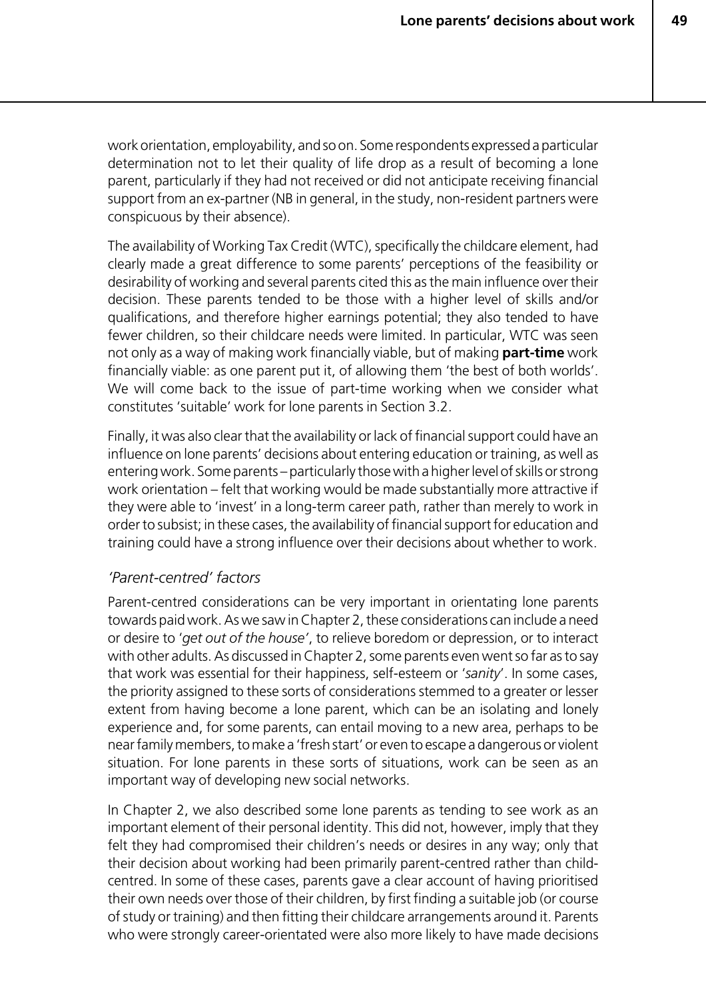work orientation, employability, and so on. Some respondents expressed a particular determination not to let their quality of life drop as a result of becoming a lone parent, particularly if they had not received or did not anticipate receiving financial support from an ex-partner (NB in general, in the study, non-resident partners were conspicuous by their absence).

The availability of Working Tax Credit (WTC), specifically the childcare element, had clearly made a great difference to some parents' perceptions of the feasibility or desirability of working and several parents cited this as the main influence over their decision. These parents tended to be those with a higher level of skills and/or qualifications, and therefore higher earnings potential; they also tended to have fewer children, so their childcare needs were limited. In particular, WTC was seen not only as a way of making work financially viable, but of making **part-time** work financially viable: as one parent put it, of allowing them 'the best of both worlds'. We will come back to the issue of part-time working when we consider what constitutes 'suitable' work for lone parents in Section 3.2.

Finally, it was also clear that the availability or lack of financial support could have an influence on lone parents' decisions about entering education or training, as well as entering work. Some parents – particularly those with a higher level of skills or strong work orientation – felt that working would be made substantially more attractive if they were able to 'invest' in a long-term career path, rather than merely to work in order to subsist; in these cases, the availability of financial support for education and training could have a strong influence over their decisions about whether to work.

#### *'Parent-centred' factors*

Parent-centred considerations can be very important in orientating lone parents towards paid work. As we saw in Chapter 2, these considerations can include a need or desire to '*get out of the house'*, to relieve boredom or depression, or to interact with other adults. As discussed in Chapter 2, some parents even went so far as to say that work was essential for their happiness, self-esteem or '*sanity*'. In some cases, the priority assigned to these sorts of considerations stemmed to a greater or lesser extent from having become a lone parent, which can be an isolating and lonely experience and, for some parents, can entail moving to a new area, perhaps to be near family members, to make a 'fresh start' or even to escape a dangerous or violent situation. For lone parents in these sorts of situations, work can be seen as an important way of developing new social networks.

In Chapter 2, we also described some lone parents as tending to see work as an important element of their personal identity. This did not, however, imply that they felt they had compromised their children's needs or desires in any way; only that their decision about working had been primarily parent-centred rather than childcentred. In some of these cases, parents gave a clear account of having prioritised their own needs over those of their children, by first finding a suitable job (or course of study or training) and then fitting their childcare arrangements around it. Parents who were strongly career-orientated were also more likely to have made decisions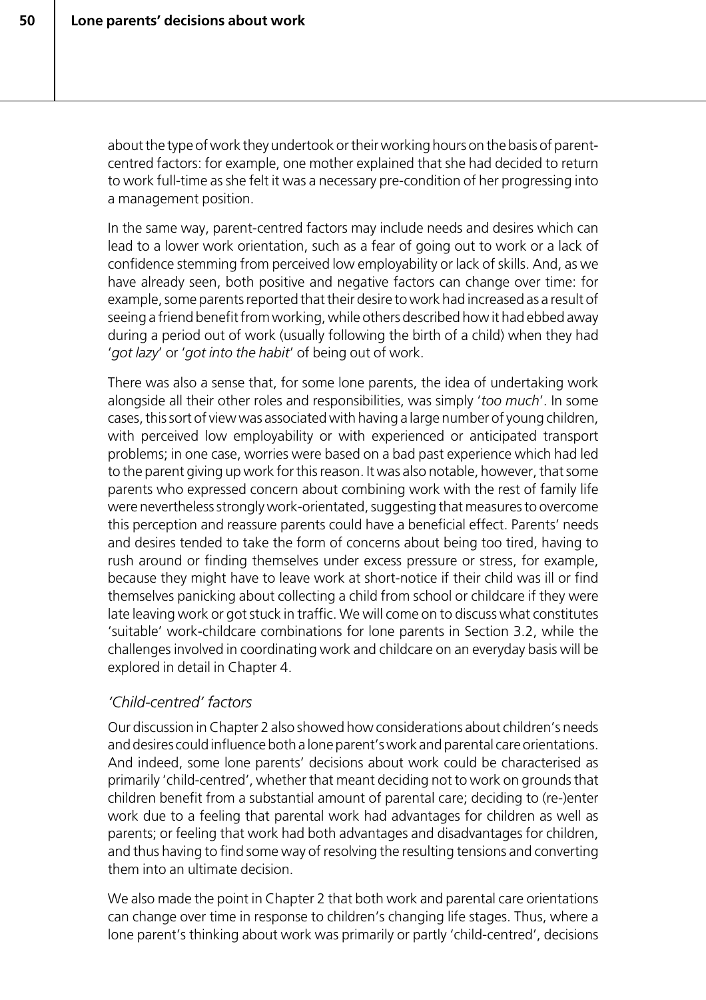about the type of work they undertook or their working hours on the basis of parentcentred factors: for example, one mother explained that she had decided to return to work full-time as she felt it was a necessary pre-condition of her progressing into a management position.

In the same way, parent-centred factors may include needs and desires which can lead to a lower work orientation, such as a fear of going out to work or a lack of confidence stemming from perceived low employability or lack of skills. And, as we have already seen, both positive and negative factors can change over time: for example, some parents reported that their desire to work had increased as a result of seeing a friend benefit from working, while others described how it had ebbed away during a period out of work (usually following the birth of a child) when they had '*got lazy*' or '*got into the habit*' of being out of work.

There was also a sense that, for some lone parents, the idea of undertaking work alongside all their other roles and responsibilities, was simply '*too much*'. In some cases, this sort of view was associated with having a large number of young children, with perceived low employability or with experienced or anticipated transport problems; in one case, worries were based on a bad past experience which had led to the parent giving up work for this reason. It was also notable, however, that some parents who expressed concern about combining work with the rest of family life were nevertheless strongly work-orientated, suggesting that measures to overcome this perception and reassure parents could have a beneficial effect. Parents' needs and desires tended to take the form of concerns about being too tired, having to rush around or finding themselves under excess pressure or stress, for example, because they might have to leave work at short-notice if their child was ill or find themselves panicking about collecting a child from school or childcare if they were late leaving work or got stuck in traffic. We will come on to discuss what constitutes 'suitable' work-childcare combinations for lone parents in Section 3.2, while the challenges involved in coordinating work and childcare on an everyday basis will be explored in detail in Chapter 4.

#### *'Child-centred' factors*

Our discussion in Chapter 2 also showed how considerations about children's needs and desires could influence both a lone parent's work and parental care orientations. And indeed, some lone parents' decisions about work could be characterised as primarily 'child-centred', whether that meant deciding not to work on grounds that children benefit from a substantial amount of parental care; deciding to (re-)enter work due to a feeling that parental work had advantages for children as well as parents; or feeling that work had both advantages and disadvantages for children, and thus having to find some way of resolving the resulting tensions and converting them into an ultimate decision.

We also made the point in Chapter 2 that both work and parental care orientations can change over time in response to children's changing life stages. Thus, where a lone parent's thinking about work was primarily or partly 'child-centred', decisions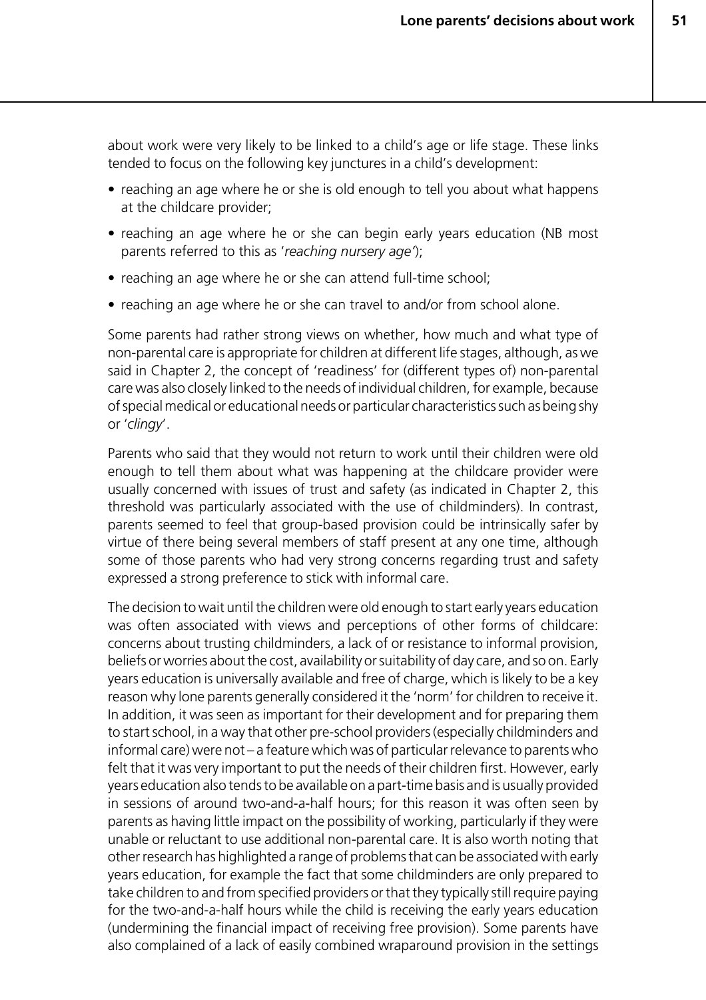about work were very likely to be linked to a child's age or life stage. These links tended to focus on the following key junctures in a child's development:

- reaching an age where he or she is old enough to tell you about what happens at the childcare provider;
- reaching an age where he or she can begin early years education (NB most parents referred to this as '*reaching nursery age'*);
- reaching an age where he or she can attend full-time school;
- reaching an age where he or she can travel to and/or from school alone.

Some parents had rather strong views on whether, how much and what type of non-parental care is appropriate for children at different life stages, although, as we said in Chapter 2, the concept of 'readiness' for (different types of) non-parental care was also closely linked to the needs of individual children, for example, because of special medical or educational needs or particular characteristics such as being shy or '*clingy*'.

Parents who said that they would not return to work until their children were old enough to tell them about what was happening at the childcare provider were usually concerned with issues of trust and safety (as indicated in Chapter 2, this threshold was particularly associated with the use of childminders). In contrast, parents seemed to feel that group-based provision could be intrinsically safer by virtue of there being several members of staff present at any one time, although some of those parents who had very strong concerns regarding trust and safety expressed a strong preference to stick with informal care.

The decision to wait until the children were old enough to start early years education was often associated with views and perceptions of other forms of childcare: concerns about trusting childminders, a lack of or resistance to informal provision, beliefs or worries about the cost, availability or suitability of day care, and so on. Early years education is universally available and free of charge, which is likely to be a key reason why lone parents generally considered it the 'norm' for children to receive it. In addition, it was seen as important for their development and for preparing them to start school, in a way that other pre-school providers (especially childminders and informal care) were not – a feature which was of particular relevance to parents who felt that it was very important to put the needs of their children first. However, early years education also tends to be available on a part-time basis and is usually provided in sessions of around two-and-a-half hours; for this reason it was often seen by parents as having little impact on the possibility of working, particularly if they were unable or reluctant to use additional non-parental care. It is also worth noting that other research has highlighted a range of problems that can be associated with early years education, for example the fact that some childminders are only prepared to take children to and from specified providers or that they typically still require paying for the two-and-a-half hours while the child is receiving the early years education (undermining the financial impact of receiving free provision). Some parents have also complained of a lack of easily combined wraparound provision in the settings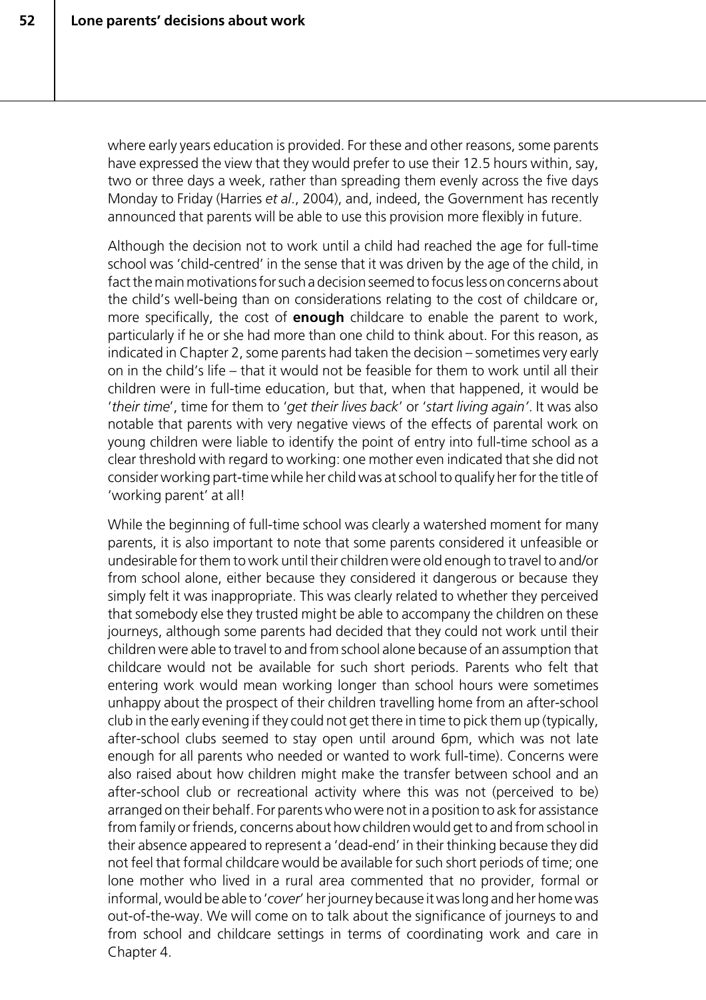where early years education is provided. For these and other reasons, some parents have expressed the view that they would prefer to use their 12.5 hours within, say, two or three days a week, rather than spreading them evenly across the five days Monday to Friday (Harries *et al*., 2004), and, indeed, the Government has recently announced that parents will be able to use this provision more flexibly in future.

Although the decision not to work until a child had reached the age for full-time school was 'child-centred' in the sense that it was driven by the age of the child, in fact the main motivations for such a decision seemed to focus less on concerns about the child's well-being than on considerations relating to the cost of childcare or, more specifically, the cost of **enough** childcare to enable the parent to work, particularly if he or she had more than one child to think about. For this reason, as indicated in Chapter 2, some parents had taken the decision – sometimes very early on in the child's life – that it would not be feasible for them to work until all their children were in full-time education, but that, when that happened, it would be '*their time*', time for them to '*get their lives back*' or '*start living again'*. It was also notable that parents with very negative views of the effects of parental work on young children were liable to identify the point of entry into full-time school as a clear threshold with regard to working: one mother even indicated that she did not consider working part-time while her child was at school to qualify her for the title of 'working parent' at all!

While the beginning of full-time school was clearly a watershed moment for many parents, it is also important to note that some parents considered it unfeasible or undesirable for them to work until their children were old enough to travel to and/or from school alone, either because they considered it dangerous or because they simply felt it was inappropriate. This was clearly related to whether they perceived that somebody else they trusted might be able to accompany the children on these journeys, although some parents had decided that they could not work until their children were able to travel to and from school alone because of an assumption that childcare would not be available for such short periods. Parents who felt that entering work would mean working longer than school hours were sometimes unhappy about the prospect of their children travelling home from an after-school club in the early evening if they could not get there in time to pick them up (typically, after-school clubs seemed to stay open until around 6pm, which was not late enough for all parents who needed or wanted to work full-time). Concerns were also raised about how children might make the transfer between school and an after-school club or recreational activity where this was not (perceived to be) arranged on their behalf. For parents who were not in a position to ask for assistance from family or friends, concerns about how children would get to and from school in their absence appeared to represent a 'dead-end' in their thinking because they did not feel that formal childcare would be available for such short periods of time; one lone mother who lived in a rural area commented that no provider, formal or informal, would be able to '*cover*' her journey because it was long and her home was out-of-the-way. We will come on to talk about the significance of journeys to and from school and childcare settings in terms of coordinating work and care in Chapter 4.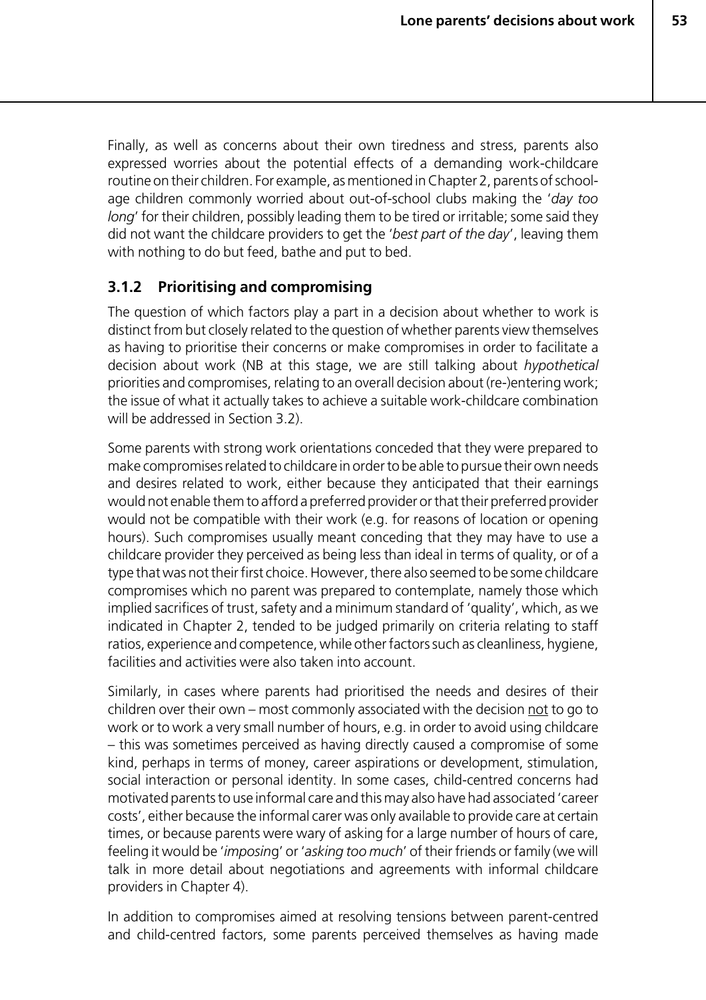Finally, as well as concerns about their own tiredness and stress, parents also expressed worries about the potential effects of a demanding work-childcare routine on their children. For example, as mentioned in Chapter 2, parents of schoolage children commonly worried about out-of-school clubs making the '*day too long*' for their children, possibly leading them to be tired or irritable; some said they did not want the childcare providers to get the '*best part of the day*', leaving them with nothing to do but feed, bathe and put to bed.

#### **3.1.2 Prioritising and compromising**

The question of which factors play a part in a decision about whether to work is distinct from but closely related to the question of whether parents view themselves as having to prioritise their concerns or make compromises in order to facilitate a decision about work (NB at this stage, we are still talking about *hypothetical* priorities and compromises, relating to an overall decision about (re-)entering work; the issue of what it actually takes to achieve a suitable work-childcare combination will be addressed in Section 3.2).

Some parents with strong work orientations conceded that they were prepared to make compromises related to childcare in order to be able to pursue their own needs and desires related to work, either because they anticipated that their earnings would not enable them to afford a preferred provider or that their preferred provider would not be compatible with their work (e.g. for reasons of location or opening hours). Such compromises usually meant conceding that they may have to use a childcare provider they perceived as being less than ideal in terms of quality, or of a type that was not their first choice. However, there also seemed to be some childcare compromises which no parent was prepared to contemplate, namely those which implied sacrifices of trust, safety and a minimum standard of 'quality', which, as we indicated in Chapter 2, tended to be judged primarily on criteria relating to staff ratios, experience and competence, while other factors such as cleanliness, hygiene, facilities and activities were also taken into account.

Similarly, in cases where parents had prioritised the needs and desires of their children over their own – most commonly associated with the decision not to go to work or to work a very small number of hours, e.g. in order to avoid using childcare – this was sometimes perceived as having directly caused a compromise of some kind, perhaps in terms of money, career aspirations or development, stimulation, social interaction or personal identity. In some cases, child-centred concerns had motivated parents to use informal care and this may also have had associated 'career costs', either because the informal carer was only available to provide care at certain times, or because parents were wary of asking for a large number of hours of care, feeling it would be '*imposin*g' or '*asking too much*' of their friends or family (we will talk in more detail about negotiations and agreements with informal childcare providers in Chapter 4).

In addition to compromises aimed at resolving tensions between parent-centred and child-centred factors, some parents perceived themselves as having made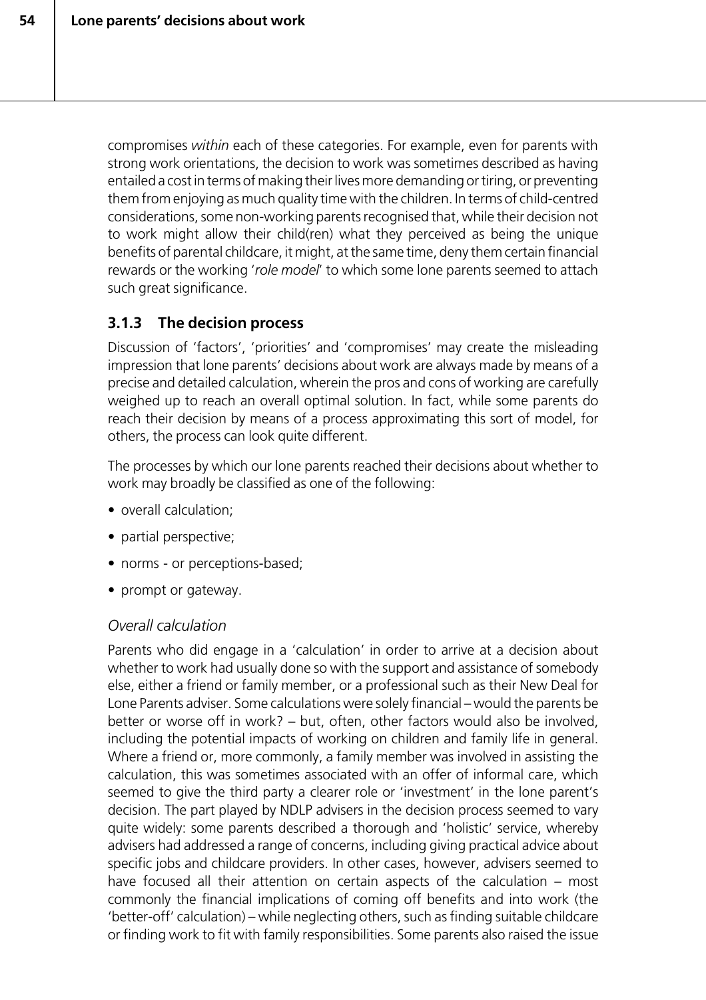compromises *within* each of these categories. For example, even for parents with strong work orientations, the decision to work was sometimes described as having entailed a cost in terms of making their lives more demanding or tiring, or preventing them from enjoying as much quality time with the children. In terms of child-centred considerations, some non-working parents recognised that, while their decision not to work might allow their child(ren) what they perceived as being the unique benefits of parental childcare, it might, at the same time, deny them certain financial rewards or the working '*role model*' to which some lone parents seemed to attach such great significance.

# **3.1.3 The decision process**

Discussion of 'factors', 'priorities' and 'compromises' may create the misleading impression that lone parents' decisions about work are always made by means of a precise and detailed calculation, wherein the pros and cons of working are carefully weighed up to reach an overall optimal solution. In fact, while some parents do reach their decision by means of a process approximating this sort of model, for others, the process can look quite different.

The processes by which our lone parents reached their decisions about whether to work may broadly be classified as one of the following:

- overall calculation;
- partial perspective;
- norms or perceptions-based;
- prompt or gateway.

# *Overall calculation*

Parents who did engage in a 'calculation' in order to arrive at a decision about whether to work had usually done so with the support and assistance of somebody else, either a friend or family member, or a professional such as their New Deal for Lone Parents adviser. Some calculations were solely financial – would the parents be better or worse off in work? – but, often, other factors would also be involved, including the potential impacts of working on children and family life in general. Where a friend or, more commonly, a family member was involved in assisting the calculation, this was sometimes associated with an offer of informal care, which seemed to give the third party a clearer role or 'investment' in the lone parent's decision. The part played by NDLP advisers in the decision process seemed to vary quite widely: some parents described a thorough and 'holistic' service, whereby advisers had addressed a range of concerns, including giving practical advice about specific jobs and childcare providers. In other cases, however, advisers seemed to have focused all their attention on certain aspects of the calculation – most commonly the financial implications of coming off benefits and into work (the 'better-off' calculation) – while neglecting others, such as finding suitable childcare or finding work to fit with family responsibilities. Some parents also raised the issue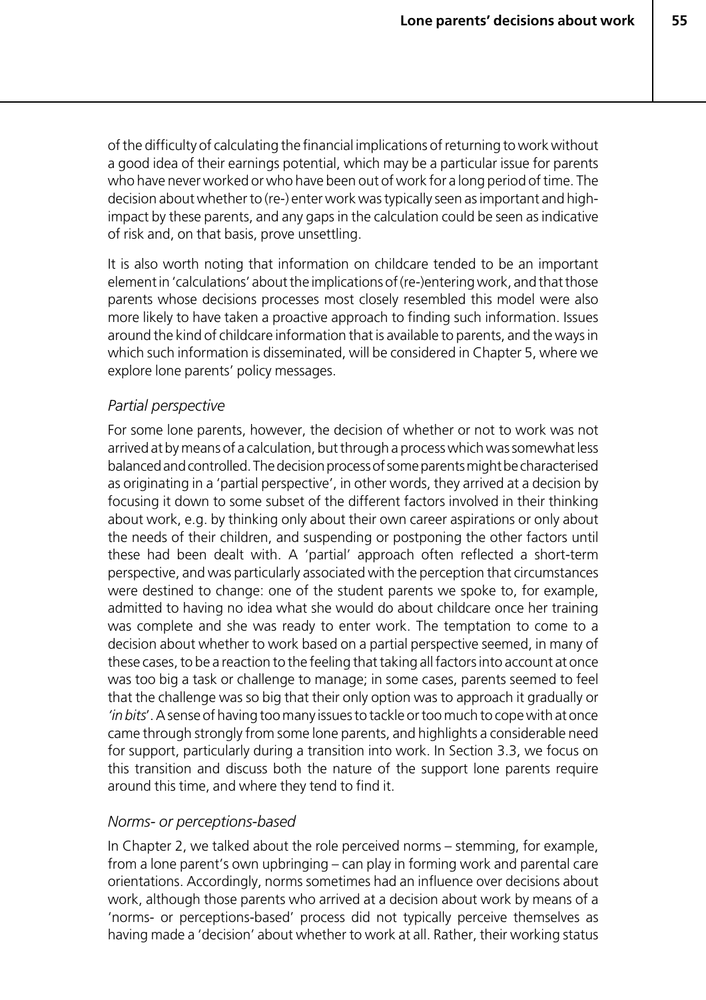of the difficulty of calculating the financial implications of returning to work without a good idea of their earnings potential, which may be a particular issue for parents who have never worked or who have been out of work for a long period of time. The decision about whether to (re-) enter work was typically seen as important and highimpact by these parents, and any gaps in the calculation could be seen as indicative of risk and, on that basis, prove unsettling.

It is also worth noting that information on childcare tended to be an important element in 'calculations' about the implications of (re-)entering work, and that those parents whose decisions processes most closely resembled this model were also more likely to have taken a proactive approach to finding such information. Issues around the kind of childcare information that is available to parents, and the ways in which such information is disseminated, will be considered in Chapter 5, where we explore lone parents' policy messages.

#### *Partial perspective*

For some lone parents, however, the decision of whether or not to work was not arrived at by means of a calculation, but through a process which was somewhat less balanced and controlled. The decision process of some parents might be characterised as originating in a 'partial perspective', in other words, they arrived at a decision by focusing it down to some subset of the different factors involved in their thinking about work, e.g. by thinking only about their own career aspirations or only about the needs of their children, and suspending or postponing the other factors until these had been dealt with. A 'partial' approach often reflected a short-term perspective, and was particularly associated with the perception that circumstances were destined to change: one of the student parents we spoke to, for example, admitted to having no idea what she would do about childcare once her training was complete and she was ready to enter work. The temptation to come to a decision about whether to work based on a partial perspective seemed, in many of these cases, to be a reaction to the feeling that taking all factors into account at once was too big a task or challenge to manage; in some cases, parents seemed to feel that the challenge was so big that their only option was to approach it gradually or *'in bits*'. A sense of having too many issues to tackle or too much to cope with at once came through strongly from some lone parents, and highlights a considerable need for support, particularly during a transition into work. In Section 3.3, we focus on this transition and discuss both the nature of the support lone parents require around this time, and where they tend to find it.

#### *Norms- or perceptions-based*

In Chapter 2, we talked about the role perceived norms – stemming, for example, from a lone parent's own upbringing – can play in forming work and parental care orientations. Accordingly, norms sometimes had an influence over decisions about work, although those parents who arrived at a decision about work by means of a 'norms- or perceptions-based' process did not typically perceive themselves as having made a 'decision' about whether to work at all. Rather, their working status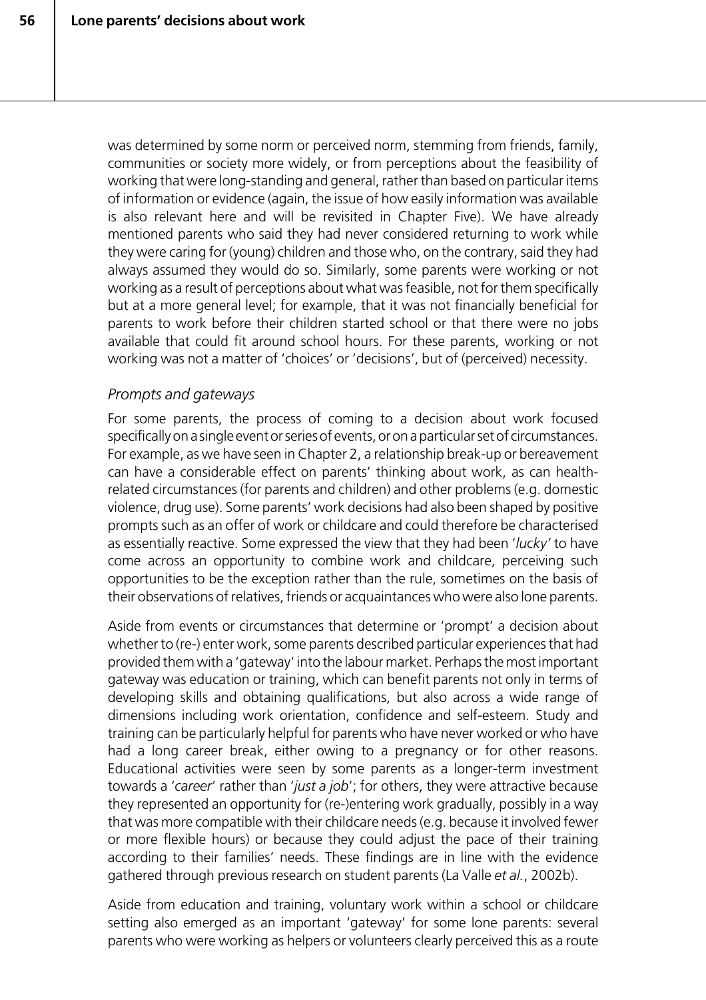was determined by some norm or perceived norm, stemming from friends, family, communities or society more widely, or from perceptions about the feasibility of working that were long-standing and general, rather than based on particular items of information or evidence (again, the issue of how easily information was available is also relevant here and will be revisited in Chapter Five). We have already mentioned parents who said they had never considered returning to work while they were caring for (young) children and those who, on the contrary, said they had always assumed they would do so. Similarly, some parents were working or not working as a result of perceptions about what was feasible, not for them specifically but at a more general level; for example, that it was not financially beneficial for parents to work before their children started school or that there were no jobs available that could fit around school hours. For these parents, working or not working was not a matter of 'choices' or 'decisions', but of (perceived) necessity.

#### *Prompts and gateways*

For some parents, the process of coming to a decision about work focused specifically on a single event or series of events, or on a particular set of circumstances. For example, as we have seen in Chapter 2, a relationship break-up or bereavement can have a considerable effect on parents' thinking about work, as can healthrelated circumstances (for parents and children) and other problems (e.g. domestic violence, drug use). Some parents' work decisions had also been shaped by positive prompts such as an offer of work or childcare and could therefore be characterised as essentially reactive. Some expressed the view that they had been '*lucky'* to have come across an opportunity to combine work and childcare, perceiving such opportunities to be the exception rather than the rule, sometimes on the basis of their observations of relatives, friends or acquaintances who were also lone parents.

Aside from events or circumstances that determine or 'prompt' a decision about whether to (re-) enter work, some parents described particular experiences that had provided them with a 'gateway' into the labour market. Perhaps the most important gateway was education or training, which can benefit parents not only in terms of developing skills and obtaining qualifications, but also across a wide range of dimensions including work orientation, confidence and self-esteem. Study and training can be particularly helpful for parents who have never worked or who have had a long career break, either owing to a pregnancy or for other reasons. Educational activities were seen by some parents as a longer-term investment towards a '*career*' rather than '*just a job*'; for others, they were attractive because they represented an opportunity for (re-)entering work gradually, possibly in a way that was more compatible with their childcare needs (e.g. because it involved fewer or more flexible hours) or because they could adjust the pace of their training according to their families' needs. These findings are in line with the evidence gathered through previous research on student parents (La Valle *et al.*, 2002b).

Aside from education and training, voluntary work within a school or childcare setting also emerged as an important 'gateway' for some lone parents: several parents who were working as helpers or volunteers clearly perceived this as a route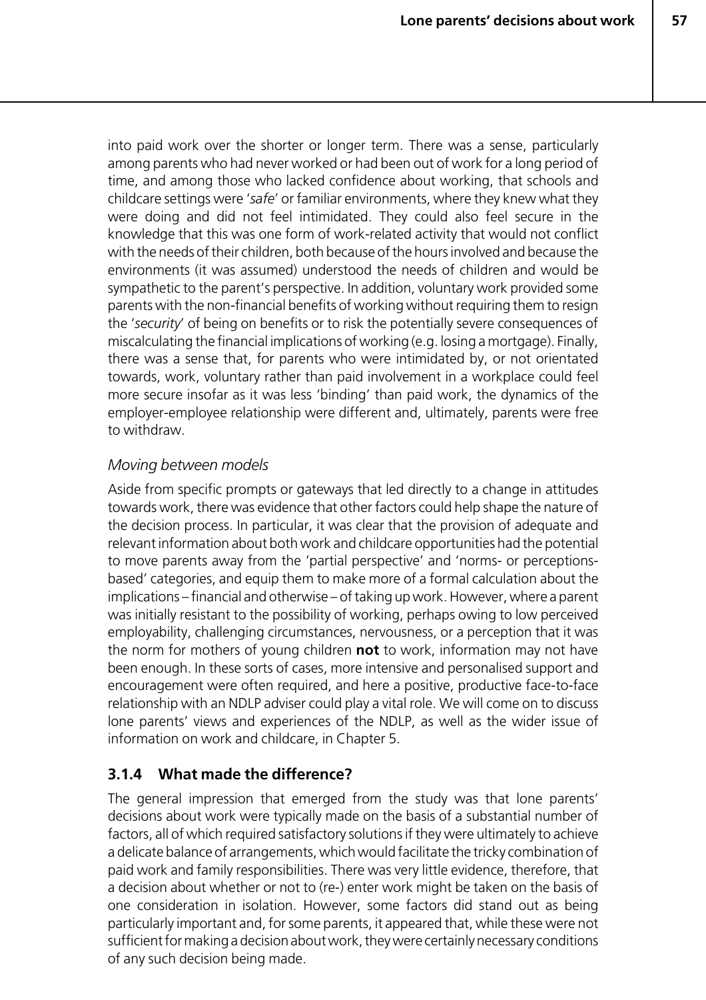into paid work over the shorter or longer term. There was a sense, particularly among parents who had never worked or had been out of work for a long period of time, and among those who lacked confidence about working, that schools and childcare settings were '*safe*' or familiar environments, where they knew what they were doing and did not feel intimidated. They could also feel secure in the knowledge that this was one form of work-related activity that would not conflict with the needs of their children, both because of the hours involved and because the environments (it was assumed) understood the needs of children and would be sympathetic to the parent's perspective. In addition, voluntary work provided some parents with the non-financial benefits of working without requiring them to resign the '*security*' of being on benefits or to risk the potentially severe consequences of miscalculating the financial implications of working (e.g. losing a mortgage). Finally, there was a sense that, for parents who were intimidated by, or not orientated towards, work, voluntary rather than paid involvement in a workplace could feel more secure insofar as it was less 'binding' than paid work, the dynamics of the employer-employee relationship were different and, ultimately, parents were free to withdraw.

#### *Moving between models*

Aside from specific prompts or gateways that led directly to a change in attitudes towards work, there was evidence that other factors could help shape the nature of the decision process. In particular, it was clear that the provision of adequate and relevant information about both work and childcare opportunities had the potential to move parents away from the 'partial perspective' and 'norms- or perceptionsbased' categories, and equip them to make more of a formal calculation about the implications – financial and otherwise – of taking up work. However, where a parent was initially resistant to the possibility of working, perhaps owing to low perceived employability, challenging circumstances, nervousness, or a perception that it was the norm for mothers of young children **not** to work, information may not have been enough. In these sorts of cases, more intensive and personalised support and encouragement were often required, and here a positive, productive face-to-face relationship with an NDLP adviser could play a vital role. We will come on to discuss lone parents' views and experiences of the NDLP, as well as the wider issue of information on work and childcare, in Chapter 5.

# **3.1.4 What made the difference?**

The general impression that emerged from the study was that lone parents' decisions about work were typically made on the basis of a substantial number of factors, all of which required satisfactory solutions if they were ultimately to achieve a delicate balance of arrangements, which would facilitate the tricky combination of paid work and family responsibilities. There was very little evidence, therefore, that a decision about whether or not to (re-) enter work might be taken on the basis of one consideration in isolation. However, some factors did stand out as being particularly important and, for some parents, it appeared that, while these were not sufficient for making a decision about work, they were certainly necessary conditions of any such decision being made.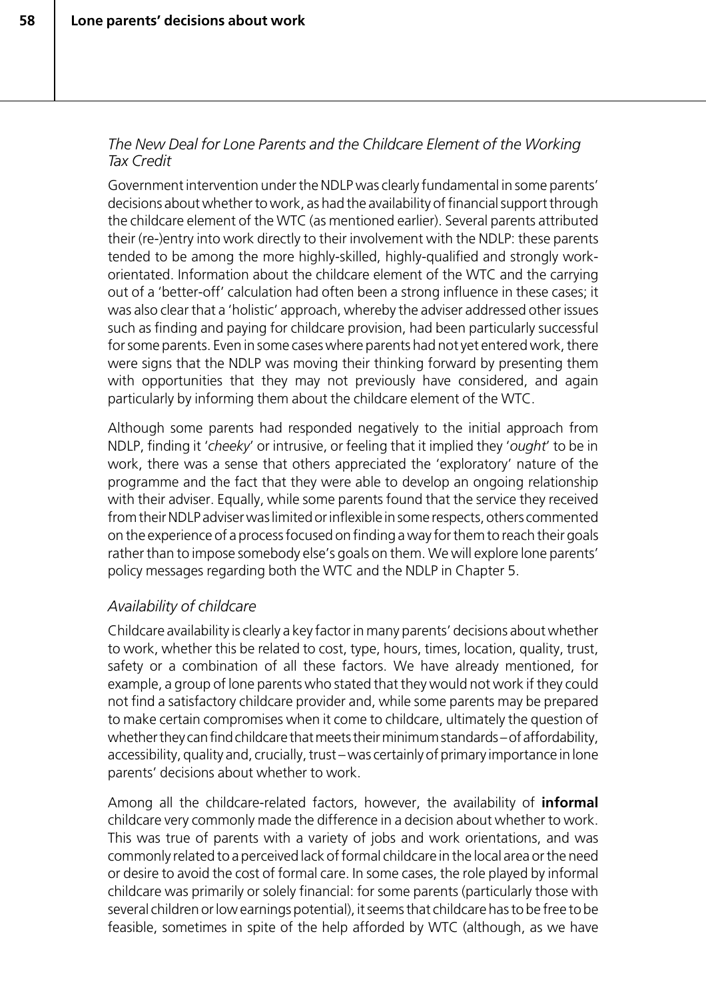#### *The New Deal for Lone Parents and the Childcare Element of the Working Tax Credit*

Government intervention under the NDLP was clearly fundamental in some parents' decisions about whether to work, as had the availability of financial support through the childcare element of the WTC (as mentioned earlier). Several parents attributed their (re-)entry into work directly to their involvement with the NDLP: these parents tended to be among the more highly-skilled, highly-qualified and strongly workorientated. Information about the childcare element of the WTC and the carrying out of a 'better-off' calculation had often been a strong influence in these cases; it was also clear that a 'holistic' approach, whereby the adviser addressed other issues such as finding and paying for childcare provision, had been particularly successful for some parents. Even in some cases where parents had not yet entered work, there were signs that the NDLP was moving their thinking forward by presenting them with opportunities that they may not previously have considered, and again particularly by informing them about the childcare element of the WTC.

Although some parents had responded negatively to the initial approach from NDLP, finding it '*cheeky*' or intrusive, or feeling that it implied they '*ought*' to be in work, there was a sense that others appreciated the 'exploratory' nature of the programme and the fact that they were able to develop an ongoing relationship with their adviser. Equally, while some parents found that the service they received from their NDLP adviser was limited or inflexible in some respects, others commented on the experience of a process focused on finding a way for them to reach their goals rather than to impose somebody else's goals on them. We will explore lone parents' policy messages regarding both the WTC and the NDLP in Chapter 5.

# *Availability of childcare*

Childcare availability is clearly a key factor in many parents' decisions about whether to work, whether this be related to cost, type, hours, times, location, quality, trust, safety or a combination of all these factors. We have already mentioned, for example, a group of lone parents who stated that they would not work if they could not find a satisfactory childcare provider and, while some parents may be prepared to make certain compromises when it come to childcare, ultimately the question of whether they can find childcare that meets their minimum standards – of affordability, accessibility, quality and, crucially, trust – was certainly of primary importance in lone parents' decisions about whether to work.

Among all the childcare-related factors, however, the availability of **informal** childcare very commonly made the difference in a decision about whether to work. This was true of parents with a variety of jobs and work orientations, and was commonly related to a perceived lack of formal childcare in the local area or the need or desire to avoid the cost of formal care. In some cases, the role played by informal childcare was primarily or solely financial: for some parents (particularly those with several children or low earnings potential), it seems that childcare has to be free to be feasible, sometimes in spite of the help afforded by WTC (although, as we have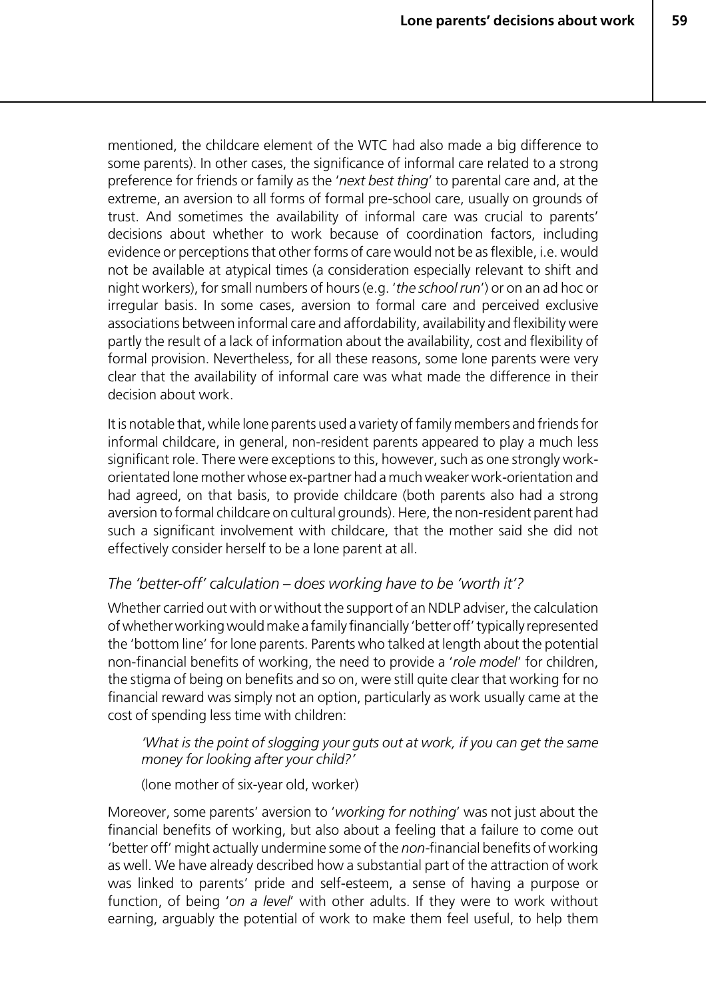mentioned, the childcare element of the WTC had also made a big difference to some parents). In other cases, the significance of informal care related to a strong preference for friends or family as the '*next best thing*' to parental care and, at the extreme, an aversion to all forms of formal pre-school care, usually on grounds of trust. And sometimes the availability of informal care was crucial to parents' decisions about whether to work because of coordination factors, including evidence or perceptions that other forms of care would not be as flexible, i.e. would not be available at atypical times (a consideration especially relevant to shift and night workers), for small numbers of hours (e.g. '*the school run*') or on an ad hoc or irregular basis. In some cases, aversion to formal care and perceived exclusive associations between informal care and affordability, availability and flexibility were partly the result of a lack of information about the availability, cost and flexibility of formal provision. Nevertheless, for all these reasons, some lone parents were very clear that the availability of informal care was what made the difference in their decision about work.

It is notable that, while lone parents used a variety of family members and friends for informal childcare, in general, non-resident parents appeared to play a much less significant role. There were exceptions to this, however, such as one strongly workorientated lone mother whose ex-partner had a much weaker work-orientation and had agreed, on that basis, to provide childcare (both parents also had a strong aversion to formal childcare on cultural grounds). Here, the non-resident parent had such a significant involvement with childcare, that the mother said she did not effectively consider herself to be a lone parent at all.

#### *The 'better-off' calculation – does working have to be 'worth it'?*

Whether carried out with or without the support of an NDLP adviser, the calculation of whether working would make a family financially 'better off' typically represented the 'bottom line' for lone parents. Parents who talked at length about the potential non-financial benefits of working, the need to provide a '*role model*' for children, the stigma of being on benefits and so on, were still quite clear that working for no financial reward was simply not an option, particularly as work usually came at the cost of spending less time with children:

#### *'What is the point of slogging your guts out at work, if you can get the same money for looking after your child?'*

(lone mother of six-year old, worker)

Moreover, some parents' aversion to '*working for nothing*' was not just about the financial benefits of working, but also about a feeling that a failure to come out 'better off' might actually undermine some of the *non-*financial benefits of working as well. We have already described how a substantial part of the attraction of work was linked to parents' pride and self-esteem, a sense of having a purpose or function, of being '*on a level*' with other adults. If they were to work without earning, arguably the potential of work to make them feel useful, to help them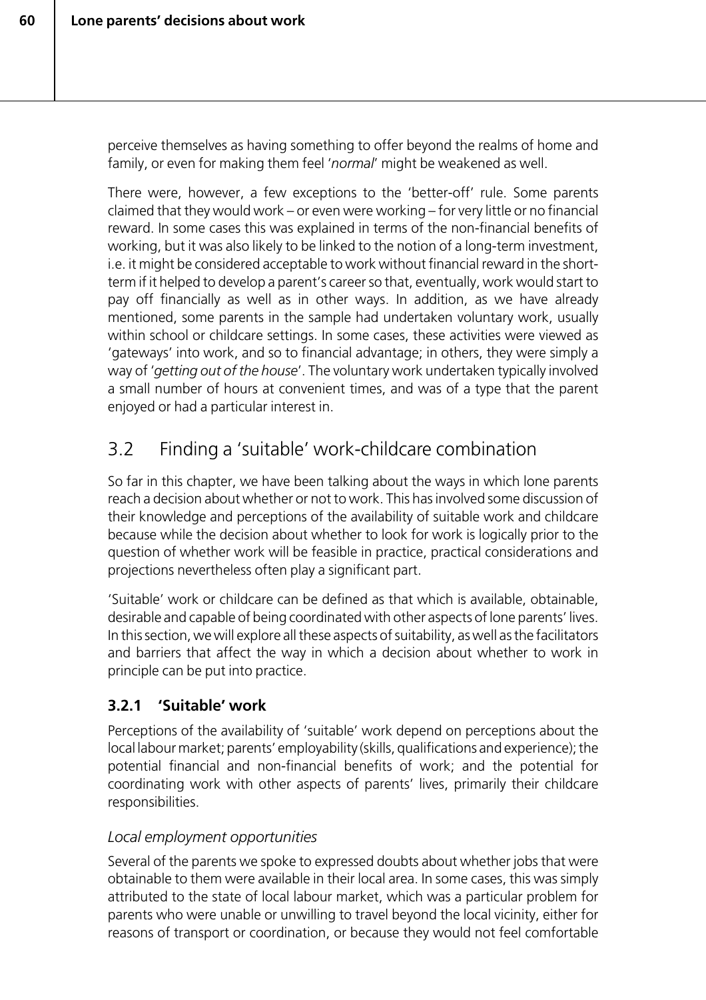perceive themselves as having something to offer beyond the realms of home and family, or even for making them feel '*normal*' might be weakened as well.

There were, however, a few exceptions to the 'better-off' rule. Some parents claimed that they would work – or even were working – for very little or no financial reward. In some cases this was explained in terms of the non-financial benefits of working, but it was also likely to be linked to the notion of a long-term investment, i.e. it might be considered acceptable to work without financial reward in the shortterm if it helped to develop a parent's career so that, eventually, work would start to pay off financially as well as in other ways. In addition, as we have already mentioned, some parents in the sample had undertaken voluntary work, usually within school or childcare settings. In some cases, these activities were viewed as 'gateways' into work, and so to financial advantage; in others, they were simply a way of '*getting out of the house*'. The voluntary work undertaken typically involved a small number of hours at convenient times, and was of a type that the parent enjoyed or had a particular interest in.

# 3.2 Finding a 'suitable' work-childcare combination

So far in this chapter, we have been talking about the ways in which lone parents reach a decision about whether or not to work. This has involved some discussion of their knowledge and perceptions of the availability of suitable work and childcare because while the decision about whether to look for work is logically prior to the question of whether work will be feasible in practice, practical considerations and projections nevertheless often play a significant part.

'Suitable' work or childcare can be defined as that which is available, obtainable, desirable and capable of being coordinated with other aspects of lone parents' lives. In this section, we will explore all these aspects of suitability, as well as the facilitators and barriers that affect the way in which a decision about whether to work in principle can be put into practice.

# **3.2.1 'Suitable' work**

Perceptions of the availability of 'suitable' work depend on perceptions about the local labour market; parents' employability (skills, qualifications and experience); the potential financial and non-financial benefits of work; and the potential for coordinating work with other aspects of parents' lives, primarily their childcare responsibilities.

## *Local employment opportunities*

Several of the parents we spoke to expressed doubts about whether jobs that were obtainable to them were available in their local area. In some cases, this was simply attributed to the state of local labour market, which was a particular problem for parents who were unable or unwilling to travel beyond the local vicinity, either for reasons of transport or coordination, or because they would not feel comfortable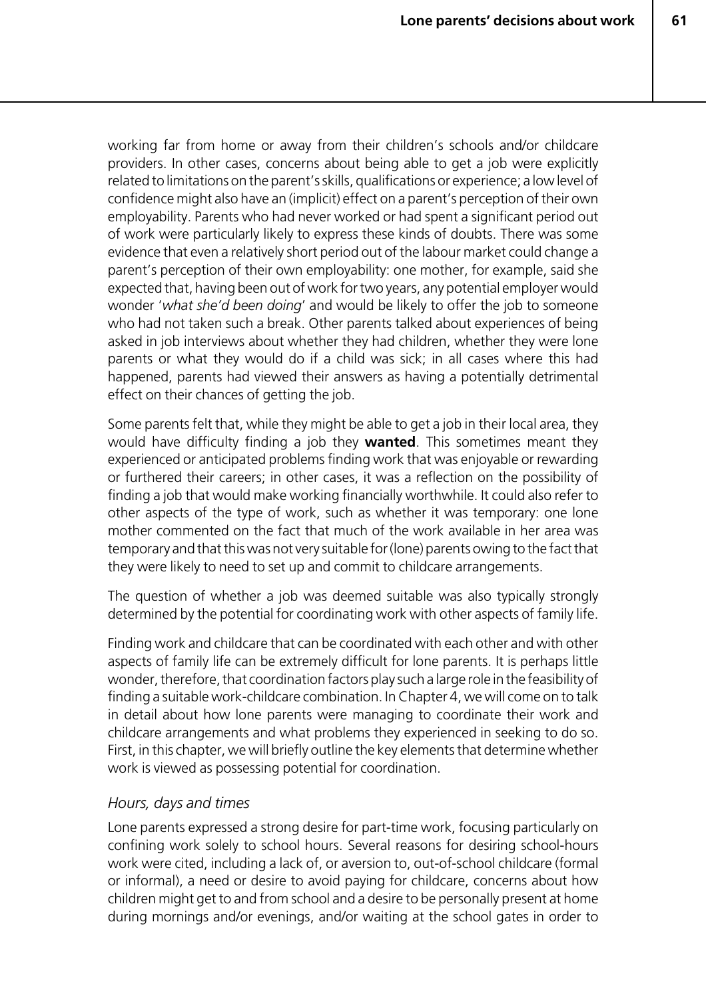working far from home or away from their children's schools and/or childcare providers. In other cases, concerns about being able to get a job were explicitly related to limitations on the parent's skills, qualifications or experience; a low level of confidence might also have an (implicit) effect on a parent's perception of their own employability. Parents who had never worked or had spent a significant period out of work were particularly likely to express these kinds of doubts. There was some evidence that even a relatively short period out of the labour market could change a parent's perception of their own employability: one mother, for example, said she expected that, having been out of work for two years, any potential employer would wonder '*what she'd been doing*' and would be likely to offer the job to someone who had not taken such a break. Other parents talked about experiences of being asked in job interviews about whether they had children, whether they were lone parents or what they would do if a child was sick; in all cases where this had happened, parents had viewed their answers as having a potentially detrimental effect on their chances of getting the job.

Some parents felt that, while they might be able to get a job in their local area, they would have difficulty finding a job they **wanted**. This sometimes meant they experienced or anticipated problems finding work that was enjoyable or rewarding or furthered their careers; in other cases, it was a reflection on the possibility of finding a job that would make working financially worthwhile. It could also refer to other aspects of the type of work, such as whether it was temporary: one lone mother commented on the fact that much of the work available in her area was temporary and that this was not very suitable for (lone) parents owing to the fact that they were likely to need to set up and commit to childcare arrangements.

The question of whether a job was deemed suitable was also typically strongly determined by the potential for coordinating work with other aspects of family life.

Finding work and childcare that can be coordinated with each other and with other aspects of family life can be extremely difficult for lone parents. It is perhaps little wonder, therefore, that coordination factors play such a large role in the feasibility of finding a suitable work-childcare combination. In Chapter 4, we will come on to talk in detail about how lone parents were managing to coordinate their work and childcare arrangements and what problems they experienced in seeking to do so. First, in this chapter, we will briefly outline the key elements that determine whether work is viewed as possessing potential for coordination.

#### *Hours, days and times*

Lone parents expressed a strong desire for part-time work, focusing particularly on confining work solely to school hours. Several reasons for desiring school-hours work were cited, including a lack of, or aversion to, out-of-school childcare (formal or informal), a need or desire to avoid paying for childcare, concerns about how children might get to and from school and a desire to be personally present at home during mornings and/or evenings, and/or waiting at the school gates in order to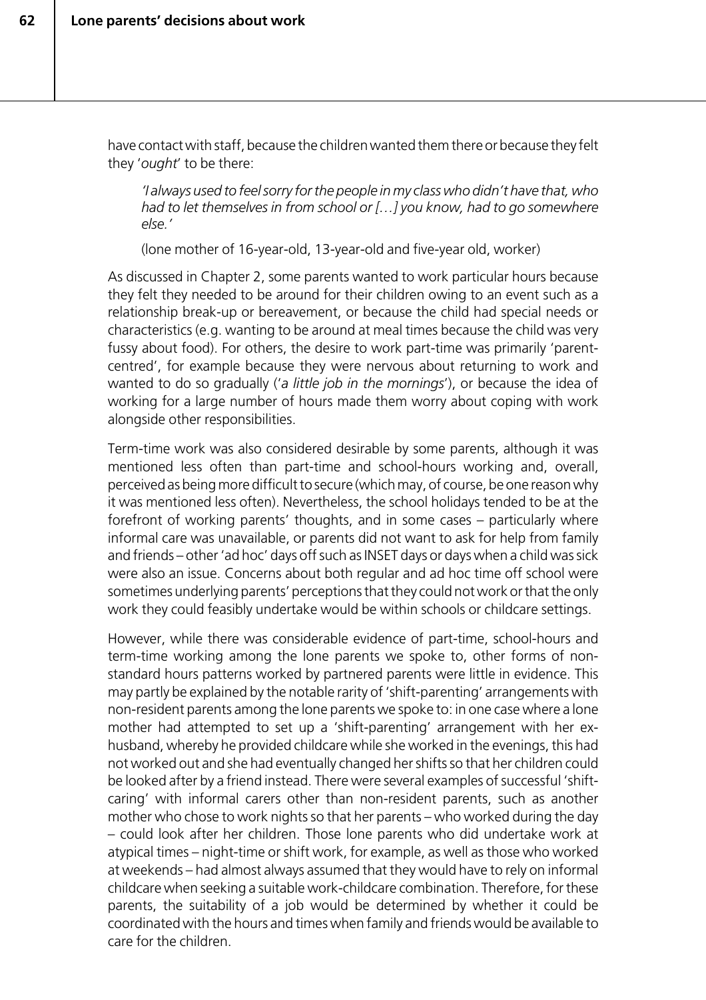have contact with staff, because the children wanted them there or because they felt they '*ought*' to be there:

*'I always used to feel sorry for the people in my class who didn't have that, who had to let themselves in from school or […] you know, had to go somewhere else.'*

(lone mother of 16-year-old, 13-year-old and five-year old, worker)

As discussed in Chapter 2, some parents wanted to work particular hours because they felt they needed to be around for their children owing to an event such as a relationship break-up or bereavement, or because the child had special needs or characteristics (e.g. wanting to be around at meal times because the child was very fussy about food). For others, the desire to work part-time was primarily 'parentcentred', for example because they were nervous about returning to work and wanted to do so gradually ('*a little job in the mornings*'), or because the idea of working for a large number of hours made them worry about coping with work alongside other responsibilities.

Term-time work was also considered desirable by some parents, although it was mentioned less often than part-time and school-hours working and, overall, perceived as being more difficult to secure (which may, of course, be one reason why it was mentioned less often). Nevertheless, the school holidays tended to be at the forefront of working parents' thoughts, and in some cases – particularly where informal care was unavailable, or parents did not want to ask for help from family and friends – other 'ad hoc' days off such as INSET days or days when a child was sick were also an issue. Concerns about both regular and ad hoc time off school were sometimes underlying parents' perceptions that they could not work or that the only work they could feasibly undertake would be within schools or childcare settings.

However, while there was considerable evidence of part-time, school-hours and term-time working among the lone parents we spoke to, other forms of nonstandard hours patterns worked by partnered parents were little in evidence. This may partly be explained by the notable rarity of 'shift-parenting' arrangements with non-resident parents among the lone parents we spoke to: in one case where a lone mother had attempted to set up a 'shift-parenting' arrangement with her exhusband, whereby he provided childcare while she worked in the evenings, this had not worked out and she had eventually changed her shifts so that her children could be looked after by a friend instead. There were several examples of successful 'shiftcaring' with informal carers other than non-resident parents, such as another mother who chose to work nights so that her parents – who worked during the day – could look after her children. Those lone parents who did undertake work at atypical times – night-time or shift work, for example, as well as those who worked at weekends – had almost always assumed that they would have to rely on informal childcare when seeking a suitable work-childcare combination. Therefore, for these parents, the suitability of a job would be determined by whether it could be coordinated with the hours and times when family and friends would be available to care for the children.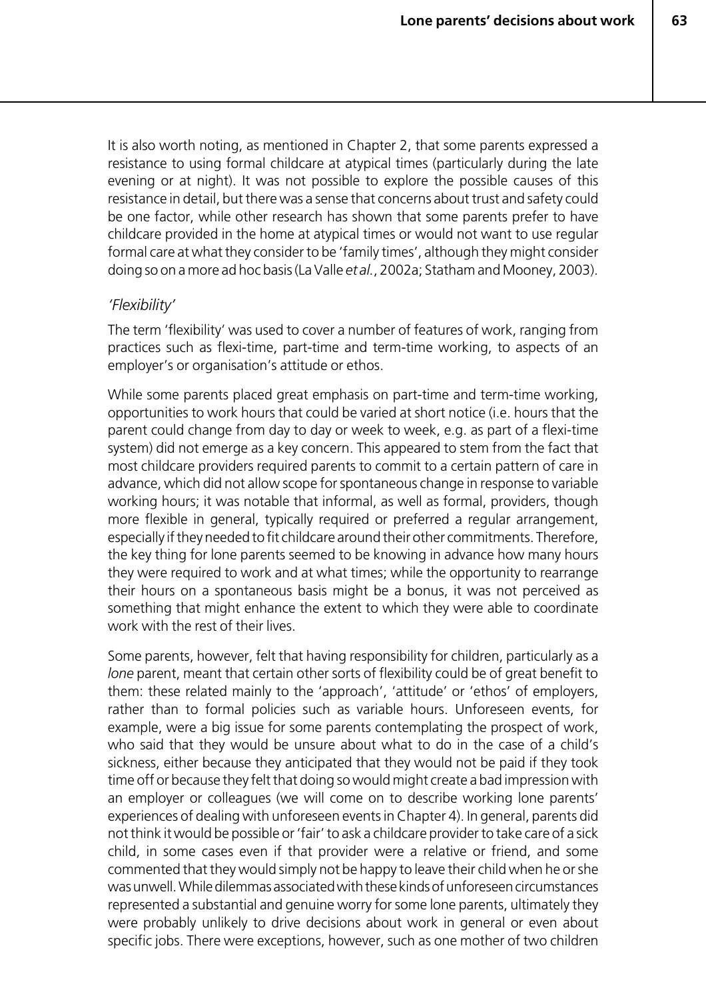It is also worth noting, as mentioned in Chapter 2, that some parents expressed a resistance to using formal childcare at atypical times (particularly during the late evening or at night). It was not possible to explore the possible causes of this resistance in detail, but there was a sense that concerns about trust and safety could be one factor, while other research has shown that some parents prefer to have childcare provided in the home at atypical times or would not want to use regular formal care at what they consider to be 'family times', although they might consider doing so on a more ad hoc basis (La Valle *et al.*, 2002a; Statham and Mooney, 2003).

#### *'Flexibility'*

The term 'flexibility' was used to cover a number of features of work, ranging from practices such as flexi-time, part-time and term-time working, to aspects of an employer's or organisation's attitude or ethos.

While some parents placed great emphasis on part-time and term-time working, opportunities to work hours that could be varied at short notice (i.e. hours that the parent could change from day to day or week to week, e.g. as part of a flexi-time system) did not emerge as a key concern. This appeared to stem from the fact that most childcare providers required parents to commit to a certain pattern of care in advance, which did not allow scope for spontaneous change in response to variable working hours; it was notable that informal, as well as formal, providers, though more flexible in general, typically required or preferred a regular arrangement, especially if they needed to fit childcare around their other commitments. Therefore, the key thing for lone parents seemed to be knowing in advance how many hours they were required to work and at what times; while the opportunity to rearrange their hours on a spontaneous basis might be a bonus, it was not perceived as something that might enhance the extent to which they were able to coordinate work with the rest of their lives.

Some parents, however, felt that having responsibility for children, particularly as a *lone* parent, meant that certain other sorts of flexibility could be of great benefit to them: these related mainly to the 'approach', 'attitude' or 'ethos' of employers, rather than to formal policies such as variable hours. Unforeseen events, for example, were a big issue for some parents contemplating the prospect of work, who said that they would be unsure about what to do in the case of a child's sickness, either because they anticipated that they would not be paid if they took time off or because they felt that doing so would might create a bad impression with an employer or colleagues (we will come on to describe working lone parents' experiences of dealing with unforeseen events in Chapter 4). In general, parents did not think it would be possible or 'fair' to ask a childcare provider to take care of a sick child, in some cases even if that provider were a relative or friend, and some commented that they would simply not be happy to leave their child when he or she was unwell. While dilemmas associated with these kinds of unforeseen circumstances represented a substantial and genuine worry for some lone parents, ultimately they were probably unlikely to drive decisions about work in general or even about specific jobs. There were exceptions, however, such as one mother of two children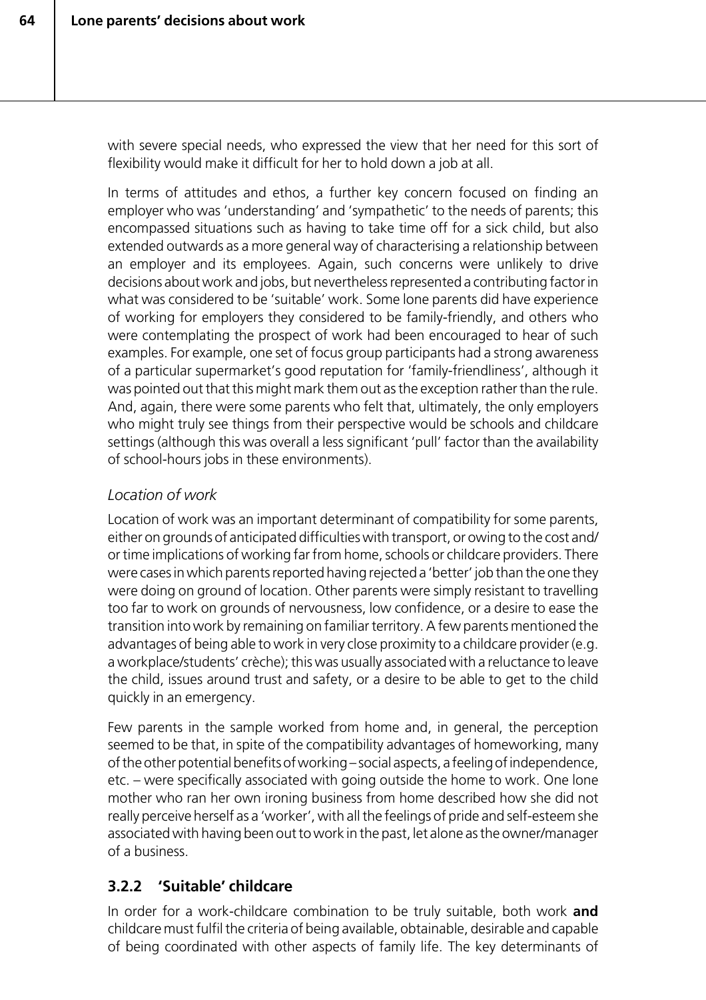with severe special needs, who expressed the view that her need for this sort of flexibility would make it difficult for her to hold down a job at all.

In terms of attitudes and ethos, a further key concern focused on finding an employer who was 'understanding' and 'sympathetic' to the needs of parents; this encompassed situations such as having to take time off for a sick child, but also extended outwards as a more general way of characterising a relationship between an employer and its employees. Again, such concerns were unlikely to drive decisions about work and jobs, but nevertheless represented a contributing factor in what was considered to be 'suitable' work. Some lone parents did have experience of working for employers they considered to be family-friendly, and others who were contemplating the prospect of work had been encouraged to hear of such examples. For example, one set of focus group participants had a strong awareness of a particular supermarket's good reputation for 'family-friendliness', although it was pointed out that this might mark them out as the exception rather than the rule. And, again, there were some parents who felt that, ultimately, the only employers who might truly see things from their perspective would be schools and childcare settings (although this was overall a less significant 'pull' factor than the availability of school-hours jobs in these environments).

#### *Location of work*

Location of work was an important determinant of compatibility for some parents, either on grounds of anticipated difficulties with transport, or owing to the cost and/ or time implications of working far from home, schools or childcare providers. There were cases in which parents reported having rejected a 'better' job than the one they were doing on ground of location. Other parents were simply resistant to travelling too far to work on grounds of nervousness, low confidence, or a desire to ease the transition into work by remaining on familiar territory. A few parents mentioned the advantages of being able to work in very close proximity to a childcare provider (e.g. a workplace/students' crèche); this was usually associated with a reluctance to leave the child, issues around trust and safety, or a desire to be able to get to the child quickly in an emergency.

Few parents in the sample worked from home and, in general, the perception seemed to be that, in spite of the compatibility advantages of homeworking, many of the other potential benefits of working – social aspects, a feeling of independence, etc. – were specifically associated with going outside the home to work. One lone mother who ran her own ironing business from home described how she did not really perceive herself as a 'worker', with all the feelings of pride and self-esteem she associated with having been out to work in the past, let alone as the owner/manager of a business.

## **3.2.2 'Suitable' childcare**

In order for a work-childcare combination to be truly suitable, both work **and** childcare must fulfil the criteria of being available, obtainable, desirable and capable of being coordinated with other aspects of family life. The key determinants of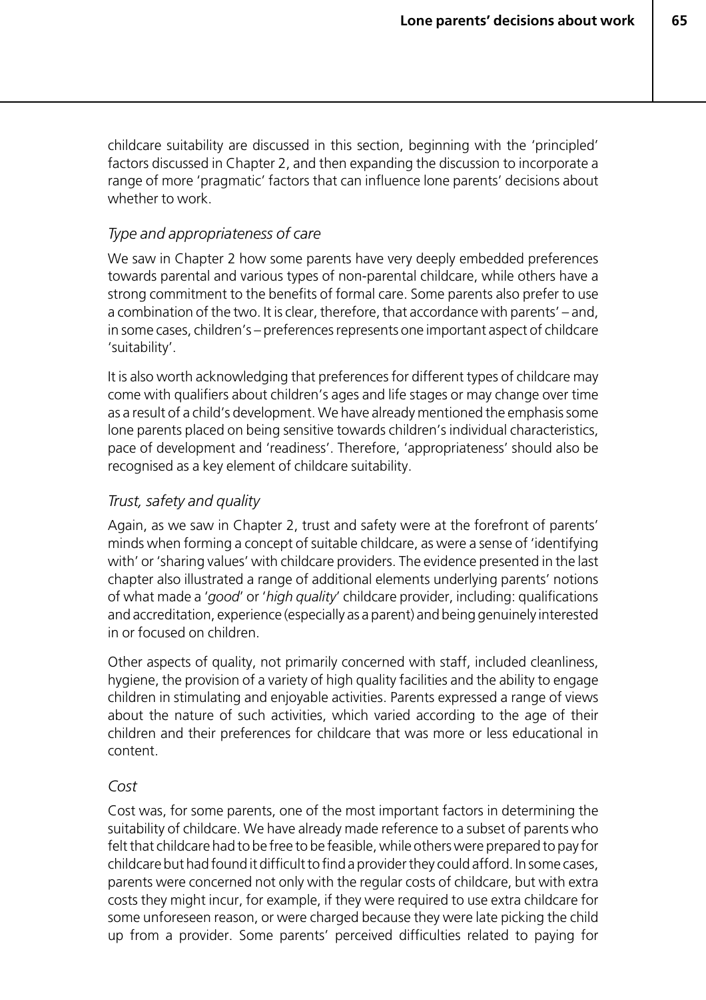childcare suitability are discussed in this section, beginning with the 'principled' factors discussed in Chapter 2, and then expanding the discussion to incorporate a range of more 'pragmatic' factors that can influence lone parents' decisions about whether to work.

#### *Type and appropriateness of care*

We saw in Chapter 2 how some parents have very deeply embedded preferences towards parental and various types of non-parental childcare, while others have a strong commitment to the benefits of formal care. Some parents also prefer to use a combination of the two. It is clear, therefore, that accordance with parents' – and, in some cases, children's – preferences represents one important aspect of childcare 'suitability'.

It is also worth acknowledging that preferences for different types of childcare may come with qualifiers about children's ages and life stages or may change over time as a result of a child's development. We have already mentioned the emphasis some lone parents placed on being sensitive towards children's individual characteristics, pace of development and 'readiness'. Therefore, 'appropriateness' should also be recognised as a key element of childcare suitability.

#### *Trust, safety and quality*

Again, as we saw in Chapter 2, trust and safety were at the forefront of parents' minds when forming a concept of suitable childcare, as were a sense of 'identifying with' or 'sharing values' with childcare providers. The evidence presented in the last chapter also illustrated a range of additional elements underlying parents' notions of what made a '*good*' or '*high quality*' childcare provider, including: qualifications and accreditation, experience (especially as a parent) and being genuinely interested in or focused on children.

Other aspects of quality, not primarily concerned with staff, included cleanliness, hygiene, the provision of a variety of high quality facilities and the ability to engage children in stimulating and enjoyable activities. Parents expressed a range of views about the nature of such activities, which varied according to the age of their children and their preferences for childcare that was more or less educational in content.

#### *Cost*

Cost was, for some parents, one of the most important factors in determining the suitability of childcare. We have already made reference to a subset of parents who felt that childcare had to be free to be feasible, while others were prepared to pay for childcare but had found it difficult to find a provider they could afford. In some cases, parents were concerned not only with the regular costs of childcare, but with extra costs they might incur, for example, if they were required to use extra childcare for some unforeseen reason, or were charged because they were late picking the child up from a provider. Some parents' perceived difficulties related to paying for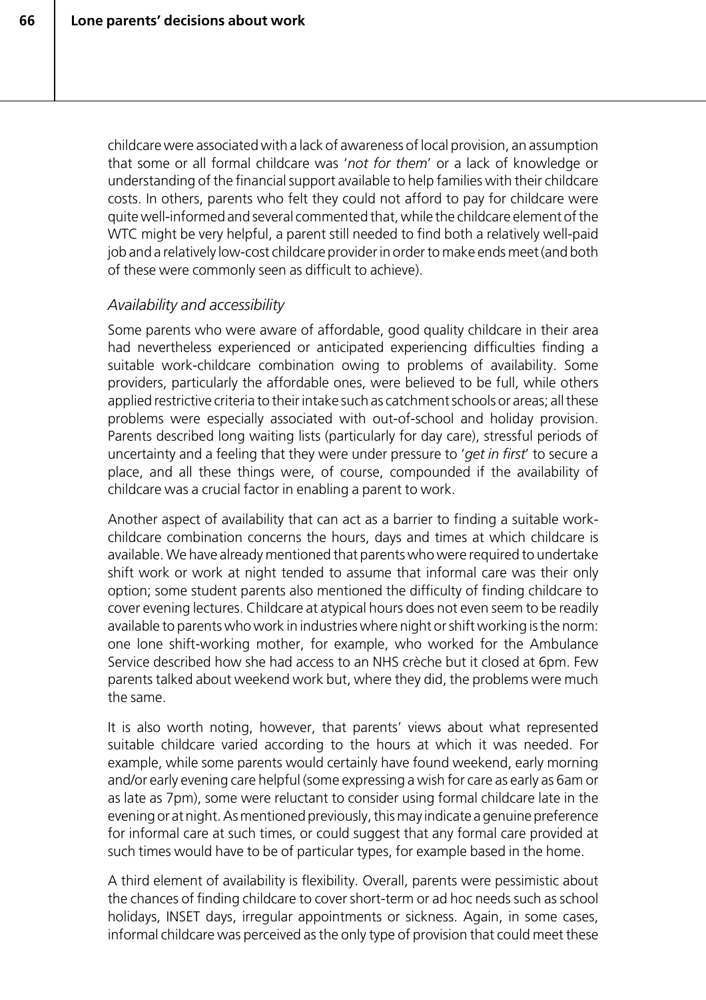childcare were associated with a lack of awareness of local provision, an assumption that some or all formal childcare was '*not for them*' or a lack of knowledge or understanding of the financial support available to help families with their childcare costs. In others, parents who felt they could not afford to pay for childcare were quite well-informed and several commented that, while the childcare element of the WTC might be very helpful, a parent still needed to find both a relatively well-paid job and a relatively low-cost childcare provider in order to make ends meet (and both of these were commonly seen as difficult to achieve).

#### *Availability and accessibility*

Some parents who were aware of affordable, good quality childcare in their area had nevertheless experienced or anticipated experiencing difficulties finding a suitable work-childcare combination owing to problems of availability. Some providers, particularly the affordable ones, were believed to be full, while others applied restrictive criteria to their intake such as catchment schools or areas; all these problems were especially associated with out-of-school and holiday provision. Parents described long waiting lists (particularly for day care), stressful periods of uncertainty and a feeling that they were under pressure to '*get in first*' to secure a place, and all these things were, of course, compounded if the availability of childcare was a crucial factor in enabling a parent to work.

Another aspect of availability that can act as a barrier to finding a suitable workchildcare combination concerns the hours, days and times at which childcare is available. We have already mentioned that parents who were required to undertake shift work or work at night tended to assume that informal care was their only option; some student parents also mentioned the difficulty of finding childcare to cover evening lectures. Childcare at atypical hours does not even seem to be readily available to parents who work in industries where night or shift working is the norm: one lone shift-working mother, for example, who worked for the Ambulance Service described how she had access to an NHS crèche but it closed at 6pm. Few parents talked about weekend work but, where they did, the problems were much the same.

It is also worth noting, however, that parents' views about what represented suitable childcare varied according to the hours at which it was needed. For example, while some parents would certainly have found weekend, early morning and/or early evening care helpful (some expressing a wish for care as early as 6am or as late as 7pm), some were reluctant to consider using formal childcare late in the evening or at night. As mentioned previously, this may indicate a genuine preference for informal care at such times, or could suggest that any formal care provided at such times would have to be of particular types, for example based in the home.

A third element of availability is flexibility. Overall, parents were pessimistic about the chances of finding childcare to cover short-term or ad hoc needs such as school holidays, INSET days, irregular appointments or sickness. Again, in some cases, informal childcare was perceived as the only type of provision that could meet these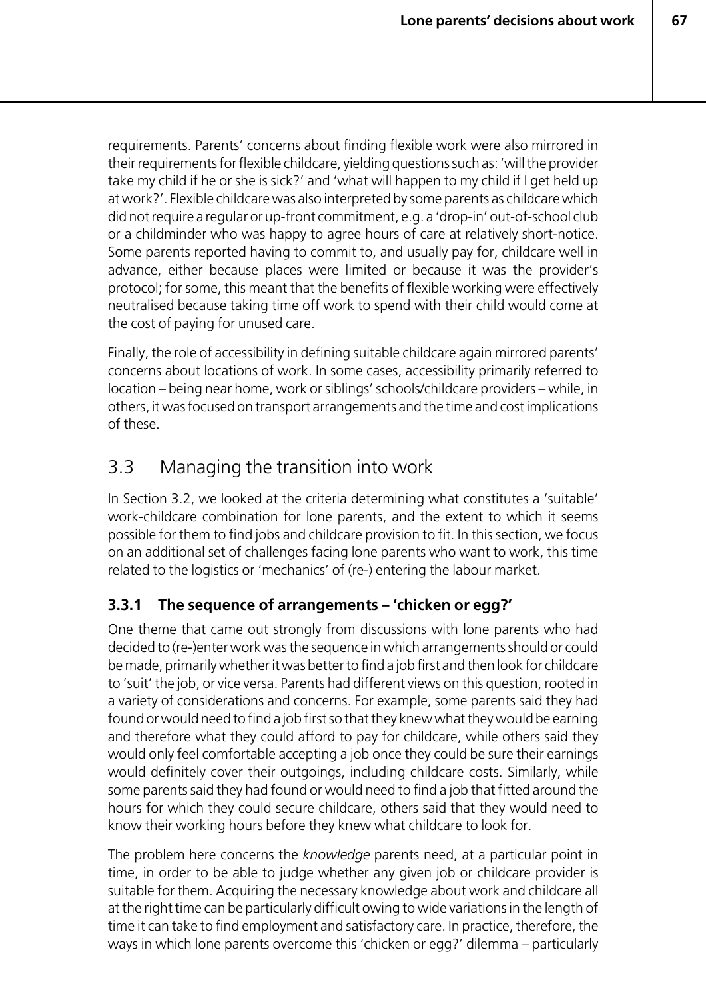requirements. Parents' concerns about finding flexible work were also mirrored in their requirements for flexible childcare, yielding questions such as: 'will the provider take my child if he or she is sick?' and 'what will happen to my child if I get held up at work?'. Flexible childcare was also interpreted by some parents as childcare which did not require a regular or up-front commitment, e.g. a 'drop-in' out-of-school club or a childminder who was happy to agree hours of care at relatively short-notice. Some parents reported having to commit to, and usually pay for, childcare well in advance, either because places were limited or because it was the provider's protocol; for some, this meant that the benefits of flexible working were effectively neutralised because taking time off work to spend with their child would come at the cost of paying for unused care.

Finally, the role of accessibility in defining suitable childcare again mirrored parents' concerns about locations of work. In some cases, accessibility primarily referred to location – being near home, work or siblings' schools/childcare providers – while, in others, it was focused on transport arrangements and the time and cost implications of these.

# 3.3 Managing the transition into work

In Section 3.2, we looked at the criteria determining what constitutes a 'suitable' work-childcare combination for lone parents, and the extent to which it seems possible for them to find jobs and childcare provision to fit. In this section, we focus on an additional set of challenges facing lone parents who want to work, this time related to the logistics or 'mechanics' of (re-) entering the labour market.

# **3.3.1 The sequence of arrangements – 'chicken or egg?'**

One theme that came out strongly from discussions with lone parents who had decided to (re-)enter work was the sequence in which arrangements should or could be made, primarily whether it was better to find a job first and then look for childcare to 'suit' the job, or vice versa. Parents had different views on this question, rooted in a variety of considerations and concerns. For example, some parents said they had found or would need to find a job first so that they knew what they would be earning and therefore what they could afford to pay for childcare, while others said they would only feel comfortable accepting a job once they could be sure their earnings would definitely cover their outgoings, including childcare costs. Similarly, while some parents said they had found or would need to find a job that fitted around the hours for which they could secure childcare, others said that they would need to know their working hours before they knew what childcare to look for.

The problem here concerns the *knowledge* parents need, at a particular point in time, in order to be able to judge whether any given job or childcare provider is suitable for them. Acquiring the necessary knowledge about work and childcare all at the right time can be particularly difficult owing to wide variations in the length of time it can take to find employment and satisfactory care. In practice, therefore, the ways in which lone parents overcome this 'chicken or egg?' dilemma – particularly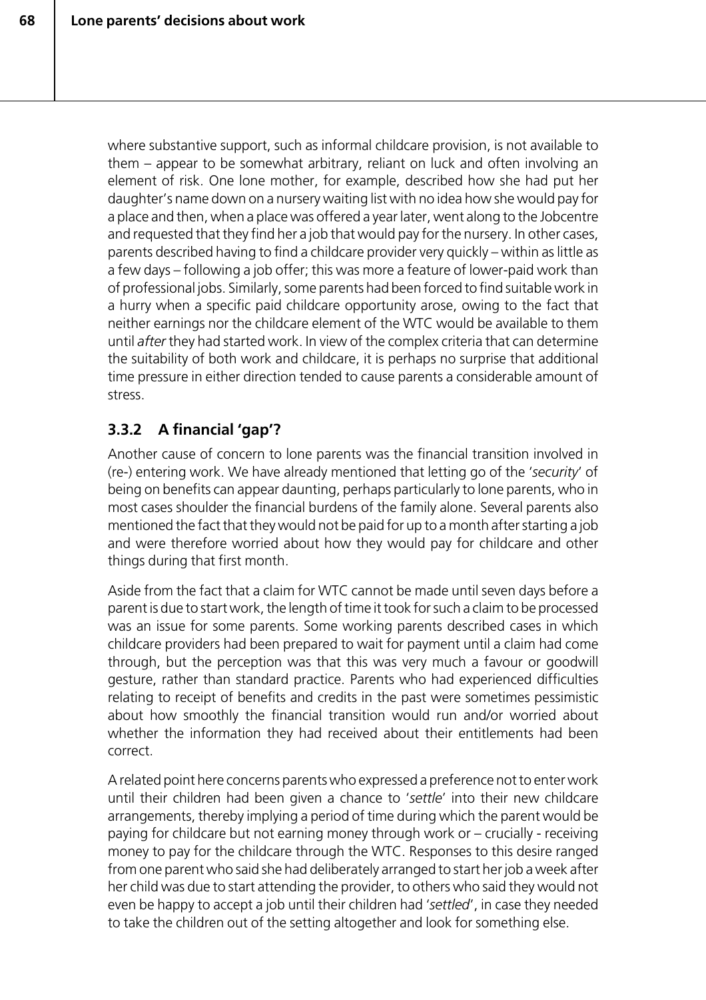where substantive support, such as informal childcare provision, is not available to them – appear to be somewhat arbitrary, reliant on luck and often involving an element of risk. One lone mother, for example, described how she had put her daughter's name down on a nursery waiting list with no idea how she would pay for a place and then, when a place was offered a year later, went along to the Jobcentre and requested that they find her a job that would pay for the nursery. In other cases, parents described having to find a childcare provider very quickly – within as little as a few days – following a job offer; this was more a feature of lower-paid work than of professional jobs. Similarly, some parents had been forced to find suitable work in a hurry when a specific paid childcare opportunity arose, owing to the fact that neither earnings nor the childcare element of the WTC would be available to them until *after* they had started work. In view of the complex criteria that can determine the suitability of both work and childcare, it is perhaps no surprise that additional time pressure in either direction tended to cause parents a considerable amount of stress.

# **3.3.2 A financial 'gap'?**

Another cause of concern to lone parents was the financial transition involved in (re-) entering work. We have already mentioned that letting go of the '*security*' of being on benefits can appear daunting, perhaps particularly to lone parents, who in most cases shoulder the financial burdens of the family alone. Several parents also mentioned the fact that they would not be paid for up to a month after starting a job and were therefore worried about how they would pay for childcare and other things during that first month.

Aside from the fact that a claim for WTC cannot be made until seven days before a parent is due to start work, the length of time it took for such a claim to be processed was an issue for some parents. Some working parents described cases in which childcare providers had been prepared to wait for payment until a claim had come through, but the perception was that this was very much a favour or goodwill gesture, rather than standard practice. Parents who had experienced difficulties relating to receipt of benefits and credits in the past were sometimes pessimistic about how smoothly the financial transition would run and/or worried about whether the information they had received about their entitlements had been correct.

A related point here concerns parents who expressed a preference not to enter work until their children had been given a chance to '*settle*' into their new childcare arrangements, thereby implying a period of time during which the parent would be paying for childcare but not earning money through work or – crucially - receiving money to pay for the childcare through the WTC. Responses to this desire ranged from one parent who said she had deliberately arranged to start her job a week after her child was due to start attending the provider, to others who said they would not even be happy to accept a job until their children had '*settled*', in case they needed to take the children out of the setting altogether and look for something else.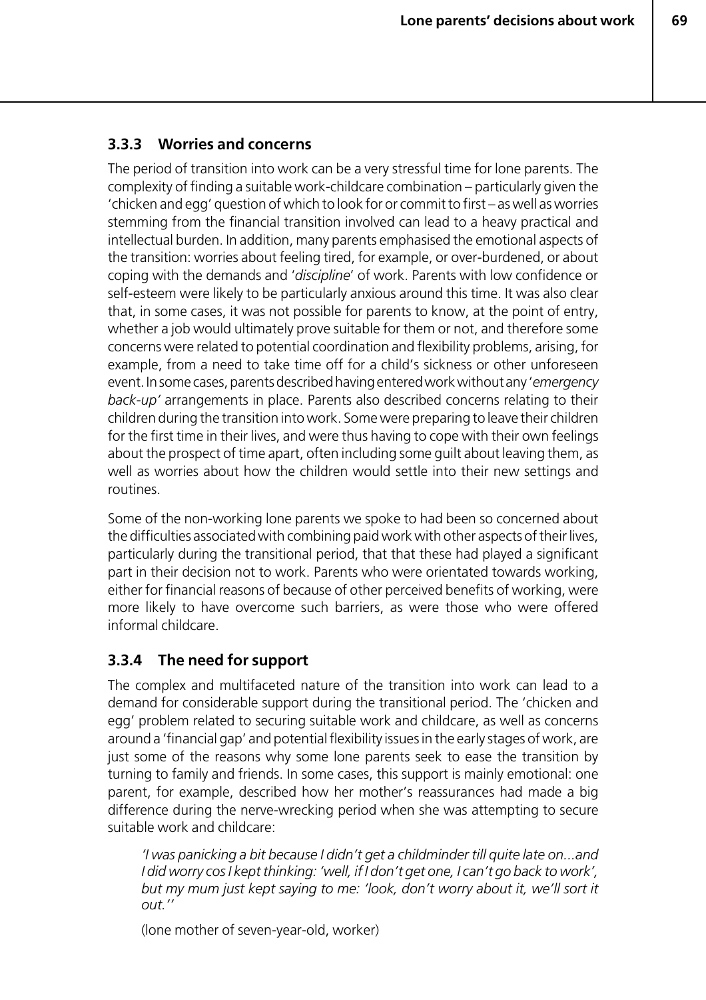#### **3.3.3 Worries and concerns**

The period of transition into work can be a very stressful time for lone parents. The complexity of finding a suitable work-childcare combination – particularly given the 'chicken and egg' question of which to look for or commit to first – as well as worries stemming from the financial transition involved can lead to a heavy practical and intellectual burden. In addition, many parents emphasised the emotional aspects of the transition: worries about feeling tired, for example, or over-burdened, or about coping with the demands and '*discipline*' of work. Parents with low confidence or self-esteem were likely to be particularly anxious around this time. It was also clear that, in some cases, it was not possible for parents to know, at the point of entry, whether a job would ultimately prove suitable for them or not, and therefore some concerns were related to potential coordination and flexibility problems, arising, for example, from a need to take time off for a child's sickness or other unforeseen event. In some cases, parents described having entered work without any '*emergency back-up'* arrangements in place. Parents also described concerns relating to their children during the transition into work. Some were preparing to leave their children for the first time in their lives, and were thus having to cope with their own feelings about the prospect of time apart, often including some guilt about leaving them, as well as worries about how the children would settle into their new settings and routines.

Some of the non-working lone parents we spoke to had been so concerned about the difficulties associated with combining paid work with other aspects of their lives, particularly during the transitional period, that that these had played a significant part in their decision not to work. Parents who were orientated towards working, either for financial reasons of because of other perceived benefits of working, were more likely to have overcome such barriers, as were those who were offered informal childcare.

## **3.3.4 The need for support**

The complex and multifaceted nature of the transition into work can lead to a demand for considerable support during the transitional period. The 'chicken and egg' problem related to securing suitable work and childcare, as well as concerns around a 'financial gap' and potential flexibility issues in the early stages of work, are just some of the reasons why some lone parents seek to ease the transition by turning to family and friends. In some cases, this support is mainly emotional: one parent, for example, described how her mother's reassurances had made a big difference during the nerve-wrecking period when she was attempting to secure suitable work and childcare:

*'I was panicking a bit because I didn't get a childminder till quite late on...and I did worry cos I kept thinking: 'well, if I don't get one, I can't go back to work', but my mum just kept saying to me: 'look, don't worry about it, we'll sort it out.''*

(lone mother of seven-year-old, worker)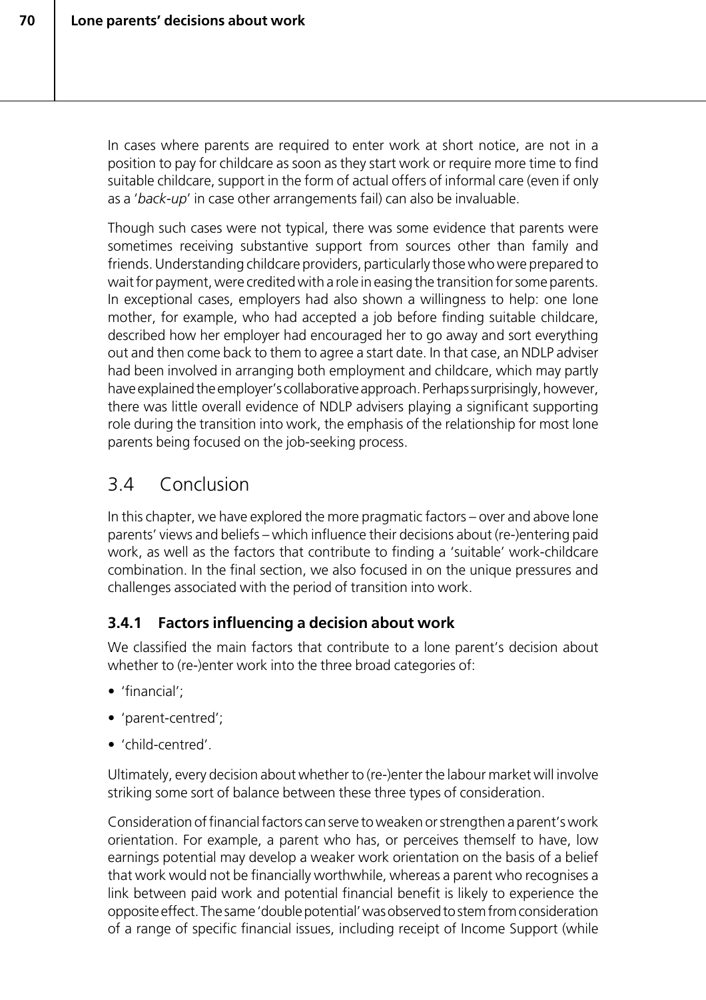In cases where parents are required to enter work at short notice, are not in a position to pay for childcare as soon as they start work or require more time to find suitable childcare, support in the form of actual offers of informal care (even if only as a '*back-up*' in case other arrangements fail) can also be invaluable.

Though such cases were not typical, there was some evidence that parents were sometimes receiving substantive support from sources other than family and friends. Understanding childcare providers, particularly those who were prepared to wait for payment, were credited with a role in easing the transition for some parents. In exceptional cases, employers had also shown a willingness to help: one lone mother, for example, who had accepted a job before finding suitable childcare, described how her employer had encouraged her to go away and sort everything out and then come back to them to agree a start date. In that case, an NDLP adviser had been involved in arranging both employment and childcare, which may partly have explained the employer's collaborative approach. Perhaps surprisingly, however, there was little overall evidence of NDLP advisers playing a significant supporting role during the transition into work, the emphasis of the relationship for most lone parents being focused on the job-seeking process.

# 3.4 Conclusion

In this chapter, we have explored the more pragmatic factors – over and above lone parents' views and beliefs – which influence their decisions about (re-)entering paid work, as well as the factors that contribute to finding a 'suitable' work-childcare combination. In the final section, we also focused in on the unique pressures and challenges associated with the period of transition into work.

# **3.4.1 Factors influencing a decision about work**

We classified the main factors that contribute to a lone parent's decision about whether to (re-)enter work into the three broad categories of:

- 'financial';
- 'parent-centred';
- 'child-centred'.

Ultimately, every decision about whether to (re-)enter the labour market will involve striking some sort of balance between these three types of consideration.

Consideration of financial factors can serve to weaken or strengthen a parent's work orientation. For example, a parent who has, or perceives themself to have, low earnings potential may develop a weaker work orientation on the basis of a belief that work would not be financially worthwhile, whereas a parent who recognises a link between paid work and potential financial benefit is likely to experience the opposite effect. The same 'double potential' was observed to stem from consideration of a range of specific financial issues, including receipt of Income Support (while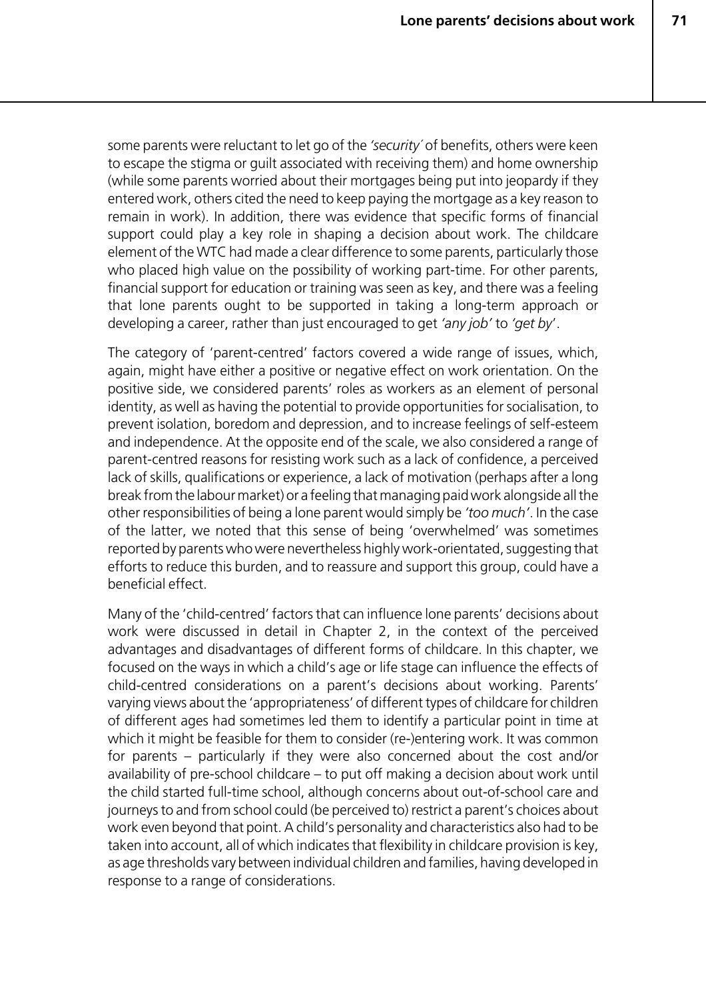some parents were reluctant to let go of the *'security´* of benefits, others were keen to escape the stigma or guilt associated with receiving them) and home ownership (while some parents worried about their mortgages being put into jeopardy if they entered work, others cited the need to keep paying the mortgage as a key reason to remain in work). In addition, there was evidence that specific forms of financial support could play a key role in shaping a decision about work. The childcare element of the WTC had made a clear difference to some parents, particularly those who placed high value on the possibility of working part-time. For other parents, financial support for education or training was seen as key, and there was a feeling that lone parents ought to be supported in taking a long-term approach or developing a career, rather than just encouraged to get *'any job'* to *'get by*'.

The category of 'parent-centred' factors covered a wide range of issues, which, again, might have either a positive or negative effect on work orientation. On the positive side, we considered parents' roles as workers as an element of personal identity, as well as having the potential to provide opportunities for socialisation, to prevent isolation, boredom and depression, and to increase feelings of self-esteem and independence. At the opposite end of the scale, we also considered a range of parent-centred reasons for resisting work such as a lack of confidence, a perceived lack of skills, qualifications or experience, a lack of motivation (perhaps after a long break from the labour market) or a feeling that managing paid work alongside all the other responsibilities of being a lone parent would simply be *'too much'*. In the case of the latter, we noted that this sense of being 'overwhelmed' was sometimes reported by parents who were nevertheless highly work-orientated, suggesting that efforts to reduce this burden, and to reassure and support this group, could have a beneficial effect.

Many of the 'child-centred' factors that can influence lone parents' decisions about work were discussed in detail in Chapter 2, in the context of the perceived advantages and disadvantages of different forms of childcare. In this chapter, we focused on the ways in which a child's age or life stage can influence the effects of child-centred considerations on a parent's decisions about working. Parents' varying views about the 'appropriateness' of different types of childcare for children of different ages had sometimes led them to identify a particular point in time at which it might be feasible for them to consider (re-)entering work. It was common for parents – particularly if they were also concerned about the cost and/or availability of pre-school childcare – to put off making a decision about work until the child started full-time school, although concerns about out-of-school care and journeys to and from school could (be perceived to) restrict a parent's choices about work even beyond that point. A child's personality and characteristics also had to be taken into account, all of which indicates that flexibility in childcare provision is key, as age thresholds vary between individual children and families, having developed in response to a range of considerations.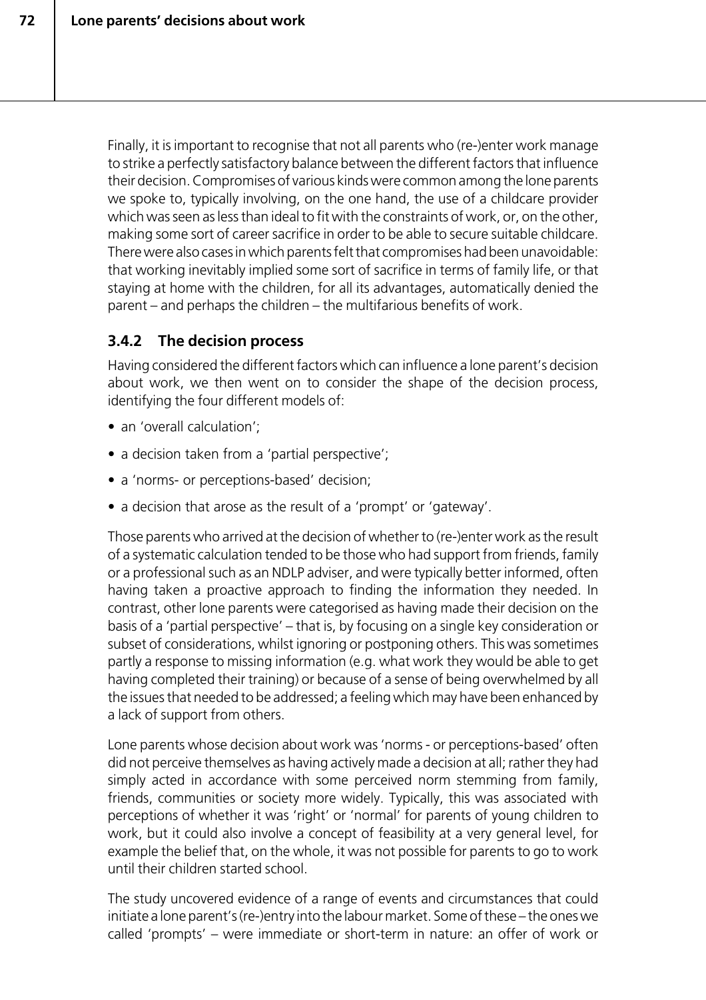Finally, it is important to recognise that not all parents who (re-)enter work manage to strike a perfectly satisfactory balance between the different factors that influence their decision. Compromises of various kinds were common among the lone parents we spoke to, typically involving, on the one hand, the use of a childcare provider which was seen as less than ideal to fit with the constraints of work, or, on the other. making some sort of career sacrifice in order to be able to secure suitable childcare. There were also cases in which parents felt that compromises had been unavoidable: that working inevitably implied some sort of sacrifice in terms of family life, or that staying at home with the children, for all its advantages, automatically denied the parent – and perhaps the children – the multifarious benefits of work.

## **3.4.2 The decision process**

Having considered the different factors which can influence a lone parent's decision about work, we then went on to consider the shape of the decision process, identifying the four different models of:

- an 'overall calculation':
- a decision taken from a 'partial perspective';
- a 'norms- or perceptions-based' decision;
- a decision that arose as the result of a 'prompt' or 'gateway'.

Those parents who arrived at the decision of whether to (re-)enter work as the result of a systematic calculation tended to be those who had support from friends, family or a professional such as an NDLP adviser, and were typically better informed, often having taken a proactive approach to finding the information they needed. In contrast, other lone parents were categorised as having made their decision on the basis of a 'partial perspective' – that is, by focusing on a single key consideration or subset of considerations, whilst ignoring or postponing others. This was sometimes partly a response to missing information (e.g. what work they would be able to get having completed their training) or because of a sense of being overwhelmed by all the issues that needed to be addressed; a feeling which may have been enhanced by a lack of support from others.

Lone parents whose decision about work was 'norms - or perceptions-based' often did not perceive themselves as having actively made a decision at all; rather they had simply acted in accordance with some perceived norm stemming from family, friends, communities or society more widely. Typically, this was associated with perceptions of whether it was 'right' or 'normal' for parents of young children to work, but it could also involve a concept of feasibility at a very general level, for example the belief that, on the whole, it was not possible for parents to go to work until their children started school.

The study uncovered evidence of a range of events and circumstances that could initiate a lone parent's (re-)entry into the labour market. Some of these – the ones we called 'prompts' – were immediate or short-term in nature: an offer of work or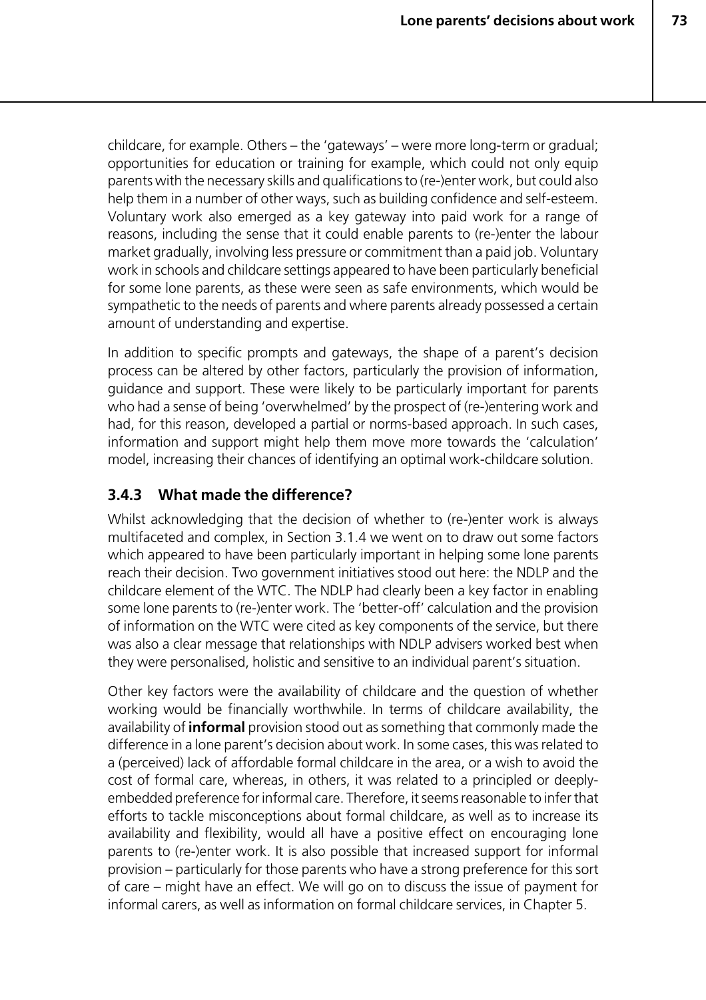childcare, for example. Others – the 'gateways' – were more long-term or gradual; opportunities for education or training for example, which could not only equip parents with the necessary skills and qualifications to (re-)enter work, but could also help them in a number of other ways, such as building confidence and self-esteem. Voluntary work also emerged as a key gateway into paid work for a range of reasons, including the sense that it could enable parents to (re-)enter the labour market gradually, involving less pressure or commitment than a paid job. Voluntary work in schools and childcare settings appeared to have been particularly beneficial for some lone parents, as these were seen as safe environments, which would be sympathetic to the needs of parents and where parents already possessed a certain amount of understanding and expertise.

In addition to specific prompts and gateways, the shape of a parent's decision process can be altered by other factors, particularly the provision of information, guidance and support. These were likely to be particularly important for parents who had a sense of being 'overwhelmed' by the prospect of (re-)entering work and had, for this reason, developed a partial or norms-based approach. In such cases, information and support might help them move more towards the 'calculation' model, increasing their chances of identifying an optimal work-childcare solution.

# **3.4.3 What made the difference?**

Whilst acknowledging that the decision of whether to (re-)enter work is always multifaceted and complex, in Section 3.1.4 we went on to draw out some factors which appeared to have been particularly important in helping some lone parents reach their decision. Two government initiatives stood out here: the NDLP and the childcare element of the WTC. The NDLP had clearly been a key factor in enabling some lone parents to (re-)enter work. The 'better-off' calculation and the provision of information on the WTC were cited as key components of the service, but there was also a clear message that relationships with NDLP advisers worked best when they were personalised, holistic and sensitive to an individual parent's situation.

Other key factors were the availability of childcare and the question of whether working would be financially worthwhile. In terms of childcare availability, the availability of **informal** provision stood out as something that commonly made the difference in a lone parent's decision about work. In some cases, this was related to a (perceived) lack of affordable formal childcare in the area, or a wish to avoid the cost of formal care, whereas, in others, it was related to a principled or deeplyembedded preference for informal care. Therefore, it seems reasonable to infer that efforts to tackle misconceptions about formal childcare, as well as to increase its availability and flexibility, would all have a positive effect on encouraging lone parents to (re-)enter work. It is also possible that increased support for informal provision – particularly for those parents who have a strong preference for this sort of care – might have an effect. We will go on to discuss the issue of payment for informal carers, as well as information on formal childcare services, in Chapter 5.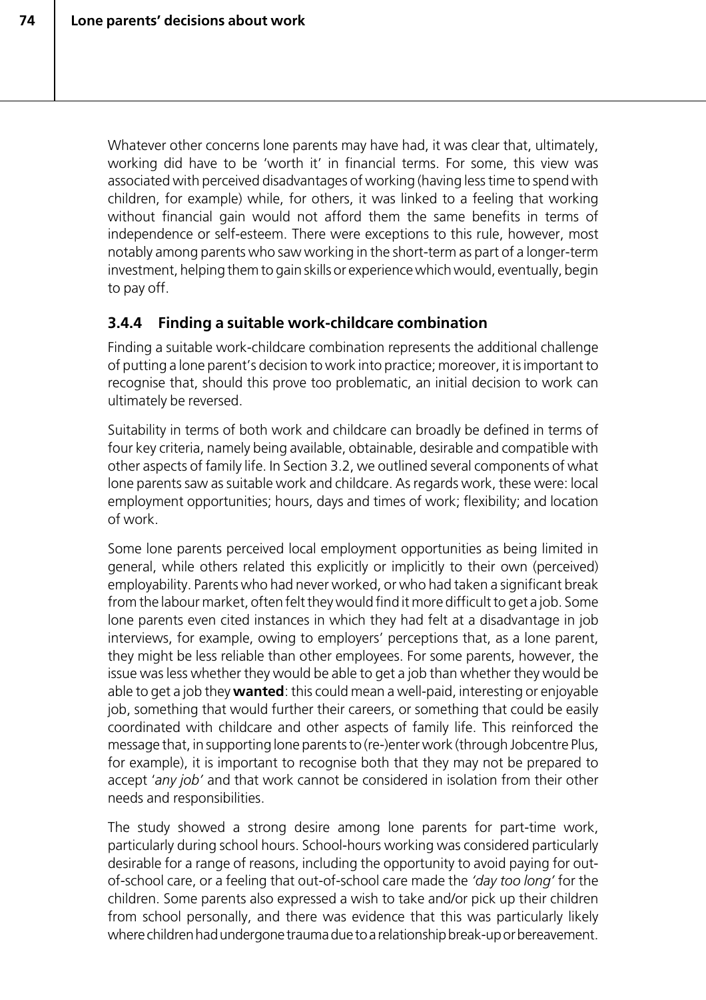Whatever other concerns lone parents may have had, it was clear that, ultimately, working did have to be 'worth it' in financial terms. For some, this view was associated with perceived disadvantages of working (having less time to spend with children, for example) while, for others, it was linked to a feeling that working without financial gain would not afford them the same benefits in terms of independence or self-esteem. There were exceptions to this rule, however, most notably among parents who saw working in the short-term as part of a longer-term investment, helping them to gain skills or experience which would, eventually, begin to pay off.

## **3.4.4 Finding a suitable work-childcare combination**

Finding a suitable work-childcare combination represents the additional challenge of putting a lone parent's decision to work into practice; moreover, it is important to recognise that, should this prove too problematic, an initial decision to work can ultimately be reversed.

Suitability in terms of both work and childcare can broadly be defined in terms of four key criteria, namely being available, obtainable, desirable and compatible with other aspects of family life. In Section 3.2, we outlined several components of what lone parents saw as suitable work and childcare. As regards work, these were: local employment opportunities; hours, days and times of work; flexibility; and location of work.

Some lone parents perceived local employment opportunities as being limited in general, while others related this explicitly or implicitly to their own (perceived) employability. Parents who had never worked, or who had taken a significant break from the labour market, often felt they would find it more difficult to get a job. Some lone parents even cited instances in which they had felt at a disadvantage in job interviews, for example, owing to employers' perceptions that, as a lone parent, they might be less reliable than other employees. For some parents, however, the issue was less whether they would be able to get a job than whether they would be able to get a job they **wanted**: this could mean a well-paid, interesting or enjoyable job, something that would further their careers, or something that could be easily coordinated with childcare and other aspects of family life. This reinforced the message that, in supporting lone parents to (re-)enter work (through Jobcentre Plus, for example), it is important to recognise both that they may not be prepared to accept '*any job'* and that work cannot be considered in isolation from their other needs and responsibilities.

The study showed a strong desire among lone parents for part-time work, particularly during school hours. School-hours working was considered particularly desirable for a range of reasons, including the opportunity to avoid paying for outof-school care, or a feeling that out-of-school care made the *'day too long'* for the children. Some parents also expressed a wish to take and/or pick up their children from school personally, and there was evidence that this was particularly likely where children had undergone trauma due to a relationship break-up or bereavement.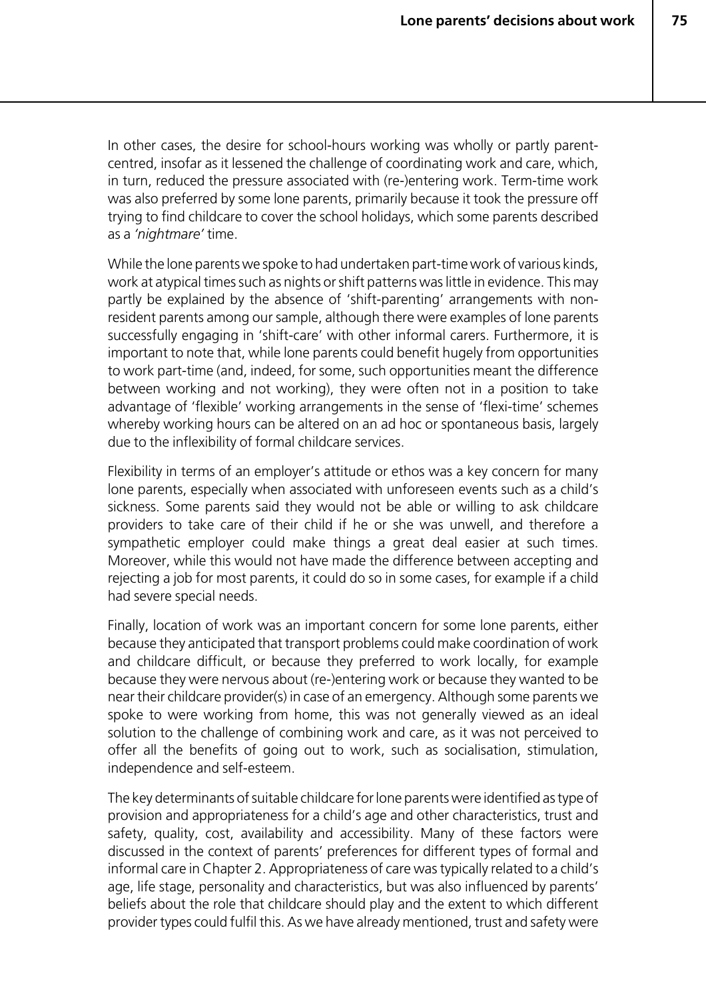In other cases, the desire for school-hours working was wholly or partly parentcentred, insofar as it lessened the challenge of coordinating work and care, which, in turn, reduced the pressure associated with (re-)entering work. Term-time work was also preferred by some lone parents, primarily because it took the pressure off trying to find childcare to cover the school holidays, which some parents described as a *'nightmare'* time.

While the lone parents we spoke to had undertaken part-time work of various kinds, work at atypical times such as nights or shift patterns was little in evidence. This may partly be explained by the absence of 'shift-parenting' arrangements with nonresident parents among our sample, although there were examples of lone parents successfully engaging in 'shift-care' with other informal carers. Furthermore, it is important to note that, while lone parents could benefit hugely from opportunities to work part-time (and, indeed, for some, such opportunities meant the difference between working and not working), they were often not in a position to take advantage of 'flexible' working arrangements in the sense of 'flexi-time' schemes whereby working hours can be altered on an ad hoc or spontaneous basis, largely due to the inflexibility of formal childcare services.

Flexibility in terms of an employer's attitude or ethos was a key concern for many lone parents, especially when associated with unforeseen events such as a child's sickness. Some parents said they would not be able or willing to ask childcare providers to take care of their child if he or she was unwell, and therefore a sympathetic employer could make things a great deal easier at such times. Moreover, while this would not have made the difference between accepting and rejecting a job for most parents, it could do so in some cases, for example if a child had severe special needs.

Finally, location of work was an important concern for some lone parents, either because they anticipated that transport problems could make coordination of work and childcare difficult, or because they preferred to work locally, for example because they were nervous about (re-)entering work or because they wanted to be near their childcare provider(s) in case of an emergency. Although some parents we spoke to were working from home, this was not generally viewed as an ideal solution to the challenge of combining work and care, as it was not perceived to offer all the benefits of going out to work, such as socialisation, stimulation, independence and self-esteem.

The key determinants of suitable childcare for lone parents were identified as type of provision and appropriateness for a child's age and other characteristics, trust and safety, quality, cost, availability and accessibility. Many of these factors were discussed in the context of parents' preferences for different types of formal and informal care in Chapter 2. Appropriateness of care was typically related to a child's age, life stage, personality and characteristics, but was also influenced by parents' beliefs about the role that childcare should play and the extent to which different provider types could fulfil this. As we have already mentioned, trust and safety were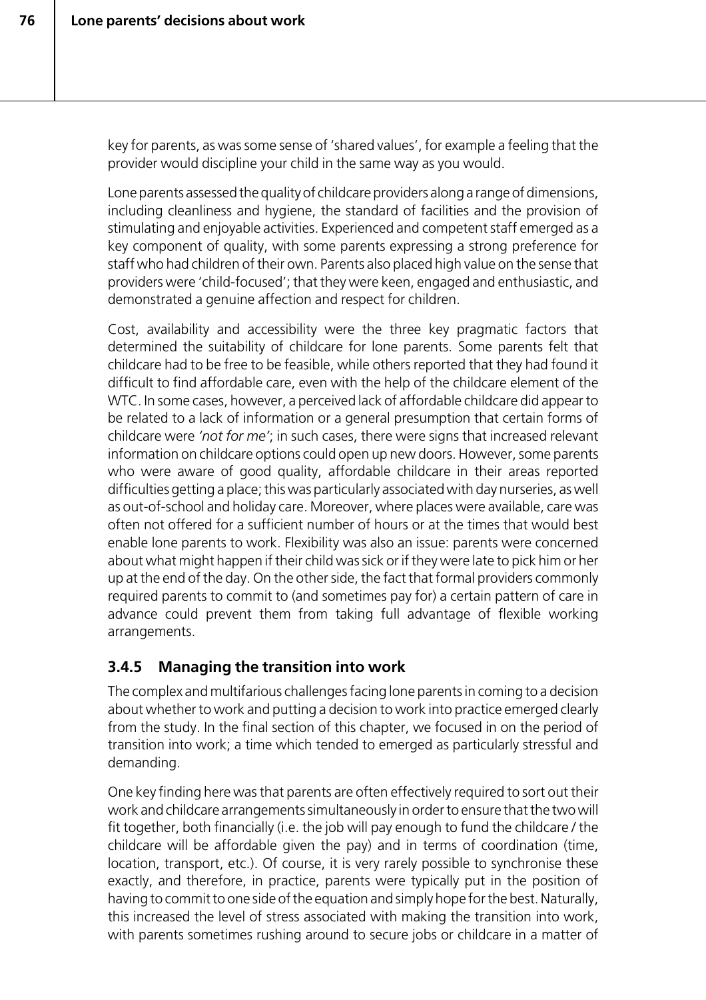key for parents, as was some sense of 'shared values', for example a feeling that the provider would discipline your child in the same way as you would.

Lone parents assessed the quality of childcare providers along a range of dimensions, including cleanliness and hygiene, the standard of facilities and the provision of stimulating and enjoyable activities. Experienced and competent staff emerged as a key component of quality, with some parents expressing a strong preference for staff who had children of their own. Parents also placed high value on the sense that providers were 'child-focused'; that they were keen, engaged and enthusiastic, and demonstrated a genuine affection and respect for children.

Cost, availability and accessibility were the three key pragmatic factors that determined the suitability of childcare for lone parents. Some parents felt that childcare had to be free to be feasible, while others reported that they had found it difficult to find affordable care, even with the help of the childcare element of the WTC. In some cases, however, a perceived lack of affordable childcare did appear to be related to a lack of information or a general presumption that certain forms of childcare were *'not for me'*; in such cases, there were signs that increased relevant information on childcare options could open up new doors. However, some parents who were aware of good quality, affordable childcare in their areas reported difficulties getting a place; this was particularly associated with day nurseries, as well as out-of-school and holiday care. Moreover, where places were available, care was often not offered for a sufficient number of hours or at the times that would best enable lone parents to work. Flexibility was also an issue: parents were concerned about what might happen if their child was sick or if they were late to pick him or her up at the end of the day. On the other side, the fact that formal providers commonly required parents to commit to (and sometimes pay for) a certain pattern of care in advance could prevent them from taking full advantage of flexible working arrangements.

# **3.4.5 Managing the transition into work**

The complex and multifarious challenges facing lone parents in coming to a decision about whether to work and putting a decision to work into practice emerged clearly from the study. In the final section of this chapter, we focused in on the period of transition into work; a time which tended to emerged as particularly stressful and demanding.

One key finding here was that parents are often effectively required to sort out their work and childcare arrangements simultaneously in order to ensure that the two will fit together, both financially (i.e. the job will pay enough to fund the childcare / the childcare will be affordable given the pay) and in terms of coordination (time, location, transport, etc.). Of course, it is very rarely possible to synchronise these exactly, and therefore, in practice, parents were typically put in the position of having to commit to one side of the equation and simply hope for the best. Naturally, this increased the level of stress associated with making the transition into work, with parents sometimes rushing around to secure jobs or childcare in a matter of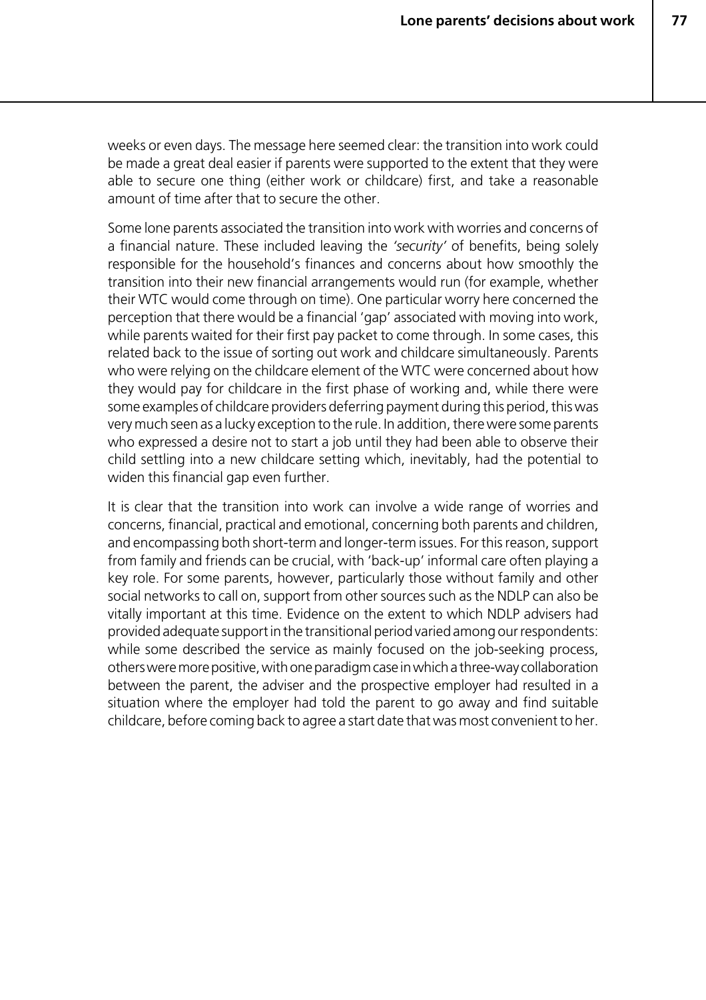weeks or even days. The message here seemed clear: the transition into work could be made a great deal easier if parents were supported to the extent that they were able to secure one thing (either work or childcare) first, and take a reasonable amount of time after that to secure the other.

Some lone parents associated the transition into work with worries and concerns of a financial nature. These included leaving the *'security'* of benefits, being solely responsible for the household's finances and concerns about how smoothly the transition into their new financial arrangements would run (for example, whether their WTC would come through on time). One particular worry here concerned the perception that there would be a financial 'gap' associated with moving into work, while parents waited for their first pay packet to come through. In some cases, this related back to the issue of sorting out work and childcare simultaneously. Parents who were relying on the childcare element of the WTC were concerned about how they would pay for childcare in the first phase of working and, while there were some examples of childcare providers deferring payment during this period, this was very much seen as a lucky exception to the rule. In addition, there were some parents who expressed a desire not to start a job until they had been able to observe their child settling into a new childcare setting which, inevitably, had the potential to widen this financial gap even further.

It is clear that the transition into work can involve a wide range of worries and concerns, financial, practical and emotional, concerning both parents and children, and encompassing both short-term and longer-term issues. For this reason, support from family and friends can be crucial, with 'back-up' informal care often playing a key role. For some parents, however, particularly those without family and other social networks to call on, support from other sources such as the NDLP can also be vitally important at this time. Evidence on the extent to which NDLP advisers had provided adequate support in the transitional period varied among our respondents: while some described the service as mainly focused on the job-seeking process, others were more positive, with one paradigm case in which a three-way collaboration between the parent, the adviser and the prospective employer had resulted in a situation where the employer had told the parent to go away and find suitable childcare, before coming back to agree a start date that was most convenient to her.

**77**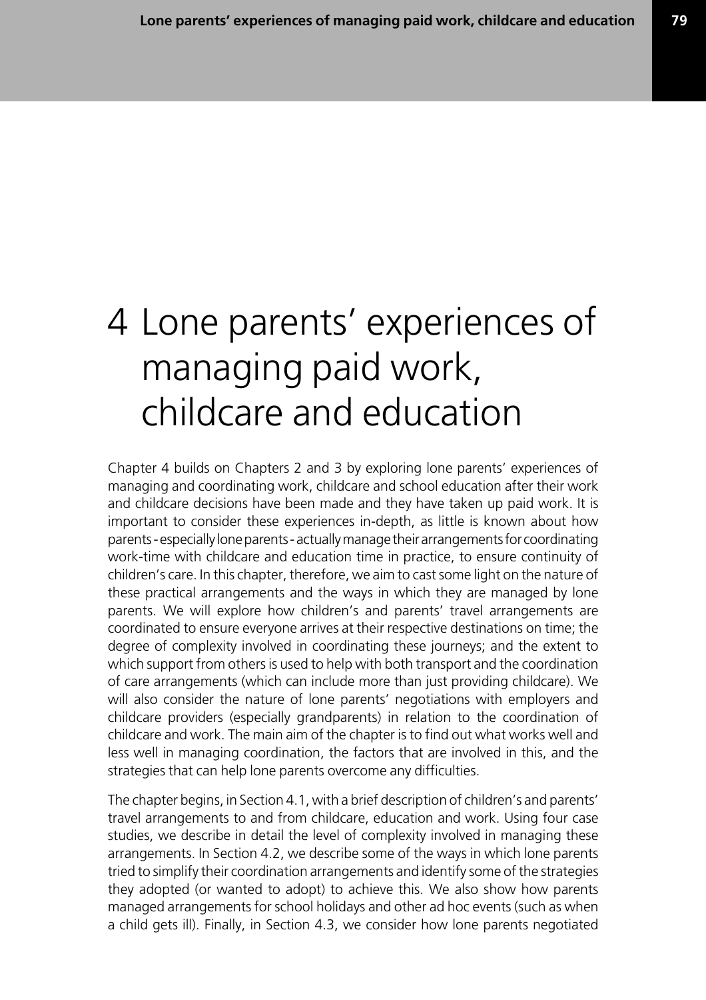# 4 Lone parents' experiences of managing paid work, childcare and education

Chapter 4 builds on Chapters 2 and 3 by exploring lone parents' experiences of managing and coordinating work, childcare and school education after their work and childcare decisions have been made and they have taken up paid work. It is important to consider these experiences in-depth, as little is known about how parents - especially lone parents - actually manage their arrangements for coordinating work-time with childcare and education time in practice, to ensure continuity of children's care. In this chapter, therefore, we aim to cast some light on the nature of these practical arrangements and the ways in which they are managed by lone parents. We will explore how children's and parents' travel arrangements are coordinated to ensure everyone arrives at their respective destinations on time; the degree of complexity involved in coordinating these journeys; and the extent to which support from others is used to help with both transport and the coordination of care arrangements (which can include more than just providing childcare). We will also consider the nature of lone parents' negotiations with employers and childcare providers (especially grandparents) in relation to the coordination of childcare and work. The main aim of the chapter is to find out what works well and less well in managing coordination, the factors that are involved in this, and the strategies that can help lone parents overcome any difficulties.

The chapter begins, in Section 4.1, with a brief description of children's and parents' travel arrangements to and from childcare, education and work. Using four case studies, we describe in detail the level of complexity involved in managing these arrangements. In Section 4.2, we describe some of the ways in which lone parents tried to simplify their coordination arrangements and identify some of the strategies they adopted (or wanted to adopt) to achieve this. We also show how parents managed arrangements for school holidays and other ad hoc events (such as when a child gets ill). Finally, in Section 4.3, we consider how lone parents negotiated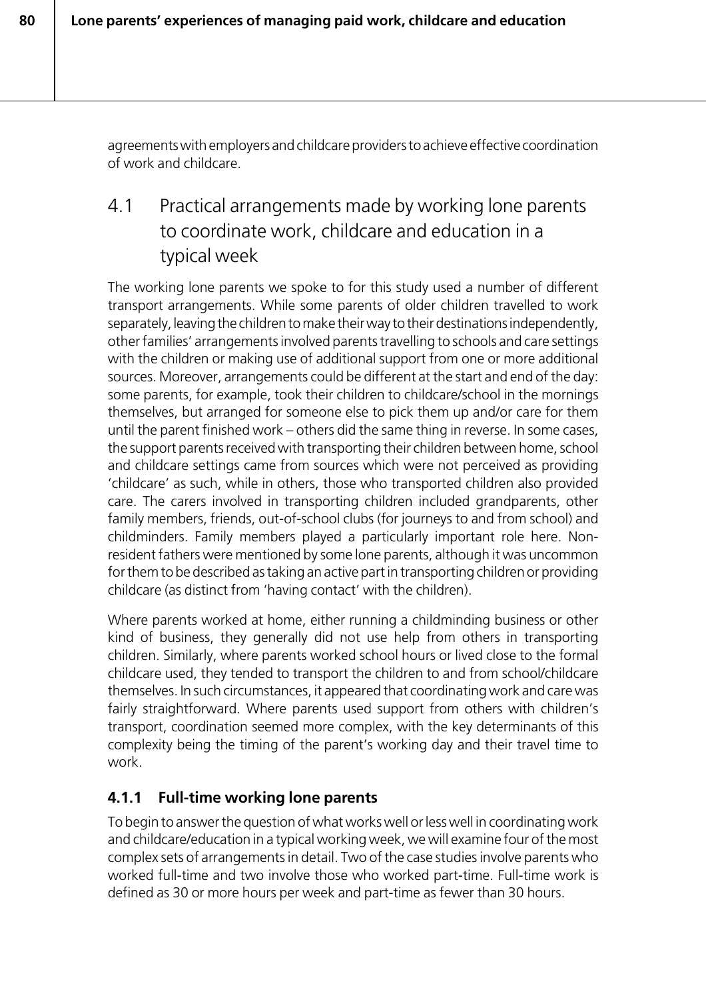agreements with employers and childcare providers to achieve effective coordination of work and childcare.

# 4.1 Practical arrangements made by working lone parents to coordinate work, childcare and education in a typical week

The working lone parents we spoke to for this study used a number of different transport arrangements. While some parents of older children travelled to work separately, leaving the children to make their way to their destinations independently, other families' arrangements involved parents travelling to schools and care settings with the children or making use of additional support from one or more additional sources. Moreover, arrangements could be different at the start and end of the day: some parents, for example, took their children to childcare/school in the mornings themselves, but arranged for someone else to pick them up and/or care for them until the parent finished work – others did the same thing in reverse. In some cases, the support parents received with transporting their children between home, school and childcare settings came from sources which were not perceived as providing 'childcare' as such, while in others, those who transported children also provided care. The carers involved in transporting children included grandparents, other family members, friends, out-of-school clubs (for journeys to and from school) and childminders. Family members played a particularly important role here. Nonresident fathers were mentioned by some lone parents, although it was uncommon for them to be described as taking an active part in transporting children or providing childcare (as distinct from 'having contact' with the children).

Where parents worked at home, either running a childminding business or other kind of business, they generally did not use help from others in transporting children. Similarly, where parents worked school hours or lived close to the formal childcare used, they tended to transport the children to and from school/childcare themselves. In such circumstances, it appeared that coordinating work and care was fairly straightforward. Where parents used support from others with children's transport, coordination seemed more complex, with the key determinants of this complexity being the timing of the parent's working day and their travel time to work.

# **4.1.1 Full-time working lone parents**

To begin to answer the question of what works well or less well in coordinating work and childcare/education in a typical working week, we will examine four of the most complex sets of arrangements in detail. Two of the case studies involve parents who worked full-time and two involve those who worked part-time. Full-time work is defined as 30 or more hours per week and part-time as fewer than 30 hours.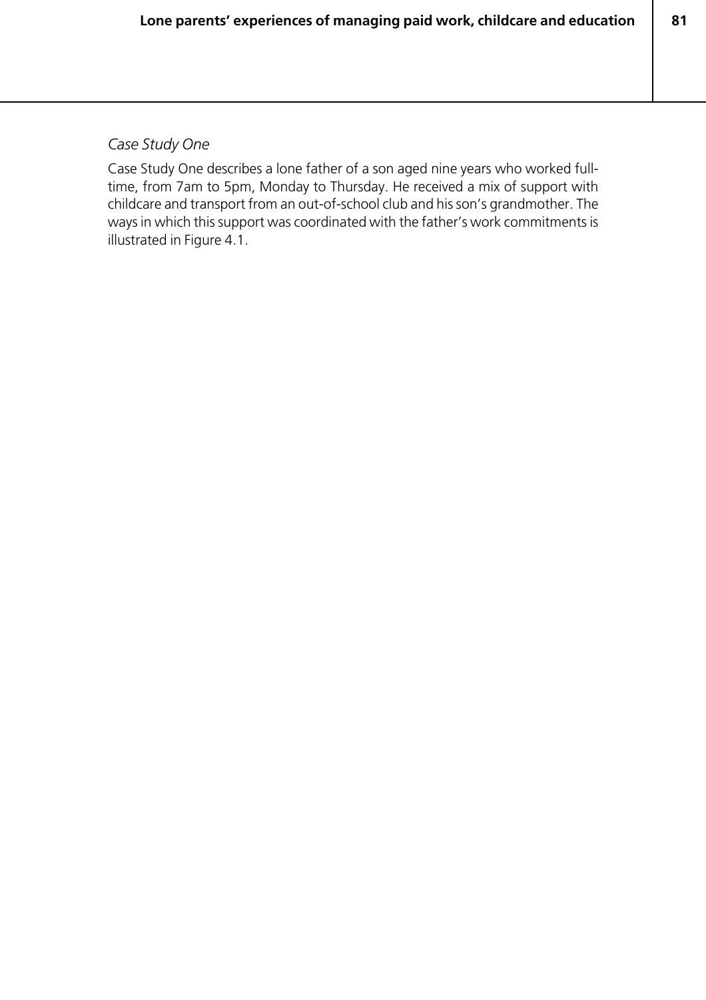**81**

#### *Case Study One*

Case Study One describes a lone father of a son aged nine years who worked fulltime, from 7am to 5pm, Monday to Thursday. He received a mix of support with childcare and transport from an out-of-school club and his son's grandmother. The ways in which this support was coordinated with the father's work commitments is illustrated in Figure 4.1.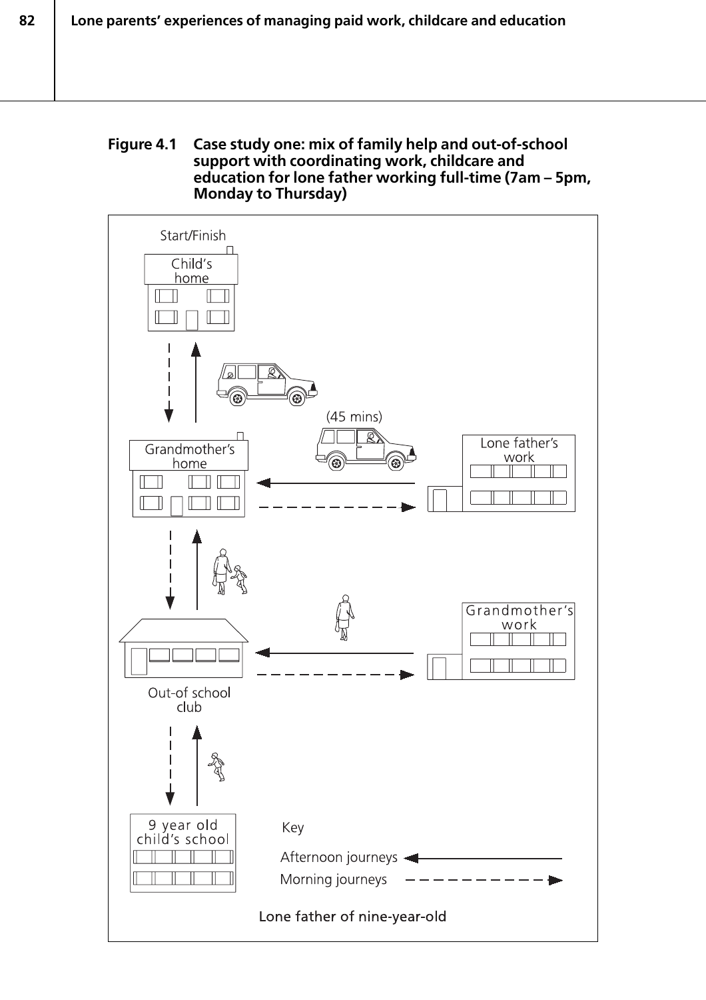#### **Figure 4.1 Case study one: mix of family help and out-of-school support with coordinating work, childcare and education for lone father working full-time (7am – 5pm, Monday to Thursday)**

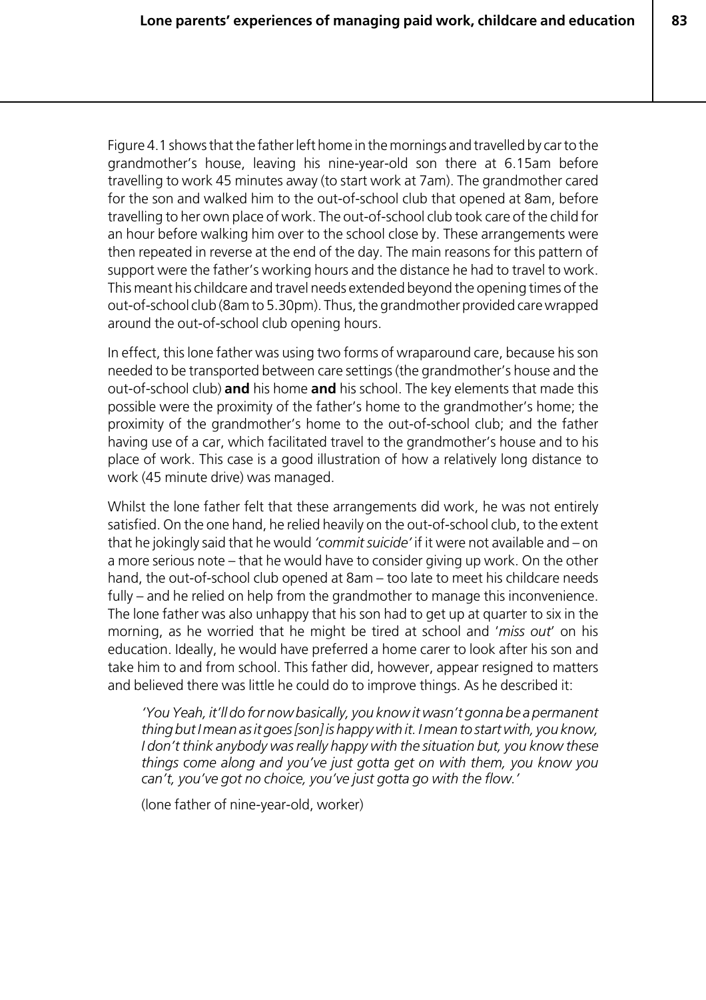Figure 4.1 shows that the father left home in the mornings and travelled by car to the grandmother's house, leaving his nine-year-old son there at 6.15am before travelling to work 45 minutes away (to start work at 7am). The grandmother cared for the son and walked him to the out-of-school club that opened at 8am, before travelling to her own place of work. The out-of-school club took care of the child for an hour before walking him over to the school close by. These arrangements were then repeated in reverse at the end of the day. The main reasons for this pattern of support were the father's working hours and the distance he had to travel to work. This meant his childcare and travel needs extended beyond the opening times of the out-of-school club (8am to 5.30pm). Thus, the grandmother provided care wrapped around the out-of-school club opening hours.

In effect, this lone father was using two forms of wraparound care, because his son needed to be transported between care settings (the grandmother's house and the out-of-school club) **and** his home **and** his school. The key elements that made this possible were the proximity of the father's home to the grandmother's home; the proximity of the grandmother's home to the out-of-school club; and the father having use of a car, which facilitated travel to the grandmother's house and to his place of work. This case is a good illustration of how a relatively long distance to work (45 minute drive) was managed.

Whilst the lone father felt that these arrangements did work, he was not entirely satisfied. On the one hand, he relied heavily on the out-of-school club, to the extent that he jokingly said that he would *'commit suicide'* if it were not available and – on a more serious note – that he would have to consider giving up work. On the other hand, the out-of-school club opened at 8am – too late to meet his childcare needs fully – and he relied on help from the grandmother to manage this inconvenience. The lone father was also unhappy that his son had to get up at quarter to six in the morning, as he worried that he might be tired at school and '*miss out*' on his education. Ideally, he would have preferred a home carer to look after his son and take him to and from school. This father did, however, appear resigned to matters and believed there was little he could do to improve things. As he described it:

*'You Yeah, it'll do for now basically, you know it wasn't gonna be a permanent thing but I mean as it goes [son] is happy with it. I mean to start with, you know, I don't think anybody was really happy with the situation but, you know these things come along and you've just gotta get on with them, you know you can't, you've got no choice, you've just gotta go with the flow.'*

(lone father of nine-year-old, worker)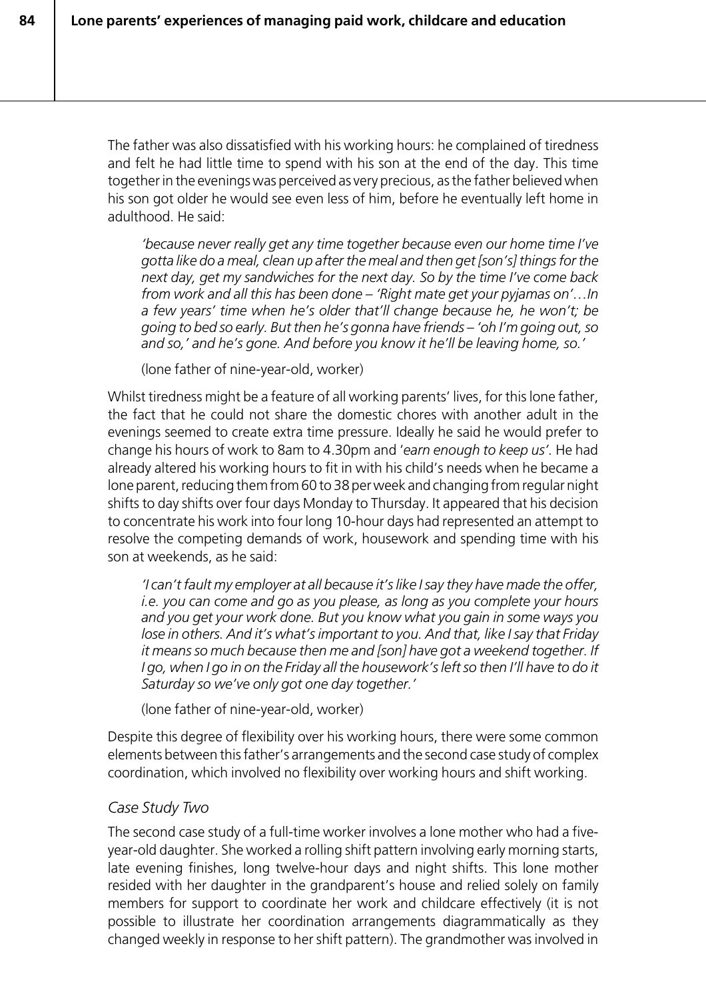The father was also dissatisfied with his working hours: he complained of tiredness and felt he had little time to spend with his son at the end of the day. This time together in the evenings was perceived as very precious, as the father believed when his son got older he would see even less of him, before he eventually left home in adulthood. He said:

*'because never really get any time together because even our home time I've gotta like do a meal, clean up after the meal and then get [son's] things for the next day, get my sandwiches for the next day. So by the time I've come back from work and all this has been done – 'Right mate get your pyjamas on'…In a few years' time when he's older that'll change because he, he won't; be going to bed so early. But then he's gonna have friends – 'oh I'm going out, so and so,' and he's gone. And before you know it he'll be leaving home, so.'*

(lone father of nine-year-old, worker)

Whilst tiredness might be a feature of all working parents' lives, for this lone father, the fact that he could not share the domestic chores with another adult in the evenings seemed to create extra time pressure. Ideally he said he would prefer to change his hours of work to 8am to 4.30pm and '*earn enough to keep us'.* He had already altered his working hours to fit in with his child's needs when he became a lone parent, reducing them from 60 to 38 per week and changing from regular night shifts to day shifts over four days Monday to Thursday. It appeared that his decision to concentrate his work into four long 10-hour days had represented an attempt to resolve the competing demands of work, housework and spending time with his son at weekends, as he said:

*'I can't fault my employer at all because it's like I say they have made the offer, i.e. you can come and go as you please, as long as you complete your hours and you get your work done. But you know what you gain in some ways you lose in others. And it's what's important to you. And that, like I say that Friday it means so much because then me and [son] have got a weekend together. If I go, when I go in on the Friday all the housework's left so then I'll have to do it Saturday so we've only got one day together.'*

(lone father of nine-year-old, worker)

Despite this degree of flexibility over his working hours, there were some common elements between this father's arrangements and the second case study of complex coordination, which involved no flexibility over working hours and shift working.

#### *Case Study Two*

The second case study of a full-time worker involves a lone mother who had a fiveyear-old daughter. She worked a rolling shift pattern involving early morning starts, late evening finishes, long twelve-hour days and night shifts. This lone mother resided with her daughter in the grandparent's house and relied solely on family members for support to coordinate her work and childcare effectively (it is not possible to illustrate her coordination arrangements diagrammatically as they changed weekly in response to her shift pattern). The grandmother was involved in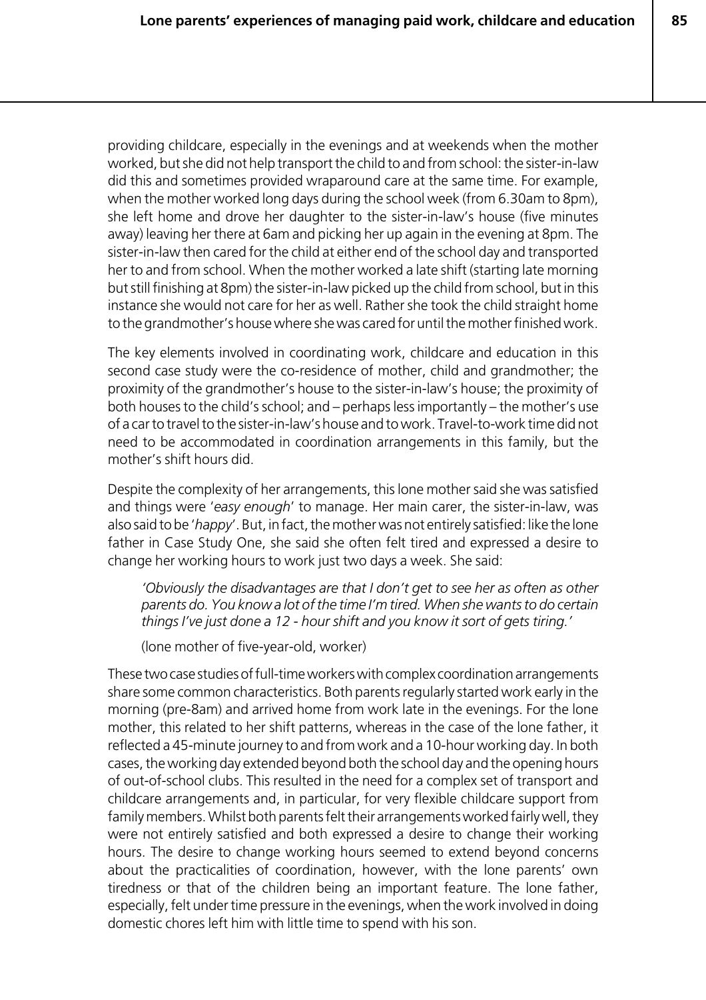providing childcare, especially in the evenings and at weekends when the mother worked, but she did not help transport the child to and from school: the sister-in-law did this and sometimes provided wraparound care at the same time. For example, when the mother worked long days during the school week (from 6.30am to 8pm), she left home and drove her daughter to the sister-in-law's house (five minutes away) leaving her there at 6am and picking her up again in the evening at 8pm. The sister-in-law then cared for the child at either end of the school day and transported her to and from school. When the mother worked a late shift (starting late morning but still finishing at 8pm) the sister-in-law picked up the child from school, but in this instance she would not care for her as well. Rather she took the child straight home to the grandmother's house where she was cared for until the mother finished work.

The key elements involved in coordinating work, childcare and education in this second case study were the co-residence of mother, child and grandmother; the proximity of the grandmother's house to the sister-in-law's house; the proximity of both houses to the child's school; and – perhaps less importantly – the mother's use of a car to travel to the sister-in-law's house and to work. Travel-to-work time did not need to be accommodated in coordination arrangements in this family, but the mother's shift hours did.

Despite the complexity of her arrangements, this lone mother said she was satisfied and things were '*easy enough*' to manage. Her main carer, the sister-in-law, was also said to be '*happy*'. But, in fact, the mother was not entirely satisfied: like the lone father in Case Study One, she said she often felt tired and expressed a desire to change her working hours to work just two days a week. She said:

*'Obviously the disadvantages are that I don't get to see her as often as other parents do. You know a lot of the time I'm tired. When she wants to do certain things I've just done a 12 - hour shift and you know it sort of gets tiring.'*

(lone mother of five-year-old, worker)

These two case studies of full-time workers with complex coordination arrangements share some common characteristics. Both parents regularly started work early in the morning (pre-8am) and arrived home from work late in the evenings. For the lone mother, this related to her shift patterns, whereas in the case of the lone father, it reflected a 45-minute journey to and from work and a 10-hour working day. In both cases, the working day extended beyond both the school day and the opening hours of out-of-school clubs. This resulted in the need for a complex set of transport and childcare arrangements and, in particular, for very flexible childcare support from family members. Whilst both parents felt their arrangements worked fairly well, they were not entirely satisfied and both expressed a desire to change their working hours. The desire to change working hours seemed to extend beyond concerns about the practicalities of coordination, however, with the lone parents' own tiredness or that of the children being an important feature. The lone father, especially, felt under time pressure in the evenings, when the work involved in doing domestic chores left him with little time to spend with his son.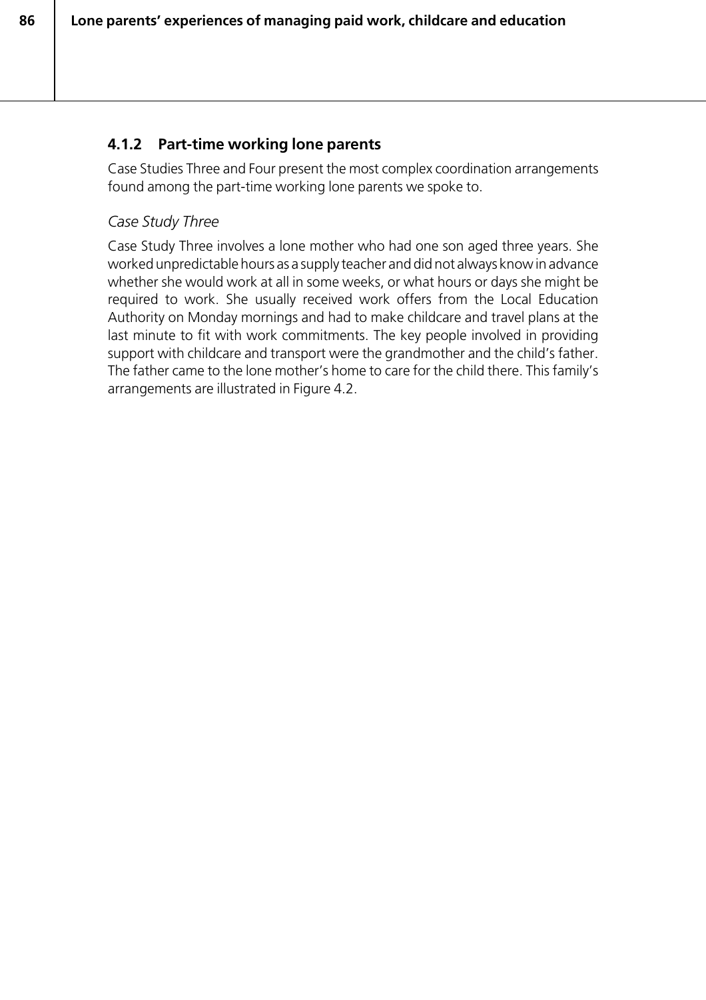## **4.1.2 Part-time working lone parents**

Case Studies Three and Four present the most complex coordination arrangements found among the part-time working lone parents we spoke to.

## *Case Study Three*

Case Study Three involves a lone mother who had one son aged three years. She worked unpredictable hours as a supply teacher and did not always know in advance whether she would work at all in some weeks, or what hours or days she might be required to work. She usually received work offers from the Local Education Authority on Monday mornings and had to make childcare and travel plans at the last minute to fit with work commitments. The key people involved in providing support with childcare and transport were the grandmother and the child's father. The father came to the lone mother's home to care for the child there. This family's arrangements are illustrated in Figure 4.2.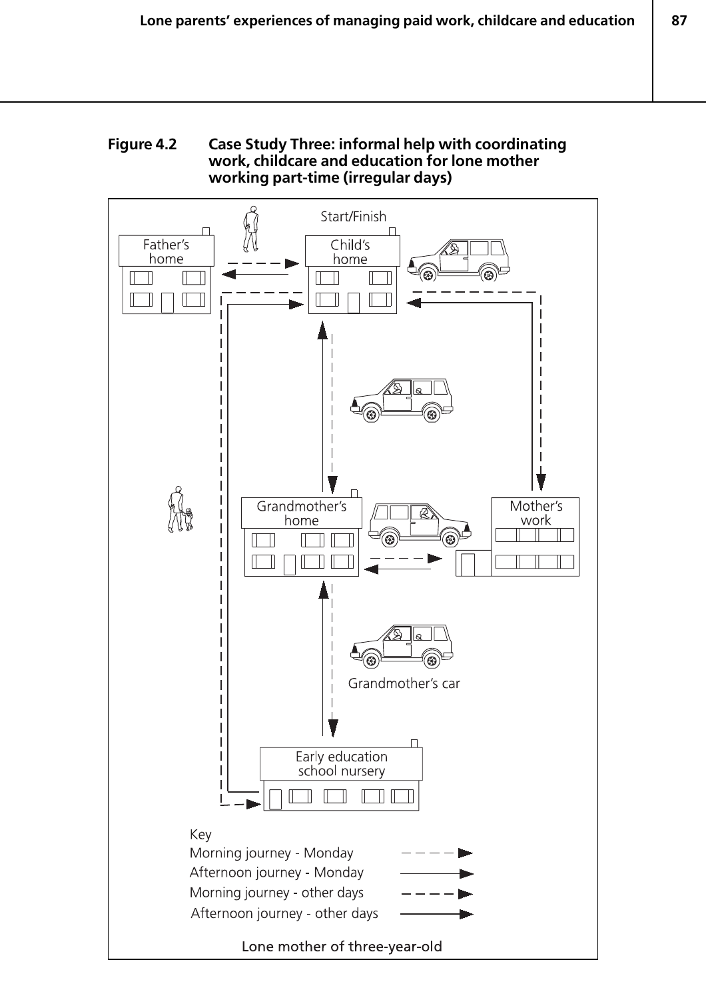#### **Figure 4.2 Case Study Three: informal help with coordinating work, childcare and education for lone mother working part-time (irregular days)**

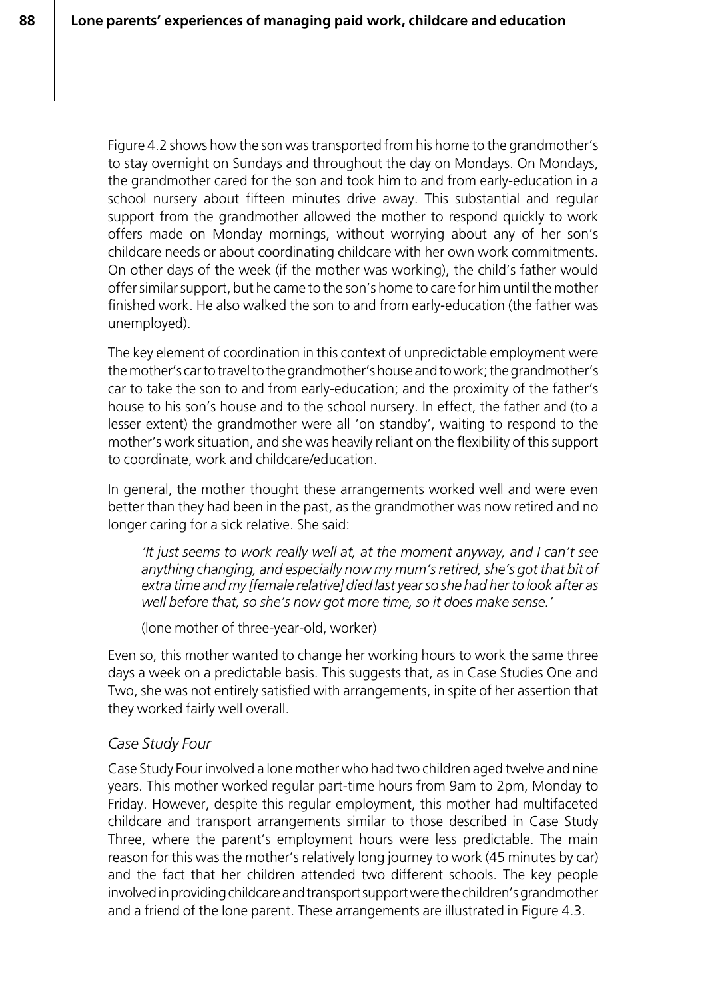Figure 4.2 shows how the son was transported from his home to the grandmother's to stay overnight on Sundays and throughout the day on Mondays. On Mondays, the grandmother cared for the son and took him to and from early-education in a school nursery about fifteen minutes drive away. This substantial and regular support from the grandmother allowed the mother to respond quickly to work offers made on Monday mornings, without worrying about any of her son's childcare needs or about coordinating childcare with her own work commitments. On other days of the week (if the mother was working), the child's father would offer similar support, but he came to the son's home to care for him until the mother finished work. He also walked the son to and from early-education (the father was unemployed).

The key element of coordination in this context of unpredictable employment were the mother's car to travel to the grandmother's house and to work; the grandmother's car to take the son to and from early-education; and the proximity of the father's house to his son's house and to the school nursery. In effect, the father and (to a lesser extent) the grandmother were all 'on standby', waiting to respond to the mother's work situation, and she was heavily reliant on the flexibility of this support to coordinate, work and childcare/education.

In general, the mother thought these arrangements worked well and were even better than they had been in the past, as the grandmother was now retired and no longer caring for a sick relative. She said:

*'It just seems to work really well at, at the moment anyway, and I can't see anything changing, and especially now my mum's retired, she's got that bit of extra time and my [female relative] died last year so she had her to look after as well before that, so she's now got more time, so it does make sense.'*

(lone mother of three-year-old, worker)

Even so, this mother wanted to change her working hours to work the same three days a week on a predictable basis. This suggests that, as in Case Studies One and Two, she was not entirely satisfied with arrangements, in spite of her assertion that they worked fairly well overall.

#### *Case Study Four*

Case Study Four involved a lone mother who had two children aged twelve and nine years. This mother worked regular part-time hours from 9am to 2pm, Monday to Friday. However, despite this regular employment, this mother had multifaceted childcare and transport arrangements similar to those described in Case Study Three, where the parent's employment hours were less predictable. The main reason for this was the mother's relatively long journey to work (45 minutes by car) and the fact that her children attended two different schools. The key people involved in providing childcare and transport support were the children's grandmother and a friend of the lone parent. These arrangements are illustrated in Figure 4.3.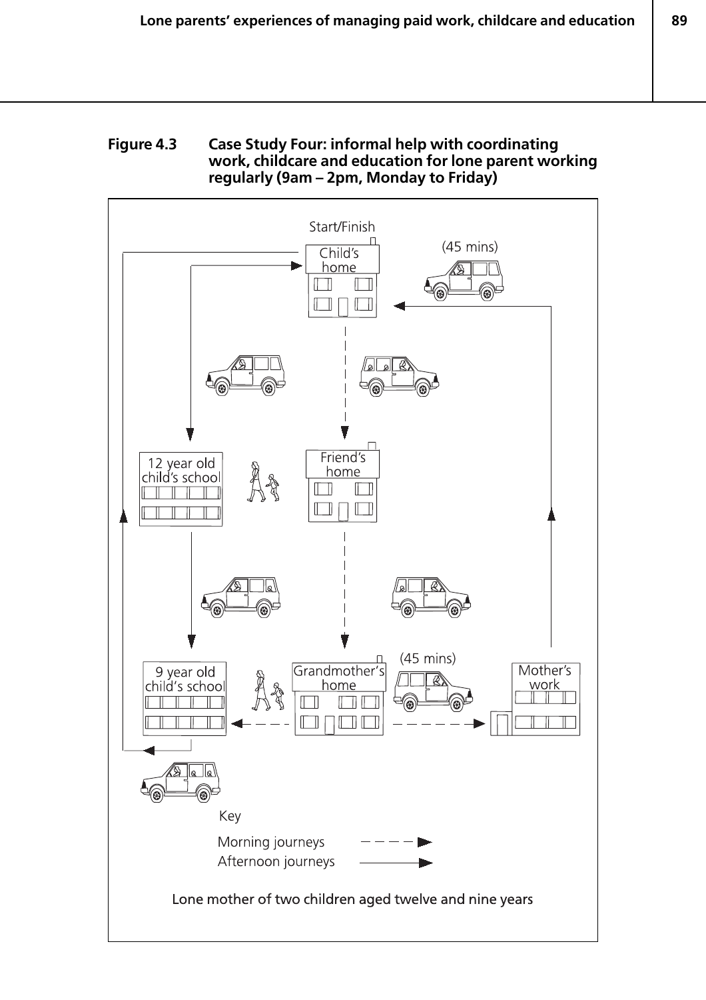#### **Figure 4.3 Case Study Four: informal help with coordinating work, childcare and education for lone parent working regularly (9am – 2pm, Monday to Friday)**

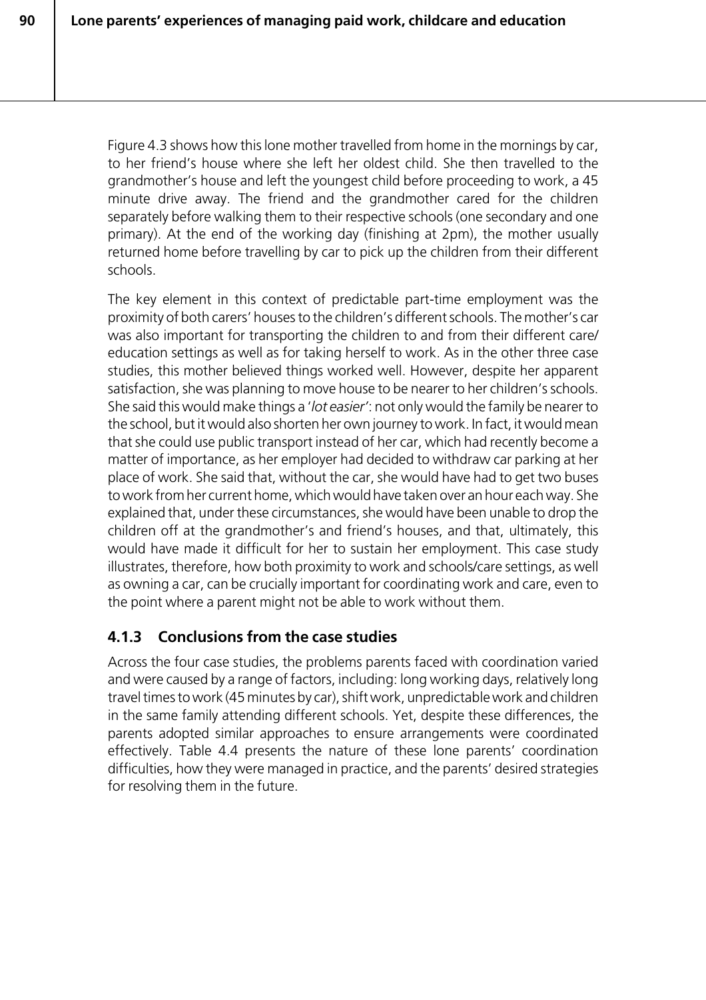Figure 4.3 shows how this lone mother travelled from home in the mornings by car, to her friend's house where she left her oldest child. She then travelled to the grandmother's house and left the youngest child before proceeding to work, a 45 minute drive away. The friend and the grandmother cared for the children separately before walking them to their respective schools (one secondary and one primary). At the end of the working day (finishing at 2pm), the mother usually returned home before travelling by car to pick up the children from their different schools.

The key element in this context of predictable part-time employment was the proximity of both carers' houses to the children's different schools. The mother's car was also important for transporting the children to and from their different care/ education settings as well as for taking herself to work. As in the other three case studies, this mother believed things worked well. However, despite her apparent satisfaction, she was planning to move house to be nearer to her children's schools. She said this would make things a '*lot easier'*: not only would the family be nearer to the school, but it would also shorten her own journey to work. In fact, it would mean that she could use public transport instead of her car, which had recently become a matter of importance, as her employer had decided to withdraw car parking at her place of work. She said that, without the car, she would have had to get two buses to work from her current home, which would have taken over an hour each way. She explained that, under these circumstances, she would have been unable to drop the children off at the grandmother's and friend's houses, and that, ultimately, this would have made it difficult for her to sustain her employment. This case study illustrates, therefore, how both proximity to work and schools/care settings, as well as owning a car, can be crucially important for coordinating work and care, even to the point where a parent might not be able to work without them.

# **4.1.3 Conclusions from the case studies**

Across the four case studies, the problems parents faced with coordination varied and were caused by a range of factors, including: long working days, relatively long travel times to work (45 minutes by car), shift work, unpredictable work and children in the same family attending different schools. Yet, despite these differences, the parents adopted similar approaches to ensure arrangements were coordinated effectively. Table 4.4 presents the nature of these lone parents' coordination difficulties, how they were managed in practice, and the parents' desired strategies for resolving them in the future.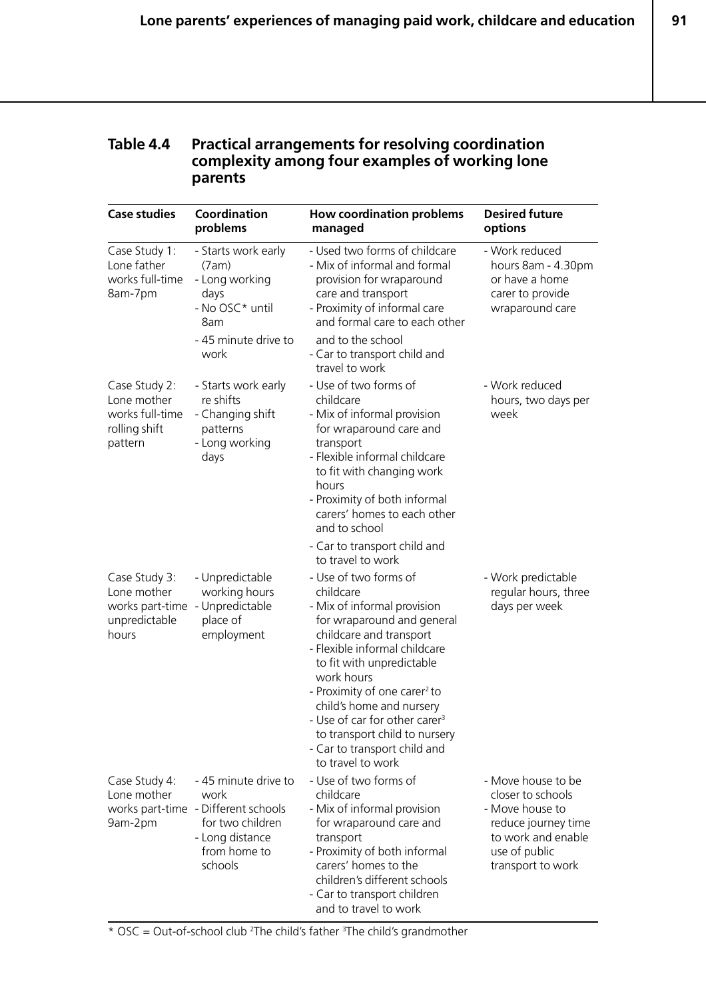**91**

#### **Table 4.4 Practical arrangements for resolving coordination complexity among four examples of working lone parents**

| <b>Case studies</b>                                                                       | Coordination<br>problems                                                                                                              | <b>How coordination problems</b><br>managed                                                                                                                                                                                                                                                                                                                                                                       | <b>Desired future</b><br>options                                                                                                              |
|-------------------------------------------------------------------------------------------|---------------------------------------------------------------------------------------------------------------------------------------|-------------------------------------------------------------------------------------------------------------------------------------------------------------------------------------------------------------------------------------------------------------------------------------------------------------------------------------------------------------------------------------------------------------------|-----------------------------------------------------------------------------------------------------------------------------------------------|
| Case Study 1:<br>Lone father<br>works full-time<br>8am-7pm                                | - Starts work early<br>(7am)<br>- Long working<br>days<br>- No OSC* until<br>8am                                                      | - Used two forms of childcare<br>- Mix of informal and formal<br>provision for wraparound<br>care and transport<br>- Proximity of informal care<br>and formal care to each other                                                                                                                                                                                                                                  | - Work reduced<br>hours 8am - 4.30pm<br>or have a home<br>carer to provide<br>wraparound care                                                 |
|                                                                                           | - 45 minute drive to<br>work                                                                                                          | and to the school<br>- Car to transport child and<br>travel to work                                                                                                                                                                                                                                                                                                                                               |                                                                                                                                               |
| Case Study 2:<br>Lone mother<br>works full-time<br>rolling shift<br>pattern               | - Starts work early<br>re shifts<br>- Changing shift<br>patterns<br>- Long working<br>days                                            | - Use of two forms of<br>childcare<br>- Mix of informal provision<br>for wraparound care and<br>transport<br>- Flexible informal childcare<br>to fit with changing work<br>hours<br>- Proximity of both informal<br>carers' homes to each other<br>and to school                                                                                                                                                  | - Work reduced<br>hours, two days per<br>week                                                                                                 |
|                                                                                           |                                                                                                                                       | - Car to transport child and<br>to travel to work                                                                                                                                                                                                                                                                                                                                                                 |                                                                                                                                               |
| Case Study 3:<br>Lone mother<br>works part-time - Unpredictable<br>unpredictable<br>hours | - Unpredictable<br>working hours<br>place of<br>employment                                                                            | - Use of two forms of<br>childcare<br>- Mix of informal provision<br>for wraparound and general<br>childcare and transport<br>- Flexible informal childcare<br>to fit with unpredictable<br>work hours<br>- Proximity of one carer <sup>2</sup> to<br>child's home and nursery<br>- Use of car for other carer <sup>3</sup><br>to transport child to nursery<br>- Car to transport child and<br>to travel to work | - Work predictable<br>regular hours, three<br>days per week                                                                                   |
| Case Study 4:<br>Lone mother<br>9am-2pm                                                   | - 45 minute drive to<br>work<br>works part-time - Different schools<br>for two children<br>- Long distance<br>from home to<br>schools | - Use of two forms of<br>childcare<br>- Mix of informal provision<br>for wraparound care and<br>transport<br>- Proximity of both informal<br>carers' homes to the<br>children's different schools<br>- Car to transport children<br>and to travel to work                                                                                                                                                         | - Move house to be<br>closer to schools<br>- Move house to<br>reduce journey time<br>to work and enable<br>use of public<br>transport to work |

 $*$  OSC = Out-of-school club <sup>2</sup>The child's father <sup>3</sup>The child's grandmother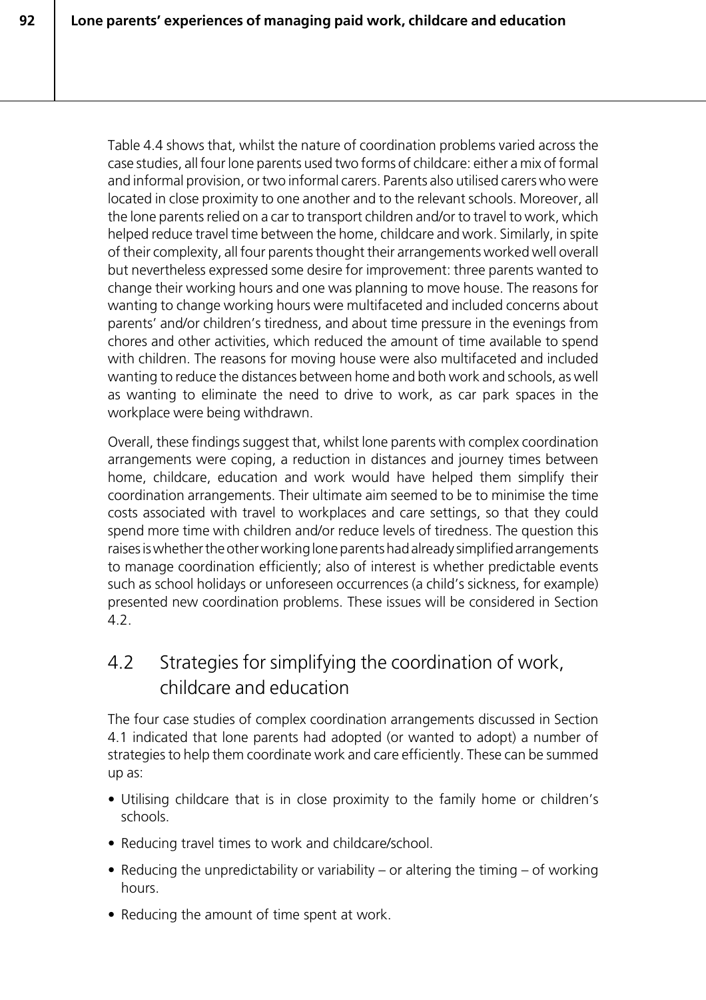Table 4.4 shows that, whilst the nature of coordination problems varied across the case studies, all four lone parents used two forms of childcare: either a mix of formal and informal provision, or two informal carers. Parents also utilised carers who were located in close proximity to one another and to the relevant schools. Moreover, all the lone parents relied on a car to transport children and/or to travel to work, which helped reduce travel time between the home, childcare and work. Similarly, in spite of their complexity, all four parents thought their arrangements worked well overall but nevertheless expressed some desire for improvement: three parents wanted to change their working hours and one was planning to move house. The reasons for wanting to change working hours were multifaceted and included concerns about parents' and/or children's tiredness, and about time pressure in the evenings from chores and other activities, which reduced the amount of time available to spend with children. The reasons for moving house were also multifaceted and included wanting to reduce the distances between home and both work and schools, as well as wanting to eliminate the need to drive to work, as car park spaces in the workplace were being withdrawn.

Overall, these findings suggest that, whilst lone parents with complex coordination arrangements were coping, a reduction in distances and journey times between home, childcare, education and work would have helped them simplify their coordination arrangements. Their ultimate aim seemed to be to minimise the time costs associated with travel to workplaces and care settings, so that they could spend more time with children and/or reduce levels of tiredness. The question this raises is whether the other working lone parents had already simplified arrangements to manage coordination efficiently; also of interest is whether predictable events such as school holidays or unforeseen occurrences (a child's sickness, for example) presented new coordination problems. These issues will be considered in Section 4.2.

# 4.2 Strategies for simplifying the coordination of work, childcare and education

The four case studies of complex coordination arrangements discussed in Section 4.1 indicated that lone parents had adopted (or wanted to adopt) a number of strategies to help them coordinate work and care efficiently. These can be summed up as:

- Utilising childcare that is in close proximity to the family home or children's schools.
- Reducing travel times to work and childcare/school.
- Reducing the unpredictability or variability or altering the timing of working hours.
- Reducing the amount of time spent at work.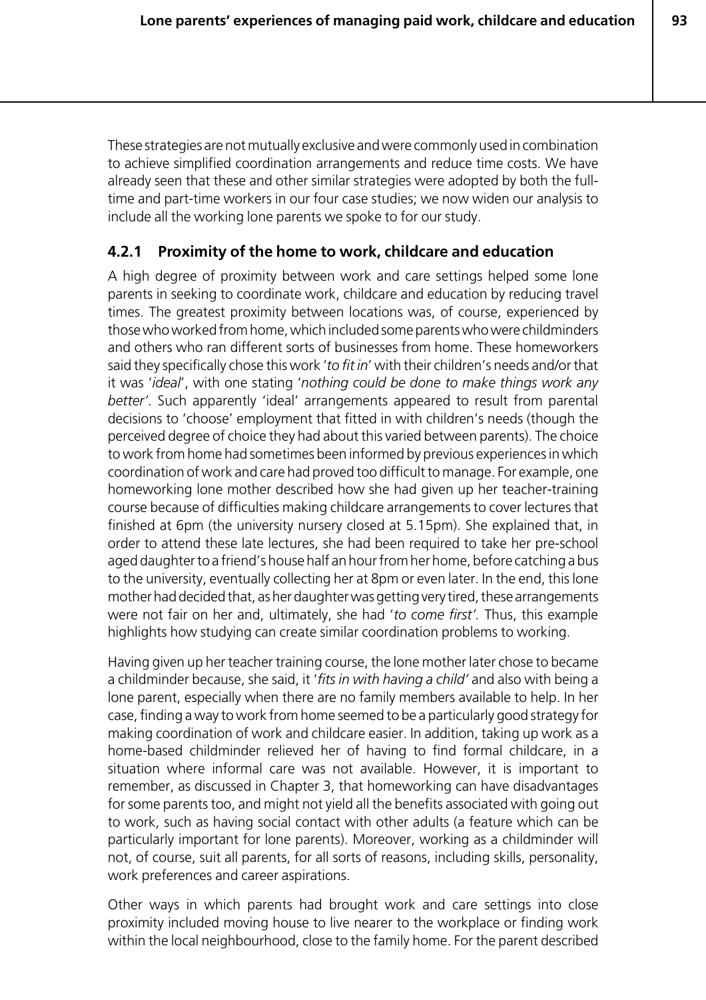These strategies are not mutually exclusive and were commonly used in combination to achieve simplified coordination arrangements and reduce time costs. We have already seen that these and other similar strategies were adopted by both the fulltime and part-time workers in our four case studies; we now widen our analysis to include all the working lone parents we spoke to for our study.

#### **4.2.1 Proximity of the home to work, childcare and education**

A high degree of proximity between work and care settings helped some lone parents in seeking to coordinate work, childcare and education by reducing travel times. The greatest proximity between locations was, of course, experienced by those who worked from home, which included some parents who were childminders and others who ran different sorts of businesses from home. These homeworkers said they specifically chose this work '*to fit in*' with their children's needs and/or that it was '*ideal*', with one stating '*nothing could be done to make things work any better'*. Such apparently 'ideal' arrangements appeared to result from parental decisions to 'choose' employment that fitted in with children's needs (though the perceived degree of choice they had about this varied between parents). The choice to work from home had sometimes been informed by previous experiences in which coordination of work and care had proved too difficult to manage. For example, one homeworking lone mother described how she had given up her teacher-training course because of difficulties making childcare arrangements to cover lectures that finished at 6pm (the university nursery closed at 5.15pm). She explained that, in order to attend these late lectures, she had been required to take her pre-school aged daughter to a friend's house half an hour from her home, before catching a bus to the university, eventually collecting her at 8pm or even later. In the end, this lone mother had decided that, as her daughter was getting very tired, these arrangements were not fair on her and, ultimately, she had '*to come first'.* Thus, this example highlights how studying can create similar coordination problems to working.

Having given up her teacher training course, the lone mother later chose to became a childminder because, she said, it '*fits in with having a child'* and also with being a lone parent, especially when there are no family members available to help. In her case, finding a way to work from home seemed to be a particularly good strategy for making coordination of work and childcare easier. In addition, taking up work as a home-based childminder relieved her of having to find formal childcare, in a situation where informal care was not available. However, it is important to remember, as discussed in Chapter 3, that homeworking can have disadvantages for some parents too, and might not yield all the benefits associated with going out to work, such as having social contact with other adults (a feature which can be particularly important for lone parents). Moreover, working as a childminder will not, of course, suit all parents, for all sorts of reasons, including skills, personality, work preferences and career aspirations.

Other ways in which parents had brought work and care settings into close proximity included moving house to live nearer to the workplace or finding work within the local neighbourhood, close to the family home. For the parent described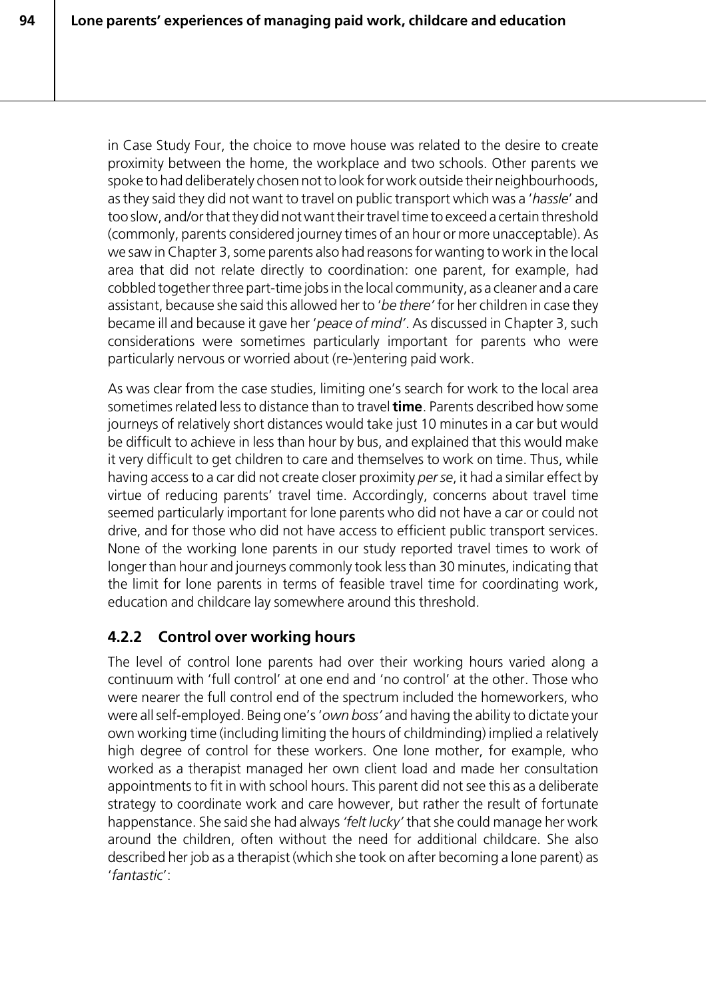in Case Study Four, the choice to move house was related to the desire to create proximity between the home, the workplace and two schools. Other parents we spoke to had deliberately chosen not to look for work outside their neighbourhoods, as they said they did not want to travel on public transport which was a '*hassle*' and too slow, and/or that they did not want their travel time to exceed a certain threshold (commonly, parents considered journey times of an hour or more unacceptable). As we saw in Chapter 3, some parents also had reasons for wanting to work in the local area that did not relate directly to coordination: one parent, for example, had cobbled together three part-time jobs in the local community, as a cleaner and a care assistant, because she said this allowed her to '*be there'* for her children in case they became ill and because it gave her '*peace of mind'*. As discussed in Chapter 3, such considerations were sometimes particularly important for parents who were particularly nervous or worried about (re-)entering paid work.

As was clear from the case studies, limiting one's search for work to the local area sometimes related less to distance than to travel **time**. Parents described how some journeys of relatively short distances would take just 10 minutes in a car but would be difficult to achieve in less than hour by bus, and explained that this would make it very difficult to get children to care and themselves to work on time. Thus, while having access to a car did not create closer proximity *per se*, it had a similar effect by virtue of reducing parents' travel time. Accordingly, concerns about travel time seemed particularly important for lone parents who did not have a car or could not drive, and for those who did not have access to efficient public transport services. None of the working lone parents in our study reported travel times to work of longer than hour and journeys commonly took less than 30 minutes, indicating that the limit for lone parents in terms of feasible travel time for coordinating work, education and childcare lay somewhere around this threshold.

# **4.2.2 Control over working hours**

The level of control lone parents had over their working hours varied along a continuum with 'full control' at one end and 'no control' at the other. Those who were nearer the full control end of the spectrum included the homeworkers, who were all self-employed. Being one's '*own boss'* and having the ability to dictate your own working time (including limiting the hours of childminding) implied a relatively high degree of control for these workers. One lone mother, for example, who worked as a therapist managed her own client load and made her consultation appointments to fit in with school hours. This parent did not see this as a deliberate strategy to coordinate work and care however, but rather the result of fortunate happenstance. She said she had always *'felt lucky'* that she could manage her work around the children, often without the need for additional childcare. She also described her job as a therapist (which she took on after becoming a lone parent) as '*fantastic*':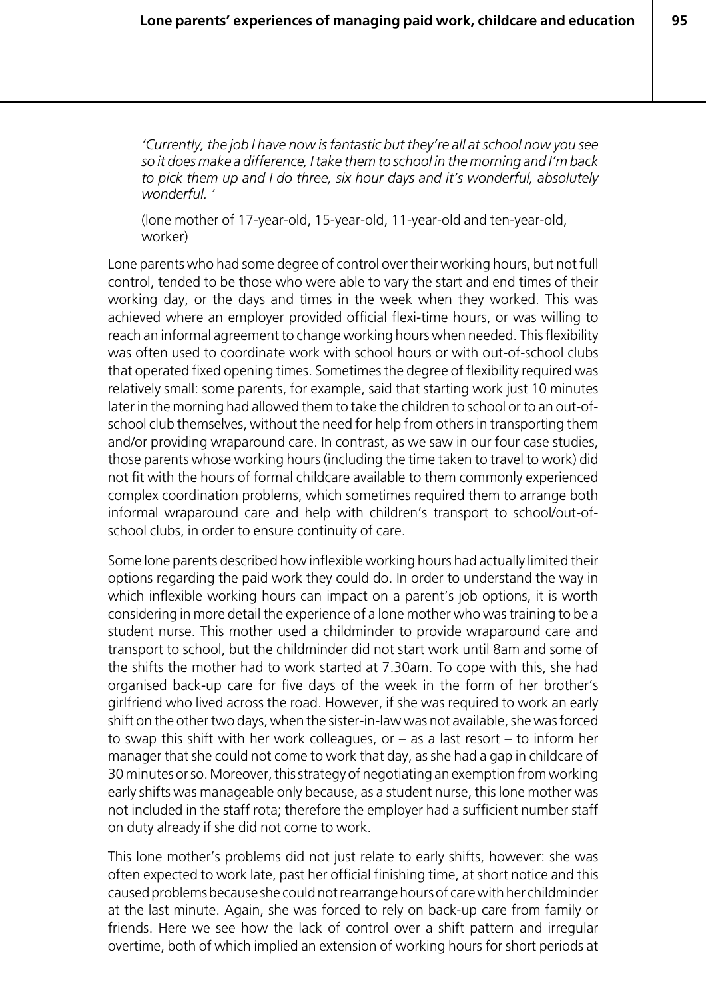*'Currently, the job I have now is fantastic but they're all at school now you see so it does make a difference, I take them to school in the morning and I'm back to pick them up and I do three, six hour days and it's wonderful, absolutely wonderful. '*

(lone mother of 17-year-old, 15-year-old, 11-year-old and ten-year-old, worker)

Lone parents who had some degree of control over their working hours, but not full control, tended to be those who were able to vary the start and end times of their working day, or the days and times in the week when they worked. This was achieved where an employer provided official flexi-time hours, or was willing to reach an informal agreement to change working hours when needed. This flexibility was often used to coordinate work with school hours or with out-of-school clubs that operated fixed opening times. Sometimes the degree of flexibility required was relatively small: some parents, for example, said that starting work just 10 minutes later in the morning had allowed them to take the children to school or to an out-ofschool club themselves, without the need for help from others in transporting them and/or providing wraparound care. In contrast, as we saw in our four case studies, those parents whose working hours (including the time taken to travel to work) did not fit with the hours of formal childcare available to them commonly experienced complex coordination problems, which sometimes required them to arrange both informal wraparound care and help with children's transport to school/out-ofschool clubs, in order to ensure continuity of care.

Some lone parents described how inflexible working hours had actually limited their options regarding the paid work they could do. In order to understand the way in which inflexible working hours can impact on a parent's job options, it is worth considering in more detail the experience of a lone mother who was training to be a student nurse. This mother used a childminder to provide wraparound care and transport to school, but the childminder did not start work until 8am and some of the shifts the mother had to work started at 7.30am. To cope with this, she had organised back-up care for five days of the week in the form of her brother's girlfriend who lived across the road. However, if she was required to work an early shift on the other two days, when the sister-in-law was not available, she was forced to swap this shift with her work colleagues, or  $-$  as a last resort  $-$  to inform her manager that she could not come to work that day, as she had a gap in childcare of 30 minutes or so. Moreover, this strategy of negotiating an exemption from working early shifts was manageable only because, as a student nurse, this lone mother was not included in the staff rota; therefore the employer had a sufficient number staff on duty already if she did not come to work.

This lone mother's problems did not just relate to early shifts, however: she was often expected to work late, past her official finishing time, at short notice and this caused problems because she could not rearrange hours of care with her childminder at the last minute. Again, she was forced to rely on back-up care from family or friends. Here we see how the lack of control over a shift pattern and irregular overtime, both of which implied an extension of working hours for short periods at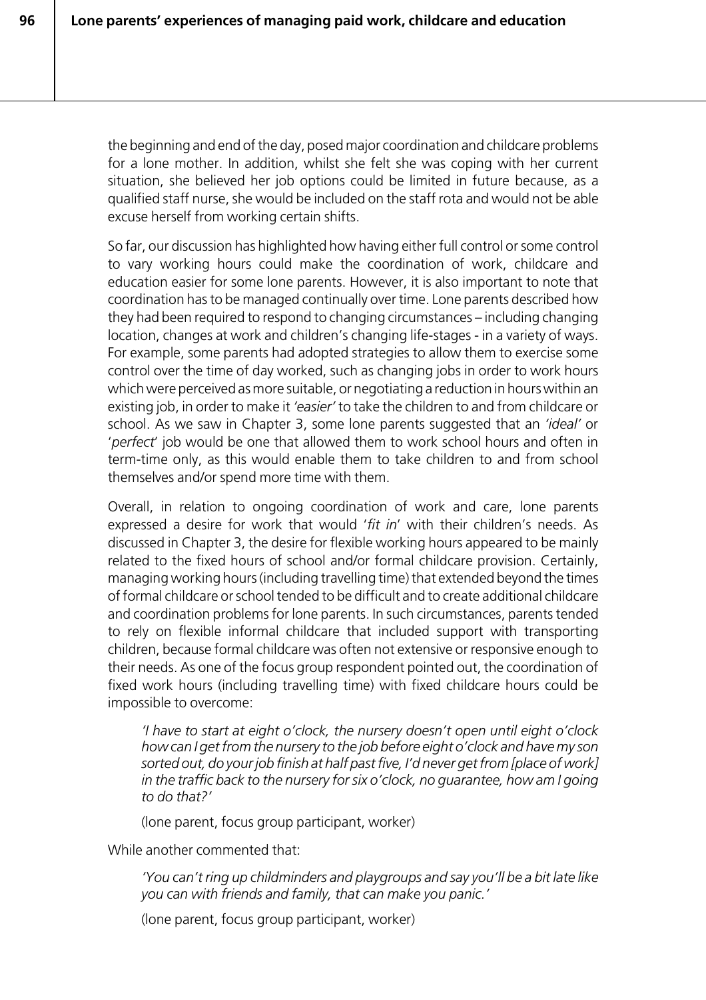the beginning and end of the day, posed major coordination and childcare problems for a lone mother. In addition, whilst she felt she was coping with her current situation, she believed her job options could be limited in future because, as a qualified staff nurse, she would be included on the staff rota and would not be able excuse herself from working certain shifts.

So far, our discussion has highlighted how having either full control or some control to vary working hours could make the coordination of work, childcare and education easier for some lone parents. However, it is also important to note that coordination has to be managed continually over time. Lone parents described how they had been required to respond to changing circumstances – including changing location, changes at work and children's changing life-stages - in a variety of ways. For example, some parents had adopted strategies to allow them to exercise some control over the time of day worked, such as changing jobs in order to work hours which were perceived as more suitable, or negotiating a reduction in hours within an existing job, in order to make it *'easier'* to take the children to and from childcare or school. As we saw in Chapter 3, some lone parents suggested that an *'ideal'* or '*perfect*' job would be one that allowed them to work school hours and often in term-time only, as this would enable them to take children to and from school themselves and/or spend more time with them.

Overall, in relation to ongoing coordination of work and care, lone parents expressed a desire for work that would '*fit in*' with their children's needs. As discussed in Chapter 3, the desire for flexible working hours appeared to be mainly related to the fixed hours of school and/or formal childcare provision. Certainly, managing working hours (including travelling time) that extended beyond the times of formal childcare or school tended to be difficult and to create additional childcare and coordination problems for lone parents. In such circumstances, parents tended to rely on flexible informal childcare that included support with transporting children, because formal childcare was often not extensive or responsive enough to their needs. As one of the focus group respondent pointed out, the coordination of fixed work hours (including travelling time) with fixed childcare hours could be impossible to overcome:

*'I have to start at eight o'clock, the nursery doesn't open until eight o'clock how can I get from the nursery to the job before eight o'clock and have my son sorted out, do your job finish at half past five, I'd never get from [place of work] in the traffic back to the nursery for six o'clock, no guarantee, how am I going to do that?'*

(lone parent, focus group participant, worker)

While another commented that:

*'You can't ring up childminders and playgroups and say you'll be a bit late like you can with friends and family, that can make you panic.'*

(lone parent, focus group participant, worker)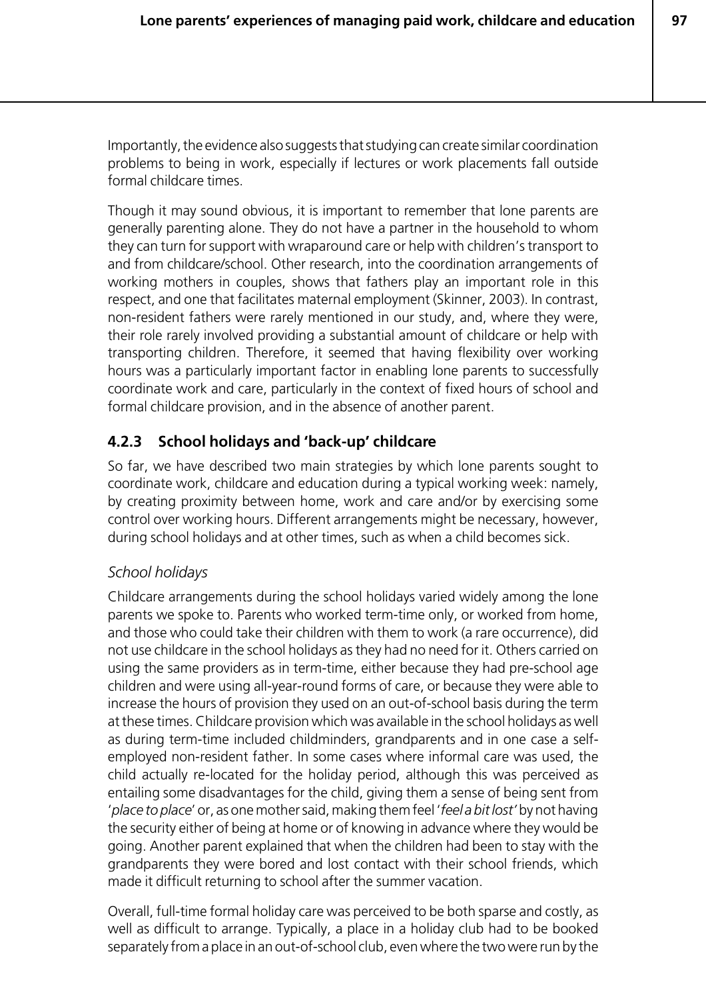Importantly, the evidence also suggests that studying can create similar coordination problems to being in work, especially if lectures or work placements fall outside formal childcare times.

Though it may sound obvious, it is important to remember that lone parents are generally parenting alone. They do not have a partner in the household to whom they can turn for support with wraparound care or help with children's transport to and from childcare/school. Other research, into the coordination arrangements of working mothers in couples, shows that fathers play an important role in this respect, and one that facilitates maternal employment (Skinner, 2003). In contrast, non-resident fathers were rarely mentioned in our study, and, where they were, their role rarely involved providing a substantial amount of childcare or help with transporting children. Therefore, it seemed that having flexibility over working hours was a particularly important factor in enabling lone parents to successfully coordinate work and care, particularly in the context of fixed hours of school and formal childcare provision, and in the absence of another parent.

## **4.2.3 School holidays and 'back-up' childcare**

So far, we have described two main strategies by which lone parents sought to coordinate work, childcare and education during a typical working week: namely, by creating proximity between home, work and care and/or by exercising some control over working hours. Different arrangements might be necessary, however, during school holidays and at other times, such as when a child becomes sick.

#### *School holidays*

Childcare arrangements during the school holidays varied widely among the lone parents we spoke to. Parents who worked term-time only, or worked from home, and those who could take their children with them to work (a rare occurrence), did not use childcare in the school holidays as they had no need for it. Others carried on using the same providers as in term-time, either because they had pre-school age children and were using all-year-round forms of care, or because they were able to increase the hours of provision they used on an out-of-school basis during the term at these times. Childcare provision which was available in the school holidays as well as during term-time included childminders, grandparents and in one case a selfemployed non-resident father. In some cases where informal care was used, the child actually re-located for the holiday period, although this was perceived as entailing some disadvantages for the child, giving them a sense of being sent from '*place to place*' or, as one mother said, making them feel '*feel a bit lost'* by not having the security either of being at home or of knowing in advance where they would be going. Another parent explained that when the children had been to stay with the grandparents they were bored and lost contact with their school friends, which made it difficult returning to school after the summer vacation.

Overall, full-time formal holiday care was perceived to be both sparse and costly, as well as difficult to arrange. Typically, a place in a holiday club had to be booked separately from a place in an out-of-school club, even where the two were run by the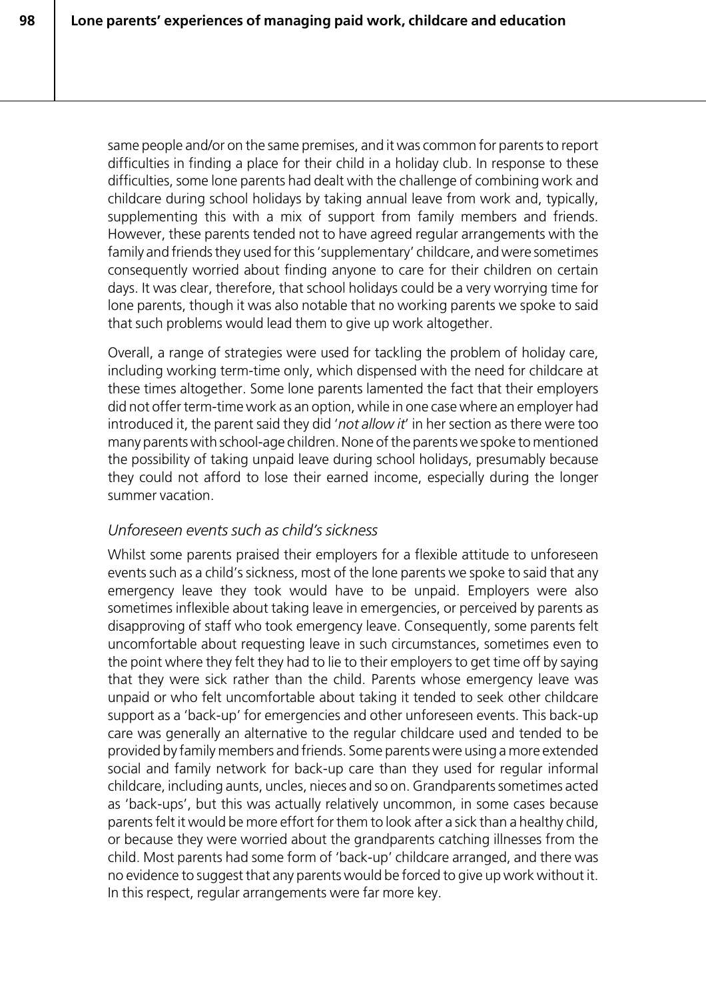same people and/or on the same premises, and it was common for parents to report difficulties in finding a place for their child in a holiday club. In response to these difficulties, some lone parents had dealt with the challenge of combining work and childcare during school holidays by taking annual leave from work and, typically, supplementing this with a mix of support from family members and friends. However, these parents tended not to have agreed regular arrangements with the family and friends they used for this 'supplementary' childcare, and were sometimes consequently worried about finding anyone to care for their children on certain days. It was clear, therefore, that school holidays could be a very worrying time for lone parents, though it was also notable that no working parents we spoke to said that such problems would lead them to give up work altogether.

Overall, a range of strategies were used for tackling the problem of holiday care, including working term-time only, which dispensed with the need for childcare at these times altogether. Some lone parents lamented the fact that their employers did not offer term-time work as an option, while in one case where an employer had introduced it, the parent said they did '*not allow it*' in her section as there were too many parents with school-age children. None of the parents we spoke to mentioned the possibility of taking unpaid leave during school holidays, presumably because they could not afford to lose their earned income, especially during the longer summer vacation.

## *Unforeseen events such as child's sickness*

Whilst some parents praised their employers for a flexible attitude to unforeseen events such as a child's sickness, most of the lone parents we spoke to said that any emergency leave they took would have to be unpaid. Employers were also sometimes inflexible about taking leave in emergencies, or perceived by parents as disapproving of staff who took emergency leave. Consequently, some parents felt uncomfortable about requesting leave in such circumstances, sometimes even to the point where they felt they had to lie to their employers to get time off by saying that they were sick rather than the child. Parents whose emergency leave was unpaid or who felt uncomfortable about taking it tended to seek other childcare support as a 'back-up' for emergencies and other unforeseen events. This back-up care was generally an alternative to the regular childcare used and tended to be provided by family members and friends. Some parents were using a more extended social and family network for back-up care than they used for regular informal childcare, including aunts, uncles, nieces and so on. Grandparents sometimes acted as 'back-ups', but this was actually relatively uncommon, in some cases because parents felt it would be more effort for them to look after a sick than a healthy child, or because they were worried about the grandparents catching illnesses from the child. Most parents had some form of 'back-up' childcare arranged, and there was no evidence to suggest that any parents would be forced to give up work without it. In this respect, regular arrangements were far more key.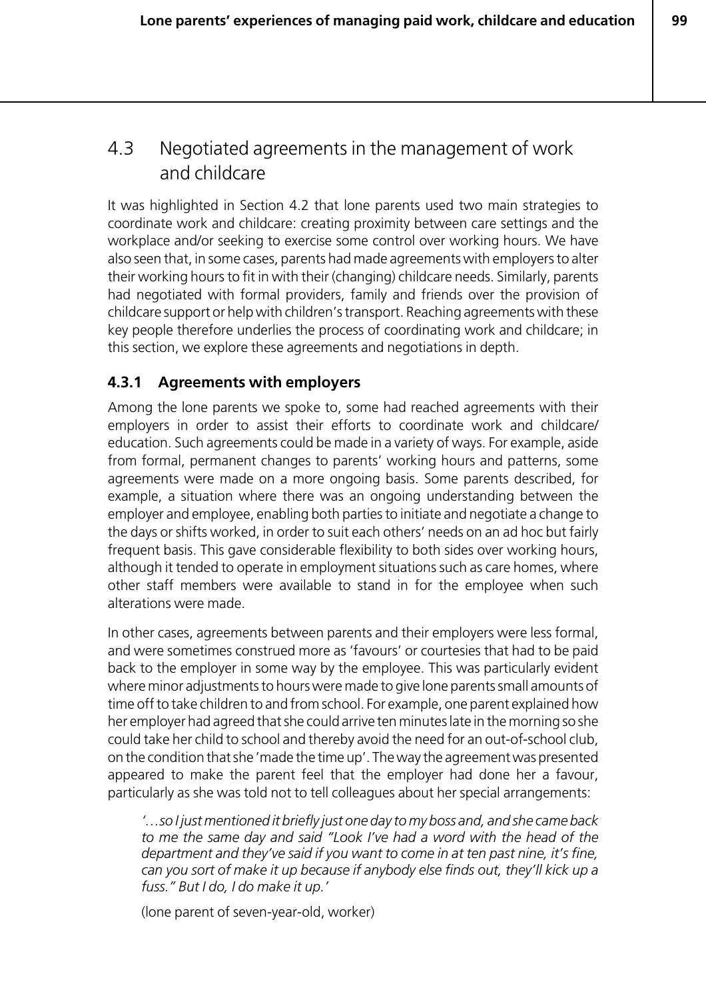# 4.3 Negotiated agreements in the management of work and childcare

It was highlighted in Section 4.2 that lone parents used two main strategies to coordinate work and childcare: creating proximity between care settings and the workplace and/or seeking to exercise some control over working hours. We have also seen that, in some cases, parents had made agreements with employers to alter their working hours to fit in with their (changing) childcare needs. Similarly, parents had negotiated with formal providers, family and friends over the provision of childcare support or help with children's transport. Reaching agreements with these key people therefore underlies the process of coordinating work and childcare; in this section, we explore these agreements and negotiations in depth.

## **4.3.1 Agreements with employers**

Among the lone parents we spoke to, some had reached agreements with their employers in order to assist their efforts to coordinate work and childcare/ education. Such agreements could be made in a variety of ways. For example, aside from formal, permanent changes to parents' working hours and patterns, some agreements were made on a more ongoing basis. Some parents described, for example, a situation where there was an ongoing understanding between the employer and employee, enabling both parties to initiate and negotiate a change to the days or shifts worked, in order to suit each others' needs on an ad hoc but fairly frequent basis. This gave considerable flexibility to both sides over working hours, although it tended to operate in employment situations such as care homes, where other staff members were available to stand in for the employee when such alterations were made.

In other cases, agreements between parents and their employers were less formal, and were sometimes construed more as 'favours' or courtesies that had to be paid back to the employer in some way by the employee. This was particularly evident where minor adjustments to hours were made to give lone parents small amounts of time off to take children to and from school. For example, one parent explained how her employer had agreed that she could arrive ten minutes late in the morning so she could take her child to school and thereby avoid the need for an out-of-school club, on the condition that she 'made the time up'. The way the agreement was presented appeared to make the parent feel that the employer had done her a favour, particularly as she was told not to tell colleagues about her special arrangements:

*'…so I just mentioned it briefly just one day to my boss and, and she came back to me the same day and said "Look I've had a word with the head of the department and they've said if you want to come in at ten past nine, it's fine, can you sort of make it up because if anybody else finds out, they'll kick up a fuss." But I do, I do make it up.'*

(lone parent of seven-year-old, worker)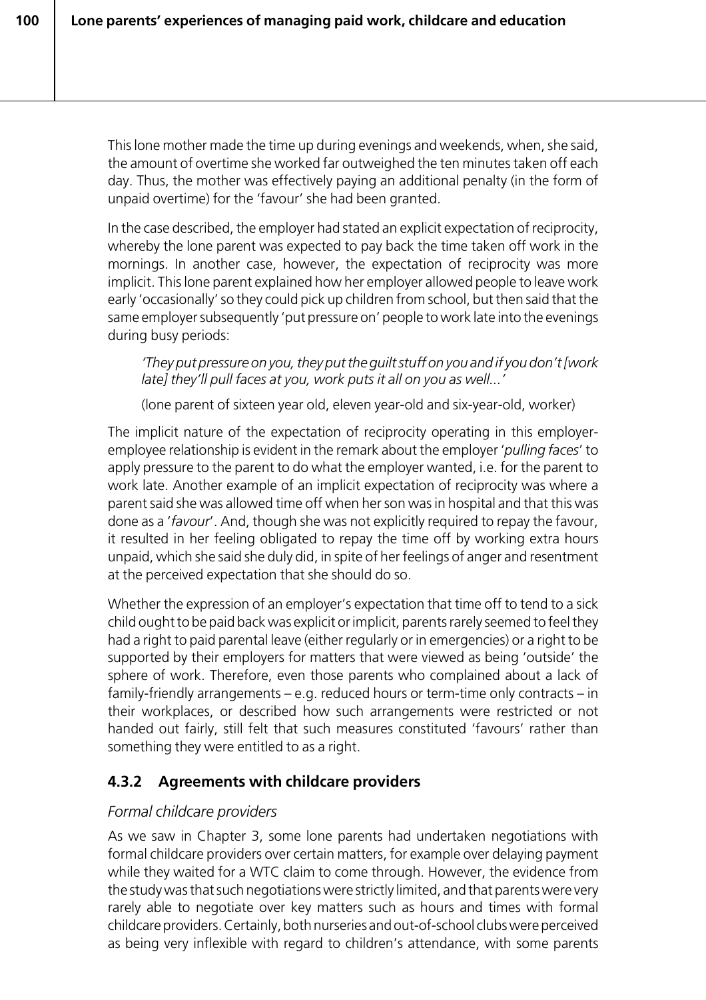This lone mother made the time up during evenings and weekends, when, she said, the amount of overtime she worked far outweighed the ten minutes taken off each day. Thus, the mother was effectively paying an additional penalty (in the form of unpaid overtime) for the 'favour' she had been granted.

In the case described, the employer had stated an explicit expectation of reciprocity, whereby the lone parent was expected to pay back the time taken off work in the mornings. In another case, however, the expectation of reciprocity was more implicit. This lone parent explained how her employer allowed people to leave work early 'occasionally' so they could pick up children from school, but then said that the same employer subsequently 'put pressure on' people to work late into the evenings during busy periods:

*'They put pressure on you, they put the guilt stuff on you and if you don't [work late] they'll pull faces at you, work puts it all on you as well...'*

(lone parent of sixteen year old, eleven year-old and six-year-old, worker)

The implicit nature of the expectation of reciprocity operating in this employeremployee relationship is evident in the remark about the employer '*pulling faces*' to apply pressure to the parent to do what the employer wanted, i.e. for the parent to work late. Another example of an implicit expectation of reciprocity was where a parent said she was allowed time off when her son was in hospital and that this was done as a '*favour*'. And, though she was not explicitly required to repay the favour, it resulted in her feeling obligated to repay the time off by working extra hours unpaid, which she said she duly did, in spite of her feelings of anger and resentment at the perceived expectation that she should do so.

Whether the expression of an employer's expectation that time off to tend to a sick child ought to be paid back was explicit or implicit, parents rarely seemed to feel they had a right to paid parental leave (either regularly or in emergencies) or a right to be supported by their employers for matters that were viewed as being 'outside' the sphere of work. Therefore, even those parents who complained about a lack of family-friendly arrangements – e.g. reduced hours or term-time only contracts – in their workplaces, or described how such arrangements were restricted or not handed out fairly, still felt that such measures constituted 'favours' rather than something they were entitled to as a right.

# **4.3.2 Agreements with childcare providers**

## *Formal childcare providers*

As we saw in Chapter 3, some lone parents had undertaken negotiations with formal childcare providers over certain matters, for example over delaying payment while they waited for a WTC claim to come through. However, the evidence from the study was that such negotiations were strictly limited, and that parents were very rarely able to negotiate over key matters such as hours and times with formal childcare providers. Certainly, both nurseries and out-of-school clubs were perceived as being very inflexible with regard to children's attendance, with some parents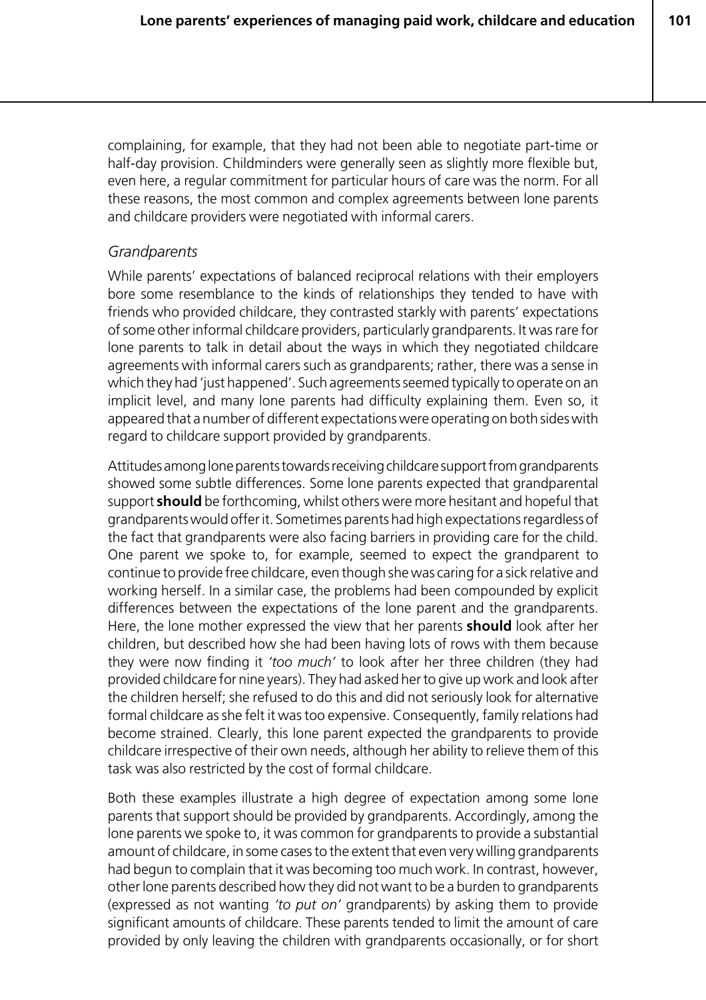**101**

complaining, for example, that they had not been able to negotiate part-time or half-day provision. Childminders were generally seen as slightly more flexible but, even here, a regular commitment for particular hours of care was the norm. For all these reasons, the most common and complex agreements between lone parents and childcare providers were negotiated with informal carers.

#### *Grandparents*

While parents' expectations of balanced reciprocal relations with their employers bore some resemblance to the kinds of relationships they tended to have with friends who provided childcare, they contrasted starkly with parents' expectations of some other informal childcare providers, particularly grandparents. It was rare for lone parents to talk in detail about the ways in which they negotiated childcare agreements with informal carers such as grandparents; rather, there was a sense in which they had 'just happened'. Such agreements seemed typically to operate on an implicit level, and many lone parents had difficulty explaining them. Even so, it appeared that a number of different expectations were operating on both sides with regard to childcare support provided by grandparents.

Attitudes among lone parents towards receiving childcare support from grandparents showed some subtle differences. Some lone parents expected that grandparental support **should** be forthcoming, whilst others were more hesitant and hopeful that grandparents would offer it. Sometimes parents had high expectations regardless of the fact that grandparents were also facing barriers in providing care for the child. One parent we spoke to, for example, seemed to expect the grandparent to continue to provide free childcare, even though she was caring for a sick relative and working herself. In a similar case, the problems had been compounded by explicit differences between the expectations of the lone parent and the grandparents. Here, the lone mother expressed the view that her parents **should** look after her children, but described how she had been having lots of rows with them because they were now finding it *'too much'* to look after her three children (they had provided childcare for nine years). They had asked her to give up work and look after the children herself; she refused to do this and did not seriously look for alternative formal childcare as she felt it was too expensive. Consequently, family relations had become strained. Clearly, this lone parent expected the grandparents to provide childcare irrespective of their own needs, although her ability to relieve them of this task was also restricted by the cost of formal childcare.

Both these examples illustrate a high degree of expectation among some lone parents that support should be provided by grandparents. Accordingly, among the lone parents we spoke to, it was common for grandparents to provide a substantial amount of childcare, in some cases to the extent that even very willing grandparents had begun to complain that it was becoming too much work. In contrast, however, other lone parents described how they did not want to be a burden to grandparents (expressed as not wanting *'to put on'* grandparents) by asking them to provide significant amounts of childcare. These parents tended to limit the amount of care provided by only leaving the children with grandparents occasionally, or for short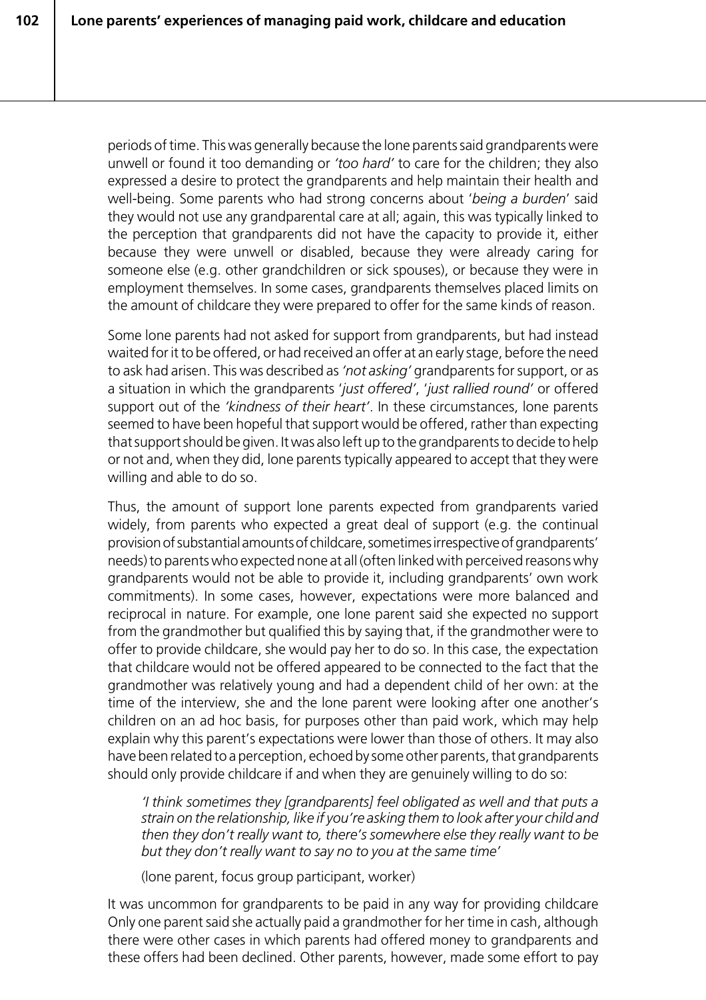periods of time. This was generally because the lone parents said grandparents were unwell or found it too demanding or *'too hard'* to care for the children; they also expressed a desire to protect the grandparents and help maintain their health and well-being. Some parents who had strong concerns about '*being a burden*' said they would not use any grandparental care at all; again, this was typically linked to the perception that grandparents did not have the capacity to provide it, either because they were unwell or disabled, because they were already caring for someone else (e.g. other grandchildren or sick spouses), or because they were in employment themselves. In some cases, grandparents themselves placed limits on the amount of childcare they were prepared to offer for the same kinds of reason.

Some lone parents had not asked for support from grandparents, but had instead waited for it to be offered, or had received an offer at an early stage, before the need to ask had arisen. This was described as *'not asking'* grandparents for support, or as a situation in which the grandparents '*just offered'*, '*just rallied round'* or offered support out of the *'kindness of their heart'*. In these circumstances, lone parents seemed to have been hopeful that support would be offered, rather than expecting that support should be given. It was also left up to the grandparents to decide to help or not and, when they did, lone parents typically appeared to accept that they were willing and able to do so.

Thus, the amount of support lone parents expected from grandparents varied widely, from parents who expected a great deal of support (e.g. the continual provision of substantial amounts of childcare, sometimes irrespective of grandparents' needs) to parents who expected none at all (often linked with perceived reasons why grandparents would not be able to provide it, including grandparents' own work commitments). In some cases, however, expectations were more balanced and reciprocal in nature. For example, one lone parent said she expected no support from the grandmother but qualified this by saying that, if the grandmother were to offer to provide childcare, she would pay her to do so. In this case, the expectation that childcare would not be offered appeared to be connected to the fact that the grandmother was relatively young and had a dependent child of her own: at the time of the interview, she and the lone parent were looking after one another's children on an ad hoc basis, for purposes other than paid work, which may help explain why this parent's expectations were lower than those of others. It may also have been related to a perception, echoed by some other parents, that grandparents should only provide childcare if and when they are genuinely willing to do so:

*'I think sometimes they [grandparents] feel obligated as well and that puts a strain on the relationship, like if you're asking them to look after your child and then they don't really want to, there's somewhere else they really want to be but they don't really want to say no to you at the same time'*

(lone parent, focus group participant, worker)

It was uncommon for grandparents to be paid in any way for providing childcare Only one parent said she actually paid a grandmother for her time in cash, although there were other cases in which parents had offered money to grandparents and these offers had been declined. Other parents, however, made some effort to pay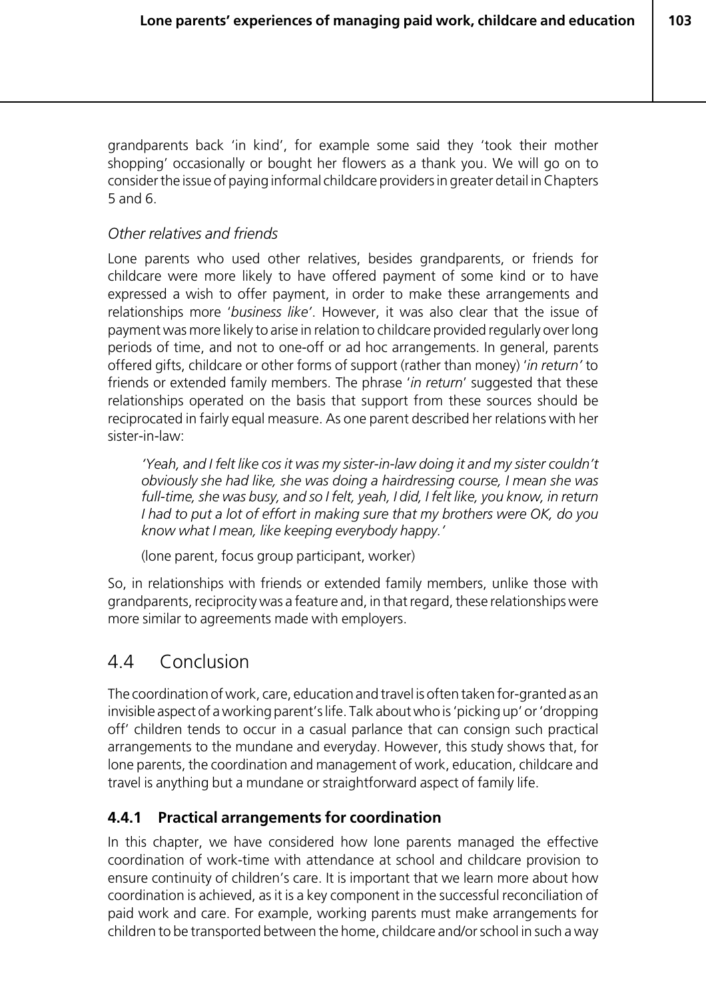grandparents back 'in kind', for example some said they 'took their mother shopping' occasionally or bought her flowers as a thank you. We will go on to consider the issue of paying informal childcare providers in greater detail in Chapters 5 and 6.

#### *Other relatives and friends*

Lone parents who used other relatives, besides grandparents, or friends for childcare were more likely to have offered payment of some kind or to have expressed a wish to offer payment, in order to make these arrangements and relationships more '*business like'*. However, it was also clear that the issue of payment was more likely to arise in relation to childcare provided regularly over long periods of time, and not to one-off or ad hoc arrangements. In general, parents offered gifts, childcare or other forms of support (rather than money) '*in return'* to friends or extended family members. The phrase '*in return*' suggested that these relationships operated on the basis that support from these sources should be reciprocated in fairly equal measure. As one parent described her relations with her sister-in-law:

*'Yeah, and I felt like cos it was my sister-in-law doing it and my sister couldn't obviously she had like, she was doing a hairdressing course, I mean she was full-time, she was busy, and so I felt, yeah, I did, I felt like, you know, in return I had to put a lot of effort in making sure that my brothers were OK, do you know what I mean, like keeping everybody happy.'*

(lone parent, focus group participant, worker)

So, in relationships with friends or extended family members, unlike those with grandparents, reciprocity was a feature and, in that regard, these relationships were more similar to agreements made with employers.

# 4.4 Conclusion

The coordination of work, care, education and travel is often taken for-granted as an invisible aspect of a working parent's life. Talk about who is 'picking up' or 'dropping off' children tends to occur in a casual parlance that can consign such practical arrangements to the mundane and everyday. However, this study shows that, for lone parents, the coordination and management of work, education, childcare and travel is anything but a mundane or straightforward aspect of family life.

## **4.4.1 Practical arrangements for coordination**

In this chapter, we have considered how lone parents managed the effective coordination of work-time with attendance at school and childcare provision to ensure continuity of children's care. It is important that we learn more about how coordination is achieved, as it is a key component in the successful reconciliation of paid work and care. For example, working parents must make arrangements for children to be transported between the home, childcare and/or school in such a way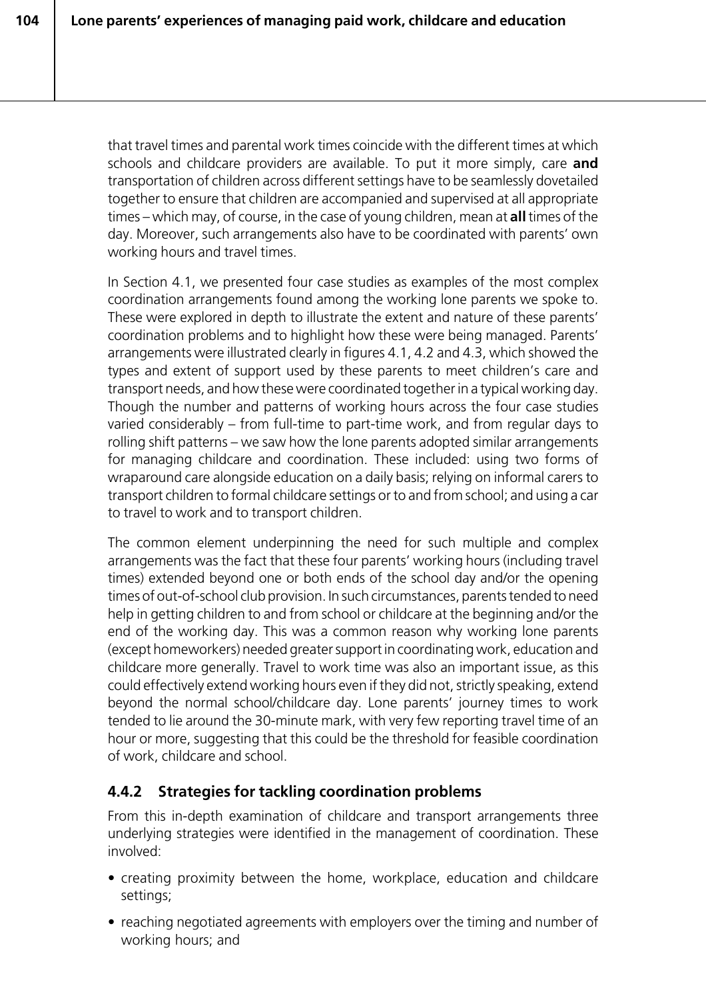that travel times and parental work times coincide with the different times at which schools and childcare providers are available. To put it more simply, care **and** transportation of children across different settings have to be seamlessly dovetailed together to ensure that children are accompanied and supervised at all appropriate times – which may, of course, in the case of young children, mean at **all** times of the day. Moreover, such arrangements also have to be coordinated with parents' own working hours and travel times.

In Section 4.1, we presented four case studies as examples of the most complex coordination arrangements found among the working lone parents we spoke to. These were explored in depth to illustrate the extent and nature of these parents' coordination problems and to highlight how these were being managed. Parents' arrangements were illustrated clearly in figures 4.1, 4.2 and 4.3, which showed the types and extent of support used by these parents to meet children's care and transport needs, and how these were coordinated together in a typical working day. Though the number and patterns of working hours across the four case studies varied considerably – from full-time to part-time work, and from regular days to rolling shift patterns – we saw how the lone parents adopted similar arrangements for managing childcare and coordination. These included: using two forms of wraparound care alongside education on a daily basis; relying on informal carers to transport children to formal childcare settings or to and from school; and using a car to travel to work and to transport children.

The common element underpinning the need for such multiple and complex arrangements was the fact that these four parents' working hours (including travel times) extended beyond one or both ends of the school day and/or the opening times of out-of-school club provision. In such circumstances, parents tended to need help in getting children to and from school or childcare at the beginning and/or the end of the working day. This was a common reason why working lone parents (except homeworkers) needed greater support in coordinating work, education and childcare more generally. Travel to work time was also an important issue, as this could effectively extend working hours even if they did not, strictly speaking, extend beyond the normal school/childcare day. Lone parents' journey times to work tended to lie around the 30-minute mark, with very few reporting travel time of an hour or more, suggesting that this could be the threshold for feasible coordination of work, childcare and school.

# **4.4.2 Strategies for tackling coordination problems**

From this in-depth examination of childcare and transport arrangements three underlying strategies were identified in the management of coordination. These involved:

- creating proximity between the home, workplace, education and childcare settings;
- reaching negotiated agreements with employers over the timing and number of working hours; and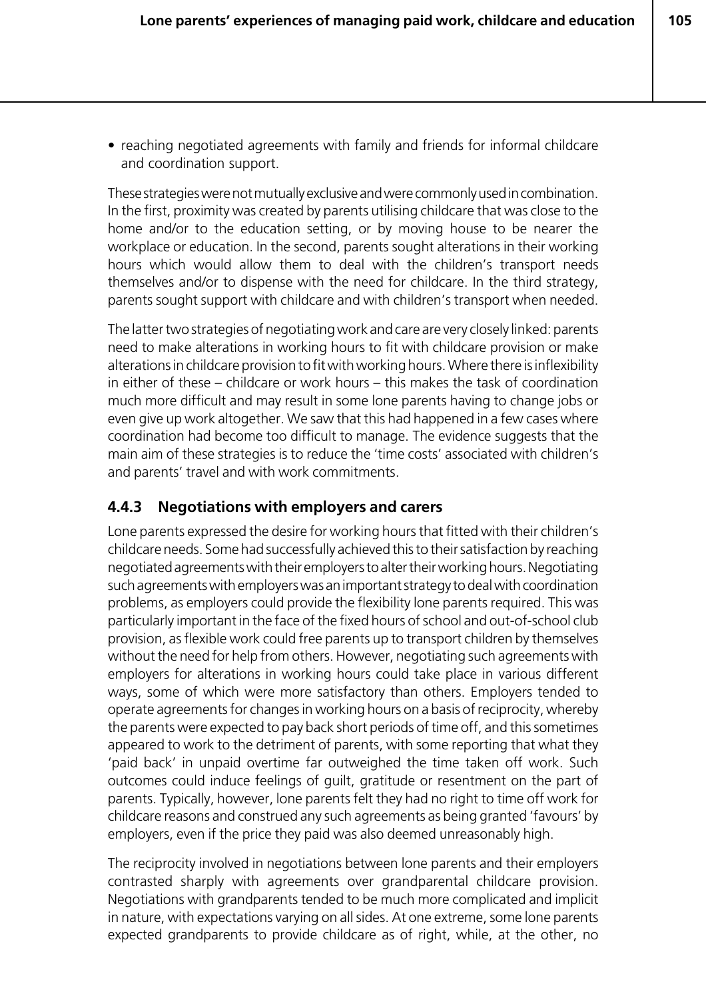**105**

• reaching negotiated agreements with family and friends for informal childcare and coordination support.

These strategies were not mutually exclusive and were commonly used in combination. In the first, proximity was created by parents utilising childcare that was close to the home and/or to the education setting, or by moving house to be nearer the workplace or education. In the second, parents sought alterations in their working hours which would allow them to deal with the children's transport needs themselves and/or to dispense with the need for childcare. In the third strategy, parents sought support with childcare and with children's transport when needed.

The latter two strategies of negotiating work and care are very closely linked: parents need to make alterations in working hours to fit with childcare provision or make alterations in childcare provision to fit with working hours. Where there is inflexibility in either of these – childcare or work hours – this makes the task of coordination much more difficult and may result in some lone parents having to change jobs or even give up work altogether. We saw that this had happened in a few cases where coordination had become too difficult to manage. The evidence suggests that the main aim of these strategies is to reduce the 'time costs' associated with children's and parents' travel and with work commitments.

#### **4.4.3 Negotiations with employers and carers**

Lone parents expressed the desire for working hours that fitted with their children's childcare needs. Some had successfully achieved this to their satisfaction by reaching negotiated agreements with their employers to alter their working hours. Negotiating such agreements with employers was an important strategy to deal with coordination problems, as employers could provide the flexibility lone parents required. This was particularly important in the face of the fixed hours of school and out-of-school club provision, as flexible work could free parents up to transport children by themselves without the need for help from others. However, negotiating such agreements with employers for alterations in working hours could take place in various different ways, some of which were more satisfactory than others. Employers tended to operate agreements for changes in working hours on a basis of reciprocity, whereby the parents were expected to pay back short periods of time off, and this sometimes appeared to work to the detriment of parents, with some reporting that what they 'paid back' in unpaid overtime far outweighed the time taken off work. Such outcomes could induce feelings of guilt, gratitude or resentment on the part of parents. Typically, however, lone parents felt they had no right to time off work for childcare reasons and construed any such agreements as being granted 'favours' by employers, even if the price they paid was also deemed unreasonably high.

The reciprocity involved in negotiations between lone parents and their employers contrasted sharply with agreements over grandparental childcare provision. Negotiations with grandparents tended to be much more complicated and implicit in nature, with expectations varying on all sides. At one extreme, some lone parents expected grandparents to provide childcare as of right, while, at the other, no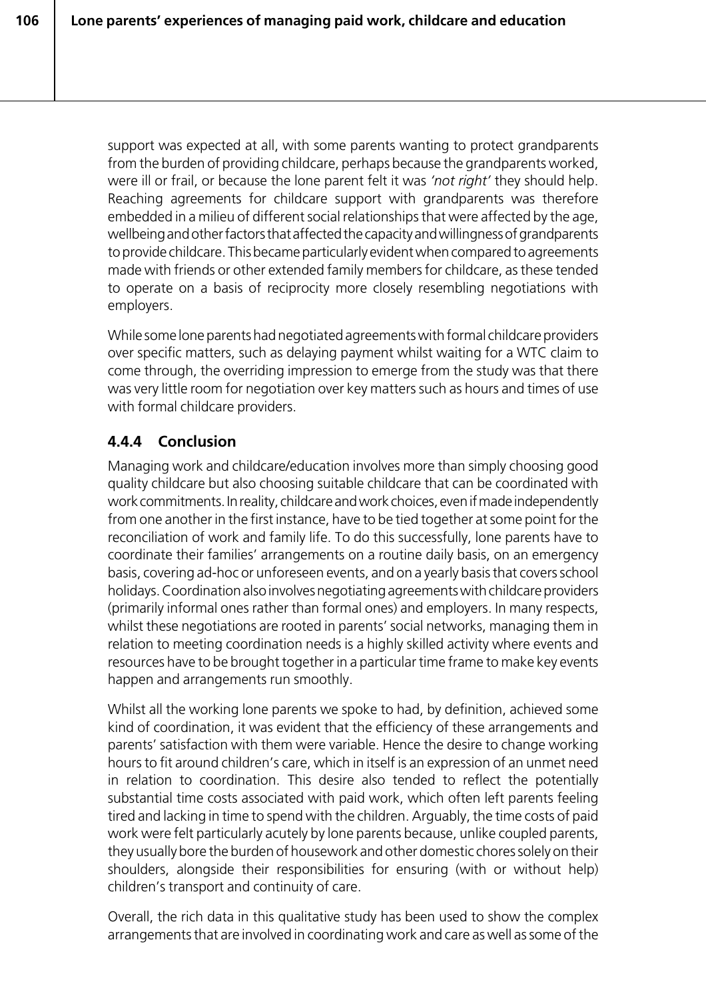support was expected at all, with some parents wanting to protect grandparents from the burden of providing childcare, perhaps because the grandparents worked, were ill or frail, or because the lone parent felt it was *'not right'* they should help. Reaching agreements for childcare support with grandparents was therefore embedded in a milieu of different social relationships that were affected by the age, wellbeing and other factors that affected the capacity and willingness of grandparents to provide childcare. This became particularly evident when compared to agreements made with friends or other extended family members for childcare, as these tended to operate on a basis of reciprocity more closely resembling negotiations with employers.

While some lone parents had negotiated agreements with formal childcare providers over specific matters, such as delaying payment whilst waiting for a WTC claim to come through, the overriding impression to emerge from the study was that there was very little room for negotiation over key matters such as hours and times of use with formal childcare providers.

# **4.4.4 Conclusion**

Managing work and childcare/education involves more than simply choosing good quality childcare but also choosing suitable childcare that can be coordinated with work commitments. In reality, childcare and work choices, even if made independently from one another in the first instance, have to be tied together at some point for the reconciliation of work and family life. To do this successfully, lone parents have to coordinate their families' arrangements on a routine daily basis, on an emergency basis, covering ad-hoc or unforeseen events, and on a yearly basis that covers school holidays. Coordination also involves negotiating agreements with childcare providers (primarily informal ones rather than formal ones) and employers. In many respects, whilst these negotiations are rooted in parents' social networks, managing them in relation to meeting coordination needs is a highly skilled activity where events and resources have to be brought together in a particular time frame to make key events happen and arrangements run smoothly.

Whilst all the working lone parents we spoke to had, by definition, achieved some kind of coordination, it was evident that the efficiency of these arrangements and parents' satisfaction with them were variable. Hence the desire to change working hours to fit around children's care, which in itself is an expression of an unmet need in relation to coordination. This desire also tended to reflect the potentially substantial time costs associated with paid work, which often left parents feeling tired and lacking in time to spend with the children. Arguably, the time costs of paid work were felt particularly acutely by lone parents because, unlike coupled parents, they usually bore the burden of housework and other domestic chores solely on their shoulders, alongside their responsibilities for ensuring (with or without help) children's transport and continuity of care.

Overall, the rich data in this qualitative study has been used to show the complex arrangements that are involved in coordinating work and care as well as some of the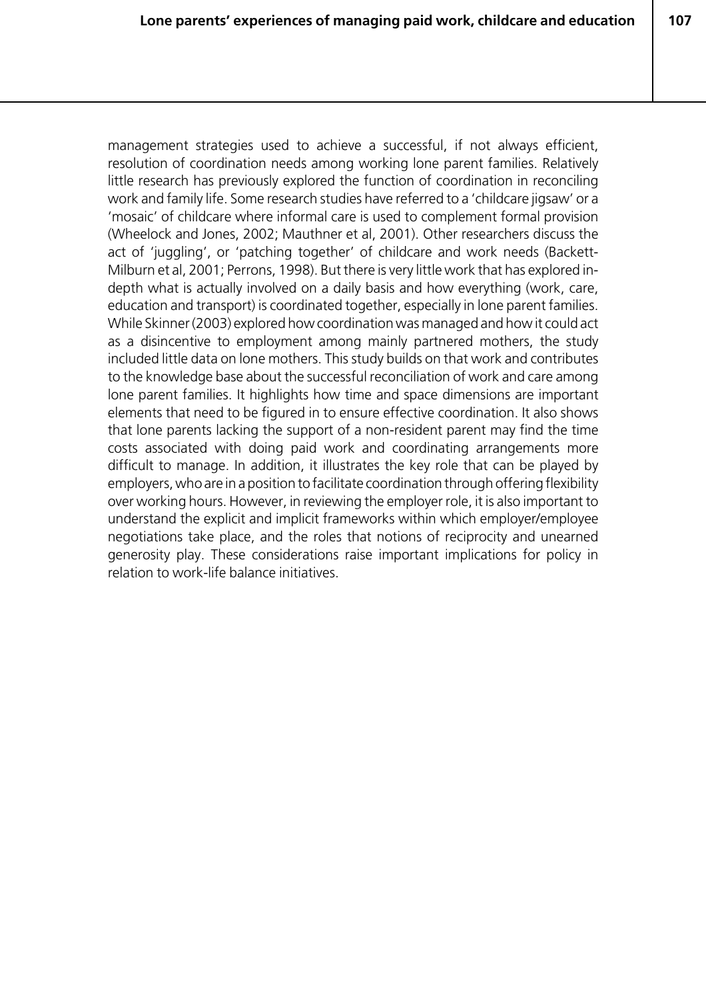**107**

management strategies used to achieve a successful, if not always efficient, resolution of coordination needs among working lone parent families. Relatively little research has previously explored the function of coordination in reconciling work and family life. Some research studies have referred to a 'childcare jigsaw' or a 'mosaic' of childcare where informal care is used to complement formal provision (Wheelock and Jones, 2002; Mauthner et al, 2001). Other researchers discuss the act of 'juggling', or 'patching together' of childcare and work needs (Backett-Milburn et al, 2001; Perrons, 1998). But there is very little work that has explored indepth what is actually involved on a daily basis and how everything (work, care, education and transport) is coordinated together, especially in lone parent families. While Skinner (2003) explored how coordination was managed and how it could act as a disincentive to employment among mainly partnered mothers, the study included little data on lone mothers. This study builds on that work and contributes to the knowledge base about the successful reconciliation of work and care among lone parent families. It highlights how time and space dimensions are important elements that need to be figured in to ensure effective coordination. It also shows that lone parents lacking the support of a non-resident parent may find the time costs associated with doing paid work and coordinating arrangements more difficult to manage. In addition, it illustrates the key role that can be played by employers, who are in a position to facilitate coordination through offering flexibility over working hours. However, in reviewing the employer role, it is also important to understand the explicit and implicit frameworks within which employer/employee negotiations take place, and the roles that notions of reciprocity and unearned generosity play. These considerations raise important implications for policy in relation to work-life balance initiatives.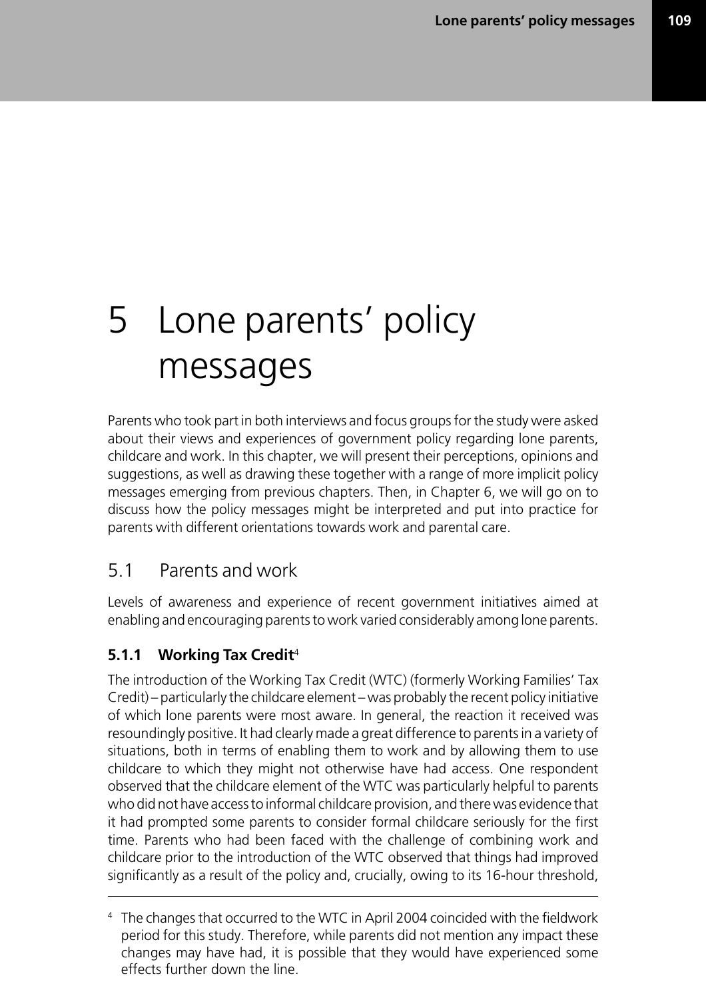# 5 Lone parents' policy messages

Parents who took part in both interviews and focus groups for the study were asked about their views and experiences of government policy regarding lone parents, childcare and work. In this chapter, we will present their perceptions, opinions and suggestions, as well as drawing these together with a range of more implicit policy messages emerging from previous chapters. Then, in Chapter 6, we will go on to discuss how the policy messages might be interpreted and put into practice for parents with different orientations towards work and parental care.

# 5.1 Parents and work

Levels of awareness and experience of recent government initiatives aimed at enabling and encouraging parents to work varied considerably among lone parents.

# **5.1.1 Working Tax Credit**<sup>4</sup>

The introduction of the Working Tax Credit (WTC) (formerly Working Families' Tax Credit) – particularly the childcare element – was probably the recent policy initiative of which lone parents were most aware. In general, the reaction it received was resoundingly positive. It had clearly made a great difference to parents in a variety of situations, both in terms of enabling them to work and by allowing them to use childcare to which they might not otherwise have had access. One respondent observed that the childcare element of the WTC was particularly helpful to parents who did not have access to informal childcare provision, and there was evidence that it had prompted some parents to consider formal childcare seriously for the first time. Parents who had been faced with the challenge of combining work and childcare prior to the introduction of the WTC observed that things had improved significantly as a result of the policy and, crucially, owing to its 16-hour threshold,

<sup>4</sup> The changes that occurred to the WTC in April 2004 coincided with the fieldwork period for this study. Therefore, while parents did not mention any impact these changes may have had, it is possible that they would have experienced some effects further down the line.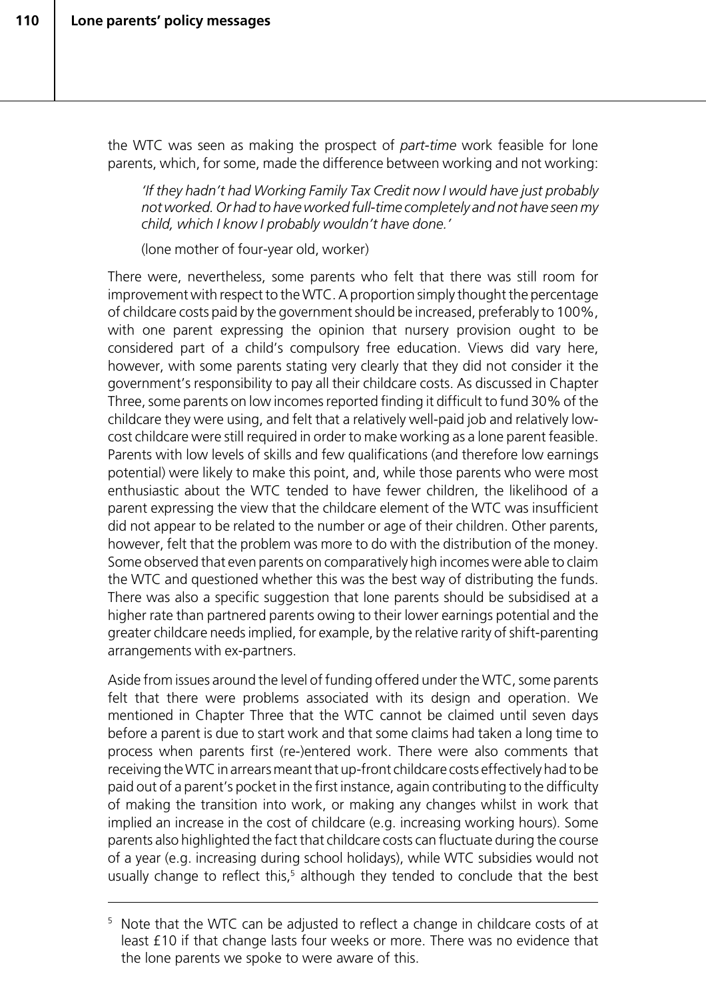the WTC was seen as making the prospect of *part-time* work feasible for lone parents, which, for some, made the difference between working and not working:

*'If they hadn't had Working Family Tax Credit now I would have just probably not worked. Or had to have worked full-time completely and not have seen my child, which I know I probably wouldn't have done.'*

(lone mother of four-year old, worker)

There were, nevertheless, some parents who felt that there was still room for improvement with respect to the WTC. A proportion simply thought the percentage of childcare costs paid by the government should be increased, preferably to 100%, with one parent expressing the opinion that nursery provision ought to be considered part of a child's compulsory free education. Views did vary here, however, with some parents stating very clearly that they did not consider it the government's responsibility to pay all their childcare costs. As discussed in Chapter Three, some parents on low incomes reported finding it difficult to fund 30% of the childcare they were using, and felt that a relatively well-paid job and relatively lowcost childcare were still required in order to make working as a lone parent feasible. Parents with low levels of skills and few qualifications (and therefore low earnings potential) were likely to make this point, and, while those parents who were most enthusiastic about the WTC tended to have fewer children, the likelihood of a parent expressing the view that the childcare element of the WTC was insufficient did not appear to be related to the number or age of their children. Other parents, however, felt that the problem was more to do with the distribution of the money. Some observed that even parents on comparatively high incomes were able to claim the WTC and questioned whether this was the best way of distributing the funds. There was also a specific suggestion that lone parents should be subsidised at a higher rate than partnered parents owing to their lower earnings potential and the greater childcare needs implied, for example, by the relative rarity of shift-parenting arrangements with ex-partners.

Aside from issues around the level of funding offered under the WTC, some parents felt that there were problems associated with its design and operation. We mentioned in Chapter Three that the WTC cannot be claimed until seven days before a parent is due to start work and that some claims had taken a long time to process when parents first (re-)entered work. There were also comments that receiving the WTC in arrears meant that up-front childcare costs effectively had to be paid out of a parent's pocket in the first instance, again contributing to the difficulty of making the transition into work, or making any changes whilst in work that implied an increase in the cost of childcare (e.g. increasing working hours). Some parents also highlighted the fact that childcare costs can fluctuate during the course of a year (e.g. increasing during school holidays), while WTC subsidies would not usually change to reflect this,<sup>5</sup> although they tended to conclude that the best

<sup>&</sup>lt;sup>5</sup> Note that the WTC can be adjusted to reflect a change in childcare costs of at least £10 if that change lasts four weeks or more. There was no evidence that the lone parents we spoke to were aware of this.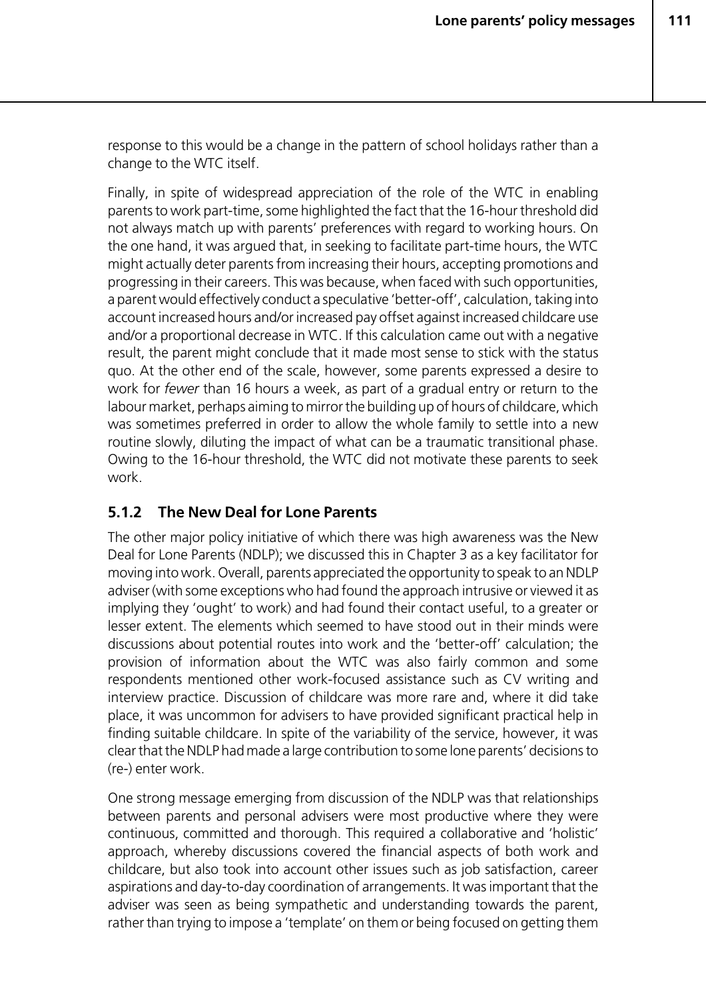response to this would be a change in the pattern of school holidays rather than a change to the WTC itself.

Finally, in spite of widespread appreciation of the role of the WTC in enabling parents to work part-time, some highlighted the fact that the 16-hour threshold did not always match up with parents' preferences with regard to working hours. On the one hand, it was argued that, in seeking to facilitate part-time hours, the WTC might actually deter parents from increasing their hours, accepting promotions and progressing in their careers. This was because, when faced with such opportunities, a parent would effectively conduct a speculative 'better-off', calculation, taking into account increased hours and/or increased pay offset against increased childcare use and/or a proportional decrease in WTC. If this calculation came out with a negative result, the parent might conclude that it made most sense to stick with the status quo. At the other end of the scale, however, some parents expressed a desire to work for *fewer* than 16 hours a week, as part of a gradual entry or return to the labour market, perhaps aiming to mirror the building up of hours of childcare, which was sometimes preferred in order to allow the whole family to settle into a new routine slowly, diluting the impact of what can be a traumatic transitional phase. Owing to the 16-hour threshold, the WTC did not motivate these parents to seek work.

#### **5.1.2 The New Deal for Lone Parents**

The other major policy initiative of which there was high awareness was the New Deal for Lone Parents (NDLP); we discussed this in Chapter 3 as a key facilitator for moving into work. Overall, parents appreciated the opportunity to speak to an NDLP adviser (with some exceptions who had found the approach intrusive or viewed it as implying they 'ought' to work) and had found their contact useful, to a greater or lesser extent. The elements which seemed to have stood out in their minds were discussions about potential routes into work and the 'better-off' calculation; the provision of information about the WTC was also fairly common and some respondents mentioned other work-focused assistance such as CV writing and interview practice. Discussion of childcare was more rare and, where it did take place, it was uncommon for advisers to have provided significant practical help in finding suitable childcare. In spite of the variability of the service, however, it was clear that the NDLP had made a large contribution to some lone parents' decisions to (re-) enter work.

One strong message emerging from discussion of the NDLP was that relationships between parents and personal advisers were most productive where they were continuous, committed and thorough. This required a collaborative and 'holistic' approach, whereby discussions covered the financial aspects of both work and childcare, but also took into account other issues such as job satisfaction, career aspirations and day-to-day coordination of arrangements. It was important that the adviser was seen as being sympathetic and understanding towards the parent, rather than trying to impose a 'template' on them or being focused on getting them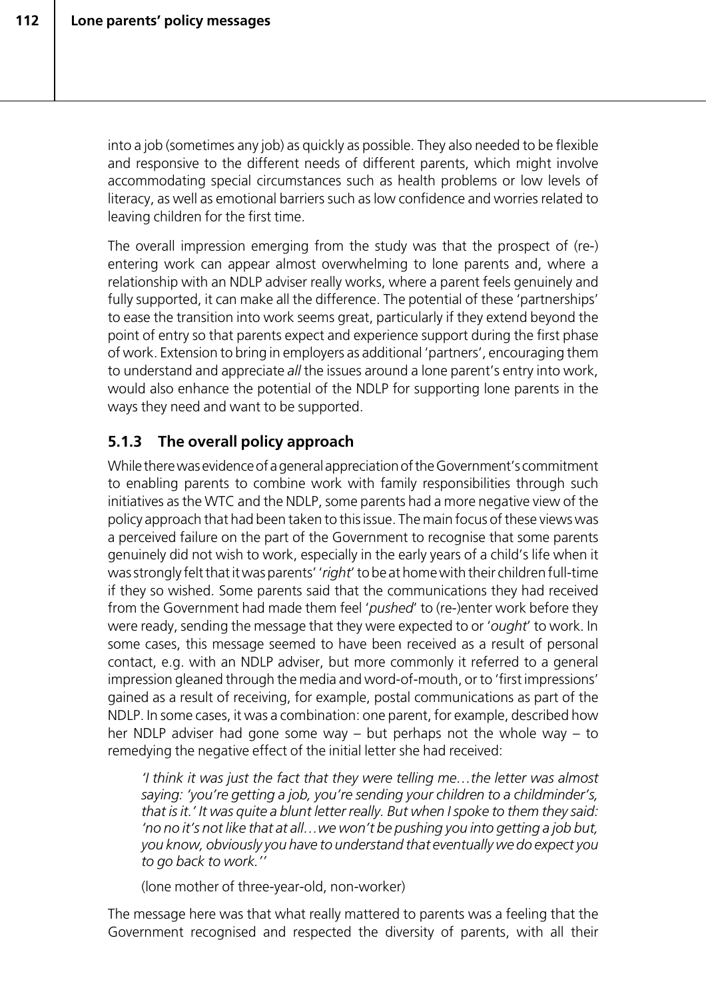into a job (sometimes any job) as quickly as possible. They also needed to be flexible and responsive to the different needs of different parents, which might involve accommodating special circumstances such as health problems or low levels of literacy, as well as emotional barriers such as low confidence and worries related to leaving children for the first time.

The overall impression emerging from the study was that the prospect of (re-) entering work can appear almost overwhelming to lone parents and, where a relationship with an NDLP adviser really works, where a parent feels genuinely and fully supported, it can make all the difference. The potential of these 'partnerships' to ease the transition into work seems great, particularly if they extend beyond the point of entry so that parents expect and experience support during the first phase of work. Extension to bring in employers as additional 'partners', encouraging them to understand and appreciate *all* the issues around a lone parent's entry into work, would also enhance the potential of the NDLP for supporting lone parents in the ways they need and want to be supported.

# **5.1.3 The overall policy approach**

While there was evidence of a general appreciation of the Government's commitment to enabling parents to combine work with family responsibilities through such initiatives as the WTC and the NDLP, some parents had a more negative view of the policy approach that had been taken to this issue. The main focus of these views was a perceived failure on the part of the Government to recognise that some parents genuinely did not wish to work, especially in the early years of a child's life when it was strongly felt that it was parents' '*right*' to be at home with their children full-time if they so wished. Some parents said that the communications they had received from the Government had made them feel '*pushed*' to (re-)enter work before they were ready, sending the message that they were expected to or '*ought*' to work. In some cases, this message seemed to have been received as a result of personal contact, e.g. with an NDLP adviser, but more commonly it referred to a general impression gleaned through the media and word-of-mouth, or to 'first impressions' gained as a result of receiving, for example, postal communications as part of the NDLP. In some cases, it was a combination: one parent, for example, described how her NDLP adviser had gone some way – but perhaps not the whole way – to remedying the negative effect of the initial letter she had received:

*'I think it was just the fact that they were telling me…the letter was almost saying: 'you're getting a job, you're sending your children to a childminder's, that is it.' It was quite a blunt letter really. But when I spoke to them they said: 'no no it's not like that at all…we won't be pushing you into getting a job but, you know, obviously you have to understand that eventually we do expect you to go back to work.''*

(lone mother of three-year-old, non-worker)

The message here was that what really mattered to parents was a feeling that the Government recognised and respected the diversity of parents, with all their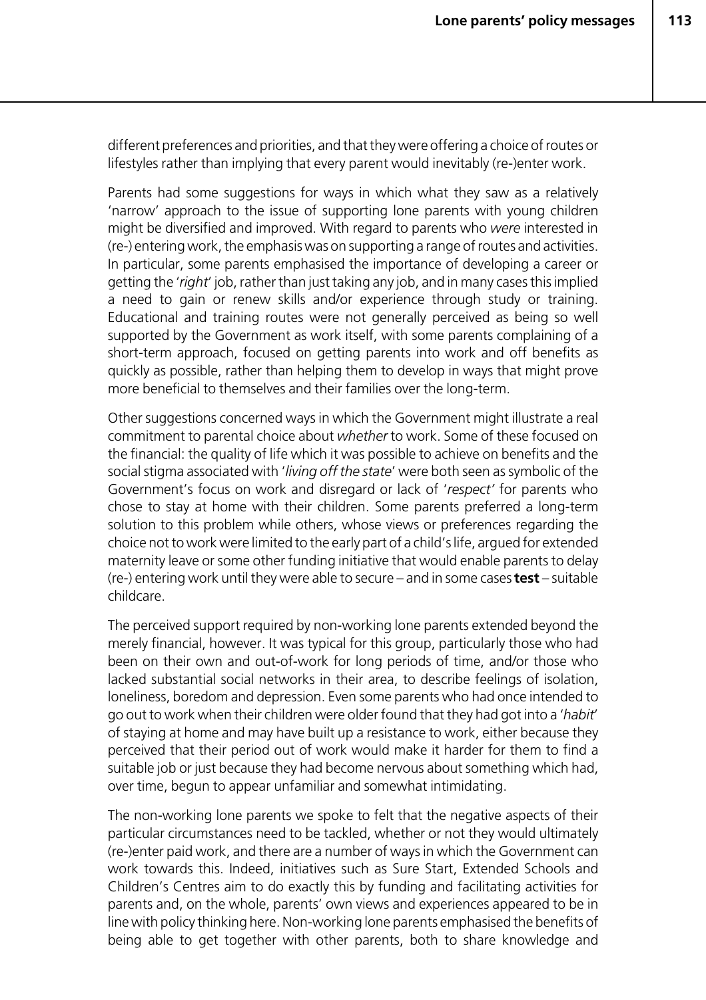different preferences and priorities, and that they were offering a choice of routes or lifestyles rather than implying that every parent would inevitably (re-)enter work.

Parents had some suggestions for ways in which what they saw as a relatively 'narrow' approach to the issue of supporting lone parents with young children might be diversified and improved. With regard to parents who *were* interested in (re-) entering work, the emphasis was on supporting a range of routes and activities. In particular, some parents emphasised the importance of developing a career or getting the '*right*' job, rather than just taking any job, and in many cases this implied a need to gain or renew skills and/or experience through study or training. Educational and training routes were not generally perceived as being so well supported by the Government as work itself, with some parents complaining of a short-term approach, focused on getting parents into work and off benefits as quickly as possible, rather than helping them to develop in ways that might prove more beneficial to themselves and their families over the long-term.

Other suggestions concerned ways in which the Government might illustrate a real commitment to parental choice about *whether* to work. Some of these focused on the financial: the quality of life which it was possible to achieve on benefits and the social stigma associated with '*living off the state*' were both seen as symbolic of the Government's focus on work and disregard or lack of '*respect'* for parents who chose to stay at home with their children. Some parents preferred a long-term solution to this problem while others, whose views or preferences regarding the choice not to work were limited to the early part of a child's life, argued for extended maternity leave or some other funding initiative that would enable parents to delay (re-) entering work until they were able to secure – and in some cases **test** – suitable childcare.

The perceived support required by non-working lone parents extended beyond the merely financial, however. It was typical for this group, particularly those who had been on their own and out-of-work for long periods of time, and/or those who lacked substantial social networks in their area, to describe feelings of isolation, loneliness, boredom and depression. Even some parents who had once intended to go out to work when their children were older found that they had got into a '*habit*' of staying at home and may have built up a resistance to work, either because they perceived that their period out of work would make it harder for them to find a suitable job or just because they had become nervous about something which had, over time, begun to appear unfamiliar and somewhat intimidating.

The non-working lone parents we spoke to felt that the negative aspects of their particular circumstances need to be tackled, whether or not they would ultimately (re-)enter paid work, and there are a number of ways in which the Government can work towards this. Indeed, initiatives such as Sure Start, Extended Schools and Children's Centres aim to do exactly this by funding and facilitating activities for parents and, on the whole, parents' own views and experiences appeared to be in line with policy thinking here. Non-working lone parents emphasised the benefits of being able to get together with other parents, both to share knowledge and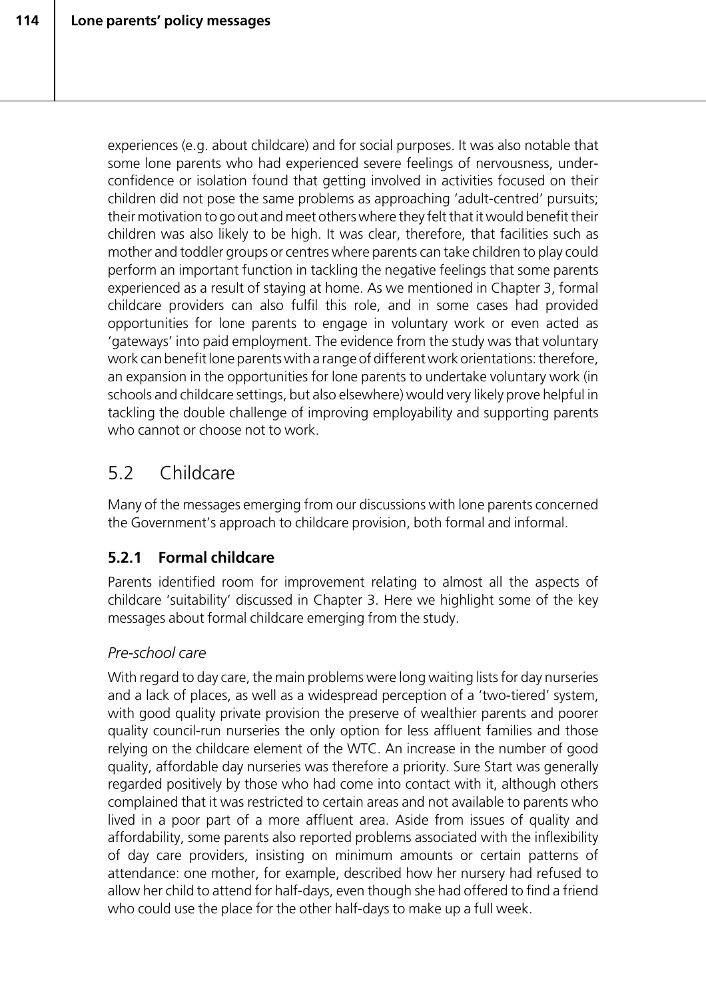experiences (e.g. about childcare) and for social purposes. It was also notable that some lone parents who had experienced severe feelings of nervousness, underconfidence or isolation found that getting involved in activities focused on their children did not pose the same problems as approaching 'adult-centred' pursuits; their motivation to go out and meet others where they felt that it would benefit their children was also likely to be high. It was clear, therefore, that facilities such as mother and toddler groups or centres where parents can take children to play could perform an important function in tackling the negative feelings that some parents experienced as a result of staying at home. As we mentioned in Chapter 3, formal childcare providers can also fulfil this role, and in some cases had provided opportunities for lone parents to engage in voluntary work or even acted as 'gateways' into paid employment. The evidence from the study was that voluntary work can benefit lone parents with a range of different work orientations: therefore, an expansion in the opportunities for lone parents to undertake voluntary work (in schools and childcare settings, but also elsewhere) would very likely prove helpful in tackling the double challenge of improving employability and supporting parents who cannot or choose not to work.

# 5.2 Childcare

Many of the messages emerging from our discussions with lone parents concerned the Government's approach to childcare provision, both formal and informal.

# **5.2.1 Formal childcare**

Parents identified room for improvement relating to almost all the aspects of childcare 'suitability' discussed in Chapter 3. Here we highlight some of the key messages about formal childcare emerging from the study.

# *Pre-school care*

With regard to day care, the main problems were long waiting lists for day nurseries and a lack of places, as well as a widespread perception of a 'two-tiered' system, with good quality private provision the preserve of wealthier parents and poorer quality council-run nurseries the only option for less affluent families and those relying on the childcare element of the WTC. An increase in the number of good quality, affordable day nurseries was therefore a priority. Sure Start was generally regarded positively by those who had come into contact with it, although others complained that it was restricted to certain areas and not available to parents who lived in a poor part of a more affluent area. Aside from issues of quality and affordability, some parents also reported problems associated with the inflexibility of day care providers, insisting on minimum amounts or certain patterns of attendance: one mother, for example, described how her nursery had refused to allow her child to attend for half-days, even though she had offered to find a friend who could use the place for the other half-days to make up a full week.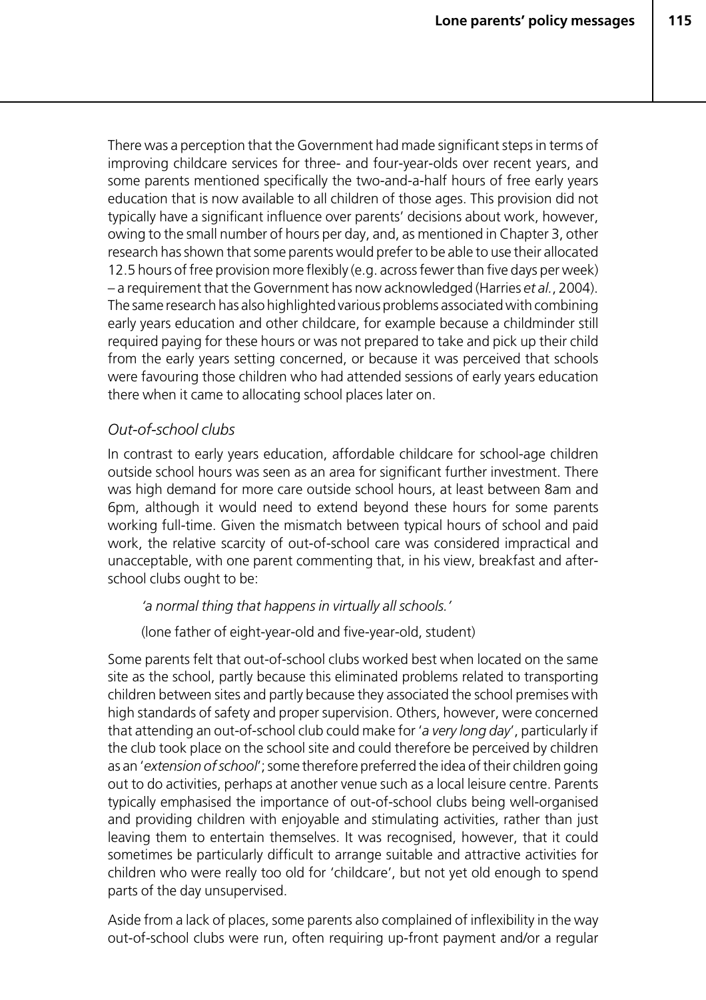There was a perception that the Government had made significant steps in terms of improving childcare services for three- and four-year-olds over recent years, and some parents mentioned specifically the two-and-a-half hours of free early years education that is now available to all children of those ages. This provision did not typically have a significant influence over parents' decisions about work, however, owing to the small number of hours per day, and, as mentioned in Chapter 3, other research has shown that some parents would prefer to be able to use their allocated 12.5 hours of free provision more flexibly (e.g. across fewer than five days per week) – a requirement that the Government has now acknowledged (Harries *et al.*, 2004). The same research has also highlighted various problems associated with combining early years education and other childcare, for example because a childminder still required paying for these hours or was not prepared to take and pick up their child from the early years setting concerned, or because it was perceived that schools were favouring those children who had attended sessions of early years education there when it came to allocating school places later on.

#### *Out-of-school clubs*

In contrast to early years education, affordable childcare for school-age children outside school hours was seen as an area for significant further investment. There was high demand for more care outside school hours, at least between 8am and 6pm, although it would need to extend beyond these hours for some parents working full-time. Given the mismatch between typical hours of school and paid work, the relative scarcity of out-of-school care was considered impractical and unacceptable, with one parent commenting that, in his view, breakfast and afterschool clubs ought to be:

#### *'a normal thing that happens in virtually all schools.'*

(lone father of eight-year-old and five-year-old, student)

Some parents felt that out-of-school clubs worked best when located on the same site as the school, partly because this eliminated problems related to transporting children between sites and partly because they associated the school premises with high standards of safety and proper supervision. Others, however, were concerned that attending an out-of-school club could make for '*a very long day*', particularly if the club took place on the school site and could therefore be perceived by children as an '*extension of school*'; some therefore preferred the idea of their children going out to do activities, perhaps at another venue such as a local leisure centre. Parents typically emphasised the importance of out-of-school clubs being well-organised and providing children with enjoyable and stimulating activities, rather than just leaving them to entertain themselves. It was recognised, however, that it could sometimes be particularly difficult to arrange suitable and attractive activities for children who were really too old for 'childcare', but not yet old enough to spend parts of the day unsupervised.

Aside from a lack of places, some parents also complained of inflexibility in the way out-of-school clubs were run, often requiring up-front payment and/or a regular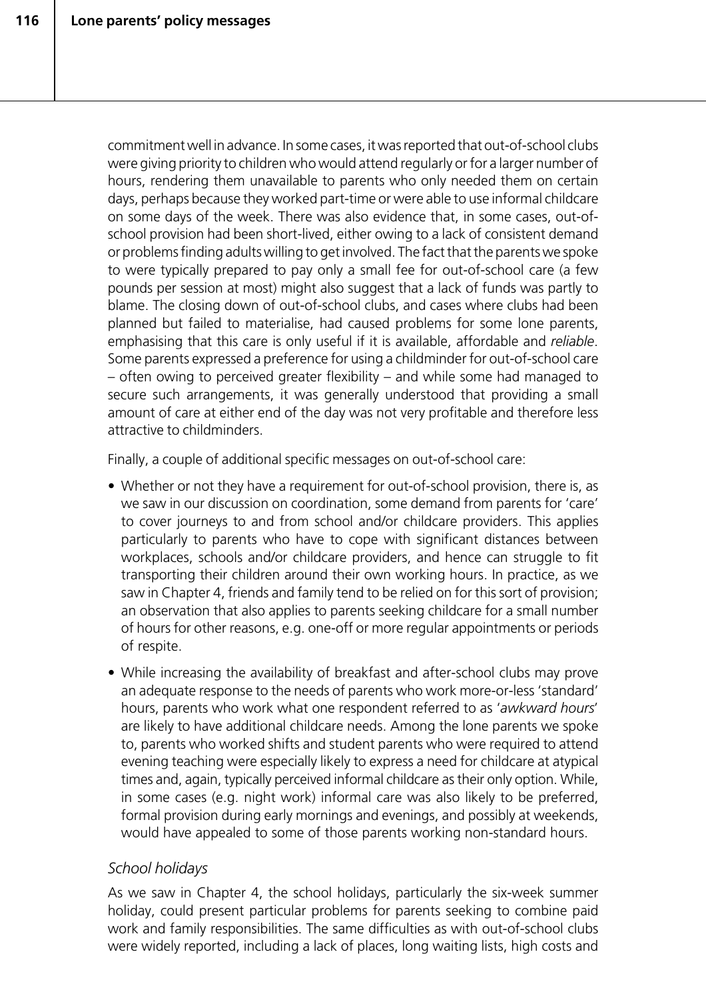commitment well in advance. In some cases, it was reported that out-of-school clubs were giving priority to children who would attend regularly or for a larger number of hours, rendering them unavailable to parents who only needed them on certain days, perhaps because they worked part-time or were able to use informal childcare on some days of the week. There was also evidence that, in some cases, out-ofschool provision had been short-lived, either owing to a lack of consistent demand or problems finding adults willing to get involved. The fact that the parents we spoke to were typically prepared to pay only a small fee for out-of-school care (a few pounds per session at most) might also suggest that a lack of funds was partly to blame. The closing down of out-of-school clubs, and cases where clubs had been planned but failed to materialise, had caused problems for some lone parents, emphasising that this care is only useful if it is available, affordable and *reliable*. Some parents expressed a preference for using a childminder for out-of-school care – often owing to perceived greater flexibility – and while some had managed to secure such arrangements, it was generally understood that providing a small amount of care at either end of the day was not very profitable and therefore less attractive to childminders.

Finally, a couple of additional specific messages on out-of-school care:

- Whether or not they have a requirement for out-of-school provision, there is, as we saw in our discussion on coordination, some demand from parents for 'care' to cover journeys to and from school and/or childcare providers. This applies particularly to parents who have to cope with significant distances between workplaces, schools and/or childcare providers, and hence can struggle to fit transporting their children around their own working hours. In practice, as we saw in Chapter 4, friends and family tend to be relied on for this sort of provision; an observation that also applies to parents seeking childcare for a small number of hours for other reasons, e.g. one-off or more regular appointments or periods of respite.
- While increasing the availability of breakfast and after-school clubs may prove an adequate response to the needs of parents who work more-or-less 'standard' hours, parents who work what one respondent referred to as '*awkward hours*' are likely to have additional childcare needs. Among the lone parents we spoke to, parents who worked shifts and student parents who were required to attend evening teaching were especially likely to express a need for childcare at atypical times and, again, typically perceived informal childcare as their only option. While, in some cases (e.g. night work) informal care was also likely to be preferred, formal provision during early mornings and evenings, and possibly at weekends, would have appealed to some of those parents working non-standard hours.

## *School holidays*

As we saw in Chapter 4, the school holidays, particularly the six-week summer holiday, could present particular problems for parents seeking to combine paid work and family responsibilities. The same difficulties as with out-of-school clubs were widely reported, including a lack of places, long waiting lists, high costs and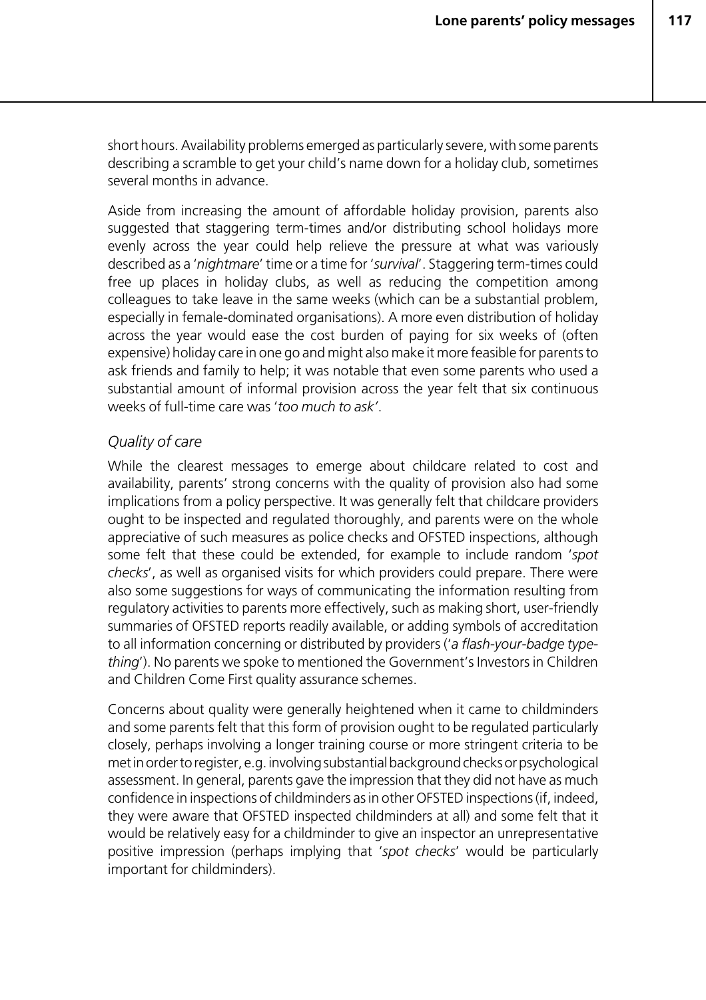short hours. Availability problems emerged as particularly severe, with some parents describing a scramble to get your child's name down for a holiday club, sometimes several months in advance.

Aside from increasing the amount of affordable holiday provision, parents also suggested that staggering term-times and/or distributing school holidays more evenly across the year could help relieve the pressure at what was variously described as a '*nightmare*' time or a time for '*survival*'. Staggering term-times could free up places in holiday clubs, as well as reducing the competition among colleagues to take leave in the same weeks (which can be a substantial problem, especially in female-dominated organisations). A more even distribution of holiday across the year would ease the cost burden of paying for six weeks of (often expensive) holiday care in one go and might also make it more feasible for parents to ask friends and family to help; it was notable that even some parents who used a substantial amount of informal provision across the year felt that six continuous weeks of full-time care was '*too much to ask'*.

#### *Quality of care*

While the clearest messages to emerge about childcare related to cost and availability, parents' strong concerns with the quality of provision also had some implications from a policy perspective. It was generally felt that childcare providers ought to be inspected and regulated thoroughly, and parents were on the whole appreciative of such measures as police checks and OFSTED inspections, although some felt that these could be extended, for example to include random '*spot checks*', as well as organised visits for which providers could prepare. There were also some suggestions for ways of communicating the information resulting from regulatory activities to parents more effectively, such as making short, user-friendly summaries of OFSTED reports readily available, or adding symbols of accreditation to all information concerning or distributed by providers ('*a flash-your-badge typething*'). No parents we spoke to mentioned the Government's Investors in Children and Children Come First quality assurance schemes.

Concerns about quality were generally heightened when it came to childminders and some parents felt that this form of provision ought to be regulated particularly closely, perhaps involving a longer training course or more stringent criteria to be met in order to register, e.g. involving substantial background checks or psychological assessment. In general, parents gave the impression that they did not have as much confidence in inspections of childminders as in other OFSTED inspections (if, indeed, they were aware that OFSTED inspected childminders at all) and some felt that it would be relatively easy for a childminder to give an inspector an unrepresentative positive impression (perhaps implying that '*spot checks*' would be particularly important for childminders).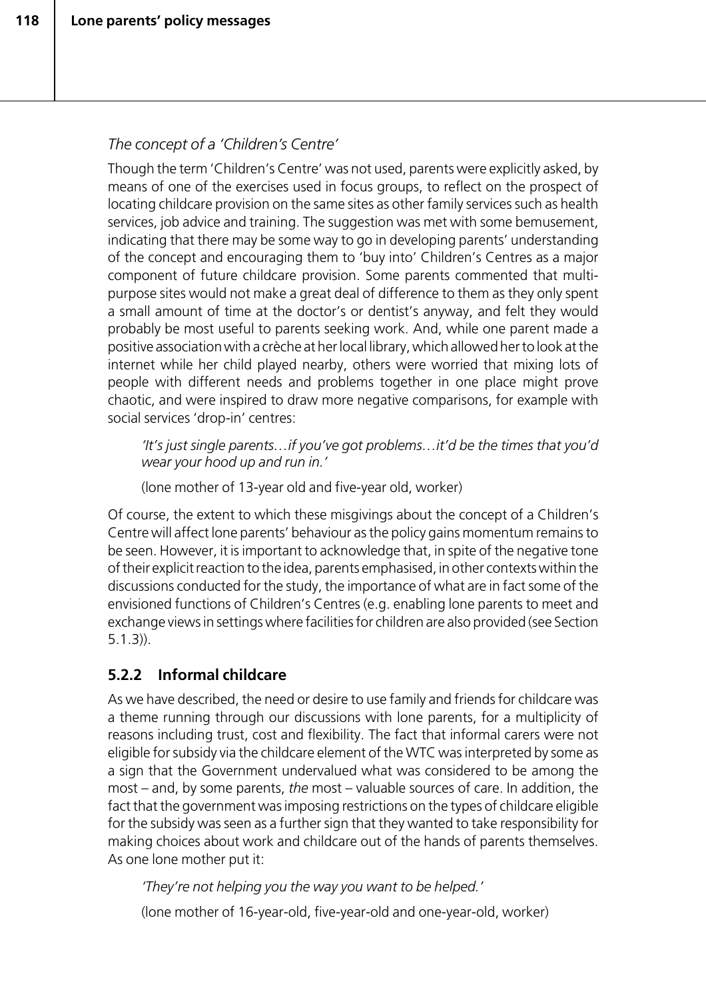## *The concept of a 'Children's Centre'*

Though the term 'Children's Centre' was not used, parents were explicitly asked, by means of one of the exercises used in focus groups, to reflect on the prospect of locating childcare provision on the same sites as other family services such as health services, job advice and training. The suggestion was met with some bemusement, indicating that there may be some way to go in developing parents' understanding of the concept and encouraging them to 'buy into' Children's Centres as a major component of future childcare provision. Some parents commented that multipurpose sites would not make a great deal of difference to them as they only spent a small amount of time at the doctor's or dentist's anyway, and felt they would probably be most useful to parents seeking work. And, while one parent made a positive association with a crèche at her local library, which allowed her to look at the internet while her child played nearby, others were worried that mixing lots of people with different needs and problems together in one place might prove chaotic, and were inspired to draw more negative comparisons, for example with social services 'drop-in' centres:

*'It's just single parents…if you've got problems…it'd be the times that you'd wear your hood up and run in.'*

(lone mother of 13-year old and five-year old, worker)

Of course, the extent to which these misgivings about the concept of a Children's Centre will affect lone parents' behaviour as the policy gains momentum remains to be seen. However, it is important to acknowledge that, in spite of the negative tone of their explicit reaction to the idea, parents emphasised, in other contexts within the discussions conducted for the study, the importance of what are in fact some of the envisioned functions of Children's Centres (e.g. enabling lone parents to meet and exchange views in settings where facilities for children are also provided (see Section 5.1.3)).

# **5.2.2 Informal childcare**

As we have described, the need or desire to use family and friends for childcare was a theme running through our discussions with lone parents, for a multiplicity of reasons including trust, cost and flexibility. The fact that informal carers were not eligible for subsidy via the childcare element of the WTC was interpreted by some as a sign that the Government undervalued what was considered to be among the most – and, by some parents, *the* most – valuable sources of care. In addition, the fact that the government was imposing restrictions on the types of childcare eligible for the subsidy was seen as a further sign that they wanted to take responsibility for making choices about work and childcare out of the hands of parents themselves. As one lone mother put it:

*'They're not helping you the way you want to be helped.'*

(lone mother of 16-year-old, five-year-old and one-year-old, worker)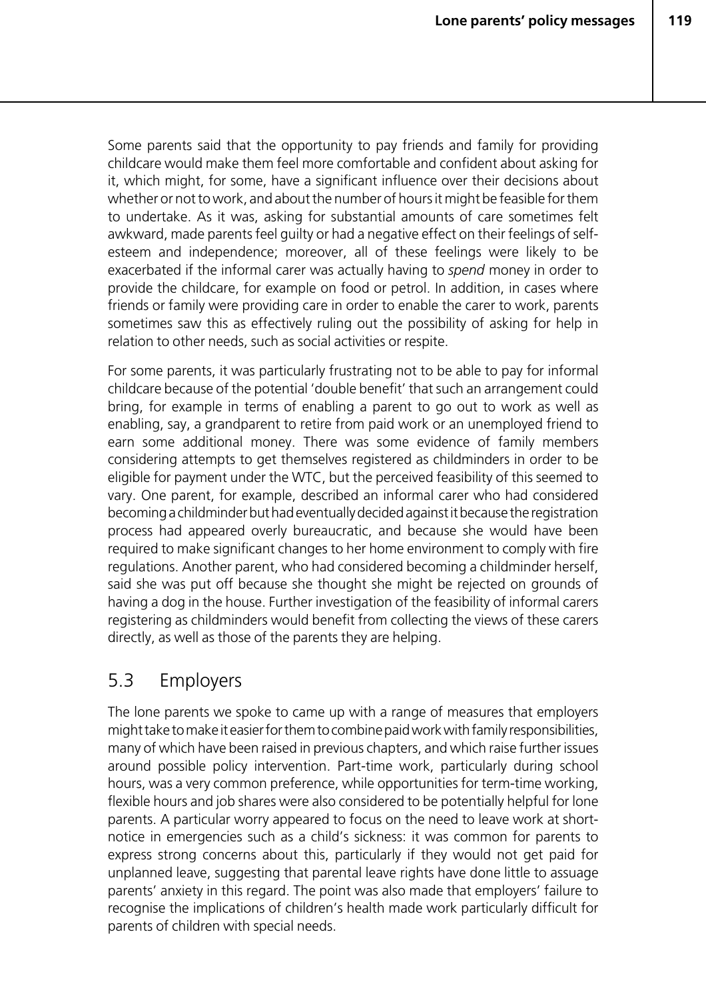Some parents said that the opportunity to pay friends and family for providing childcare would make them feel more comfortable and confident about asking for it, which might, for some, have a significant influence over their decisions about whether or not to work, and about the number of hours it might be feasible for them to undertake. As it was, asking for substantial amounts of care sometimes felt awkward, made parents feel guilty or had a negative effect on their feelings of selfesteem and independence; moreover, all of these feelings were likely to be exacerbated if the informal carer was actually having to *spend* money in order to provide the childcare, for example on food or petrol. In addition, in cases where friends or family were providing care in order to enable the carer to work, parents sometimes saw this as effectively ruling out the possibility of asking for help in relation to other needs, such as social activities or respite.

For some parents, it was particularly frustrating not to be able to pay for informal childcare because of the potential 'double benefit' that such an arrangement could bring, for example in terms of enabling a parent to go out to work as well as enabling, say, a grandparent to retire from paid work or an unemployed friend to earn some additional money. There was some evidence of family members considering attempts to get themselves registered as childminders in order to be eligible for payment under the WTC, but the perceived feasibility of this seemed to vary. One parent, for example, described an informal carer who had considered becoming a childminder but had eventually decided against it because the registration process had appeared overly bureaucratic, and because she would have been required to make significant changes to her home environment to comply with fire regulations. Another parent, who had considered becoming a childminder herself, said she was put off because she thought she might be rejected on grounds of having a dog in the house. Further investigation of the feasibility of informal carers registering as childminders would benefit from collecting the views of these carers directly, as well as those of the parents they are helping.

# 5.3 Employers

The lone parents we spoke to came up with a range of measures that employers might take to make it easier for them to combine paid work with family responsibilities, many of which have been raised in previous chapters, and which raise further issues around possible policy intervention. Part-time work, particularly during school hours, was a very common preference, while opportunities for term-time working, flexible hours and job shares were also considered to be potentially helpful for lone parents. A particular worry appeared to focus on the need to leave work at shortnotice in emergencies such as a child's sickness: it was common for parents to express strong concerns about this, particularly if they would not get paid for unplanned leave, suggesting that parental leave rights have done little to assuage parents' anxiety in this regard. The point was also made that employers' failure to recognise the implications of children's health made work particularly difficult for parents of children with special needs.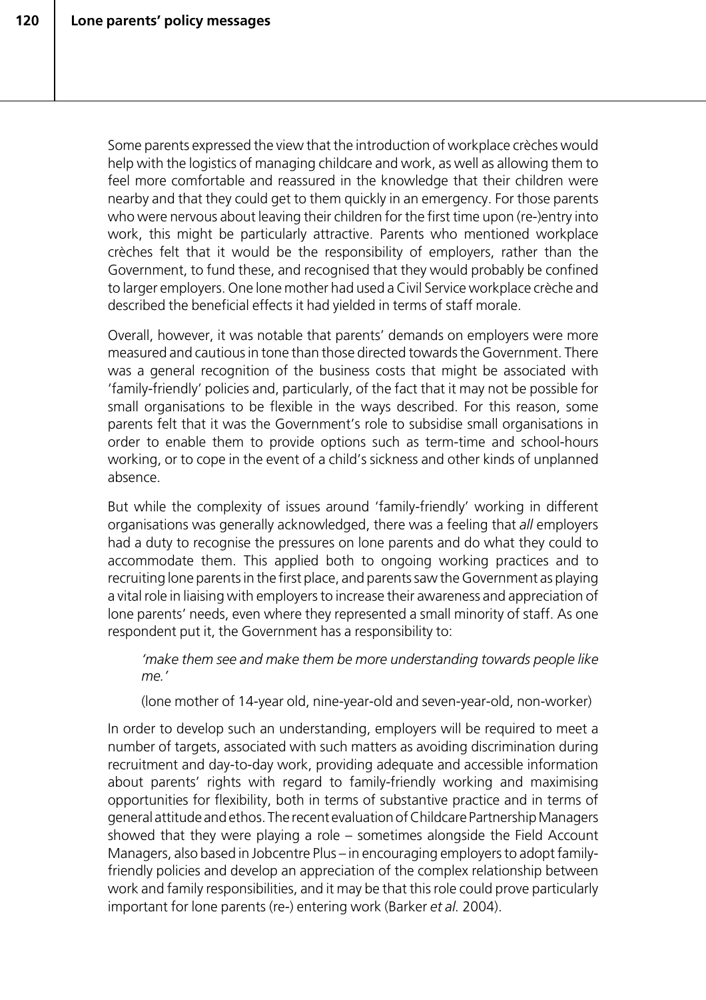Some parents expressed the view that the introduction of workplace crèches would help with the logistics of managing childcare and work, as well as allowing them to feel more comfortable and reassured in the knowledge that their children were nearby and that they could get to them quickly in an emergency. For those parents who were nervous about leaving their children for the first time upon (re-)entry into work, this might be particularly attractive. Parents who mentioned workplace crèches felt that it would be the responsibility of employers, rather than the Government, to fund these, and recognised that they would probably be confined to larger employers. One lone mother had used a Civil Service workplace crèche and described the beneficial effects it had yielded in terms of staff morale.

Overall, however, it was notable that parents' demands on employers were more measured and cautious in tone than those directed towards the Government. There was a general recognition of the business costs that might be associated with 'family-friendly' policies and, particularly, of the fact that it may not be possible for small organisations to be flexible in the ways described. For this reason, some parents felt that it was the Government's role to subsidise small organisations in order to enable them to provide options such as term-time and school-hours working, or to cope in the event of a child's sickness and other kinds of unplanned absence.

But while the complexity of issues around 'family-friendly' working in different organisations was generally acknowledged, there was a feeling that *all* employers had a duty to recognise the pressures on lone parents and do what they could to accommodate them. This applied both to ongoing working practices and to recruiting lone parents in the first place, and parents saw the Government as playing a vital role in liaising with employers to increase their awareness and appreciation of lone parents' needs, even where they represented a small minority of staff. As one respondent put it, the Government has a responsibility to:

*'make them see and make them be more understanding towards people like me.'*

(lone mother of 14-year old, nine-year-old and seven-year-old, non-worker)

In order to develop such an understanding, employers will be required to meet a number of targets, associated with such matters as avoiding discrimination during recruitment and day-to-day work, providing adequate and accessible information about parents' rights with regard to family-friendly working and maximising opportunities for flexibility, both in terms of substantive practice and in terms of general attitude and ethos. The recent evaluation of Childcare Partnership Managers showed that they were playing a role – sometimes alongside the Field Account Managers, also based in Jobcentre Plus – in encouraging employers to adopt familyfriendly policies and develop an appreciation of the complex relationship between work and family responsibilities, and it may be that this role could prove particularly important for lone parents (re-) entering work (Barker *et al.* 2004).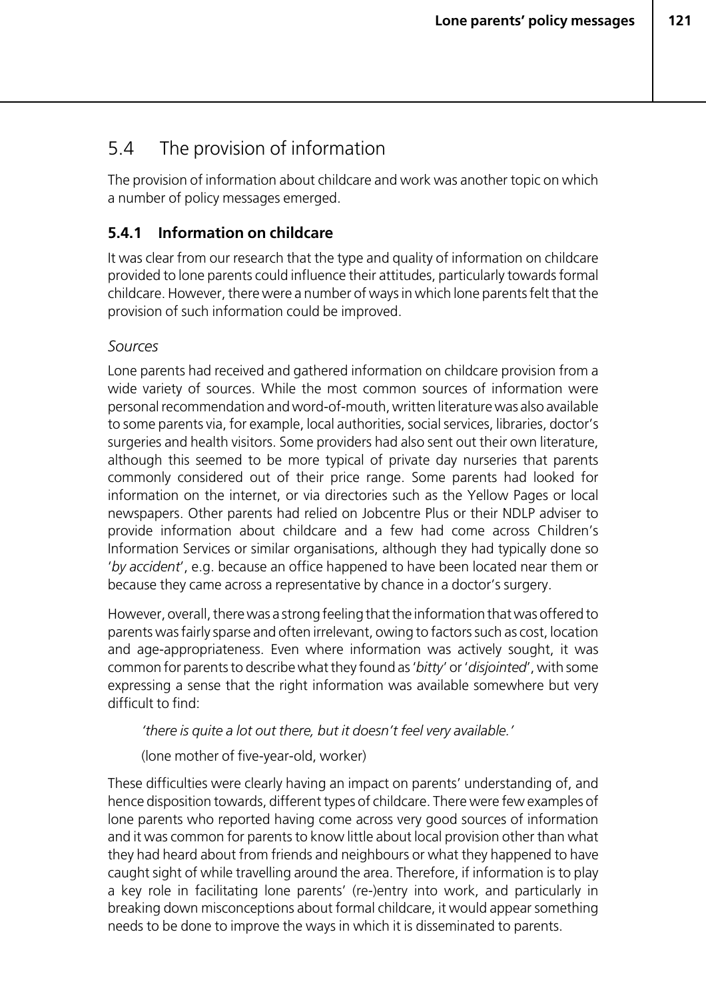# 5.4 The provision of information

The provision of information about childcare and work was another topic on which a number of policy messages emerged.

# **5.4.1 Information on childcare**

It was clear from our research that the type and quality of information on childcare provided to lone parents could influence their attitudes, particularly towards formal childcare. However, there were a number of ways in which lone parents felt that the provision of such information could be improved.

#### *Sources*

Lone parents had received and gathered information on childcare provision from a wide variety of sources. While the most common sources of information were personal recommendation and word-of-mouth, written literature was also available to some parents via, for example, local authorities, social services, libraries, doctor's surgeries and health visitors. Some providers had also sent out their own literature, although this seemed to be more typical of private day nurseries that parents commonly considered out of their price range. Some parents had looked for information on the internet, or via directories such as the Yellow Pages or local newspapers. Other parents had relied on Jobcentre Plus or their NDLP adviser to provide information about childcare and a few had come across Children's Information Services or similar organisations, although they had typically done so '*by accident*', e.g. because an office happened to have been located near them or because they came across a representative by chance in a doctor's surgery.

However, overall, there was a strong feeling that the information that was offered to parents was fairly sparse and often irrelevant, owing to factors such as cost, location and age-appropriateness. Even where information was actively sought, it was common for parents to describe what they found as '*bitty*' or '*disjointed*', with some expressing a sense that the right information was available somewhere but very difficult to find:

*'there is quite a lot out there, but it doesn't feel very available.'*

(lone mother of five-year-old, worker)

These difficulties were clearly having an impact on parents' understanding of, and hence disposition towards, different types of childcare. There were few examples of lone parents who reported having come across very good sources of information and it was common for parents to know little about local provision other than what they had heard about from friends and neighbours or what they happened to have caught sight of while travelling around the area. Therefore, if information is to play a key role in facilitating lone parents' (re-)entry into work, and particularly in breaking down misconceptions about formal childcare, it would appear something needs to be done to improve the ways in which it is disseminated to parents.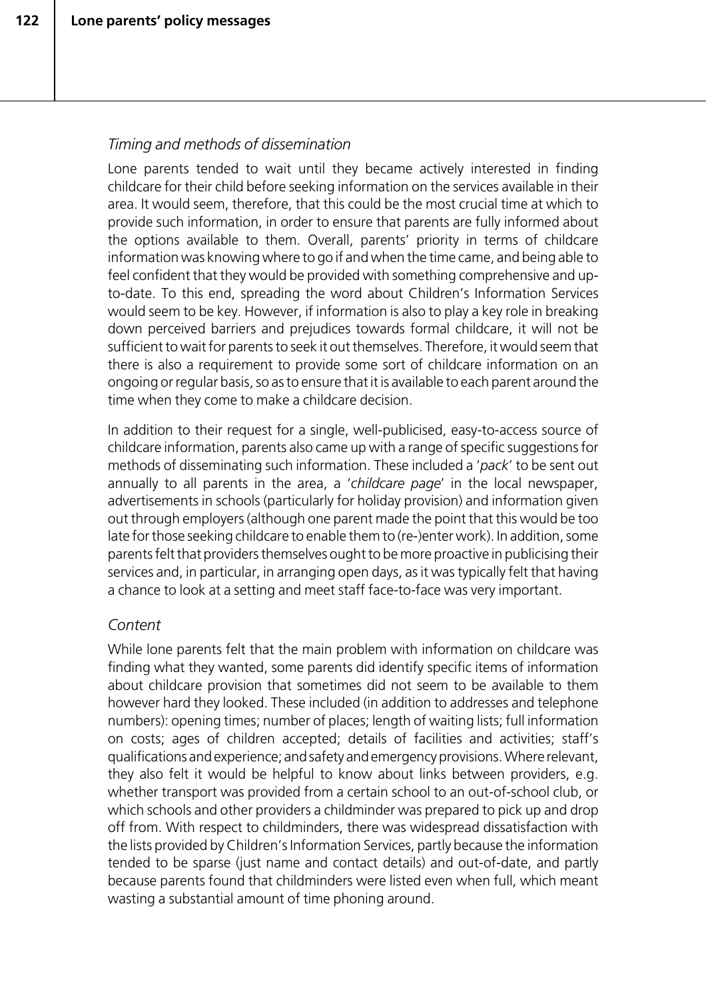#### *Timing and methods of dissemination*

Lone parents tended to wait until they became actively interested in finding childcare for their child before seeking information on the services available in their area. It would seem, therefore, that this could be the most crucial time at which to provide such information, in order to ensure that parents are fully informed about the options available to them. Overall, parents' priority in terms of childcare information was knowing where to go if and when the time came, and being able to feel confident that they would be provided with something comprehensive and upto-date. To this end, spreading the word about Children's Information Services would seem to be key. However, if information is also to play a key role in breaking down perceived barriers and prejudices towards formal childcare, it will not be sufficient to wait for parents to seek it out themselves. Therefore, it would seem that there is also a requirement to provide some sort of childcare information on an ongoing or regular basis, so as to ensure that it is available to each parent around the time when they come to make a childcare decision.

In addition to their request for a single, well-publicised, easy-to-access source of childcare information, parents also came up with a range of specific suggestions for methods of disseminating such information. These included a '*pack*' to be sent out annually to all parents in the area, a '*childcare page*' in the local newspaper, advertisements in schools (particularly for holiday provision) and information given out through employers (although one parent made the point that this would be too late for those seeking childcare to enable them to (re-)enter work). In addition, some parents felt that providers themselves ought to be more proactive in publicising their services and, in particular, in arranging open days, as it was typically felt that having a chance to look at a setting and meet staff face-to-face was very important.

#### *Content*

While lone parents felt that the main problem with information on childcare was finding what they wanted, some parents did identify specific items of information about childcare provision that sometimes did not seem to be available to them however hard they looked. These included (in addition to addresses and telephone numbers): opening times; number of places; length of waiting lists; full information on costs; ages of children accepted; details of facilities and activities; staff's qualifications and experience; and safety and emergency provisions. Where relevant, they also felt it would be helpful to know about links between providers, e.g. whether transport was provided from a certain school to an out-of-school club, or which schools and other providers a childminder was prepared to pick up and drop off from. With respect to childminders, there was widespread dissatisfaction with the lists provided by Children's Information Services, partly because the information tended to be sparse (just name and contact details) and out-of-date, and partly because parents found that childminders were listed even when full, which meant wasting a substantial amount of time phoning around.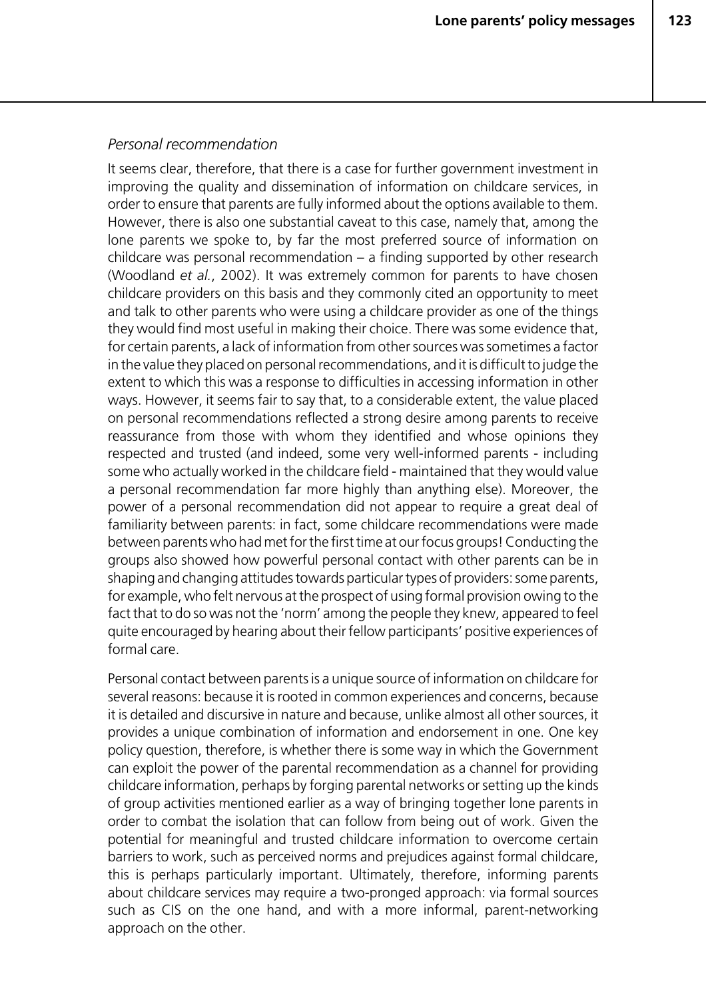#### *Personal recommendation*

It seems clear, therefore, that there is a case for further government investment in improving the quality and dissemination of information on childcare services, in order to ensure that parents are fully informed about the options available to them. However, there is also one substantial caveat to this case, namely that, among the lone parents we spoke to, by far the most preferred source of information on childcare was personal recommendation – a finding supported by other research (Woodland *et al.*, 2002). It was extremely common for parents to have chosen childcare providers on this basis and they commonly cited an opportunity to meet and talk to other parents who were using a childcare provider as one of the things they would find most useful in making their choice. There was some evidence that, for certain parents, a lack of information from other sources was sometimes a factor in the value they placed on personal recommendations, and it is difficult to judge the extent to which this was a response to difficulties in accessing information in other ways. However, it seems fair to say that, to a considerable extent, the value placed on personal recommendations reflected a strong desire among parents to receive reassurance from those with whom they identified and whose opinions they respected and trusted (and indeed, some very well-informed parents - including some who actually worked in the childcare field - maintained that they would value a personal recommendation far more highly than anything else). Moreover, the power of a personal recommendation did not appear to require a great deal of familiarity between parents: in fact, some childcare recommendations were made between parents who had met for the first time at our focus groups! Conducting the groups also showed how powerful personal contact with other parents can be in shaping and changing attitudes towards particular types of providers: some parents, for example, who felt nervous at the prospect of using formal provision owing to the fact that to do so was not the 'norm' among the people they knew, appeared to feel quite encouraged by hearing about their fellow participants' positive experiences of formal care.

Personal contact between parents is a unique source of information on childcare for several reasons: because it is rooted in common experiences and concerns, because it is detailed and discursive in nature and because, unlike almost all other sources, it provides a unique combination of information and endorsement in one. One key policy question, therefore, is whether there is some way in which the Government can exploit the power of the parental recommendation as a channel for providing childcare information, perhaps by forging parental networks or setting up the kinds of group activities mentioned earlier as a way of bringing together lone parents in order to combat the isolation that can follow from being out of work. Given the potential for meaningful and trusted childcare information to overcome certain barriers to work, such as perceived norms and prejudices against formal childcare, this is perhaps particularly important. Ultimately, therefore, informing parents about childcare services may require a two-pronged approach: via formal sources such as CIS on the one hand, and with a more informal, parent-networking approach on the other.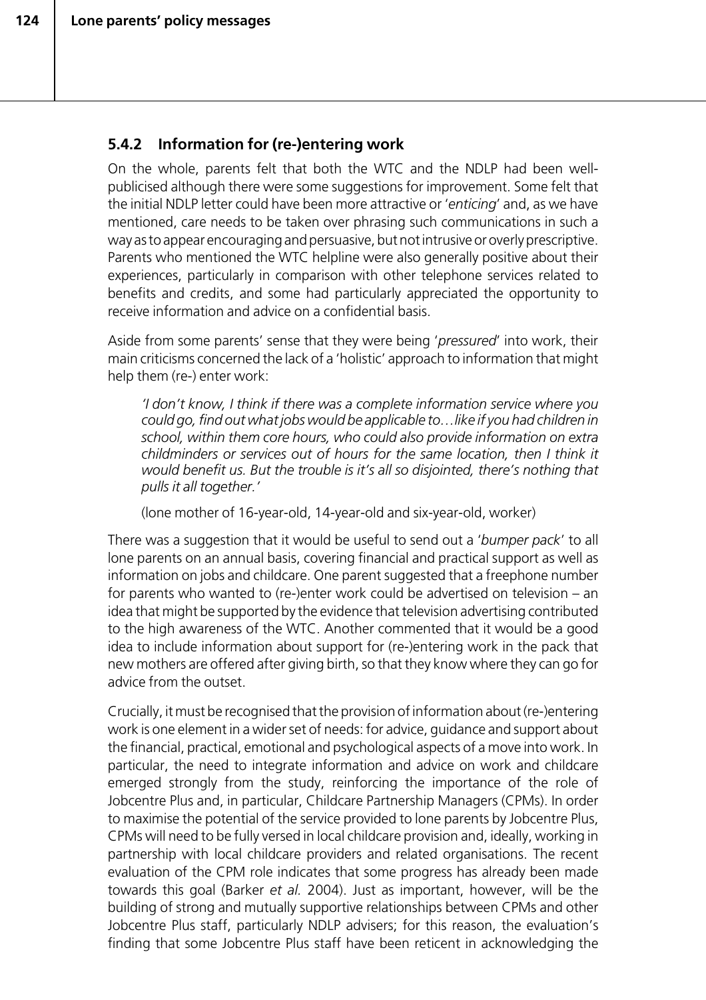# **5.4.2 Information for (re-)entering work**

On the whole, parents felt that both the WTC and the NDLP had been wellpublicised although there were some suggestions for improvement. Some felt that the initial NDLP letter could have been more attractive or '*enticing*' and, as we have mentioned, care needs to be taken over phrasing such communications in such a way as to appear encouraging and persuasive, but not intrusive or overly prescriptive. Parents who mentioned the WTC helpline were also generally positive about their experiences, particularly in comparison with other telephone services related to benefits and credits, and some had particularly appreciated the opportunity to receive information and advice on a confidential basis.

Aside from some parents' sense that they were being '*pressured*' into work, their main criticisms concerned the lack of a 'holistic' approach to information that might help them (re-) enter work:

*'I don't know, I think if there was a complete information service where you could go, find out what jobs would be applicable to…like if you had children in school, within them core hours, who could also provide information on extra childminders or services out of hours for the same location, then I think it would benefit us. But the trouble is it's all so disjointed, there's nothing that pulls it all together.'*

(lone mother of 16-year-old, 14-year-old and six-year-old, worker)

There was a suggestion that it would be useful to send out a '*bumper pack*' to all lone parents on an annual basis, covering financial and practical support as well as information on jobs and childcare. One parent suggested that a freephone number for parents who wanted to (re-)enter work could be advertised on television – an idea that might be supported by the evidence that television advertising contributed to the high awareness of the WTC. Another commented that it would be a good idea to include information about support for (re-)entering work in the pack that new mothers are offered after giving birth, so that they know where they can go for advice from the outset.

Crucially, it must be recognised that the provision of information about (re-)entering work is one element in a wider set of needs: for advice, guidance and support about the financial, practical, emotional and psychological aspects of a move into work. In particular, the need to integrate information and advice on work and childcare emerged strongly from the study, reinforcing the importance of the role of Jobcentre Plus and, in particular, Childcare Partnership Managers (CPMs). In order to maximise the potential of the service provided to lone parents by Jobcentre Plus, CPMs will need to be fully versed in local childcare provision and, ideally, working in partnership with local childcare providers and related organisations. The recent evaluation of the CPM role indicates that some progress has already been made towards this goal (Barker *et al.* 2004). Just as important, however, will be the building of strong and mutually supportive relationships between CPMs and other Jobcentre Plus staff, particularly NDLP advisers; for this reason, the evaluation's finding that some Jobcentre Plus staff have been reticent in acknowledging the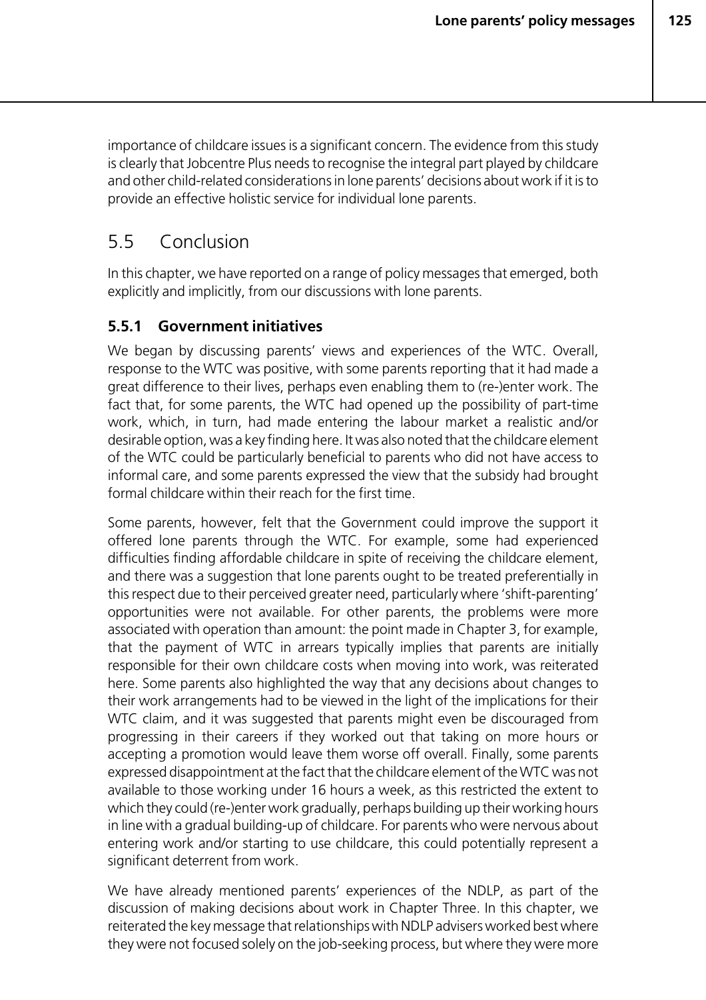importance of childcare issues is a significant concern. The evidence from this study is clearly that Jobcentre Plus needs to recognise the integral part played by childcare and other child-related considerations in lone parents' decisions about work if it is to provide an effective holistic service for individual lone parents.

# 5.5 Conclusion

In this chapter, we have reported on a range of policy messages that emerged, both explicitly and implicitly, from our discussions with lone parents.

# **5.5.1 Government initiatives**

We began by discussing parents' views and experiences of the WTC. Overall, response to the WTC was positive, with some parents reporting that it had made a great difference to their lives, perhaps even enabling them to (re-)enter work. The fact that, for some parents, the WTC had opened up the possibility of part-time work, which, in turn, had made entering the labour market a realistic and/or desirable option, was a key finding here. It was also noted that the childcare element of the WTC could be particularly beneficial to parents who did not have access to informal care, and some parents expressed the view that the subsidy had brought formal childcare within their reach for the first time.

Some parents, however, felt that the Government could improve the support it offered lone parents through the WTC. For example, some had experienced difficulties finding affordable childcare in spite of receiving the childcare element, and there was a suggestion that lone parents ought to be treated preferentially in this respect due to their perceived greater need, particularly where 'shift-parenting' opportunities were not available. For other parents, the problems were more associated with operation than amount: the point made in Chapter 3, for example, that the payment of WTC in arrears typically implies that parents are initially responsible for their own childcare costs when moving into work, was reiterated here. Some parents also highlighted the way that any decisions about changes to their work arrangements had to be viewed in the light of the implications for their WTC claim, and it was suggested that parents might even be discouraged from progressing in their careers if they worked out that taking on more hours or accepting a promotion would leave them worse off overall. Finally, some parents expressed disappointment at the fact that the childcare element of the WTC was not available to those working under 16 hours a week, as this restricted the extent to which they could (re-)enter work gradually, perhaps building up their working hours in line with a gradual building-up of childcare. For parents who were nervous about entering work and/or starting to use childcare, this could potentially represent a significant deterrent from work.

We have already mentioned parents' experiences of the NDLP, as part of the discussion of making decisions about work in Chapter Three. In this chapter, we reiterated the key message that relationships with NDLP advisers worked best where they were not focused solely on the job-seeking process, but where they were more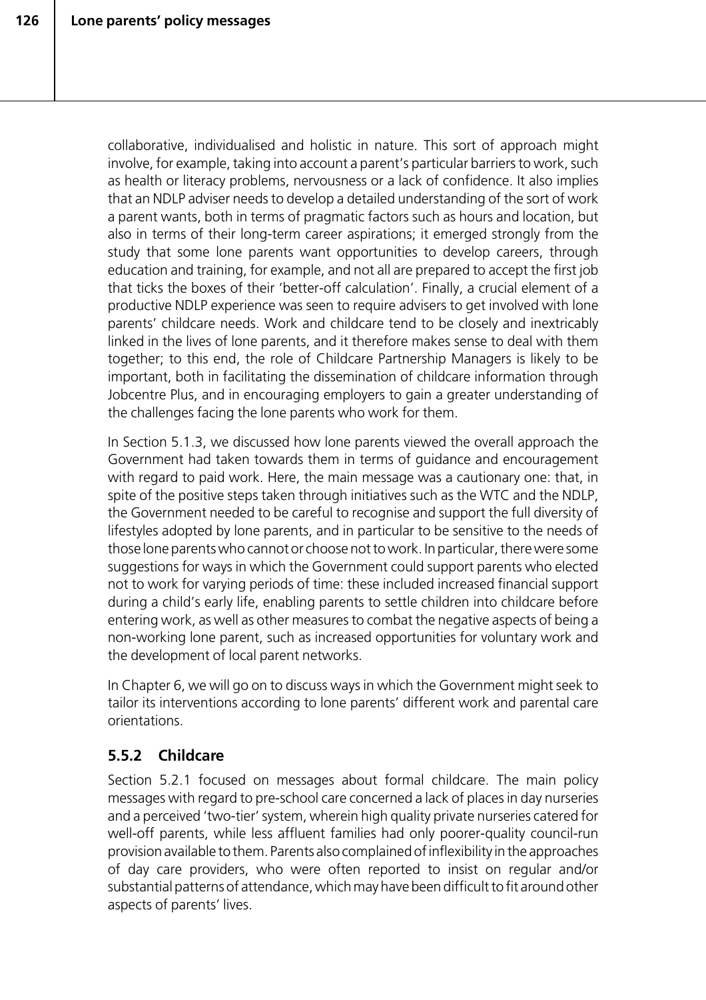collaborative, individualised and holistic in nature. This sort of approach might involve, for example, taking into account a parent's particular barriers to work, such as health or literacy problems, nervousness or a lack of confidence. It also implies that an NDLP adviser needs to develop a detailed understanding of the sort of work a parent wants, both in terms of pragmatic factors such as hours and location, but also in terms of their long-term career aspirations; it emerged strongly from the study that some lone parents want opportunities to develop careers, through education and training, for example, and not all are prepared to accept the first job that ticks the boxes of their 'better-off calculation'. Finally, a crucial element of a productive NDLP experience was seen to require advisers to get involved with lone parents' childcare needs. Work and childcare tend to be closely and inextricably linked in the lives of lone parents, and it therefore makes sense to deal with them together; to this end, the role of Childcare Partnership Managers is likely to be important, both in facilitating the dissemination of childcare information through Jobcentre Plus, and in encouraging employers to gain a greater understanding of the challenges facing the lone parents who work for them.

In Section 5.1.3, we discussed how lone parents viewed the overall approach the Government had taken towards them in terms of guidance and encouragement with regard to paid work. Here, the main message was a cautionary one: that, in spite of the positive steps taken through initiatives such as the WTC and the NDLP, the Government needed to be careful to recognise and support the full diversity of lifestyles adopted by lone parents, and in particular to be sensitive to the needs of those lone parents who cannot or choose not to work. In particular, there were some suggestions for ways in which the Government could support parents who elected not to work for varying periods of time: these included increased financial support during a child's early life, enabling parents to settle children into childcare before entering work, as well as other measures to combat the negative aspects of being a non-working lone parent, such as increased opportunities for voluntary work and the development of local parent networks.

In Chapter 6, we will go on to discuss ways in which the Government might seek to tailor its interventions according to lone parents' different work and parental care orientations.

# **5.5.2 Childcare**

Section 5.2.1 focused on messages about formal childcare. The main policy messages with regard to pre-school care concerned a lack of places in day nurseries and a perceived 'two-tier' system, wherein high quality private nurseries catered for well-off parents, while less affluent families had only poorer-quality council-run provision available to them. Parents also complained of inflexibility in the approaches of day care providers, who were often reported to insist on regular and/or substantial patterns of attendance, which may have been difficult to fit around other aspects of parents' lives.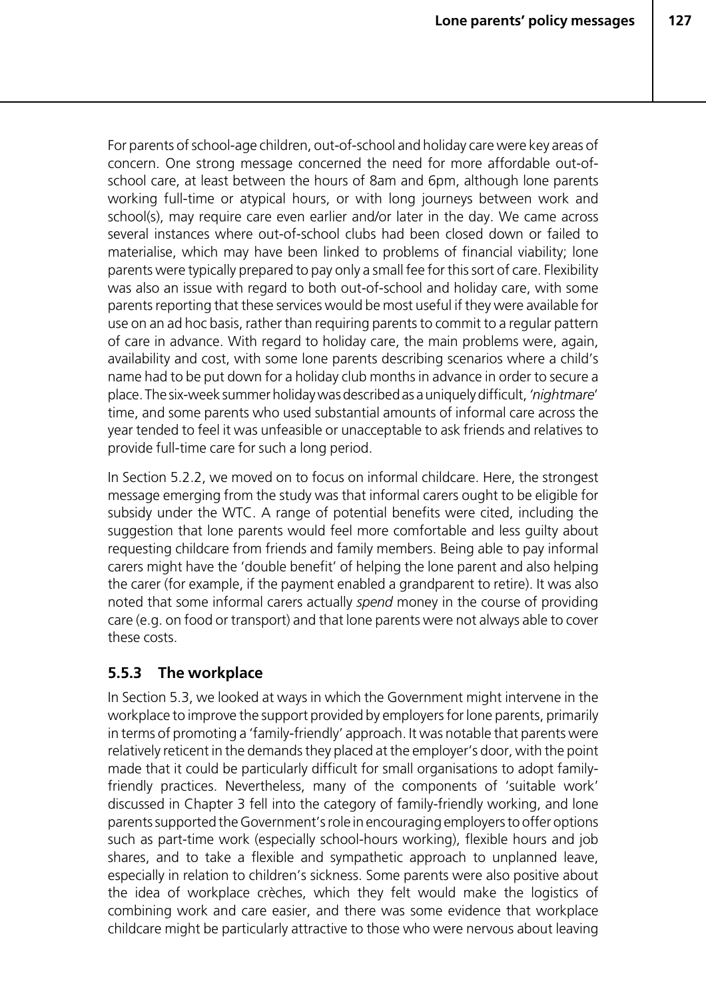For parents of school-age children, out-of-school and holiday care were key areas of concern. One strong message concerned the need for more affordable out-ofschool care, at least between the hours of 8am and 6pm, although lone parents working full-time or atypical hours, or with long journeys between work and school(s), may require care even earlier and/or later in the day. We came across several instances where out-of-school clubs had been closed down or failed to materialise, which may have been linked to problems of financial viability; lone parents were typically prepared to pay only a small fee for this sort of care. Flexibility was also an issue with regard to both out-of-school and holiday care, with some parents reporting that these services would be most useful if they were available for use on an ad hoc basis, rather than requiring parents to commit to a regular pattern of care in advance. With regard to holiday care, the main problems were, again, availability and cost, with some lone parents describing scenarios where a child's name had to be put down for a holiday club months in advance in order to secure a place. The six-week summer holiday was described as a uniquely difficult, *'nightmare*' time, and some parents who used substantial amounts of informal care across the year tended to feel it was unfeasible or unacceptable to ask friends and relatives to provide full-time care for such a long period.

In Section 5.2.2, we moved on to focus on informal childcare. Here, the strongest message emerging from the study was that informal carers ought to be eligible for subsidy under the WTC. A range of potential benefits were cited, including the suggestion that lone parents would feel more comfortable and less guilty about requesting childcare from friends and family members. Being able to pay informal carers might have the 'double benefit' of helping the lone parent and also helping the carer (for example, if the payment enabled a grandparent to retire). It was also noted that some informal carers actually *spend* money in the course of providing care (e.g. on food or transport) and that lone parents were not always able to cover these costs.

## **5.5.3 The workplace**

In Section 5.3, we looked at ways in which the Government might intervene in the workplace to improve the support provided by employers for lone parents, primarily in terms of promoting a 'family-friendly' approach. It was notable that parents were relatively reticent in the demands they placed at the employer's door, with the point made that it could be particularly difficult for small organisations to adopt familyfriendly practices. Nevertheless, many of the components of 'suitable work' discussed in Chapter 3 fell into the category of family-friendly working, and lone parents supported the Government's role in encouraging employers to offer options such as part-time work (especially school-hours working), flexible hours and job shares, and to take a flexible and sympathetic approach to unplanned leave, especially in relation to children's sickness. Some parents were also positive about the idea of workplace crèches, which they felt would make the logistics of combining work and care easier, and there was some evidence that workplace childcare might be particularly attractive to those who were nervous about leaving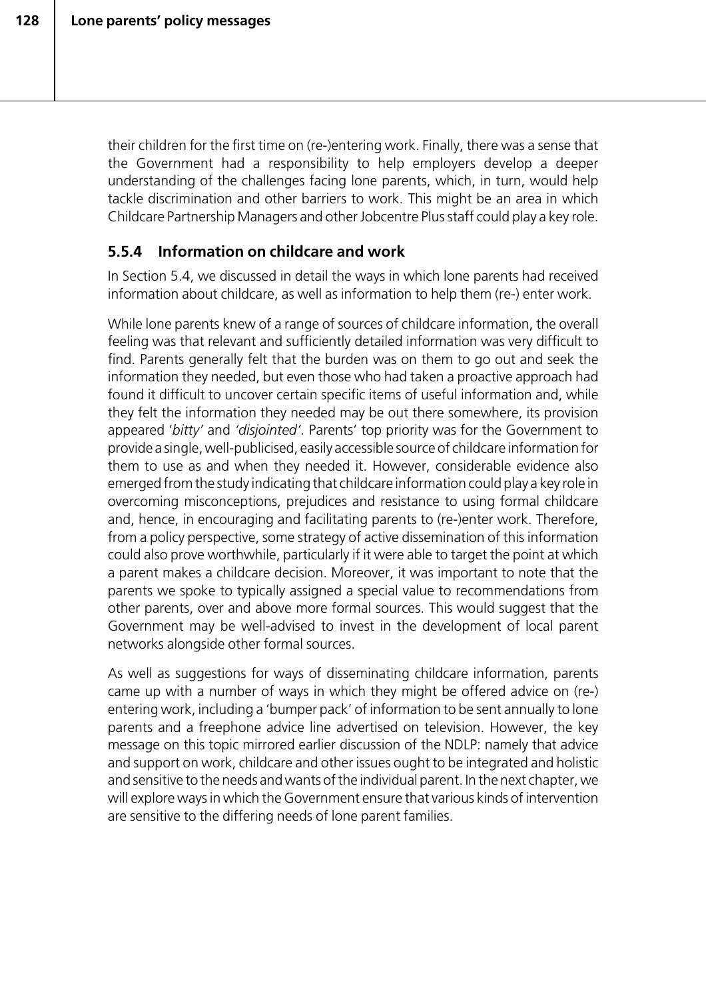their children for the first time on (re-)entering work. Finally, there was a sense that the Government had a responsibility to help employers develop a deeper understanding of the challenges facing lone parents, which, in turn, would help tackle discrimination and other barriers to work. This might be an area in which Childcare Partnership Managers and other Jobcentre Plus staff could play a key role.

# **5.5.4 Information on childcare and work**

In Section 5.4, we discussed in detail the ways in which lone parents had received information about childcare, as well as information to help them (re-) enter work.

While lone parents knew of a range of sources of childcare information, the overall feeling was that relevant and sufficiently detailed information was very difficult to find. Parents generally felt that the burden was on them to go out and seek the information they needed, but even those who had taken a proactive approach had found it difficult to uncover certain specific items of useful information and, while they felt the information they needed may be out there somewhere, its provision appeared '*bitty'* and *'disjointed'.* Parents' top priority was for the Government to provide a single, well-publicised, easily accessible source of childcare information for them to use as and when they needed it. However, considerable evidence also emerged from the study indicating that childcare information could play a key role in overcoming misconceptions, prejudices and resistance to using formal childcare and, hence, in encouraging and facilitating parents to (re-)enter work. Therefore, from a policy perspective, some strategy of active dissemination of this information could also prove worthwhile, particularly if it were able to target the point at which a parent makes a childcare decision. Moreover, it was important to note that the parents we spoke to typically assigned a special value to recommendations from other parents, over and above more formal sources. This would suggest that the Government may be well-advised to invest in the development of local parent networks alongside other formal sources.

As well as suggestions for ways of disseminating childcare information, parents came up with a number of ways in which they might be offered advice on (re-) entering work, including a 'bumper pack' of information to be sent annually to lone parents and a freephone advice line advertised on television. However, the key message on this topic mirrored earlier discussion of the NDLP: namely that advice and support on work, childcare and other issues ought to be integrated and holistic and sensitive to the needs and wants of the individual parent. In the next chapter, we will explore ways in which the Government ensure that various kinds of intervention are sensitive to the differing needs of lone parent families.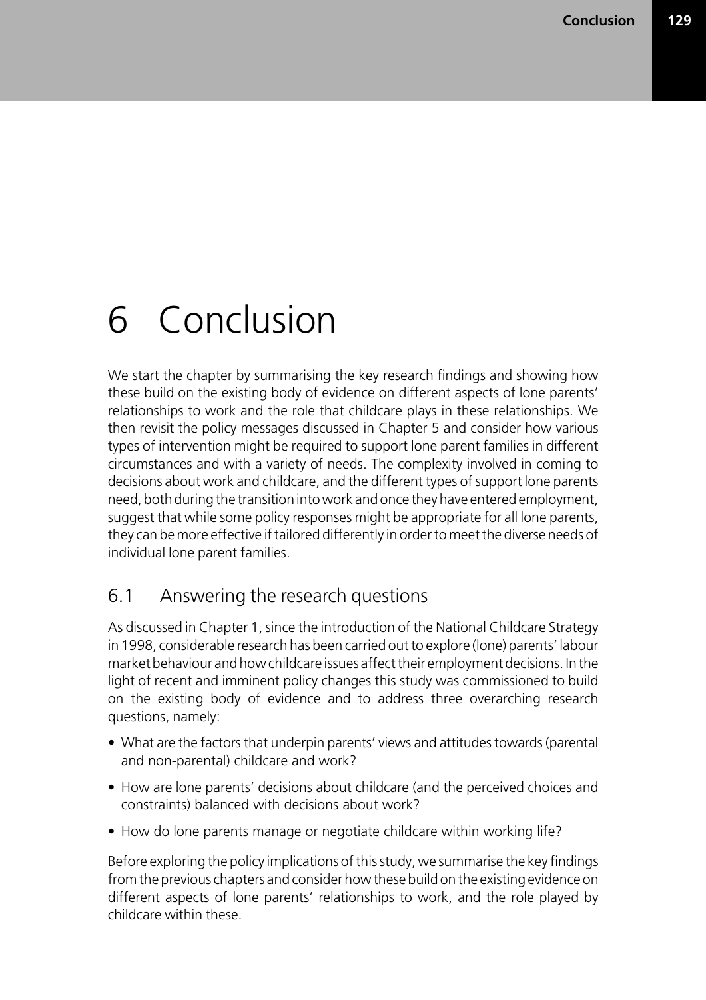# 6 Conclusion

We start the chapter by summarising the key research findings and showing how these build on the existing body of evidence on different aspects of lone parents' relationships to work and the role that childcare plays in these relationships. We then revisit the policy messages discussed in Chapter 5 and consider how various types of intervention might be required to support lone parent families in different circumstances and with a variety of needs. The complexity involved in coming to decisions about work and childcare, and the different types of support lone parents need, both during the transition into work and once they have entered employment, suggest that while some policy responses might be appropriate for all lone parents, they can be more effective if tailored differently in order to meet the diverse needs of individual lone parent families.

# 6.1 Answering the research questions

As discussed in Chapter 1, since the introduction of the National Childcare Strategy in 1998, considerable research has been carried out to explore (lone) parents' labour market behaviour and how childcare issues affect their employment decisions. In the light of recent and imminent policy changes this study was commissioned to build on the existing body of evidence and to address three overarching research questions, namely:

- What are the factors that underpin parents' views and attitudes towards (parental and non-parental) childcare and work?
- How are lone parents' decisions about childcare (and the perceived choices and constraints) balanced with decisions about work?
- How do lone parents manage or negotiate childcare within working life?

Before exploring the policy implications of this study, we summarise the key findings from the previous chapters and consider how these build on the existing evidence on different aspects of lone parents' relationships to work, and the role played by childcare within these.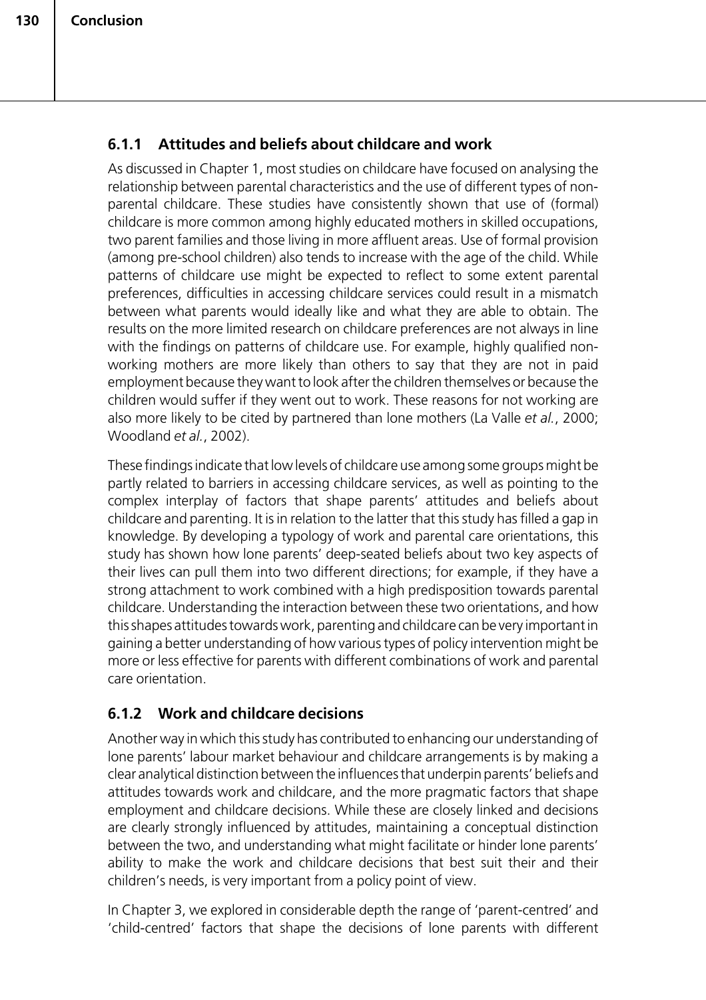# **6.1.1 Attitudes and beliefs about childcare and work**

As discussed in Chapter 1, most studies on childcare have focused on analysing the relationship between parental characteristics and the use of different types of nonparental childcare. These studies have consistently shown that use of (formal) childcare is more common among highly educated mothers in skilled occupations, two parent families and those living in more affluent areas. Use of formal provision (among pre-school children) also tends to increase with the age of the child. While patterns of childcare use might be expected to reflect to some extent parental preferences, difficulties in accessing childcare services could result in a mismatch between what parents would ideally like and what they are able to obtain. The results on the more limited research on childcare preferences are not always in line with the findings on patterns of childcare use. For example, highly qualified nonworking mothers are more likely than others to say that they are not in paid employment because they want to look after the children themselves or because the children would suffer if they went out to work. These reasons for not working are also more likely to be cited by partnered than lone mothers (La Valle *et al.*, 2000; Woodland *et al.*, 2002).

These findings indicate that low levels of childcare use among some groups might be partly related to barriers in accessing childcare services, as well as pointing to the complex interplay of factors that shape parents' attitudes and beliefs about childcare and parenting. It is in relation to the latter that this study has filled a gap in knowledge. By developing a typology of work and parental care orientations, this study has shown how lone parents' deep-seated beliefs about two key aspects of their lives can pull them into two different directions; for example, if they have a strong attachment to work combined with a high predisposition towards parental childcare. Understanding the interaction between these two orientations, and how this shapes attitudes towards work, parenting and childcare can be very important in gaining a better understanding of how various types of policy intervention might be more or less effective for parents with different combinations of work and parental care orientation.

# **6.1.2 Work and childcare decisions**

Another way in which this study has contributed to enhancing our understanding of lone parents' labour market behaviour and childcare arrangements is by making a clear analytical distinction between the influences that underpin parents' beliefs and attitudes towards work and childcare, and the more pragmatic factors that shape employment and childcare decisions. While these are closely linked and decisions are clearly strongly influenced by attitudes, maintaining a conceptual distinction between the two, and understanding what might facilitate or hinder lone parents' ability to make the work and childcare decisions that best suit their and their children's needs, is very important from a policy point of view.

In Chapter 3, we explored in considerable depth the range of 'parent-centred' and 'child-centred' factors that shape the decisions of lone parents with different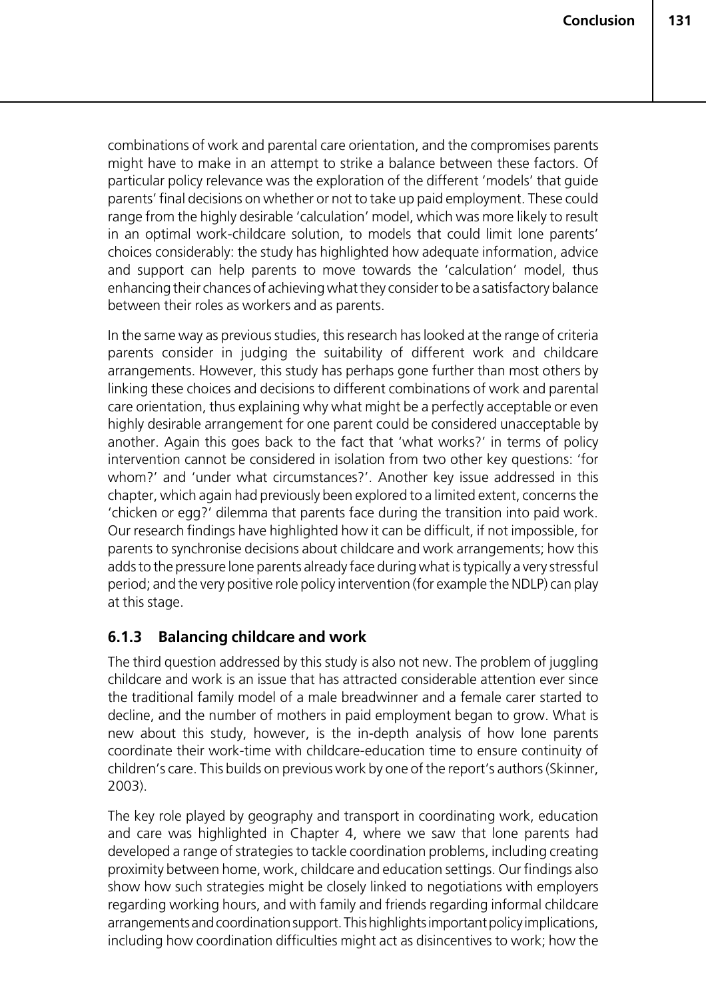combinations of work and parental care orientation, and the compromises parents might have to make in an attempt to strike a balance between these factors. Of particular policy relevance was the exploration of the different 'models' that guide parents' final decisions on whether or not to take up paid employment. These could range from the highly desirable 'calculation' model, which was more likely to result in an optimal work-childcare solution, to models that could limit lone parents' choices considerably: the study has highlighted how adequate information, advice and support can help parents to move towards the 'calculation' model, thus enhancing their chances of achieving what they consider to be a satisfactory balance between their roles as workers and as parents.

In the same way as previous studies, this research has looked at the range of criteria parents consider in judging the suitability of different work and childcare arrangements. However, this study has perhaps gone further than most others by linking these choices and decisions to different combinations of work and parental care orientation, thus explaining why what might be a perfectly acceptable or even highly desirable arrangement for one parent could be considered unacceptable by another. Again this goes back to the fact that 'what works?' in terms of policy intervention cannot be considered in isolation from two other key questions: 'for whom?' and 'under what circumstances?'. Another key issue addressed in this chapter, which again had previously been explored to a limited extent, concerns the 'chicken or egg?' dilemma that parents face during the transition into paid work. Our research findings have highlighted how it can be difficult, if not impossible, for parents to synchronise decisions about childcare and work arrangements; how this adds to the pressure lone parents already face during what is typically a very stressful period; and the very positive role policy intervention (for example the NDLP) can play at this stage.

## **6.1.3 Balancing childcare and work**

The third question addressed by this study is also not new. The problem of juggling childcare and work is an issue that has attracted considerable attention ever since the traditional family model of a male breadwinner and a female carer started to decline, and the number of mothers in paid employment began to grow. What is new about this study, however, is the in-depth analysis of how lone parents coordinate their work-time with childcare-education time to ensure continuity of children's care. This builds on previous work by one of the report's authors (Skinner, 2003).

The key role played by geography and transport in coordinating work, education and care was highlighted in Chapter 4, where we saw that lone parents had developed a range of strategies to tackle coordination problems, including creating proximity between home, work, childcare and education settings. Our findings also show how such strategies might be closely linked to negotiations with employers regarding working hours, and with family and friends regarding informal childcare arrangements and coordination support. This highlights important policy implications, including how coordination difficulties might act as disincentives to work; how the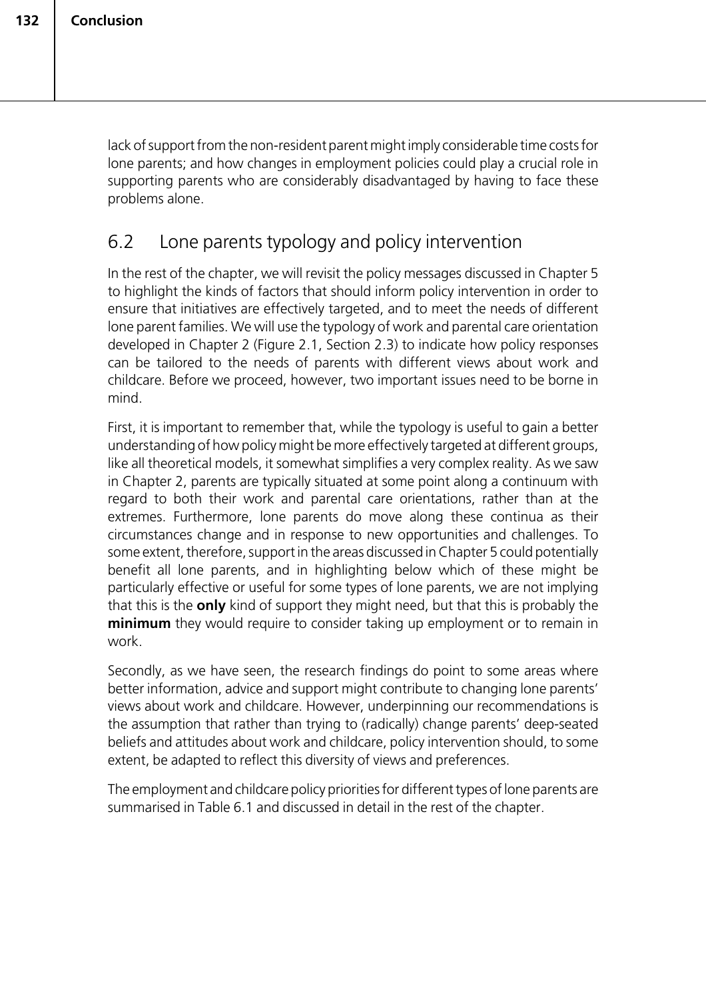lack of support from the non-resident parent might imply considerable time costs for lone parents; and how changes in employment policies could play a crucial role in supporting parents who are considerably disadvantaged by having to face these problems alone.

# 6.2 Lone parents typology and policy intervention

In the rest of the chapter, we will revisit the policy messages discussed in Chapter 5 to highlight the kinds of factors that should inform policy intervention in order to ensure that initiatives are effectively targeted, and to meet the needs of different lone parent families. We will use the typology of work and parental care orientation developed in Chapter 2 (Figure 2.1, Section 2.3) to indicate how policy responses can be tailored to the needs of parents with different views about work and childcare. Before we proceed, however, two important issues need to be borne in mind.

First, it is important to remember that, while the typology is useful to gain a better understanding of how policy might be more effectively targeted at different groups, like all theoretical models, it somewhat simplifies a very complex reality. As we saw in Chapter 2, parents are typically situated at some point along a continuum with regard to both their work and parental care orientations, rather than at the extremes. Furthermore, lone parents do move along these continua as their circumstances change and in response to new opportunities and challenges. To some extent, therefore, support in the areas discussed in Chapter 5 could potentially benefit all lone parents, and in highlighting below which of these might be particularly effective or useful for some types of lone parents, we are not implying that this is the **only** kind of support they might need, but that this is probably the **minimum** they would require to consider taking up employment or to remain in work.

Secondly, as we have seen, the research findings do point to some areas where better information, advice and support might contribute to changing lone parents' views about work and childcare. However, underpinning our recommendations is the assumption that rather than trying to (radically) change parents' deep-seated beliefs and attitudes about work and childcare, policy intervention should, to some extent, be adapted to reflect this diversity of views and preferences.

The employment and childcare policy priorities for different types of lone parents are summarised in Table 6.1 and discussed in detail in the rest of the chapter.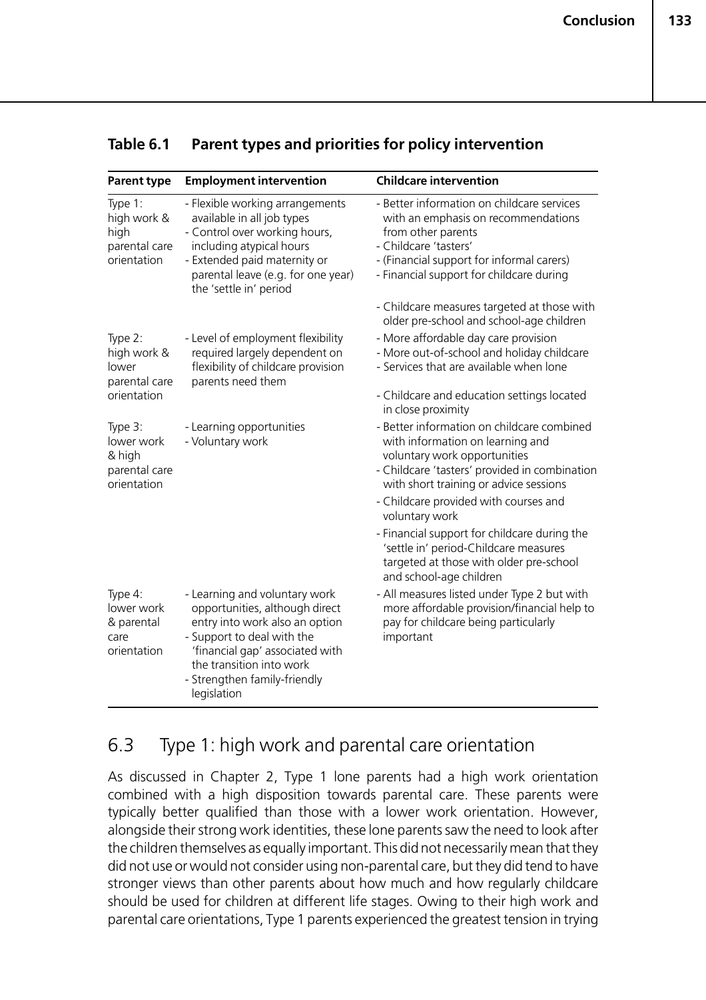| <b>Parent type</b>                                              | <b>Employment intervention</b>                                                                                                                                                                                                                | <b>Childcare intervention</b>                                                                                                                                                                                             |
|-----------------------------------------------------------------|-----------------------------------------------------------------------------------------------------------------------------------------------------------------------------------------------------------------------------------------------|---------------------------------------------------------------------------------------------------------------------------------------------------------------------------------------------------------------------------|
| Type 1:<br>high work &<br>high<br>parental care<br>orientation  | - Flexible working arrangements<br>available in all job types<br>- Control over working hours,<br>including atypical hours<br>- Extended paid maternity or<br>parental leave (e.g. for one year)<br>the 'settle in' period                    | - Better information on childcare services<br>with an emphasis on recommendations<br>from other parents<br>- Childcare 'tasters'<br>- (Financial support for informal carers)<br>- Financial support for childcare during |
|                                                                 |                                                                                                                                                                                                                                               | - Childcare measures targeted at those with<br>older pre-school and school-age children                                                                                                                                   |
| Type 2:<br>high work &<br>lower<br>parental care<br>orientation | - Level of employment flexibility<br>required largely dependent on<br>flexibility of childcare provision<br>parents need them                                                                                                                 | - More affordable day care provision<br>- More out-of-school and holiday childcare<br>- Services that are available when lone                                                                                             |
|                                                                 |                                                                                                                                                                                                                                               | - Childcare and education settings located<br>in close proximity                                                                                                                                                          |
| Type 3:<br>lower work<br>& high<br>parental care<br>orientation | - Learning opportunities<br>- Voluntary work                                                                                                                                                                                                  | - Better information on childcare combined<br>with information on learning and<br>voluntary work opportunities<br>- Childcare 'tasters' provided in combination<br>with short training or advice sessions                 |
|                                                                 |                                                                                                                                                                                                                                               | - Childcare provided with courses and<br>voluntary work                                                                                                                                                                   |
|                                                                 |                                                                                                                                                                                                                                               | - Financial support for childcare during the<br>'settle in' period-Childcare measures<br>targeted at those with older pre-school<br>and school-age children                                                               |
| Type 4:<br>lower work<br>& parental<br>care<br>orientation      | - Learning and voluntary work<br>opportunities, although direct<br>entry into work also an option<br>- Support to deal with the<br>'financial gap' associated with<br>the transition into work<br>- Strengthen family-friendly<br>legislation | - All measures listed under Type 2 but with<br>more affordable provision/financial help to<br>pay for childcare being particularly<br>important                                                                           |

## **Table 6.1 Parent types and priorities for policy intervention**

# 6.3 Type 1: high work and parental care orientation

As discussed in Chapter 2, Type 1 lone parents had a high work orientation combined with a high disposition towards parental care. These parents were typically better qualified than those with a lower work orientation. However, alongside their strong work identities, these lone parents saw the need to look after the children themselves as equally important. This did not necessarily mean that they did not use or would not consider using non-parental care, but they did tend to have stronger views than other parents about how much and how regularly childcare should be used for children at different life stages. Owing to their high work and parental care orientations, Type 1 parents experienced the greatest tension in trying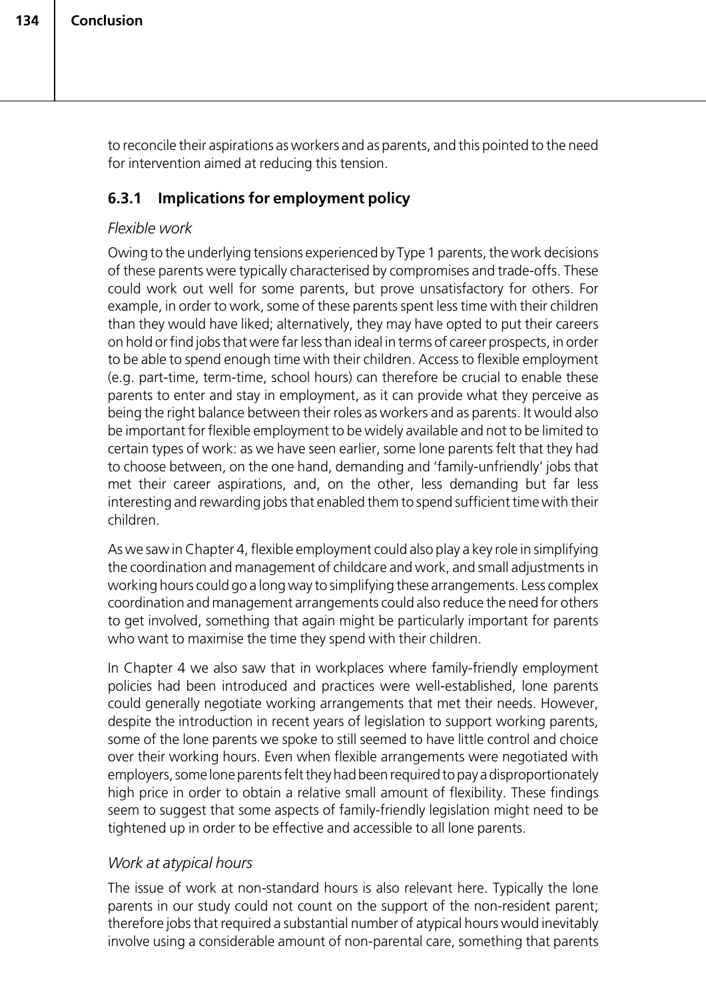to reconcile their aspirations as workers and as parents, and this pointed to the need for intervention aimed at reducing this tension.

## **6.3.1 Implications for employment policy**

## *Flexible work*

Owing to the underlying tensions experienced by Type 1 parents, the work decisions of these parents were typically characterised by compromises and trade-offs. These could work out well for some parents, but prove unsatisfactory for others. For example, in order to work, some of these parents spent less time with their children than they would have liked; alternatively, they may have opted to put their careers on hold or find jobs that were far less than ideal in terms of career prospects, in order to be able to spend enough time with their children. Access to flexible employment (e.g. part-time, term-time, school hours) can therefore be crucial to enable these parents to enter and stay in employment, as it can provide what they perceive as being the right balance between their roles as workers and as parents. It would also be important for flexible employment to be widely available and not to be limited to certain types of work: as we have seen earlier, some lone parents felt that they had to choose between, on the one hand, demanding and 'family-unfriendly' jobs that met their career aspirations, and, on the other, less demanding but far less interesting and rewarding jobs that enabled them to spend sufficient time with their children.

As we saw in Chapter 4, flexible employment could also play a key role in simplifying the coordination and management of childcare and work, and small adjustments in working hours could go a long way to simplifying these arrangements. Less complex coordination and management arrangements could also reduce the need for others to get involved, something that again might be particularly important for parents who want to maximise the time they spend with their children.

In Chapter 4 we also saw that in workplaces where family-friendly employment policies had been introduced and practices were well-established, lone parents could generally negotiate working arrangements that met their needs. However, despite the introduction in recent years of legislation to support working parents, some of the lone parents we spoke to still seemed to have little control and choice over their working hours. Even when flexible arrangements were negotiated with employers, some lone parents felt they had been required to pay a disproportionately high price in order to obtain a relative small amount of flexibility. These findings seem to suggest that some aspects of family-friendly legislation might need to be tightened up in order to be effective and accessible to all lone parents.

## *Work at atypical hours*

The issue of work at non-standard hours is also relevant here. Typically the lone parents in our study could not count on the support of the non-resident parent; therefore jobs that required a substantial number of atypical hours would inevitably involve using a considerable amount of non-parental care, something that parents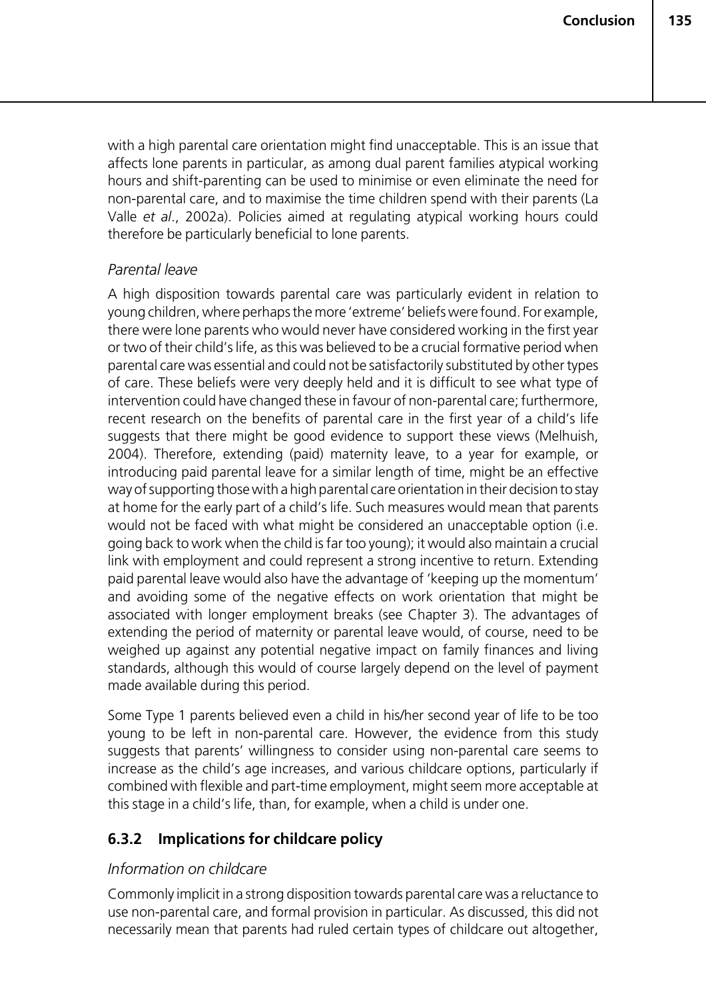with a high parental care orientation might find unacceptable. This is an issue that affects lone parents in particular, as among dual parent families atypical working hours and shift-parenting can be used to minimise or even eliminate the need for non-parental care, and to maximise the time children spend with their parents (La Valle *et al*., 2002a). Policies aimed at regulating atypical working hours could therefore be particularly beneficial to lone parents.

#### *Parental leave*

A high disposition towards parental care was particularly evident in relation to young children, where perhaps the more 'extreme' beliefs were found. For example, there were lone parents who would never have considered working in the first year or two of their child's life, as this was believed to be a crucial formative period when parental care was essential and could not be satisfactorily substituted by other types of care. These beliefs were very deeply held and it is difficult to see what type of intervention could have changed these in favour of non-parental care; furthermore, recent research on the benefits of parental care in the first year of a child's life suggests that there might be good evidence to support these views (Melhuish, 2004). Therefore, extending (paid) maternity leave, to a year for example, or introducing paid parental leave for a similar length of time, might be an effective way of supporting those with a high parental care orientation in their decision to stay at home for the early part of a child's life. Such measures would mean that parents would not be faced with what might be considered an unacceptable option (i.e. going back to work when the child is far too young); it would also maintain a crucial link with employment and could represent a strong incentive to return. Extending paid parental leave would also have the advantage of 'keeping up the momentum' and avoiding some of the negative effects on work orientation that might be associated with longer employment breaks (see Chapter 3). The advantages of extending the period of maternity or parental leave would, of course, need to be weighed up against any potential negative impact on family finances and living standards, although this would of course largely depend on the level of payment made available during this period.

Some Type 1 parents believed even a child in his/her second year of life to be too young to be left in non-parental care. However, the evidence from this study suggests that parents' willingness to consider using non-parental care seems to increase as the child's age increases, and various childcare options, particularly if combined with flexible and part-time employment, might seem more acceptable at this stage in a child's life, than, for example, when a child is under one.

## **6.3.2 Implications for childcare policy**

#### *Information on childcare*

Commonly implicit in a strong disposition towards parental care was a reluctance to use non-parental care, and formal provision in particular. As discussed, this did not necessarily mean that parents had ruled certain types of childcare out altogether,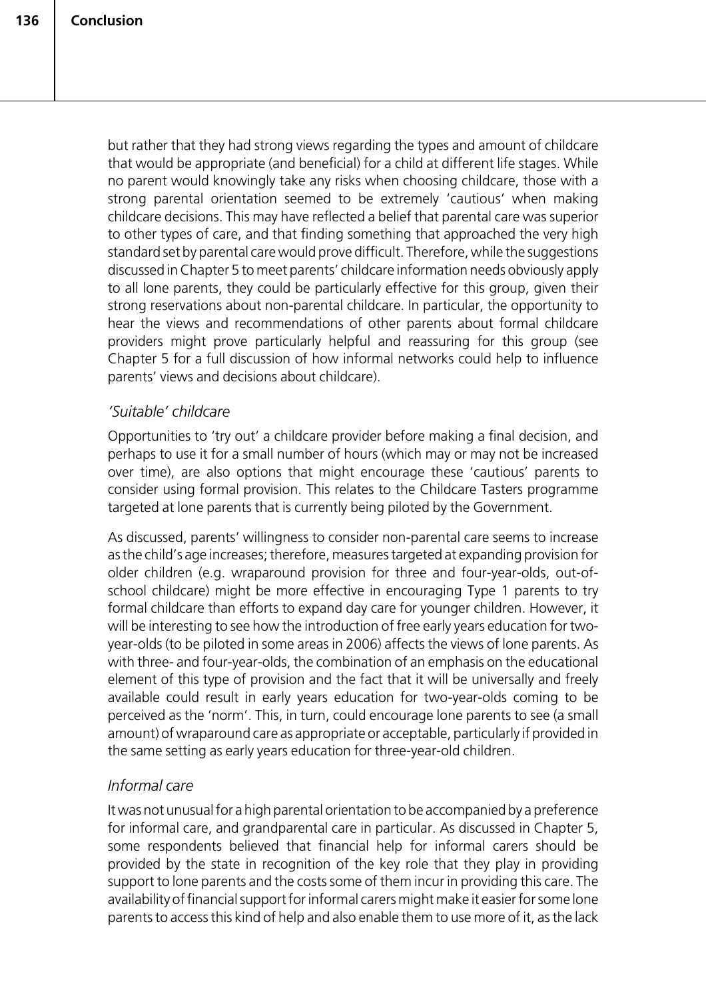but rather that they had strong views regarding the types and amount of childcare that would be appropriate (and beneficial) for a child at different life stages. While no parent would knowingly take any risks when choosing childcare, those with a strong parental orientation seemed to be extremely 'cautious' when making childcare decisions. This may have reflected a belief that parental care was superior to other types of care, and that finding something that approached the very high standard set by parental care would prove difficult. Therefore, while the suggestions discussed in Chapter 5 to meet parents' childcare information needs obviously apply to all lone parents, they could be particularly effective for this group, given their strong reservations about non-parental childcare. In particular, the opportunity to hear the views and recommendations of other parents about formal childcare providers might prove particularly helpful and reassuring for this group (see Chapter 5 for a full discussion of how informal networks could help to influence parents' views and decisions about childcare).

#### *'Suitable' childcare*

Opportunities to 'try out' a childcare provider before making a final decision, and perhaps to use it for a small number of hours (which may or may not be increased over time), are also options that might encourage these 'cautious' parents to consider using formal provision. This relates to the Childcare Tasters programme targeted at lone parents that is currently being piloted by the Government.

As discussed, parents' willingness to consider non-parental care seems to increase as the child's age increases; therefore, measures targeted at expanding provision for older children (e.g. wraparound provision for three and four-year-olds, out-ofschool childcare) might be more effective in encouraging Type 1 parents to try formal childcare than efforts to expand day care for younger children. However, it will be interesting to see how the introduction of free early years education for twoyear-olds (to be piloted in some areas in 2006) affects the views of lone parents. As with three- and four-year-olds, the combination of an emphasis on the educational element of this type of provision and the fact that it will be universally and freely available could result in early years education for two-year-olds coming to be perceived as the 'norm'. This, in turn, could encourage lone parents to see (a small amount) of wraparound care as appropriate or acceptable, particularly if provided in the same setting as early years education for three-year-old children.

## *Informal care*

It was not unusual for a high parental orientation to be accompanied by a preference for informal care, and grandparental care in particular. As discussed in Chapter 5, some respondents believed that financial help for informal carers should be provided by the state in recognition of the key role that they play in providing support to lone parents and the costs some of them incur in providing this care. The availability of financial support for informal carers might make it easier for some lone parents to access this kind of help and also enable them to use more of it, as the lack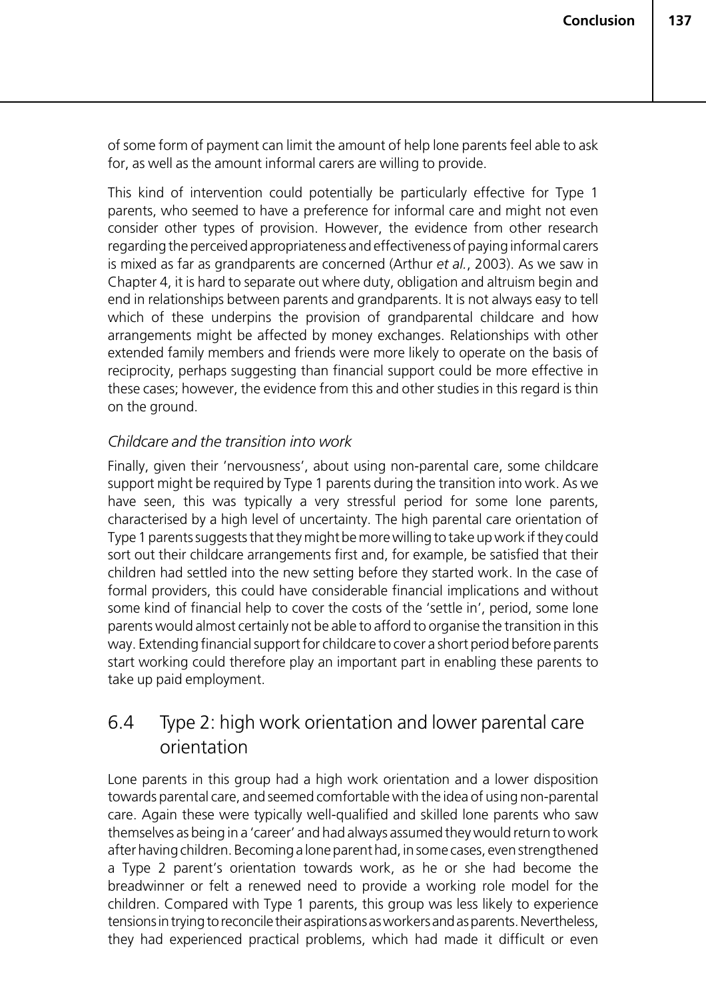of some form of payment can limit the amount of help lone parents feel able to ask for, as well as the amount informal carers are willing to provide.

This kind of intervention could potentially be particularly effective for Type 1 parents, who seemed to have a preference for informal care and might not even consider other types of provision. However, the evidence from other research regarding the perceived appropriateness and effectiveness of paying informal carers is mixed as far as grandparents are concerned (Arthur *et al.*, 2003). As we saw in Chapter 4, it is hard to separate out where duty, obligation and altruism begin and end in relationships between parents and grandparents. It is not always easy to tell which of these underpins the provision of grandparental childcare and how arrangements might be affected by money exchanges. Relationships with other extended family members and friends were more likely to operate on the basis of reciprocity, perhaps suggesting than financial support could be more effective in these cases; however, the evidence from this and other studies in this regard is thin on the ground.

#### *Childcare and the transition into work*

Finally, given their 'nervousness', about using non-parental care, some childcare support might be required by Type 1 parents during the transition into work. As we have seen, this was typically a very stressful period for some lone parents, characterised by a high level of uncertainty. The high parental care orientation of Type 1 parents suggests that they might be more willing to take up work if they could sort out their childcare arrangements first and, for example, be satisfied that their children had settled into the new setting before they started work. In the case of formal providers, this could have considerable financial implications and without some kind of financial help to cover the costs of the 'settle in', period, some lone parents would almost certainly not be able to afford to organise the transition in this way. Extending financial support for childcare to cover a short period before parents start working could therefore play an important part in enabling these parents to take up paid employment.

# 6.4 Type 2: high work orientation and lower parental care orientation

Lone parents in this group had a high work orientation and a lower disposition towards parental care, and seemed comfortable with the idea of using non-parental care. Again these were typically well-qualified and skilled lone parents who saw themselves as being in a 'career' and had always assumed they would return to work after having children. Becoming a lone parent had, in some cases, even strengthened a Type 2 parent's orientation towards work, as he or she had become the breadwinner or felt a renewed need to provide a working role model for the children. Compared with Type 1 parents, this group was less likely to experience tensions in trying to reconcile their aspirations as workers and as parents. Nevertheless, they had experienced practical problems, which had made it difficult or even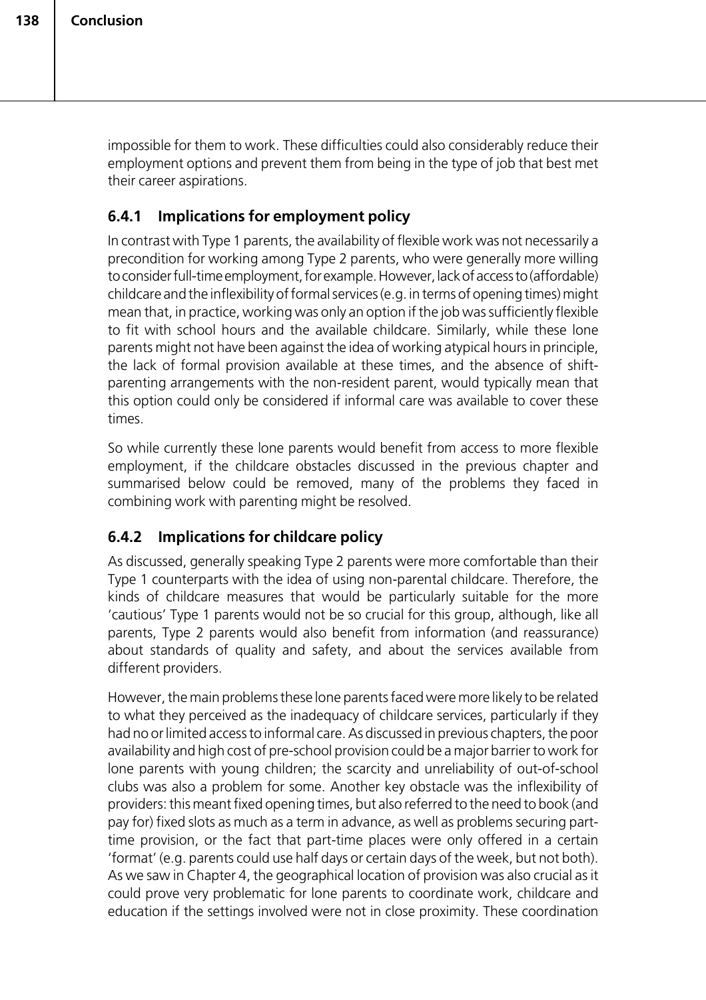impossible for them to work. These difficulties could also considerably reduce their employment options and prevent them from being in the type of job that best met their career aspirations.

## **6.4.1 Implications for employment policy**

In contrast with Type 1 parents, the availability of flexible work was not necessarily a precondition for working among Type 2 parents, who were generally more willing to consider full-time employment, for example. However, lack of access to (affordable) childcare and the inflexibility of formal services (e.g. in terms of opening times) might mean that, in practice, working was only an option if the job was sufficiently flexible to fit with school hours and the available childcare. Similarly, while these lone parents might not have been against the idea of working atypical hours in principle, the lack of formal provision available at these times, and the absence of shiftparenting arrangements with the non-resident parent, would typically mean that this option could only be considered if informal care was available to cover these times.

So while currently these lone parents would benefit from access to more flexible employment, if the childcare obstacles discussed in the previous chapter and summarised below could be removed, many of the problems they faced in combining work with parenting might be resolved.

## **6.4.2 Implications for childcare policy**

As discussed, generally speaking Type 2 parents were more comfortable than their Type 1 counterparts with the idea of using non-parental childcare. Therefore, the kinds of childcare measures that would be particularly suitable for the more 'cautious' Type 1 parents would not be so crucial for this group, although, like all parents, Type 2 parents would also benefit from information (and reassurance) about standards of quality and safety, and about the services available from different providers.

However, the main problems these lone parents faced were more likely to be related to what they perceived as the inadequacy of childcare services, particularly if they had no or limited access to informal care. As discussed in previous chapters, the poor availability and high cost of pre-school provision could be a major barrier to work for lone parents with young children; the scarcity and unreliability of out-of-school clubs was also a problem for some. Another key obstacle was the inflexibility of providers: this meant fixed opening times, but also referred to the need to book (and pay for) fixed slots as much as a term in advance, as well as problems securing parttime provision, or the fact that part-time places were only offered in a certain 'format' (e.g. parents could use half days or certain days of the week, but not both). As we saw in Chapter 4, the geographical location of provision was also crucial as it could prove very problematic for lone parents to coordinate work, childcare and education if the settings involved were not in close proximity. These coordination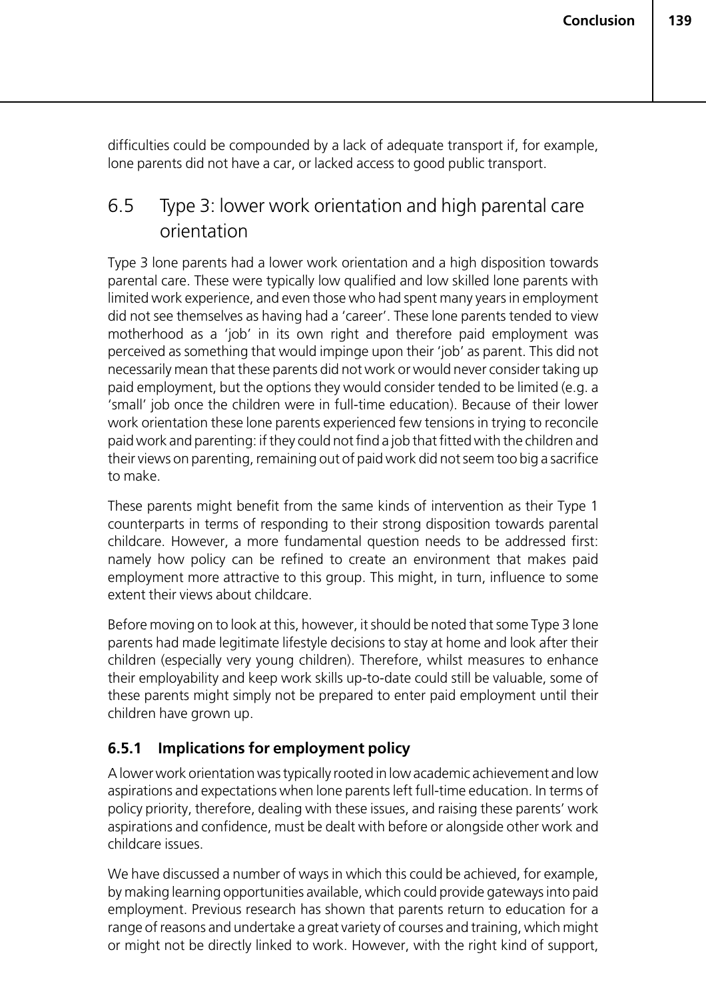difficulties could be compounded by a lack of adequate transport if, for example, lone parents did not have a car, or lacked access to good public transport.

# 6.5 Type 3: lower work orientation and high parental care orientation

Type 3 lone parents had a lower work orientation and a high disposition towards parental care. These were typically low qualified and low skilled lone parents with limited work experience, and even those who had spent many years in employment did not see themselves as having had a 'career'. These lone parents tended to view motherhood as a 'job' in its own right and therefore paid employment was perceived as something that would impinge upon their 'job' as parent. This did not necessarily mean that these parents did not work or would never consider taking up paid employment, but the options they would consider tended to be limited (e.g. a 'small' job once the children were in full-time education). Because of their lower work orientation these lone parents experienced few tensions in trying to reconcile paid work and parenting: if they could not find a job that fitted with the children and their views on parenting, remaining out of paid work did not seem too big a sacrifice to make.

These parents might benefit from the same kinds of intervention as their Type 1 counterparts in terms of responding to their strong disposition towards parental childcare. However, a more fundamental question needs to be addressed first: namely how policy can be refined to create an environment that makes paid employment more attractive to this group. This might, in turn, influence to some extent their views about childcare.

Before moving on to look at this, however, it should be noted that some Type 3 lone parents had made legitimate lifestyle decisions to stay at home and look after their children (especially very young children). Therefore, whilst measures to enhance their employability and keep work skills up-to-date could still be valuable, some of these parents might simply not be prepared to enter paid employment until their children have grown up.

## **6.5.1 Implications for employment policy**

A lower work orientation was typically rooted in low academic achievement and low aspirations and expectations when lone parents left full-time education. In terms of policy priority, therefore, dealing with these issues, and raising these parents' work aspirations and confidence, must be dealt with before or alongside other work and childcare issues.

We have discussed a number of ways in which this could be achieved, for example, by making learning opportunities available, which could provide gateways into paid employment. Previous research has shown that parents return to education for a range of reasons and undertake a great variety of courses and training, which might or might not be directly linked to work. However, with the right kind of support,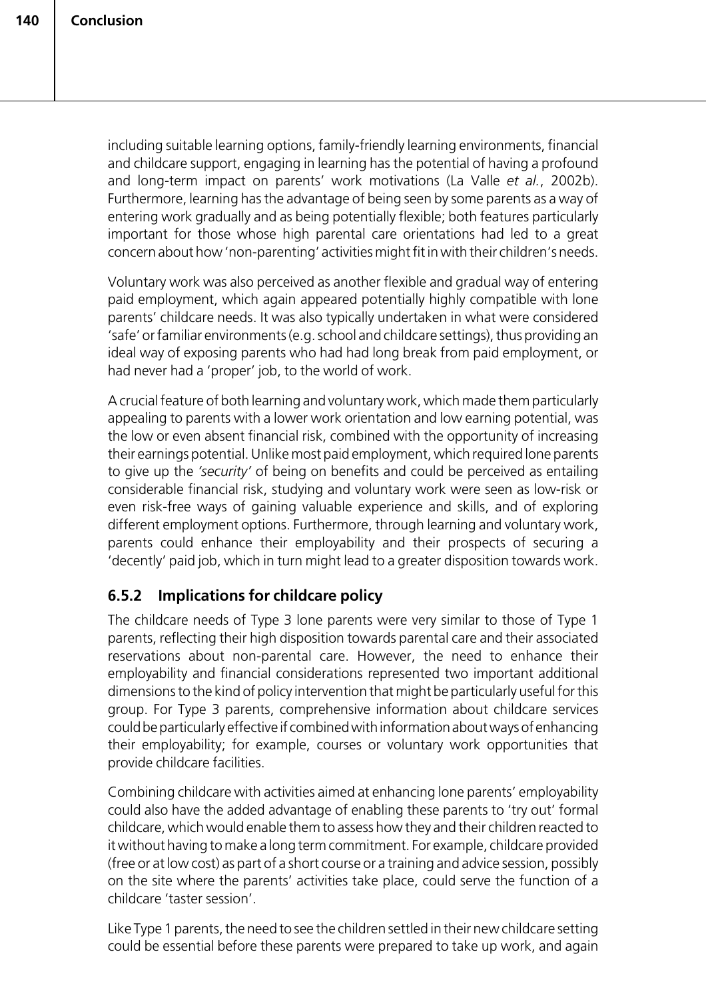including suitable learning options, family-friendly learning environments, financial and childcare support, engaging in learning has the potential of having a profound and long-term impact on parents' work motivations (La Valle *et al.*, 2002b). Furthermore, learning has the advantage of being seen by some parents as a way of entering work gradually and as being potentially flexible; both features particularly important for those whose high parental care orientations had led to a great concern about how 'non-parenting' activities might fit in with their children's needs.

Voluntary work was also perceived as another flexible and gradual way of entering paid employment, which again appeared potentially highly compatible with lone parents' childcare needs. It was also typically undertaken in what were considered 'safe' or familiar environments (e.g. school and childcare settings), thus providing an ideal way of exposing parents who had had long break from paid employment, or had never had a 'proper' job, to the world of work.

A crucial feature of both learning and voluntary work, which made them particularly appealing to parents with a lower work orientation and low earning potential, was the low or even absent financial risk, combined with the opportunity of increasing their earnings potential. Unlike most paid employment, which required lone parents to give up the *'security'* of being on benefits and could be perceived as entailing considerable financial risk, studying and voluntary work were seen as low-risk or even risk-free ways of gaining valuable experience and skills, and of exploring different employment options. Furthermore, through learning and voluntary work, parents could enhance their employability and their prospects of securing a 'decently' paid job, which in turn might lead to a greater disposition towards work.

## **6.5.2 Implications for childcare policy**

The childcare needs of Type 3 lone parents were very similar to those of Type 1 parents, reflecting their high disposition towards parental care and their associated reservations about non-parental care. However, the need to enhance their employability and financial considerations represented two important additional dimensions to the kind of policy intervention that might be particularly useful for this group. For Type 3 parents, comprehensive information about childcare services could be particularly effective if combined with information about ways of enhancing their employability; for example, courses or voluntary work opportunities that provide childcare facilities.

Combining childcare with activities aimed at enhancing lone parents' employability could also have the added advantage of enabling these parents to 'try out' formal childcare, which would enable them to assess how they and their children reacted to it without having to make a long term commitment. For example, childcare provided (free or at low cost) as part of a short course or a training and advice session, possibly on the site where the parents' activities take place, could serve the function of a childcare 'taster session'.

Like Type 1 parents, the need to see the children settled in their new childcare setting could be essential before these parents were prepared to take up work, and again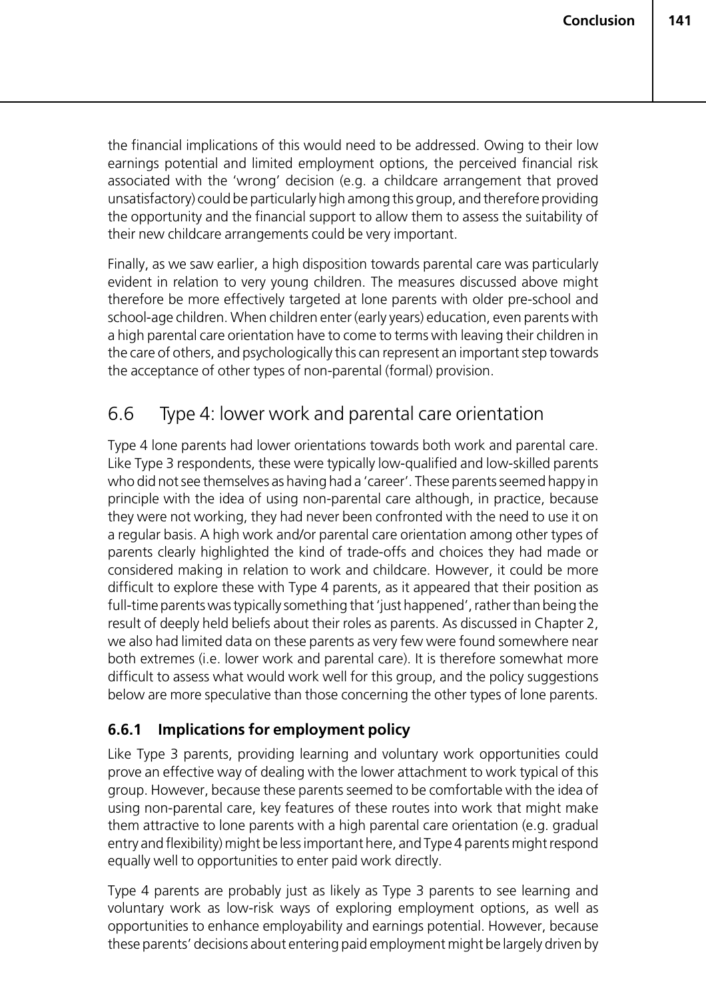the financial implications of this would need to be addressed. Owing to their low earnings potential and limited employment options, the perceived financial risk associated with the 'wrong' decision (e.g. a childcare arrangement that proved unsatisfactory) could be particularly high among this group, and therefore providing the opportunity and the financial support to allow them to assess the suitability of their new childcare arrangements could be very important.

Finally, as we saw earlier, a high disposition towards parental care was particularly evident in relation to very young children. The measures discussed above might therefore be more effectively targeted at lone parents with older pre-school and school-age children. When children enter (early years) education, even parents with a high parental care orientation have to come to terms with leaving their children in the care of others, and psychologically this can represent an important step towards the acceptance of other types of non-parental (formal) provision.

# 6.6 Type 4: lower work and parental care orientation

Type 4 lone parents had lower orientations towards both work and parental care. Like Type 3 respondents, these were typically low-qualified and low-skilled parents who did not see themselves as having had a 'career'. These parents seemed happy in principle with the idea of using non-parental care although, in practice, because they were not working, they had never been confronted with the need to use it on a regular basis. A high work and/or parental care orientation among other types of parents clearly highlighted the kind of trade-offs and choices they had made or considered making in relation to work and childcare. However, it could be more difficult to explore these with Type 4 parents, as it appeared that their position as full-time parents was typically something that 'just happened', rather than being the result of deeply held beliefs about their roles as parents. As discussed in Chapter 2, we also had limited data on these parents as very few were found somewhere near both extremes (i.e. lower work and parental care). It is therefore somewhat more difficult to assess what would work well for this group, and the policy suggestions below are more speculative than those concerning the other types of lone parents.

## **6.6.1 Implications for employment policy**

Like Type 3 parents, providing learning and voluntary work opportunities could prove an effective way of dealing with the lower attachment to work typical of this group. However, because these parents seemed to be comfortable with the idea of using non-parental care, key features of these routes into work that might make them attractive to lone parents with a high parental care orientation (e.g. gradual entry and flexibility) might be less important here, and Type 4 parents might respond equally well to opportunities to enter paid work directly.

Type 4 parents are probably just as likely as Type 3 parents to see learning and voluntary work as low-risk ways of exploring employment options, as well as opportunities to enhance employability and earnings potential. However, because these parents' decisions about entering paid employment might be largely driven by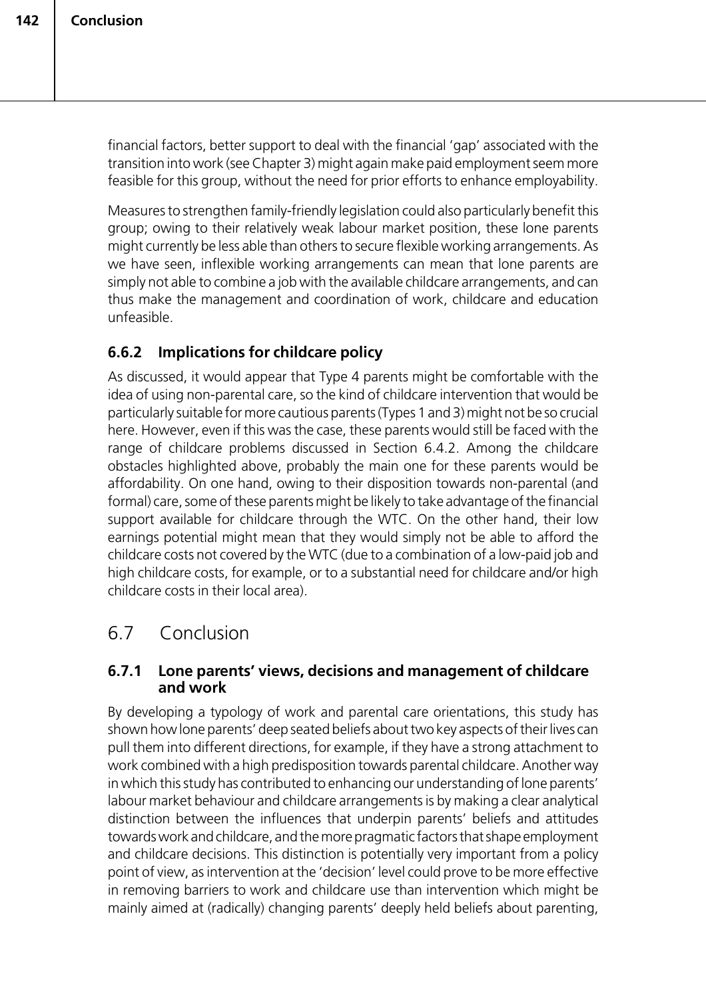financial factors, better support to deal with the financial 'gap' associated with the transition into work (see Chapter 3) might again make paid employment seem more feasible for this group, without the need for prior efforts to enhance employability.

Measures to strengthen family-friendly legislation could also particularly benefit this group; owing to their relatively weak labour market position, these lone parents might currently be less able than others to secure flexible working arrangements. As we have seen, inflexible working arrangements can mean that lone parents are simply not able to combine a job with the available childcare arrangements, and can thus make the management and coordination of work, childcare and education unfeasible.

## **6.6.2 Implications for childcare policy**

As discussed, it would appear that Type 4 parents might be comfortable with the idea of using non-parental care, so the kind of childcare intervention that would be particularly suitable for more cautious parents (Types 1 and 3) might not be so crucial here. However, even if this was the case, these parents would still be faced with the range of childcare problems discussed in Section 6.4.2. Among the childcare obstacles highlighted above, probably the main one for these parents would be affordability. On one hand, owing to their disposition towards non-parental (and formal) care, some of these parents might be likely to take advantage of the financial support available for childcare through the WTC. On the other hand, their low earnings potential might mean that they would simply not be able to afford the childcare costs not covered by the WTC (due to a combination of a low-paid job and high childcare costs, for example, or to a substantial need for childcare and/or high childcare costs in their local area).

# 6.7 Conclusion

## **6.7.1 Lone parents' views, decisions and management of childcare and work**

By developing a typology of work and parental care orientations, this study has shown how lone parents' deep seated beliefs about two key aspects of their lives can pull them into different directions, for example, if they have a strong attachment to work combined with a high predisposition towards parental childcare. Another way in which this study has contributed to enhancing our understanding of lone parents' labour market behaviour and childcare arrangements is by making a clear analytical distinction between the influences that underpin parents' beliefs and attitudes towards work and childcare, and the more pragmatic factors that shape employment and childcare decisions. This distinction is potentially very important from a policy point of view, as intervention at the 'decision' level could prove to be more effective in removing barriers to work and childcare use than intervention which might be mainly aimed at (radically) changing parents' deeply held beliefs about parenting,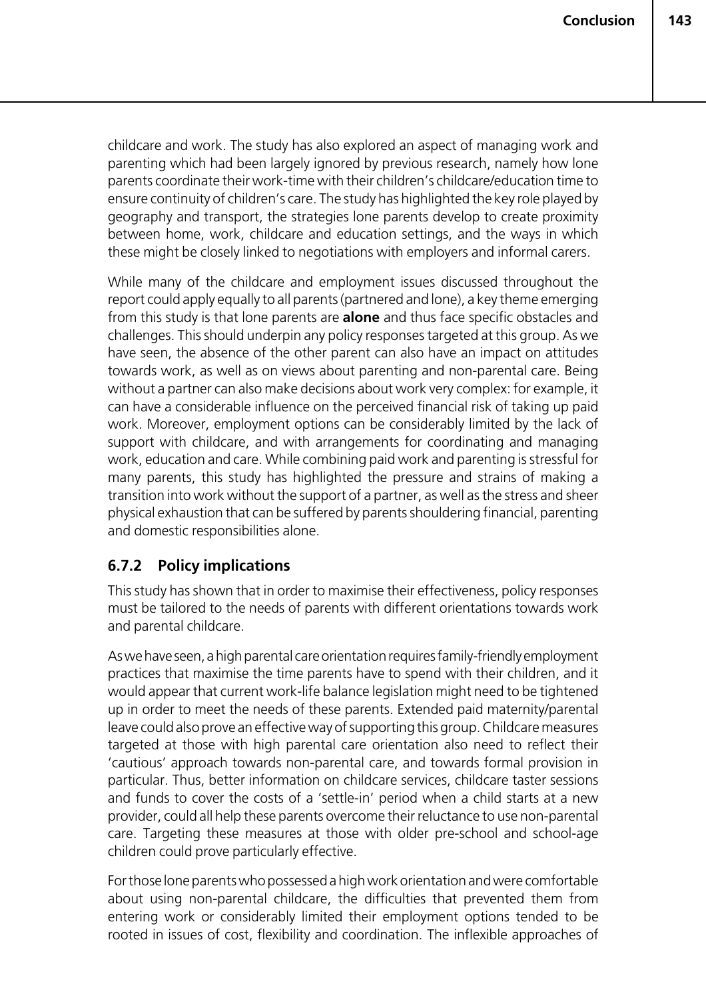childcare and work. The study has also explored an aspect of managing work and parenting which had been largely ignored by previous research, namely how lone parents coordinate their work-time with their children's childcare/education time to ensure continuity of children's care. The study has highlighted the key role played by geography and transport, the strategies lone parents develop to create proximity between home, work, childcare and education settings, and the ways in which these might be closely linked to negotiations with employers and informal carers.

While many of the childcare and employment issues discussed throughout the report could apply equally to all parents (partnered and lone), a key theme emerging from this study is that lone parents are **alone** and thus face specific obstacles and challenges. This should underpin any policy responses targeted at this group. As we have seen, the absence of the other parent can also have an impact on attitudes towards work, as well as on views about parenting and non-parental care. Being without a partner can also make decisions about work very complex: for example, it can have a considerable influence on the perceived financial risk of taking up paid work. Moreover, employment options can be considerably limited by the lack of support with childcare, and with arrangements for coordinating and managing work, education and care. While combining paid work and parenting is stressful for many parents, this study has highlighted the pressure and strains of making a transition into work without the support of a partner, as well as the stress and sheer physical exhaustion that can be suffered by parents shouldering financial, parenting and domestic responsibilities alone.

## **6.7.2 Policy implications**

This study has shown that in order to maximise their effectiveness, policy responses must be tailored to the needs of parents with different orientations towards work and parental childcare.

As we have seen, a high parental care orientation requires family-friendly employment practices that maximise the time parents have to spend with their children, and it would appear that current work-life balance legislation might need to be tightened up in order to meet the needs of these parents. Extended paid maternity/parental leave could also prove an effective way of supporting this group. Childcare measures targeted at those with high parental care orientation also need to reflect their 'cautious' approach towards non-parental care, and towards formal provision in particular. Thus, better information on childcare services, childcare taster sessions and funds to cover the costs of a 'settle-in' period when a child starts at a new provider, could all help these parents overcome their reluctance to use non-parental care. Targeting these measures at those with older pre-school and school-age children could prove particularly effective.

For those lone parents who possessed a high work orientation and were comfortable about using non-parental childcare, the difficulties that prevented them from entering work or considerably limited their employment options tended to be rooted in issues of cost, flexibility and coordination. The inflexible approaches of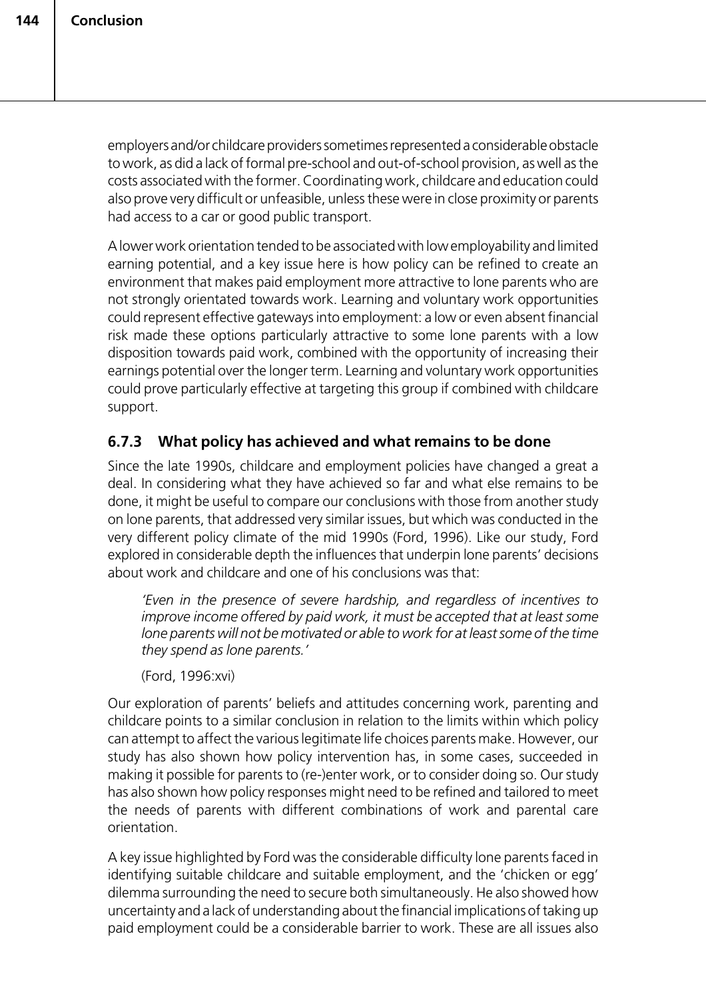employers and/or childcare providers sometimes represented a considerable obstacle to work, as did a lack of formal pre-school and out-of-school provision, as well as the costs associated with the former. Coordinating work, childcare and education could also prove very difficult or unfeasible, unless these were in close proximity or parents had access to a car or good public transport.

A lower work orientation tended to be associated with low employability and limited earning potential, and a key issue here is how policy can be refined to create an environment that makes paid employment more attractive to lone parents who are not strongly orientated towards work. Learning and voluntary work opportunities could represent effective gateways into employment: a low or even absent financial risk made these options particularly attractive to some lone parents with a low disposition towards paid work, combined with the opportunity of increasing their earnings potential over the longer term. Learning and voluntary work opportunities could prove particularly effective at targeting this group if combined with childcare support.

## **6.7.3 What policy has achieved and what remains to be done**

Since the late 1990s, childcare and employment policies have changed a great a deal. In considering what they have achieved so far and what else remains to be done, it might be useful to compare our conclusions with those from another study on lone parents, that addressed very similar issues, but which was conducted in the very different policy climate of the mid 1990s (Ford, 1996). Like our study, Ford explored in considerable depth the influences that underpin lone parents' decisions about work and childcare and one of his conclusions was that:

*'Even in the presence of severe hardship, and regardless of incentives to improve income offered by paid work, it must be accepted that at least some lone parents will not be motivated or able to work for at least some of the time they spend as lone parents.'*

(Ford, 1996:xvi)

Our exploration of parents' beliefs and attitudes concerning work, parenting and childcare points to a similar conclusion in relation to the limits within which policy can attempt to affect the various legitimate life choices parents make. However, our study has also shown how policy intervention has, in some cases, succeeded in making it possible for parents to (re-)enter work, or to consider doing so. Our study has also shown how policy responses might need to be refined and tailored to meet the needs of parents with different combinations of work and parental care orientation.

A key issue highlighted by Ford was the considerable difficulty lone parents faced in identifying suitable childcare and suitable employment, and the 'chicken or egg' dilemma surrounding the need to secure both simultaneously. He also showed how uncertainty and a lack of understanding about the financial implications of taking up paid employment could be a considerable barrier to work. These are all issues also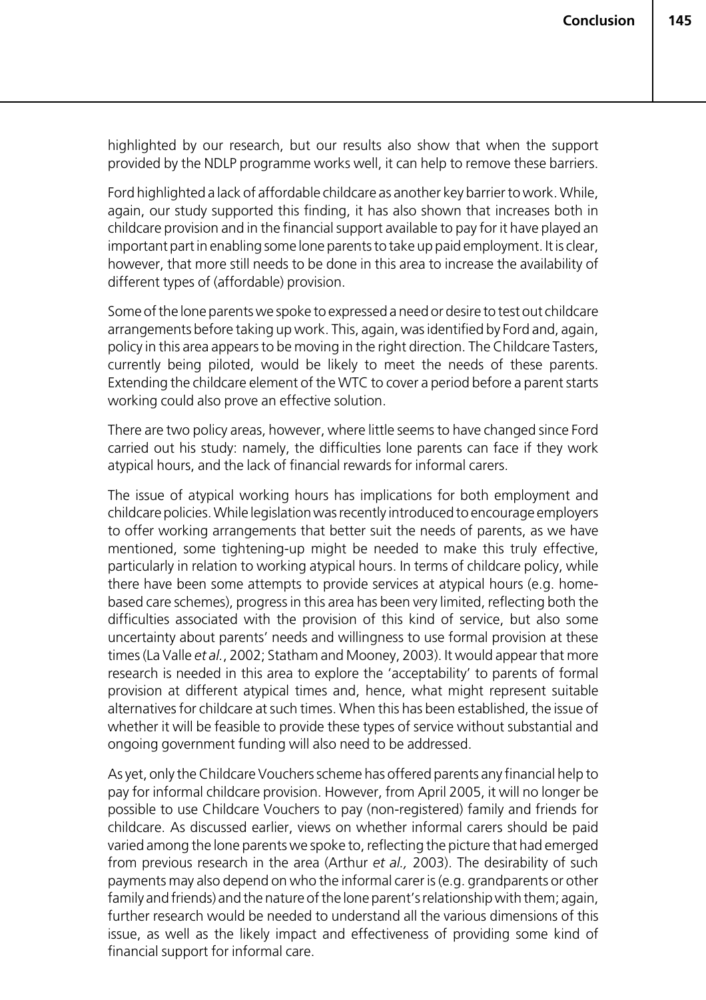highlighted by our research, but our results also show that when the support provided by the NDLP programme works well, it can help to remove these barriers.

Ford highlighted a lack of affordable childcare as another key barrier to work. While, again, our study supported this finding, it has also shown that increases both in childcare provision and in the financial support available to pay for it have played an important part in enabling some lone parents to take up paid employment. It is clear, however, that more still needs to be done in this area to increase the availability of different types of (affordable) provision.

Some of the lone parents we spoke to expressed a need or desire to test out childcare arrangements before taking up work. This, again, was identified by Ford and, again, policy in this area appears to be moving in the right direction. The Childcare Tasters, currently being piloted, would be likely to meet the needs of these parents. Extending the childcare element of the WTC to cover a period before a parent starts working could also prove an effective solution.

There are two policy areas, however, where little seems to have changed since Ford carried out his study: namely, the difficulties lone parents can face if they work atypical hours, and the lack of financial rewards for informal carers.

The issue of atypical working hours has implications for both employment and childcare policies. While legislation was recently introduced to encourage employers to offer working arrangements that better suit the needs of parents, as we have mentioned, some tightening-up might be needed to make this truly effective, particularly in relation to working atypical hours. In terms of childcare policy, while there have been some attempts to provide services at atypical hours (e.g. homebased care schemes), progress in this area has been very limited, reflecting both the difficulties associated with the provision of this kind of service, but also some uncertainty about parents' needs and willingness to use formal provision at these times (La Valle *et al.*, 2002; Statham and Mooney, 2003). It would appear that more research is needed in this area to explore the 'acceptability' to parents of formal provision at different atypical times and, hence, what might represent suitable alternatives for childcare at such times. When this has been established, the issue of whether it will be feasible to provide these types of service without substantial and ongoing government funding will also need to be addressed.

As yet, only the Childcare Vouchers scheme has offered parents any financial help to pay for informal childcare provision. However, from April 2005, it will no longer be possible to use Childcare Vouchers to pay (non-registered) family and friends for childcare. As discussed earlier, views on whether informal carers should be paid varied among the lone parents we spoke to, reflecting the picture that had emerged from previous research in the area (Arthur *et al.,* 2003). The desirability of such payments may also depend on who the informal carer is (e.g. grandparents or other family and friends) and the nature of the lone parent's relationship with them; again, further research would be needed to understand all the various dimensions of this issue, as well as the likely impact and effectiveness of providing some kind of financial support for informal care.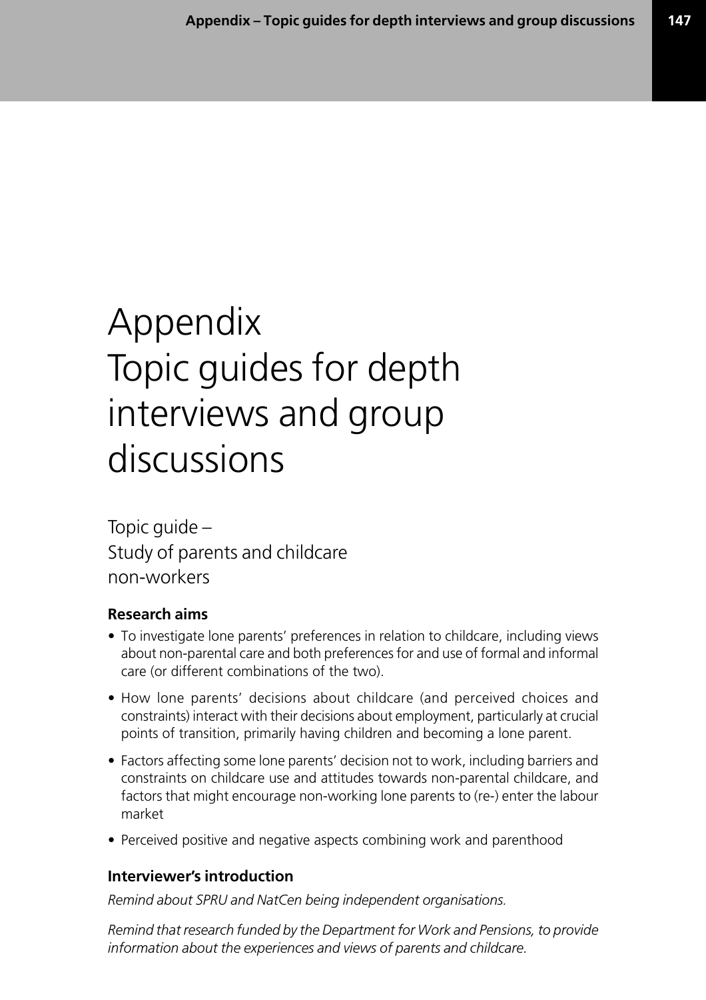# Appendix Topic guides for depth interviews and group discussions

Topic guide – Study of parents and childcare non-workers

## **Research aims**

- To investigate lone parents' preferences in relation to childcare, including views about non-parental care and both preferences for and use of formal and informal care (or different combinations of the two).
- How lone parents' decisions about childcare (and perceived choices and constraints) interact with their decisions about employment, particularly at crucial points of transition, primarily having children and becoming a lone parent.
- Factors affecting some lone parents' decision not to work, including barriers and constraints on childcare use and attitudes towards non-parental childcare, and factors that might encourage non-working lone parents to (re-) enter the labour market
- Perceived positive and negative aspects combining work and parenthood

## **Interviewer's introduction**

*Remind about SPRU and NatCen being independent organisations.*

*Remind that research funded by the Department for Work and Pensions, to provide information about the experiences and views of parents and childcare.*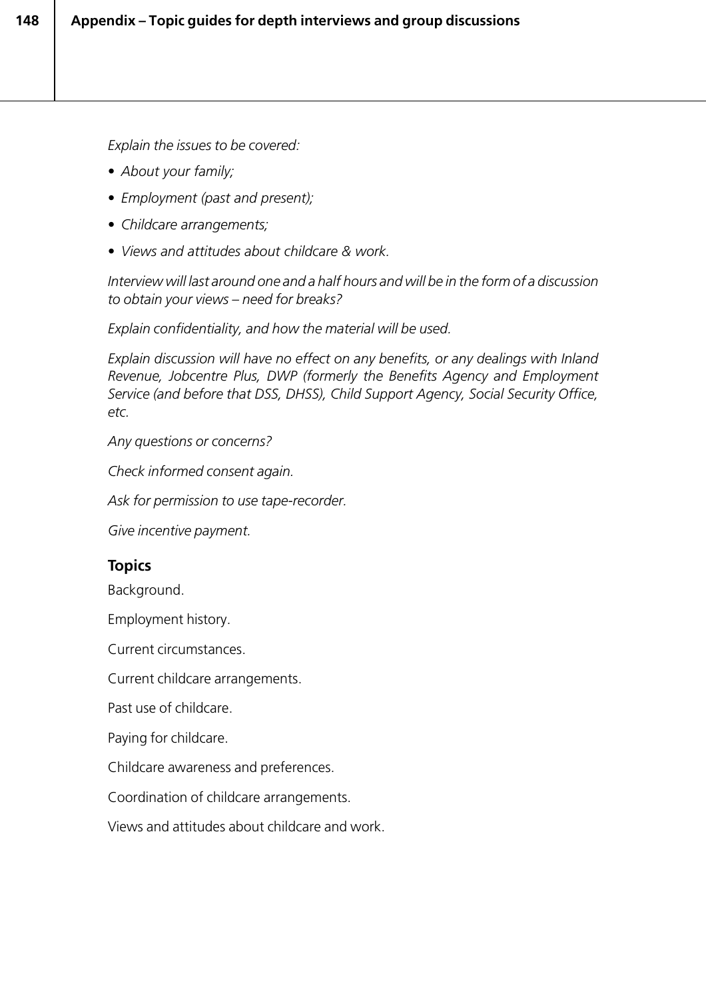*Explain the issues to be covered:*

- *About your family;*
- *Employment (past and present);*
- *Childcare arrangements;*
- *Views and attitudes about childcare & work.*

*Interview will last around one and a half hours and will be in the form of a discussion to obtain your views – need for breaks?*

*Explain confidentiality, and how the material will be used.*

*Explain discussion will have no effect on any benefits, or any dealings with Inland Revenue, Jobcentre Plus, DWP (formerly the Benefits Agency and Employment Service (and before that DSS, DHSS), Child Support Agency, Social Security Office, etc.*

*Any questions or concerns?*

*Check informed consent again.*

*Ask for permission to use tape-recorder.*

*Give incentive payment.*

## **Topics**

Background.

Employment history.

Current circumstances.

Current childcare arrangements.

Past use of childcare.

Paying for childcare.

Childcare awareness and preferences.

Coordination of childcare arrangements.

Views and attitudes about childcare and work.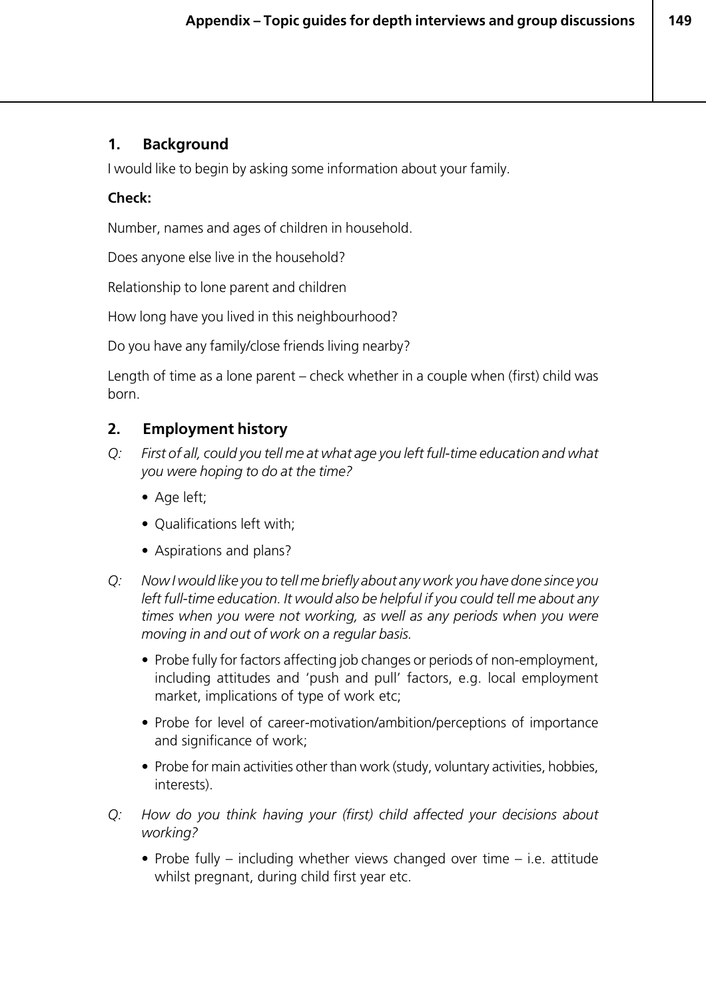#### **1. Background**

I would like to begin by asking some information about your family.

#### **Check:**

Number, names and ages of children in household.

Does anyone else live in the household?

Relationship to lone parent and children

How long have you lived in this neighbourhood?

Do you have any family/close friends living nearby?

Length of time as a lone parent – check whether in a couple when (first) child was born.

## **2. Employment history**

- *Q: First of all, could you tell me at what age you left full-time education and what you were hoping to do at the time?*
	- Age left;
	- Qualifications left with;
	- Aspirations and plans?
- *Q: Now I would like you to tell me briefly about any work you have done since you left full-time education. It would also be helpful if you could tell me about any times when you were not working, as well as any periods when you were moving in and out of work on a regular basis.*
	- Probe fully for factors affecting job changes or periods of non-employment, including attitudes and 'push and pull' factors, e.g. local employment market, implications of type of work etc;
	- Probe for level of career-motivation/ambition/perceptions of importance and significance of work;
	- Probe for main activities other than work (study, voluntary activities, hobbies, interests).
- *Q: How do you think having your (first) child affected your decisions about working?*
	- Probe fully including whether views changed over time i.e. attitude whilst pregnant, during child first year etc.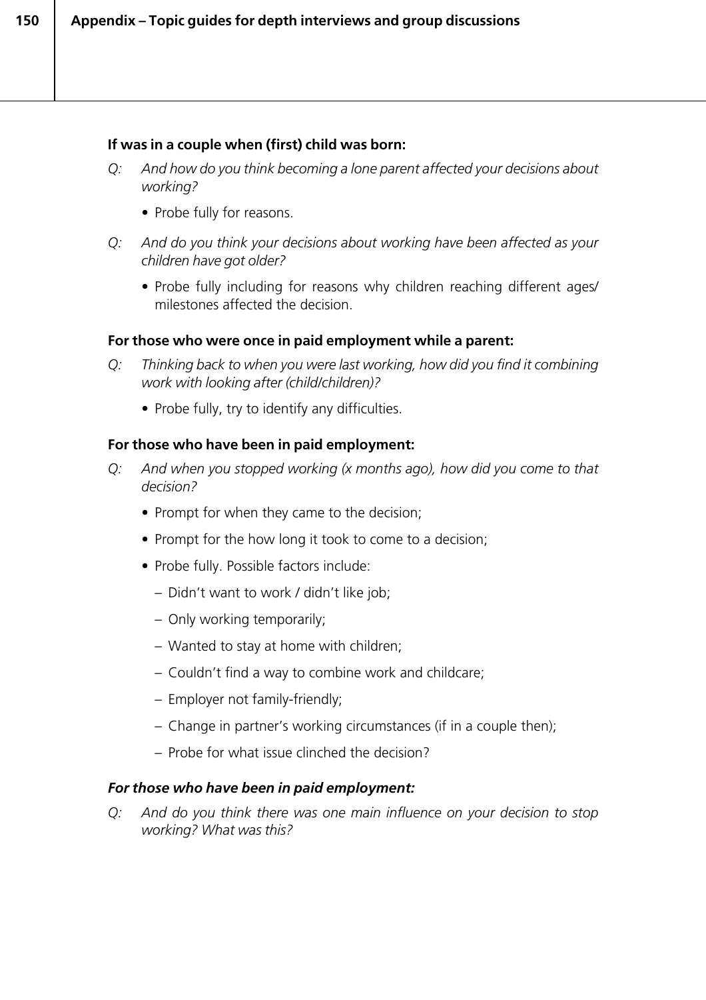#### **If was in a couple when (first) child was born:**

- *Q: And how do you think becoming a lone parent affected your decisions about working?*
	- Probe fully for reasons.
- *Q: And do you think your decisions about working have been affected as your children have got older?*
	- Probe fully including for reasons why children reaching different ages/ milestones affected the decision.

#### **For those who were once in paid employment while a parent:**

- *Q: Thinking back to when you were last working, how did you find it combining work with looking after (child/children)?*
	- Probe fully, try to identify any difficulties.

#### **For those who have been in paid employment:**

- *Q: And when you stopped working (x months ago), how did you come to that decision?*
	- Prompt for when they came to the decision;
	- Prompt for the how long it took to come to a decision:
	- Probe fully. Possible factors include:
		- Didn't want to work / didn't like job;
		- Only working temporarily;
		- Wanted to stay at home with children;
		- Couldn't find a way to combine work and childcare;
		- Employer not family-friendly;
		- Change in partner's working circumstances (if in a couple then);
		- Probe for what issue clinched the decision?

#### *For those who have been in paid employment:*

*Q: And do you think there was one main influence on your decision to stop working? What was this?*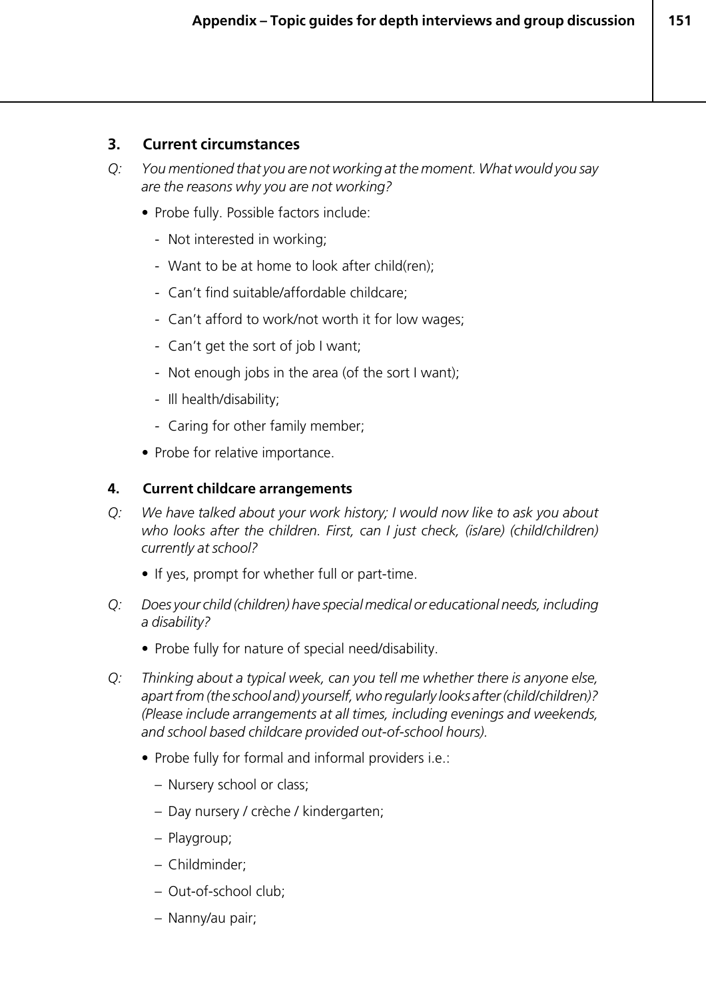#### **3. Current circumstances**

- *Q: You mentioned that you are not working at the moment. What would you say are the reasons why you are not working?*
	- Probe fully. Possible factors include:
		- Not interested in working;
		- Want to be at home to look after child(ren);
		- *-* Can't find suitable/affordable childcare;
		- *-* Can't afford to work/not worth it for low wages;
		- *-* Can't get the sort of job I want;
		- *-* Not enough jobs in the area (of the sort I want);
		- *-* Ill health/disability;
		- *-* Caring for other family member;
	- *•* Probe for relative importance.

#### **4. Current childcare arrangements**

- *Q: We have talked about your work history; I would now like to ask you about who looks after the children. First, can I just check, (is/are) (child/children) currently at school?*
	- If yes, prompt for whether full or part-time.
- *Q: Does your child (children) have special medical or educational needs, including a disability?*
	- Probe fully for nature of special need/disability.
- *Q: Thinking about a typical week, can you tell me whether there is anyone else, apart from (the school and) yourself, who regularly looks after (child/children)? (Please include arrangements at all times, including evenings and weekends, and school based childcare provided out-of-school hours).*
	- Probe fully for formal and informal providers i.e.:
		- Nursery school or class;
		- Day nursery / crèche / kindergarten;
		- Playgroup;
		- Childminder;
		- Out-of-school club;
		- Nanny/au pair;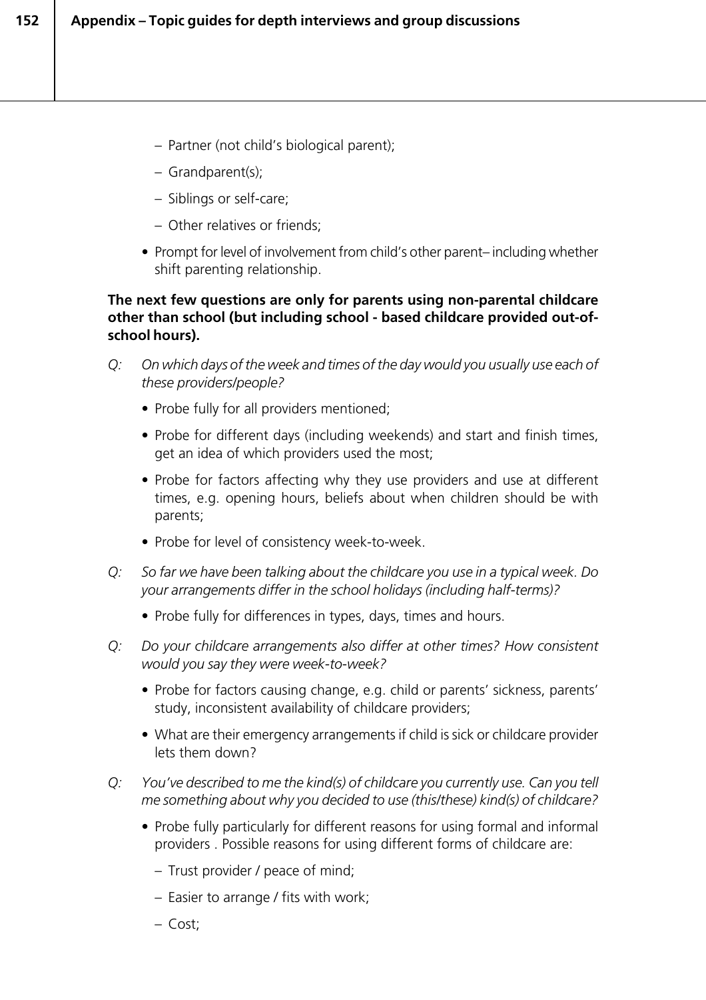- Partner (not child's biological parent);
- Grandparent(s);
- Siblings or self-care;
- Other relatives or friends;
- Prompt for level of involvement from child's other parent– including whether shift parenting relationship.

#### **The next few questions are only for parents using non-parental childcare other than school (but including school - based childcare provided out-ofschool hours).**

- *Q: On which days of the week and times of the day would you usually use each of these providers/people?*
	- Probe fully for all providers mentioned;
	- Probe for different days (including weekends) and start and finish times, get an idea of which providers used the most;
	- Probe for factors affecting why they use providers and use at different times, e.g. opening hours, beliefs about when children should be with parents;
	- Probe for level of consistency week-to-week.
- *Q: So far we have been talking about the childcare you use in a typical week. Do your arrangements differ in the school holidays (including half-terms)?*
	- Probe fully for differences in types, days, times and hours.
- *Q: Do your childcare arrangements also differ at other times? How consistent would you say they were week-to-week?*
	- Probe for factors causing change, e.g. child or parents' sickness, parents' study, inconsistent availability of childcare providers;
	- What are their emergency arrangements if child is sick or childcare provider lets them down?
- *Q: You've described to me the kind(s) of childcare you currently use. Can you tell me something about why you decided to use (this/these) kind(s) of childcare?*
	- Probe fully particularly for different reasons for using formal and informal providers . Possible reasons for using different forms of childcare are:
		- Trust provider / peace of mind;
		- Easier to arrange / fits with work;
		- Cost;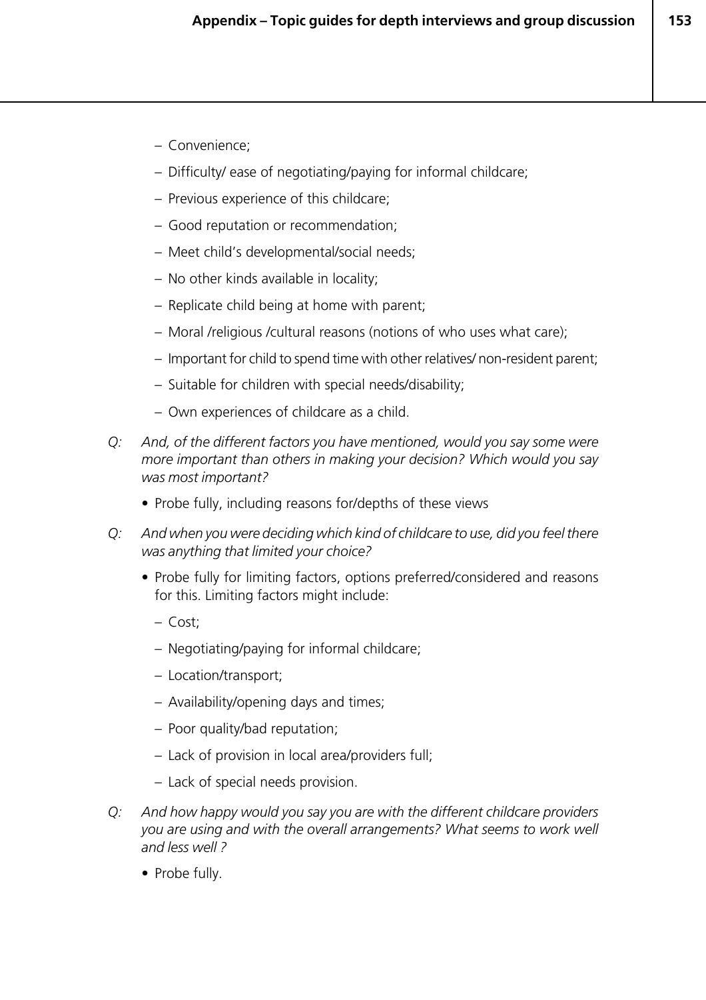- Convenience;
- Difficulty/ ease of negotiating/paying for informal childcare;
- Previous experience of this childcare;
- Good reputation or recommendation;
- Meet child's developmental/social needs;
- No other kinds available in locality;
- Replicate child being at home with parent;
- Moral /religious /cultural reasons (notions of who uses what care);
- Important for child to spend time with other relatives/ non-resident parent;
- Suitable for children with special needs/disability;
- Own experiences of childcare as a child.
- *Q: And, of the different factors you have mentioned, would you say some were more important than others in making your decision? Which would you say was most important?*
	- Probe fully, including reasons for/depths of these views
- *Q: And when you were deciding which kind of childcare to use, did you feel there was anything that limited your choice?*
	- Probe fully for limiting factors, options preferred/considered and reasons for this. Limiting factors might include:
		- Cost;
		- Negotiating/paying for informal childcare;
		- Location/transport;
		- Availability/opening days and times;
		- Poor quality/bad reputation;
		- Lack of provision in local area/providers full;
		- Lack of special needs provision.
- *Q: And how happy would you say you are with the different childcare providers you are using and with the overall arrangements? What seems to work well and less well ?*
	- Probe fully.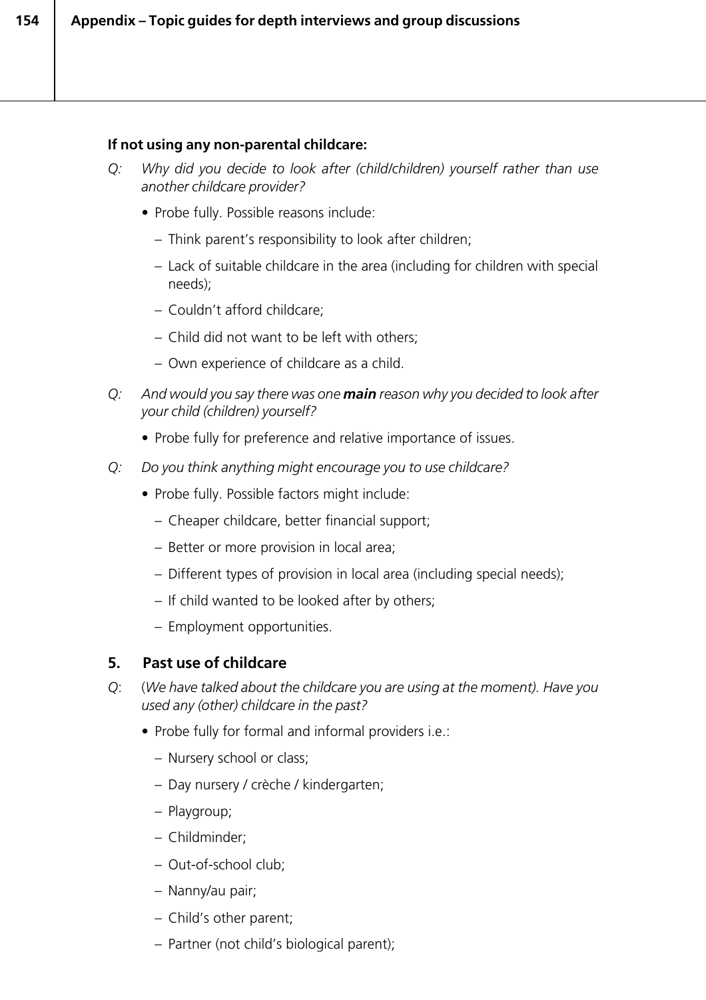#### **If not using any non-parental childcare:**

- *Q: Why did you decide to look after (child/children) yourself rather than use another childcare provider?*
	- Probe fully. Possible reasons include:
		- Think parent's responsibility to look after children;
		- Lack of suitable childcare in the area (including for children with special needs);
		- Couldn't afford childcare;
		- Child did not want to be left with others;
		- Own experience of childcare as a child.
- *Q: And would you say there was one main reason why you decided to look after your child (children) yourself?*
	- Probe fully for preference and relative importance of issues.
- *Q: Do you think anything might encourage you to use childcare?*
	- Probe fully. Possible factors might include:
		- Cheaper childcare, better financial support;
		- Better or more provision in local area;
		- Different types of provision in local area (including special needs);
		- *–* If child wanted to be looked after by others;
		- Employment opportunities.

#### **5. Past use of childcare**

- *Q*: (*We have talked about the childcare you are using at the moment). Have you used any (other) childcare in the past?*
	- Probe fully for formal and informal providers i.e.:
		- Nursery school or class;
		- Day nursery / crèche / kindergarten;
		- Playgroup;
		- Childminder;
		- Out-of-school club;
		- Nanny/au pair;
		- Child's other parent;
		- Partner (not child's biological parent);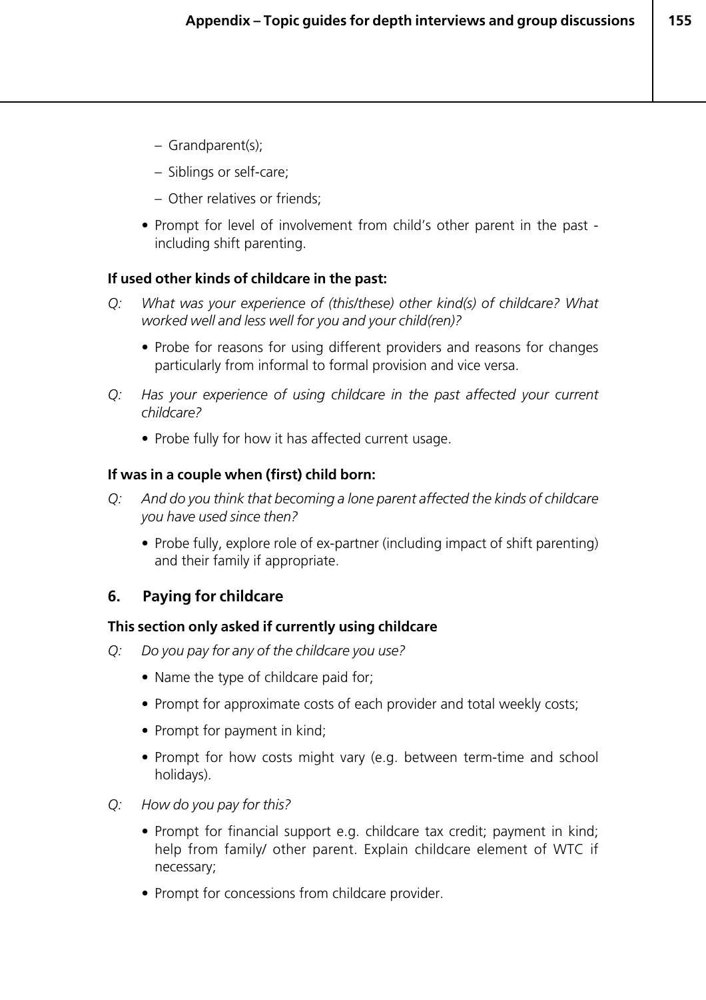- Grandparent(s);
- Siblings or self-care;
- Other relatives or friends;
- Prompt for level of involvement from child's other parent in the past including shift parenting.

#### **If used other kinds of childcare in the past:**

- *Q: What was your experience of (this/these) other kind(s) of childcare? What worked well and less well for you and your child(ren)?*
	- Probe for reasons for using different providers and reasons for changes particularly from informal to formal provision and vice versa.
- *Q: Has your experience of using childcare in the past affected your current childcare?*
	- Probe fully for how it has affected current usage.

#### **If was in a couple when (first) child born:**

- *Q: And do you think that becoming a lone parent affected the kinds of childcare you have used since then?*
	- Probe fully, explore role of ex-partner (including impact of shift parenting) and their family if appropriate.

#### **6. Paying for childcare**

#### **This section only asked if currently using childcare**

- *Q: Do you pay for any of the childcare you use?*
	- Name the type of childcare paid for;
	- Prompt for approximate costs of each provider and total weekly costs;
	- Prompt for payment in kind;
	- Prompt for how costs might vary (e.g. between term-time and school holidays).
- *Q: How do you pay for this?*
	- Prompt for financial support e.g. childcare tax credit; payment in kind; help from family/ other parent. Explain childcare element of WTC if necessary;
	- Prompt for concessions from childcare provider.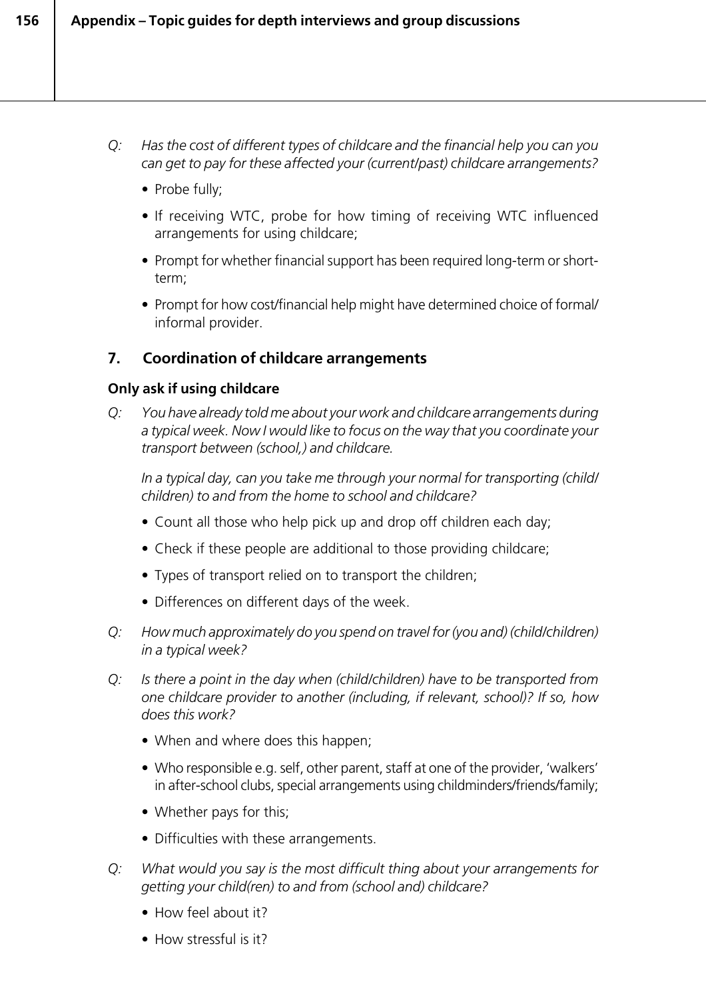- *Q: Has the cost of different types of childcare and the financial help you can you can get to pay for these affected your (current/past) childcare arrangements?*
	- Probe fully;
	- *•* If receiving WTC, probe for how timing of receiving WTC influenced arrangements for using childcare;
	- Prompt for whether financial support has been required long-term or shortterm;
	- Prompt for how cost/financial help might have determined choice of formal/ informal provider.

## **7. Coordination of childcare arrangements**

#### **Only ask if using childcare**

*Q: You have already told me about your work and childcare arrangements during a typical week. Now I would like to focus on the way that you coordinate your transport between (school,) and childcare.*

*In a typical day, can you take me through your normal for transporting (child/ children) to and from the home to school and childcare?*

- Count all those who help pick up and drop off children each day;
- Check if these people are additional to those providing childcare;
- Types of transport relied on to transport the children;
- Differences on different days of the week.
- *Q: How much approximately do you spend on travel for (you and) (child/children) in a typical week?*
- *Q: Is there a point in the day when (child/children) have to be transported from one childcare provider to another (including, if relevant, school)? If so, how does this work?*
	- When and where does this happen;
	- Who responsible e.g. self, other parent, staff at one of the provider, 'walkers' in after-school clubs, special arrangements using childminders/friends/family;
	- Whether pays for this;
	- Difficulties with these arrangements.
- *Q: What would you say is the most difficult thing about your arrangements for getting your child(ren) to and from (school and) childcare?*
	- How feel about it?
	- How stressful is it?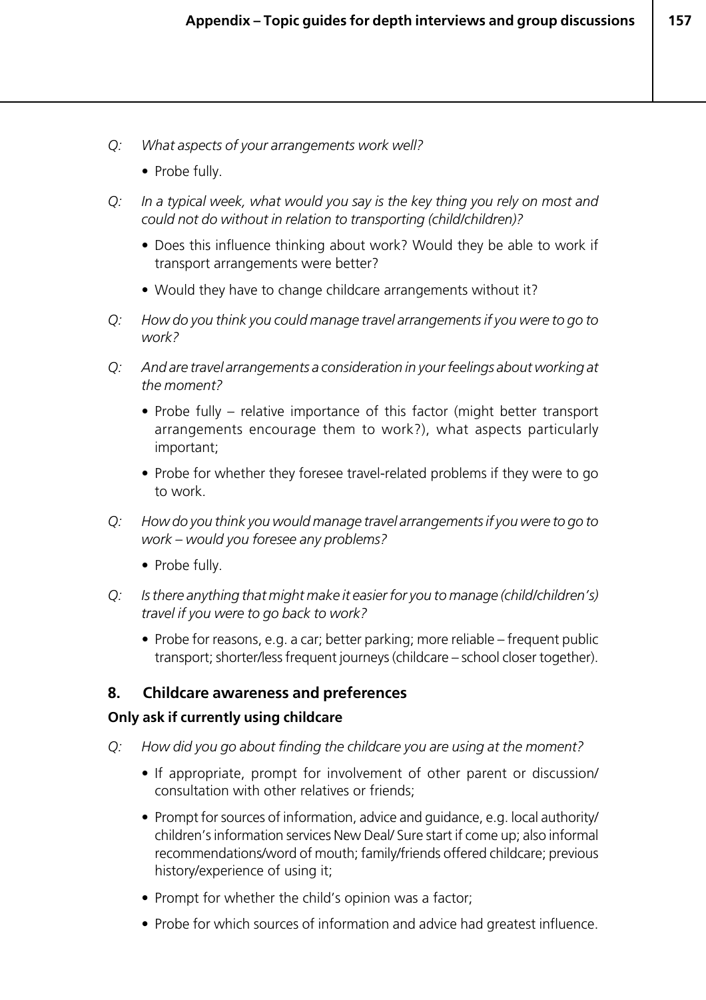- *Q: What aspects of your arrangements work well?*
	- Probe fully.
- *Q: In a typical week, what would you say is the key thing you rely on most and could not do without in relation to transporting (child/children)?*
	- Does this influence thinking about work? Would they be able to work if transport arrangements were better?
	- Would they have to change childcare arrangements without it?
- *Q: How do you think you could manage travel arrangements if you were to go to work?*
- *Q: And are travel arrangements a consideration in your feelings about working at the moment?*
	- Probe fully relative importance of this factor (might better transport arrangements encourage them to work?), what aspects particularly important;
	- Probe for whether they foresee travel-related problems if they were to go to work.
- *Q: How do you think you would manage travel arrangements if you were to go to work – would you foresee any problems?*
	- Probe fully.
- *Q: Is there anything that might make it easier for you to manage (child/children's) travel if you were to go back to work?*
	- *•* Probe for reasons, e.g. a car; better parking; more reliable frequent public transport; shorter/less frequent journeys (childcare – school closer together).

#### **8. Childcare awareness and preferences**

#### **Only ask if currently using childcare**

- *Q: How did you go about finding the childcare you are using at the moment?*
	- If appropriate, prompt for involvement of other parent or discussion/ consultation with other relatives or friends;
	- Prompt for sources of information, advice and guidance, e.g. local authority/ children's information services New Deal/ Sure start if come up; also informal recommendations/word of mouth; family/friends offered childcare; previous history/experience of using it;
	- Prompt for whether the child's opinion was a factor;
	- Probe for which sources of information and advice had greatest influence.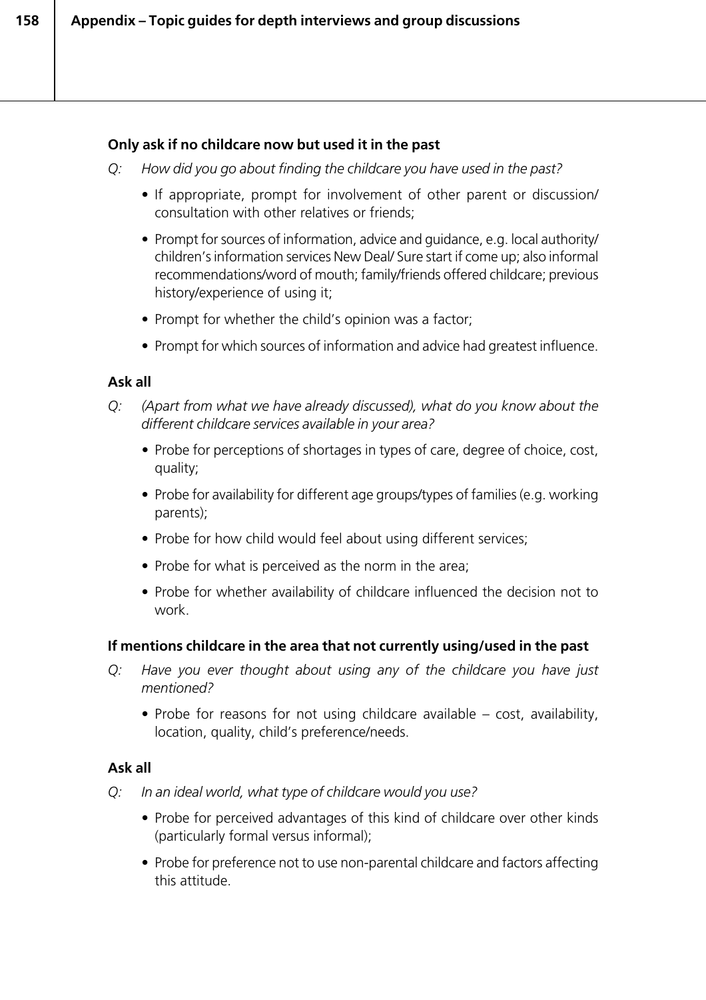#### **Only ask if no childcare now but used it in the past**

*Q: How did you go about finding the childcare you have used in the past?*

- If appropriate, prompt for involvement of other parent or discussion/ consultation with other relatives or friends;
- Prompt for sources of information, advice and guidance, e.g. local authority/ children's information services New Deal/ Sure start if come up; also informal recommendations/word of mouth; family/friends offered childcare; previous history/experience of using it;
- Prompt for whether the child's opinion was a factor;
- Prompt for which sources of information and advice had greatest influence.

#### **Ask all**

- *Q: (Apart from what we have already discussed), what do you know about the different childcare services available in your area?*
	- *•* Probe for perceptions of shortages in types of care, degree of choice, cost, quality;
	- Probe for availability for different age groups/types of families (e.g. working parents);
	- Probe for how child would feel about using different services;
	- Probe for what is perceived as the norm in the area;
	- Probe for whether availability of childcare influenced the decision not to work.

#### **If mentions childcare in the area that not currently using/used in the past**

- *Q: Have you ever thought about using any of the childcare you have just mentioned?*
	- Probe for reasons for not using childcare available cost, availability, location, quality, child's preference/needs.

#### **Ask all**

- *Q: In an ideal world, what type of childcare would you use?*
	- Probe for perceived advantages of this kind of childcare over other kinds (particularly formal versus informal);
	- Probe for preference not to use non-parental childcare and factors affecting this attitude.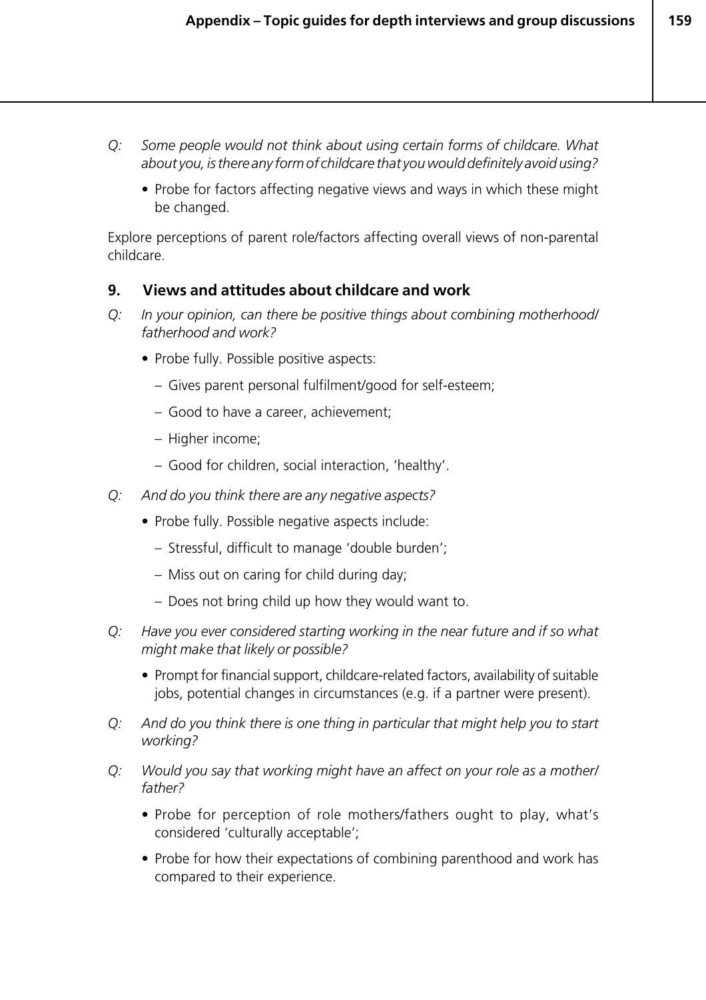- *Q: Some people would not think about using certain forms of childcare. What about you, is there any form of childcare that you would definitely avoid using?*
	- Probe for factors affecting negative views and ways in which these might be changed.

Explore perceptions of parent role/factors affecting overall views of non-parental childcare.

#### **9. Views and attitudes about childcare and work**

- *Q: In your opinion, can there be positive things about combining motherhood/ fatherhood and work?*
	- Probe fully. Possible positive aspects:
		- Gives parent personal fulfilment/good for self-esteem;
		- Good to have a career, achievement;
		- Higher income;
		- Good for children, social interaction, 'healthy'.
- *Q: And do you think there are any negative aspects?*
	- Probe fully. Possible negative aspects include:
		- Stressful, difficult to manage 'double burden';
		- Miss out on caring for child during day;
		- Does not bring child up how they would want to.
- *Q: Have you ever considered starting working in the near future and if so what might make that likely or possible?*
	- Prompt for financial support, childcare-related factors, availability of suitable jobs, potential changes in circumstances (e.g. if a partner were present).
- *Q: And do you think there is one thing in particular that might help you to start working?*
- *Q: Would you say that working might have an affect on your role as a mother/ father?*
	- Probe for perception of role mothers/fathers ought to play, what's considered 'culturally acceptable';
	- Probe for how their expectations of combining parenthood and work has compared to their experience.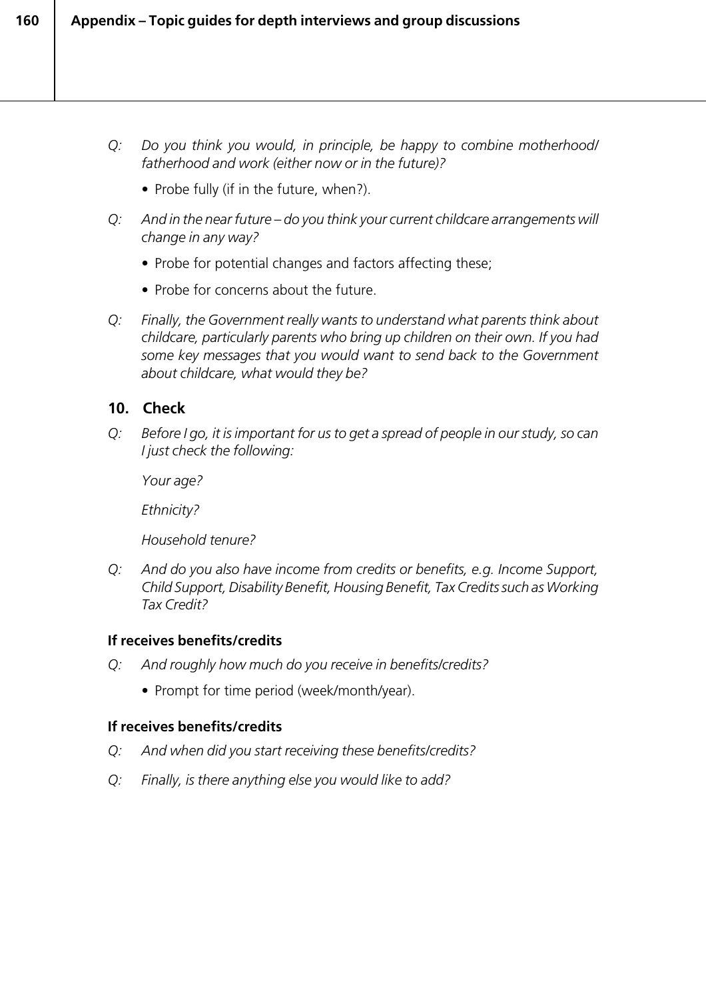- *Q: Do you think you would, in principle, be happy to combine motherhood/ fatherhood and work (either now or in the future)?*
	- Probe fully (if in the future, when?).
- *Q: And in the near future do you think your current childcare arrangements will change in any way?*
	- Probe for potential changes and factors affecting these;
	- Probe for concerns about the future.
- *Q: Finally, the Government really wants to understand what parents think about childcare, particularly parents who bring up children on their own. If you had some key messages that you would want to send back to the Government about childcare, what would they be?*

#### **10. Check**

*Q: Before I go, it is important for us to get a spread of people in our study, so can I just check the following:*

*Your age?*

*Ethnicity?*

*Household tenure?*

*Q: And do you also have income from credits or benefits, e.g. Income Support, Child Support, Disability Benefit, Housing Benefit, Tax Credits such as Working Tax Credit?*

#### **If receives benefits/credits**

- *Q: And roughly how much do you receive in benefits/credits?*
	- Prompt for time period (week/month/year).

#### **If receives benefits/credits**

- *Q: And when did you start receiving these benefits/credits?*
- *Q: Finally, is there anything else you would like to add?*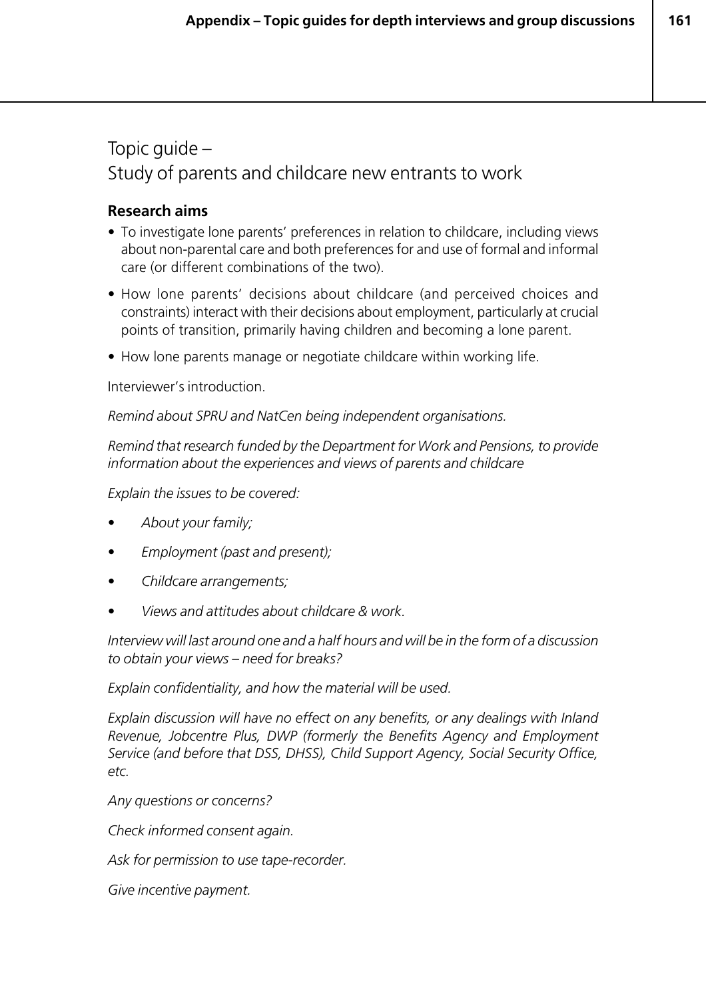## Topic guide – Study of parents and childcare new entrants to work

#### **Research aims**

- To investigate lone parents' preferences in relation to childcare, including views about non-parental care and both preferences for and use of formal and informal care (or different combinations of the two).
- How lone parents' decisions about childcare (and perceived choices and constraints) interact with their decisions about employment, particularly at crucial points of transition, primarily having children and becoming a lone parent.
- How lone parents manage or negotiate childcare within working life.

Interviewer's introduction.

*Remind about SPRU and NatCen being independent organisations.*

*Remind that research funded by the Department for Work and Pensions, to provide information about the experiences and views of parents and childcare*

*Explain the issues to be covered:*

- *About your family;*
- *Employment (past and present);*
- *Childcare arrangements;*
- *Views and attitudes about childcare & work.*

*Interview will last around one and a half hours and will be in the form of a discussion to obtain your views – need for breaks?*

*Explain confidentiality, and how the material will be used.*

*Explain discussion will have no effect on any benefits, or any dealings with Inland Revenue, Jobcentre Plus, DWP (formerly the Benefits Agency and Employment Service (and before that DSS, DHSS), Child Support Agency, Social Security Office, etc.*

*Any questions or concerns?*

*Check informed consent again.*

*Ask for permission to use tape-recorder.*

*Give incentive payment.*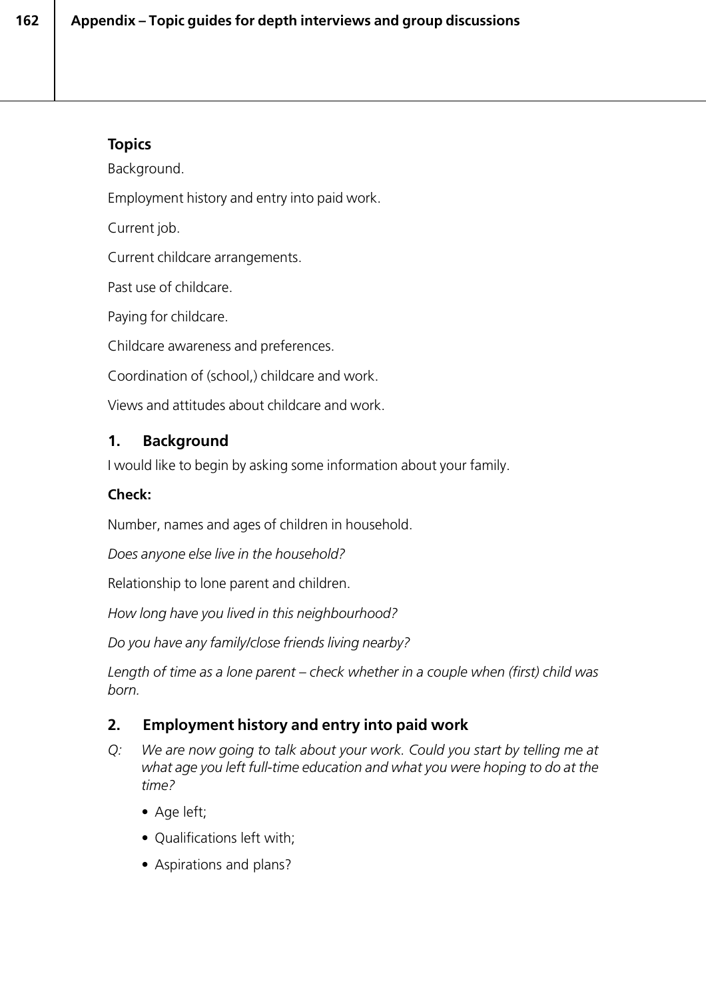## **Topics**

Background.

Employment history and entry into paid work.

Current job.

Current childcare arrangements.

Past use of childcare.

Paying for childcare.

Childcare awareness and preferences.

Coordination of (school,) childcare and work.

Views and attitudes about childcare and work.

## **1. Background**

I would like to begin by asking some information about your family.

#### **Check:**

Number, names and ages of children in household.

*Does anyone else live in the household?*

Relationship to lone parent and children.

*How long have you lived in this neighbourhood?*

*Do you have any family/close friends living nearby?*

*Length of time as a lone parent – check whether in a couple when (first) child was born.*

## **2. Employment history and entry into paid work**

- *Q: We are now going to talk about your work. Could you start by telling me at what age you left full-time education and what you were hoping to do at the time?*
	- Age left;
	- Qualifications left with;
	- Aspirations and plans?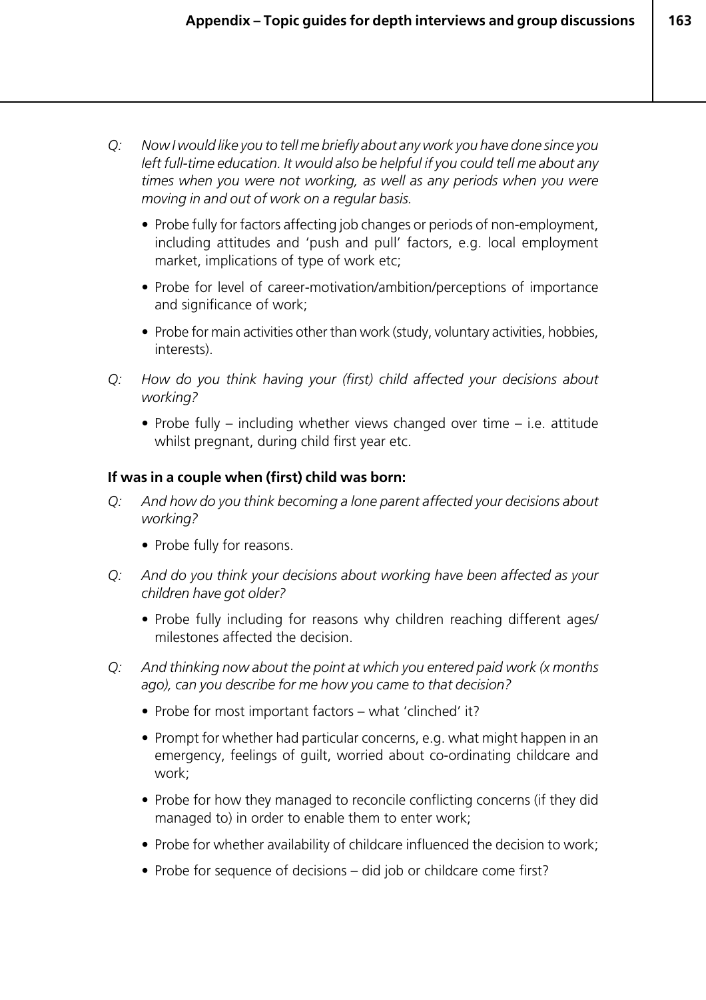- *Q: Now I would like you to tell me briefly about any work you have done since you left full-time education. It would also be helpful if you could tell me about any times when you were not working, as well as any periods when you were moving in and out of work on a regular basis.*
	- Probe fully for factors affecting job changes or periods of non-employment, including attitudes and 'push and pull' factors, e.g. local employment market, implications of type of work etc;
	- Probe for level of career-motivation/ambition/perceptions of importance and significance of work;
	- Probe for main activities other than work (study, voluntary activities, hobbies, interests).
- *Q: How do you think having your (first) child affected your decisions about working?*
	- Probe fully including whether views changed over time i.e. attitude whilst pregnant, during child first year etc.

#### **If was in a couple when (first) child was born:**

- *Q: And how do you think becoming a lone parent affected your decisions about working?*
	- Probe fully for reasons.
- *Q: And do you think your decisions about working have been affected as your children have got older?*
	- Probe fully including for reasons why children reaching different ages/ milestones affected the decision.
- *Q: And thinking now about the point at which you entered paid work (x months ago), can you describe for me how you came to that decision?*
	- Probe for most important factors what 'clinched' it?
	- Prompt for whether had particular concerns, e.g. what might happen in an emergency, feelings of guilt, worried about co-ordinating childcare and work;
	- Probe for how they managed to reconcile conflicting concerns (if they did managed to) in order to enable them to enter work;
	- Probe for whether availability of childcare influenced the decision to work;
	- Probe for sequence of decisions did job or childcare come first?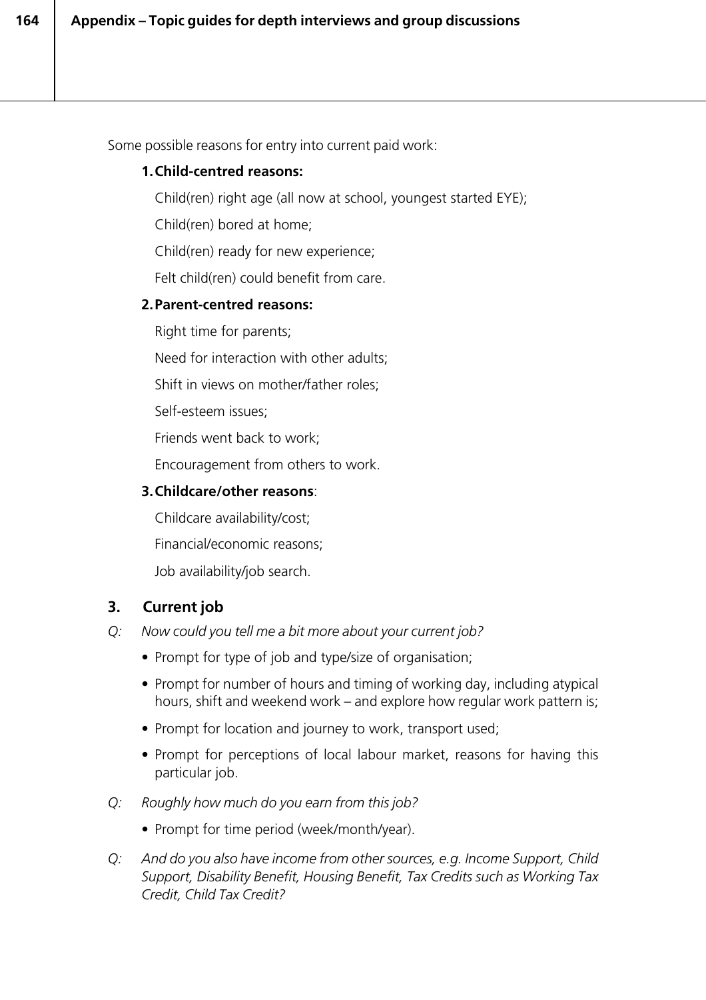Some possible reasons for entry into current paid work:

#### **1.Child-centred reasons:**

Child(ren) right age (all now at school, youngest started EYE);

Child(ren) bored at home;

Child(ren) ready for new experience;

Felt child(ren) could benefit from care.

#### **2.Parent-centred reasons:**

Right time for parents;

Need for interaction with other adults;

Shift in views on mother/father roles;

Self-esteem issues;

Friends went back to work;

Encouragement from others to work.

#### **3.Childcare/other reasons**:

Childcare availability/cost;

Financial/economic reasons;

Job availability/job search.

## **3. Current job**

- *Q: Now could you tell me a bit more about your current job?*
	- Prompt for type of job and type/size of organisation;
	- Prompt for number of hours and timing of working day, including atypical hours, shift and weekend work – and explore how regular work pattern is;
	- Prompt for location and journey to work, transport used;
	- Prompt for perceptions of local labour market, reasons for having this particular job.
- *Q: Roughly how much do you earn from this job?*
	- Prompt for time period (week/month/year).
- *Q: And do you also have income from other sources, e.g. Income Support, Child Support, Disability Benefit, Housing Benefit, Tax Credits such as Working Tax Credit, Child Tax Credit?*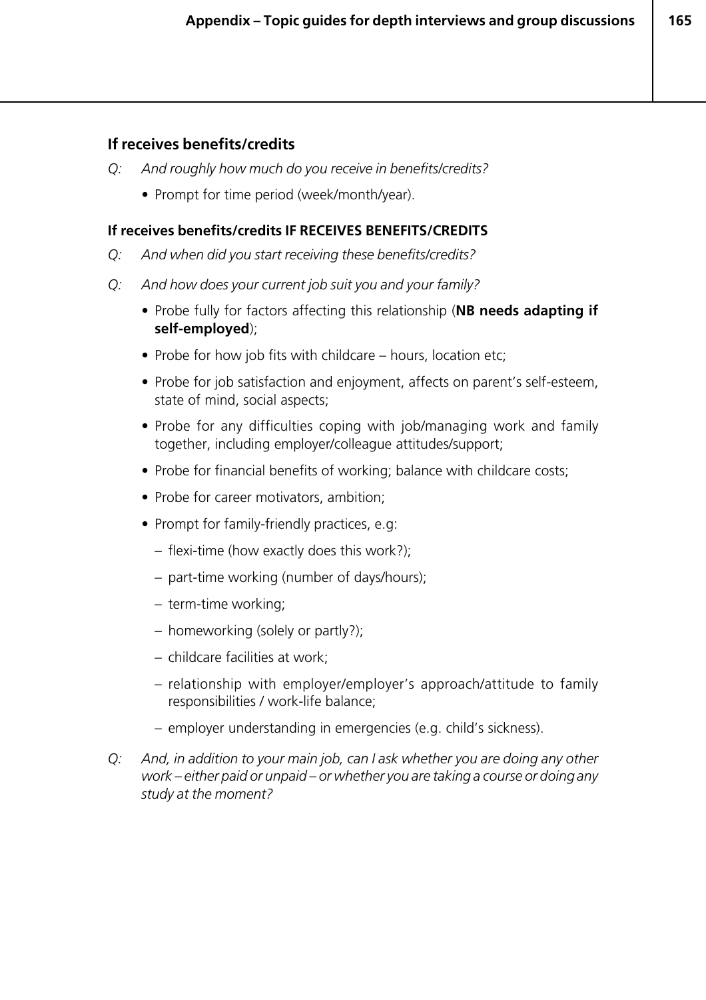#### **If receives benefits/credits**

- *Q: And roughly how much do you receive in benefits/credits?*
	- Prompt for time period (week/month/year).

#### **If receives benefits/credits IF RECEIVES BENEFITS/CREDITS**

- *Q: And when did you start receiving these benefits/credits?*
- *Q: And how does your current job suit you and your family?*
	- Probe fully for factors affecting this relationship (**NB needs adapting if self-employed**);
	- Probe for how job fits with childcare hours, location etc;
	- Probe for job satisfaction and enjoyment, affects on parent's self-esteem, state of mind, social aspects;
	- Probe for any difficulties coping with job/managing work and family together, including employer/colleague attitudes/support;
	- Probe for financial benefits of working; balance with childcare costs;
	- Probe for career motivators, ambition;
	- Prompt for family-friendly practices, e.g:
		- flexi-time (how exactly does this work?);
		- part-time working (number of days/hours);
		- term-time working;
		- homeworking (solely or partly?);
		- childcare facilities at work;
		- relationship with employer/employer's approach/attitude to family responsibilities / work-life balance;
		- employer understanding in emergencies (e.g. child's sickness).
- *Q: And, in addition to your main job, can I ask whether you are doing any other work – either paid or unpaid – or whether you are taking a course or doing any study at the moment?*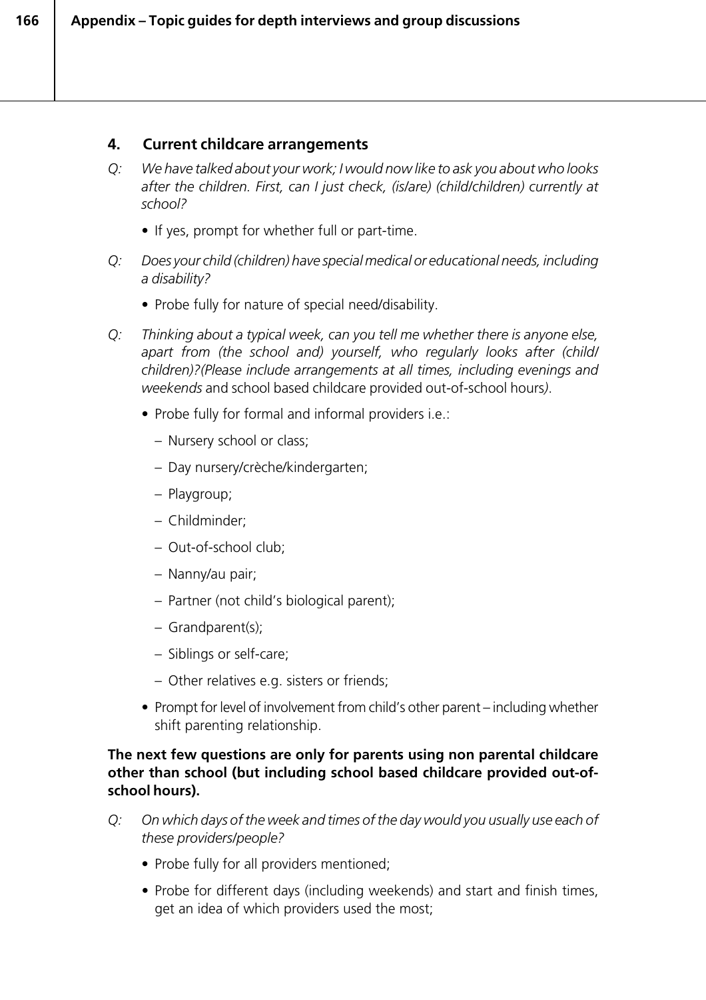## **4. Current childcare arrangements**

- *Q: We have talked about your work; I would now like to ask you about who looks after the children. First, can I just check, (is/are) (child/children) currently at school?*
	- If yes, prompt for whether full or part-time.
- *Q: Does your child (children) have special medical or educational needs, including a disability?*
	- Probe fully for nature of special need/disability.
- *Q: Thinking about a typical week, can you tell me whether there is anyone else, apart from (the school and) yourself, who regularly looks after (child/ children)?(Please include arrangements at all times, including evenings and weekends* and school based childcare provided out-of-school hours*)*.
	- Probe fully for formal and informal providers i.e.:
		- Nursery school or class;
		- Day nursery/crèche/kindergarten;
		- Playgroup;
		- Childminder;
		- Out-of-school club;
		- Nanny/au pair;
		- Partner (not child's biological parent);
		- Grandparent(s);
		- Siblings or self-care;
		- Other relatives e.g. sisters or friends;
	- Prompt for level of involvement from child's other parent including whether shift parenting relationship.

#### **The next few questions are only for parents using non parental childcare other than school (but including school based childcare provided out-ofschool hours).**

- *Q: On which days of the week and times of the day would you usually use each of these providers/people?*
	- Probe fully for all providers mentioned;
	- *•* Probe for different days (including weekends) and start and finish times, get an idea of which providers used the most;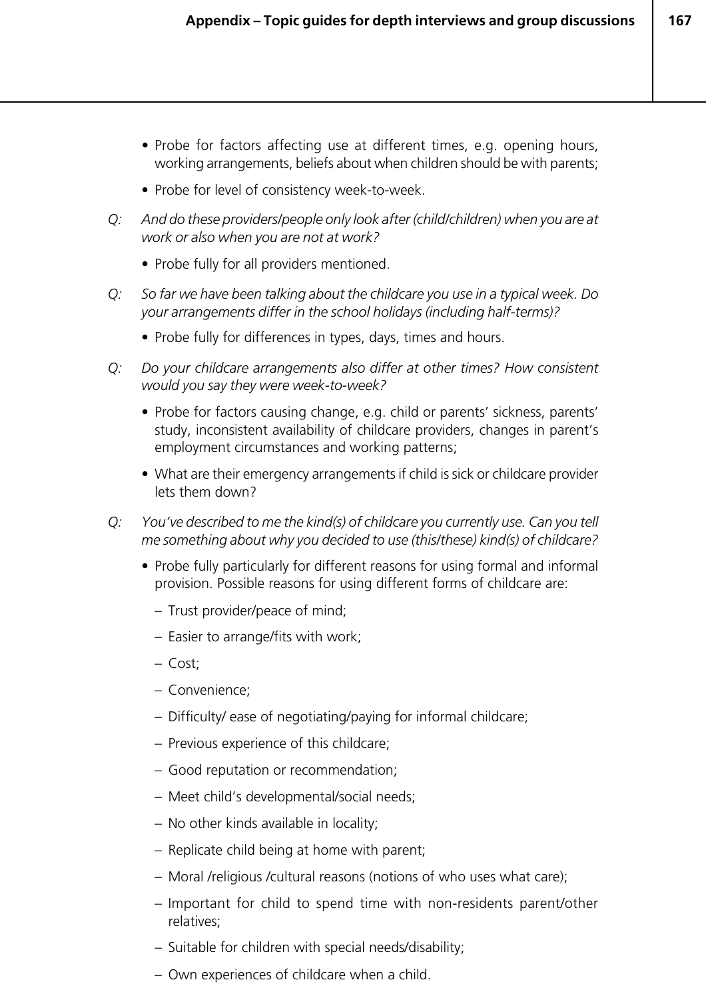- *•* Probe for factors affecting use at different times, e.g. opening hours, working arrangements, beliefs about when children should be with parents;
- Probe for level of consistency week-to-week.
- *Q: And do these providers/people only look after (child/children) when you are at work or also when you are not at work?*
	- Probe fully for all providers mentioned.
- *Q: So far we have been talking about the childcare you use in a typical week. Do your arrangements differ in the school holidays (including half-terms)?*
	- Probe fully for differences in types, days, times and hours.
- *Q: Do your childcare arrangements also differ at other times? How consistent would you say they were week-to-week?*
	- Probe for factors causing change, e.g. child or parents' sickness, parents' study, inconsistent availability of childcare providers, changes in parent's employment circumstances and working patterns;
	- What are their emergency arrangements if child is sick or childcare provider lets them down?
- *Q: You've described to me the kind(s) of childcare you currently use. Can you tell me something about why you decided to use (this/these) kind(s) of childcare?*
	- Probe fully particularly for different reasons for using formal and informal provision. Possible reasons for using different forms of childcare are:
		- Trust provider/peace of mind;
		- Easier to arrange/fits with work;
		- Cost;
		- Convenience;
		- Difficulty/ ease of negotiating/paying for informal childcare;
		- Previous experience of this childcare;
		- Good reputation or recommendation;
		- Meet child's developmental/social needs;
		- No other kinds available in locality;
		- Replicate child being at home with parent;
		- Moral /religious /cultural reasons (notions of who uses what care);
		- Important for child to spend time with non-residents parent/other relatives;
		- Suitable for children with special needs/disability;
		- Own experiences of childcare when a child.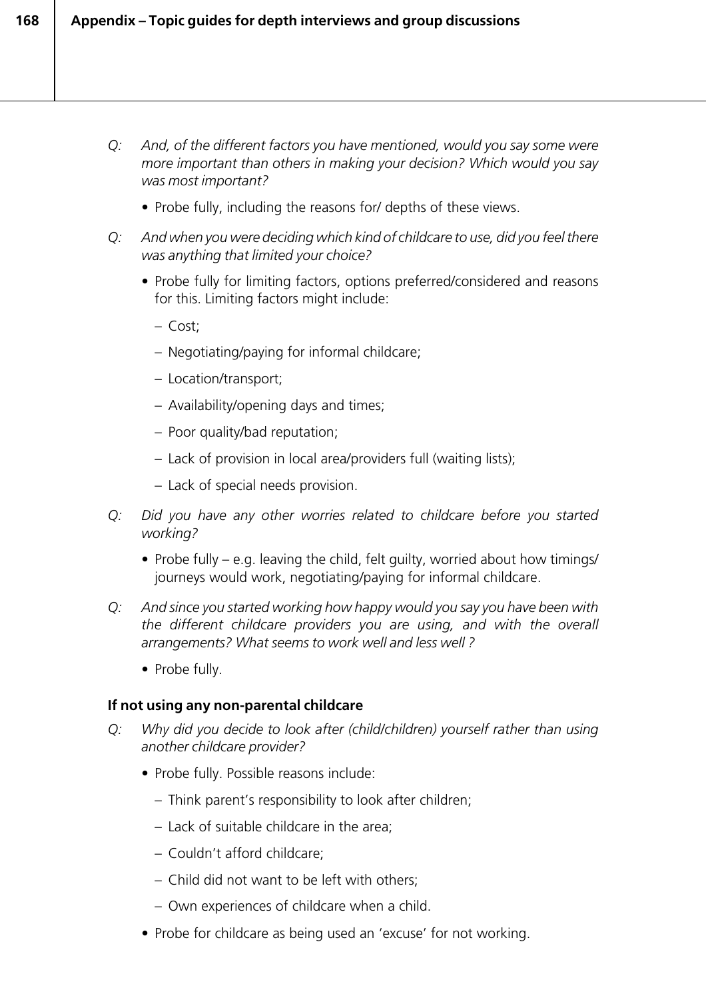- *Q: And, of the different factors you have mentioned, would you say some were more important than others in making your decision? Which would you say was most important?*
	- Probe fully, including the reasons for/ depths of these views.
- *Q: And when you were deciding which kind of childcare to use, did you feel there was anything that limited your choice?*
	- Probe fully for limiting factors, options preferred/considered and reasons for this. Limiting factors might include:
		- Cost;
		- Negotiating/paying for informal childcare;
		- Location/transport;
		- Availability/opening days and times;
		- Poor quality/bad reputation;
		- Lack of provision in local area/providers full (waiting lists);
		- Lack of special needs provision.
- *Q: Did you have any other worries related to childcare before you started working?*
	- Probe fully e.g. leaving the child, felt guilty, worried about how timings/ journeys would work, negotiating/paying for informal childcare.
- *Q: And since you started working how happy would you say you have been with the different childcare providers you are using, and with the overall arrangements? What seems to work well and less well ?*
	- Probe fully.

#### **If not using any non-parental childcare**

- *Q: Why did you decide to look after (child/children) yourself rather than using another childcare provider?*
	- Probe fully. Possible reasons include:
		- Think parent's responsibility to look after children;
		- Lack of suitable childcare in the area;
		- Couldn't afford childcare;
		- Child did not want to be left with others;
		- Own experiences of childcare when a child.
	- Probe for childcare as being used an 'excuse' for not working.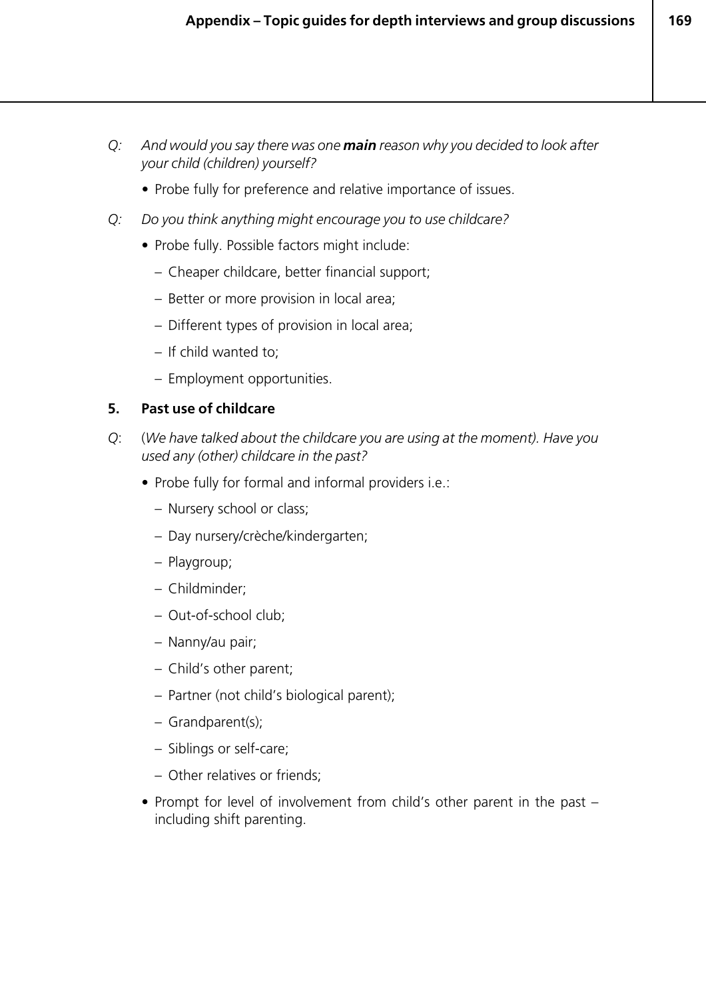- *Q: And would you say there was one main reason why you decided to look after your child (children) yourself?*
	- *•* Probe fully for preference and relative importance of issues.
- *Q: Do you think anything might encourage you to use childcare?*
	- Probe fully. Possible factors might include:
		- Cheaper childcare, better financial support;
		- Better or more provision in local area;
		- Different types of provision in local area;
		- If child wanted to;
		- Employment opportunities.

#### **5. Past use of childcare**

- *Q*: (*We have talked about the childcare you are using at the moment). Have you used any (other) childcare in the past?*
	- Probe fully for formal and informal providers i.e.:
		- Nursery school or class;
		- Day nursery/crèche/kindergarten;
		- Playgroup;
		- Childminder;
		- Out-of-school club;
		- Nanny/au pair;
		- Child's other parent;
		- Partner (not child's biological parent);
		- Grandparent(s);
		- Siblings or self-care;
		- Other relatives or friends;
	- Prompt for level of involvement from child's other parent in the past including shift parenting.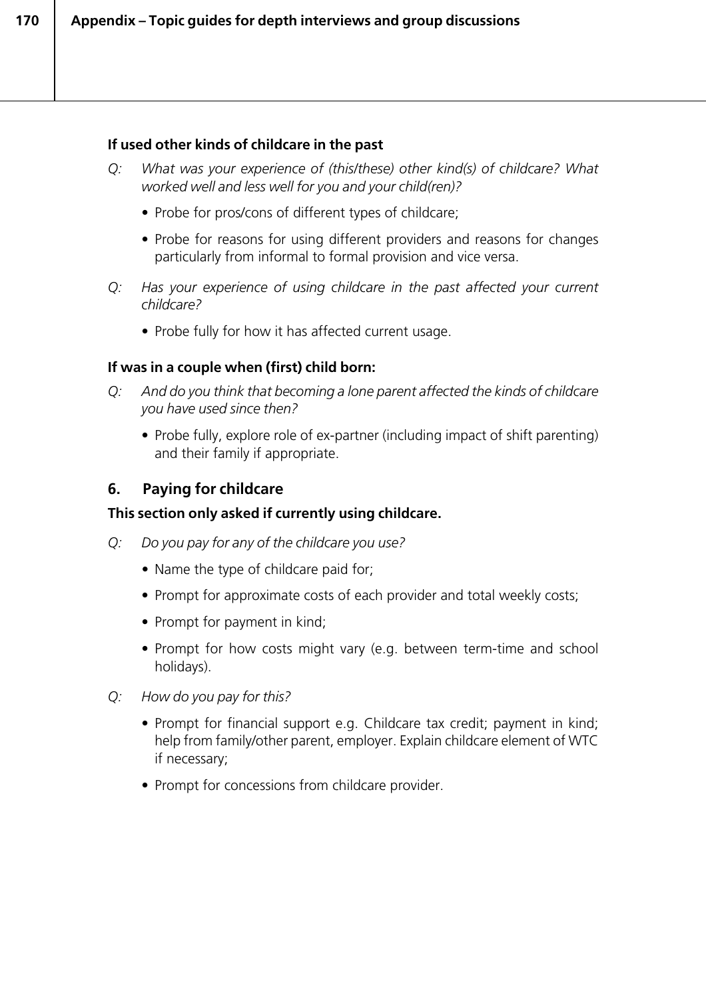### **If used other kinds of childcare in the past**

- *Q: What was your experience of (this/these) other kind(s) of childcare? What worked well and less well for you and your child(ren)?*
	- Probe for pros/cons of different types of childcare;
	- Probe for reasons for using different providers and reasons for changes particularly from informal to formal provision and vice versa.
- *Q: Has your experience of using childcare in the past affected your current childcare?*
	- Probe fully for how it has affected current usage.

#### **If was in a couple when (first) child born:**

- *Q: And do you think that becoming a lone parent affected the kinds of childcare you have used since then?*
	- Probe fully, explore role of ex-partner (including impact of shift parenting) and their family if appropriate.

# **6. Paying for childcare**

# **This section only asked if currently using childcare.**

- *Q: Do you pay for any of the childcare you use?*
	- Name the type of childcare paid for;
	- Prompt for approximate costs of each provider and total weekly costs;
	- Prompt for payment in kind;
	- Prompt for how costs might vary (e.g. between term-time and school holidays).
- *Q: How do you pay for this?*
	- Prompt for financial support e.g. Childcare tax credit; payment in kind; help from family/other parent, employer. Explain childcare element of WTC if necessary;
	- Prompt for concessions from childcare provider.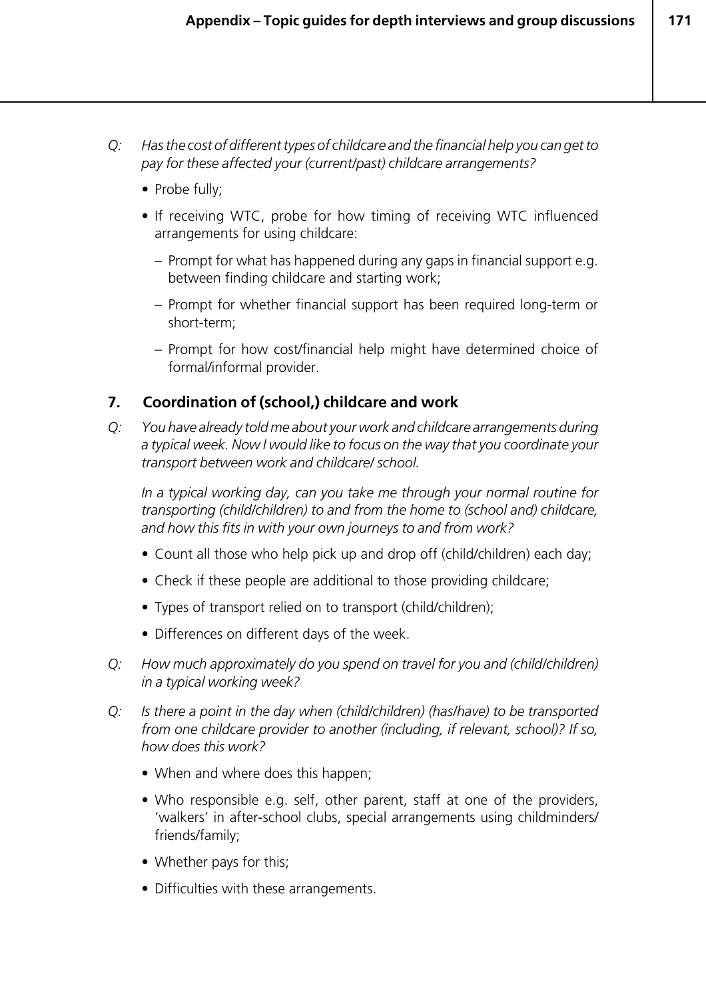- *Q: Has the cost of different types of childcare and the financial help you can get to pay for these affected your (current/past) childcare arrangements?*
	- *•* Probe fully;
	- If receiving WTC, probe for how timing of receiving WTC influenced arrangements for using childcare:
		- Prompt for what has happened during any gaps in financial support e.g. between finding childcare and starting work;
		- Prompt for whether financial support has been required long-term or short-term;
		- Prompt for how cost/financial help might have determined choice of formal/informal provider.

# **7. Coordination of (school,) childcare and work**

*Q: You have already told me about your work and childcare arrangements during a typical week. Now I would like to focus on the way that you coordinate your transport between work and childcare/ school.*

*In a typical working day, can you take me through your normal routine for transporting (child/children) to and from the home to (school and) childcare, and how this fits in with your own journeys to and from work?*

- Count all those who help pick up and drop off (child/children) each day;
- Check if these people are additional to those providing childcare;
- Types of transport relied on to transport (child/children);
- Differences on different days of the week.
- *Q: How much approximately do you spend on travel for you and (child/children) in a typical working week?*
- *Q: Is there a point in the day when (child/children) (has/have) to be transported from one childcare provider to another (including, if relevant, school)? If so, how does this work?*
	- When and where does this happen;
	- Who responsible e.g. self, other parent, staff at one of the providers, 'walkers' in after-school clubs, special arrangements using childminders/ friends/family;
	- Whether pays for this;
	- Difficulties with these arrangements.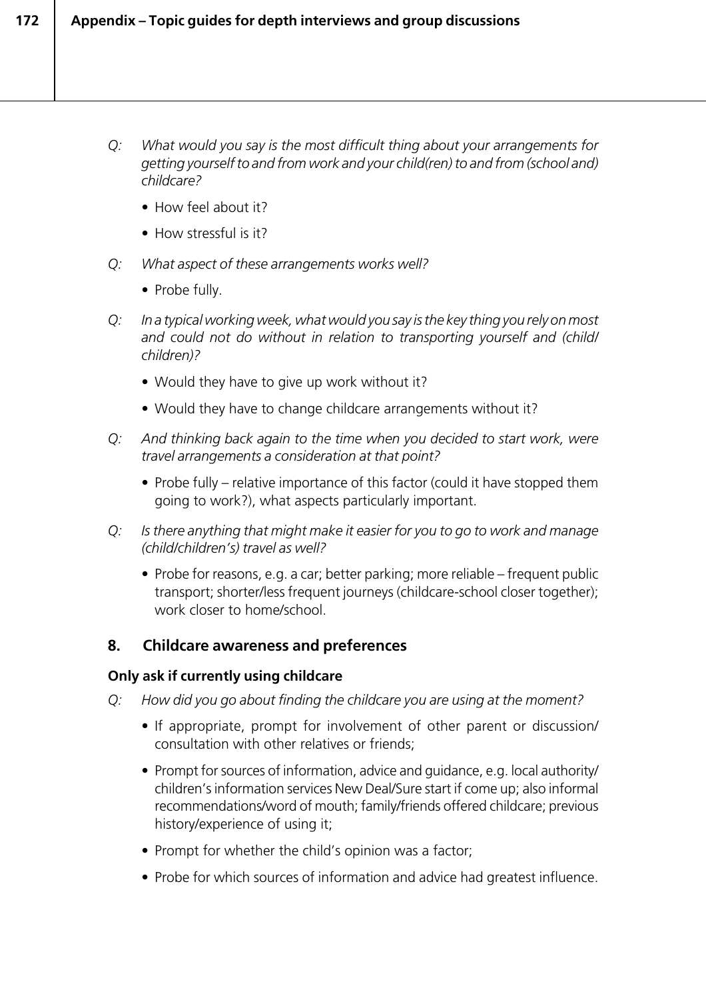- *Q: What would you say is the most difficult thing about your arrangements for getting yourself to and from work and your child(ren) to and from (school and) childcare?*
	- How feel about it?
	- How stressful is it?
- *Q: What aspect of these arrangements works well?*
	- Probe fully.
- *Q: In a typical working week, what would you say is the key thing you rely on most and could not do without in relation to transporting yourself and (child/ children)?*
	- Would they have to give up work without it?
	- Would they have to change childcare arrangements without it?
- *Q: And thinking back again to the time when you decided to start work, were travel arrangements a consideration at that point?*
	- Probe fully relative importance of this factor (could it have stopped them going to work?), what aspects particularly important.
- *Q: Is there anything that might make it easier for you to go to work and manage (child/children's) travel as well?*
	- Probe for reasons, e.g. a car; better parking; more reliable frequent public transport; shorter/less frequent journeys (childcare-school closer together); work closer to home/school.

# **8. Childcare awareness and preferences**

# **Only ask if currently using childcare**

- *Q: How did you go about finding the childcare you are using at the moment?*
	- If appropriate, prompt for involvement of other parent or discussion/ consultation with other relatives or friends;
	- Prompt for sources of information, advice and guidance, e.g. local authority/ children's information services New Deal/Sure start if come up; also informal recommendations/word of mouth; family/friends offered childcare; previous history/experience of using it;
	- Prompt for whether the child's opinion was a factor;
	- Probe for which sources of information and advice had greatest influence.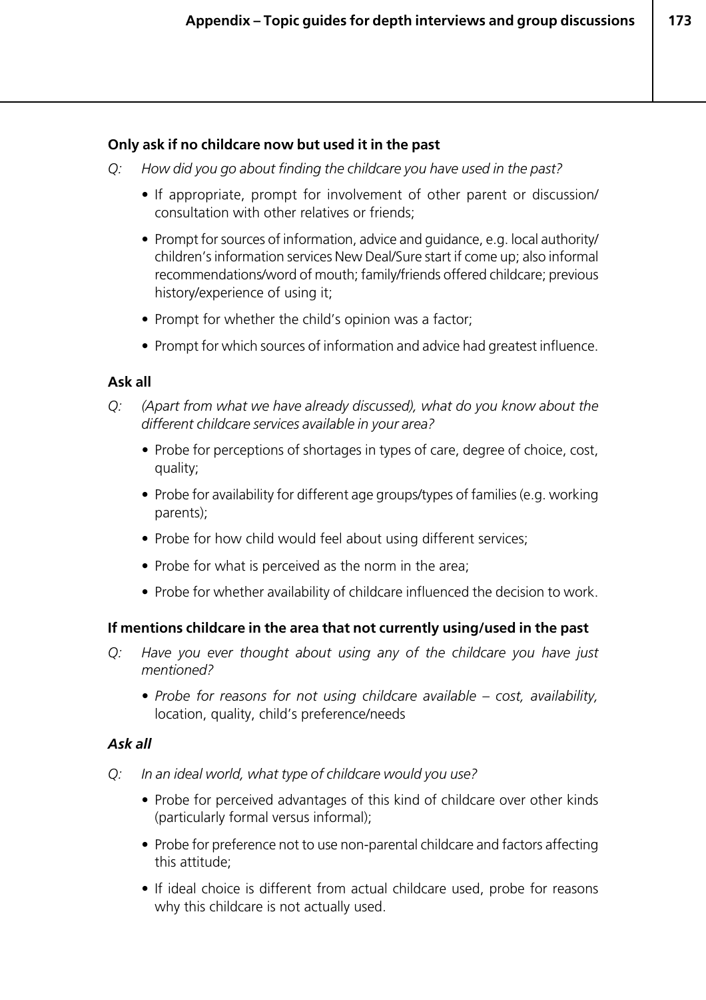#### **Only ask if no childcare now but used it in the past**

- *Q: How did you go about finding the childcare you have used in the past?*
	- If appropriate, prompt for involvement of other parent or discussion/ consultation with other relatives or friends;
	- Prompt for sources of information, advice and guidance, e.g. local authority/ children's information services New Deal/Sure start if come up; also informal recommendations/word of mouth; family/friends offered childcare; previous history/experience of using it;
	- Prompt for whether the child's opinion was a factor;
	- Prompt for which sources of information and advice had greatest influence.

#### **Ask all**

- *Q: (Apart from what we have already discussed), what do you know about the different childcare services available in your area?*
	- *•* Probe for perceptions of shortages in types of care, degree of choice, cost, quality;
	- Probe for availability for different age groups/types of families (e.g. working parents);
	- Probe for how child would feel about using different services;
	- Probe for what is perceived as the norm in the area;
	- Probe for whether availability of childcare influenced the decision to work.

#### **If mentions childcare in the area that not currently using/used in the past**

- *Q: Have you ever thought about using any of the childcare you have just mentioned?*
	- *Probe for reasons for not using childcare available cost, availability,* location, quality, child's preference/needs

#### *Ask all*

- *Q: In an ideal world, what type of childcare would you use?*
	- Probe for perceived advantages of this kind of childcare over other kinds (particularly formal versus informal);
	- Probe for preference not to use non-parental childcare and factors affecting this attitude;
	- If ideal choice is different from actual childcare used, probe for reasons why this childcare is not actually used.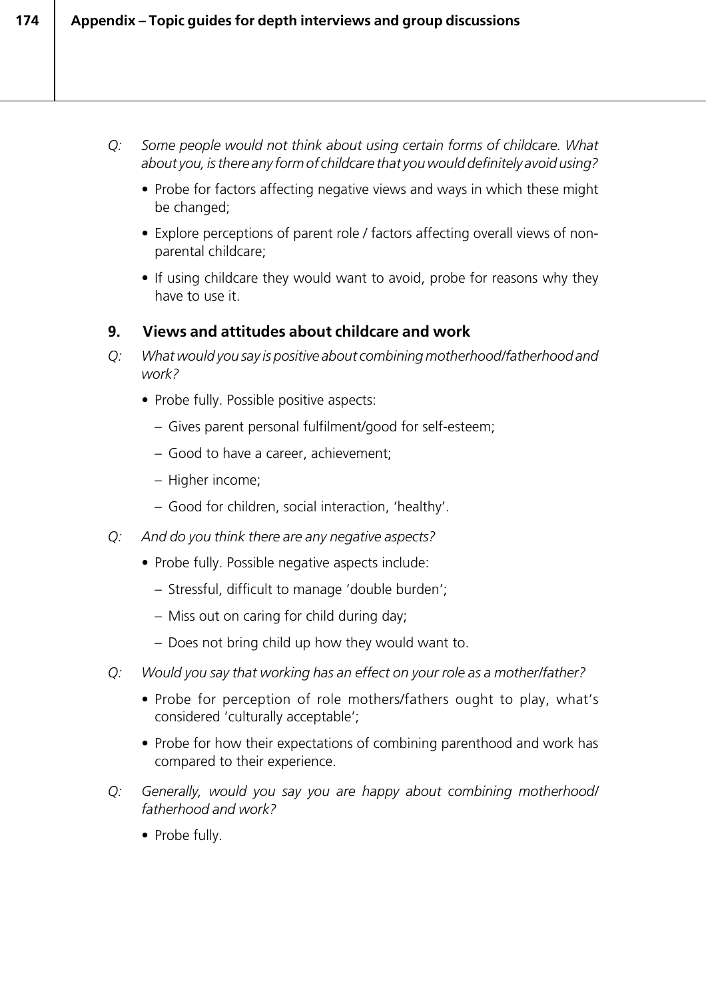- *Q: Some people would not think about using certain forms of childcare. What about you, is there any form of childcare that you would definitely avoid using?*
	- Probe for factors affecting negative views and ways in which these might be changed;
	- Explore perceptions of parent role / factors affecting overall views of nonparental childcare;
	- If using childcare they would want to avoid, probe for reasons why they have to use it.

# **9. Views and attitudes about childcare and work**

- *Q: What would you say is positive about combining motherhood/fatherhood and work?*
	- Probe fully. Possible positive aspects:
		- Gives parent personal fulfilment/good for self-esteem;
		- Good to have a career, achievement;
		- Higher income;
		- Good for children, social interaction, 'healthy'.
- *Q: And do you think there are any negative aspects?*
	- Probe fully. Possible negative aspects include:
		- Stressful, difficult to manage 'double burden';
		- Miss out on caring for child during day;
		- Does not bring child up how they would want to.
- *Q: Would you say that working has an effect on your role as a mother/father?*
	- Probe for perception of role mothers/fathers ought to play, what's considered 'culturally acceptable';
	- Probe for how their expectations of combining parenthood and work has compared to their experience.
- *Q: Generally, would you say you are happy about combining motherhood/ fatherhood and work?*
	- Probe fully.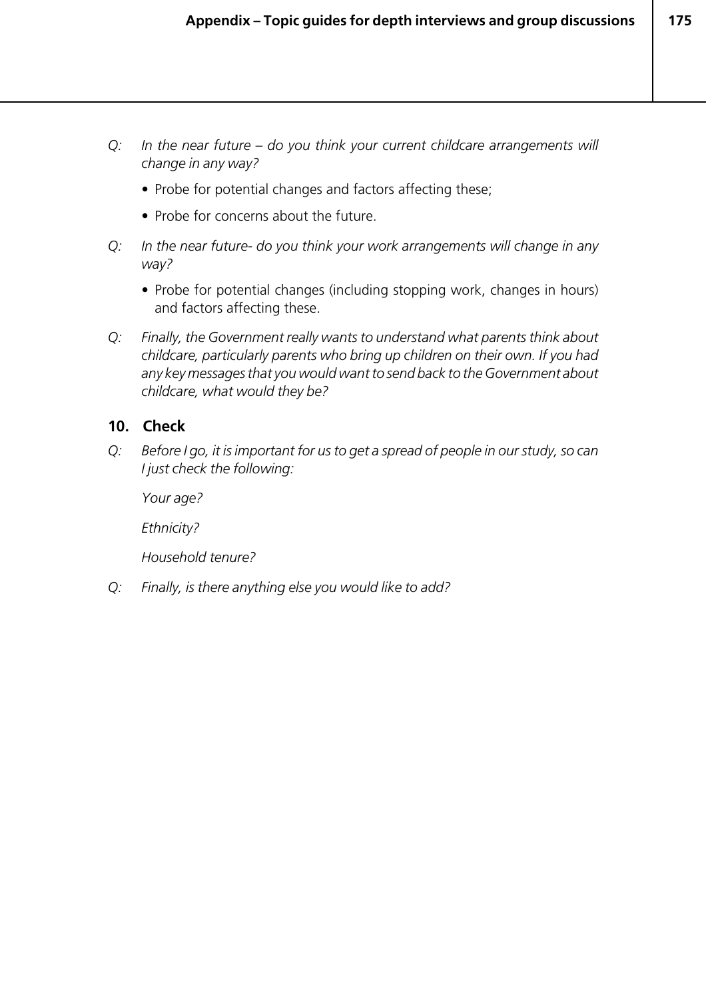- *Q: In the near future do you think your current childcare arrangements will change in any way?*
	- Probe for potential changes and factors affecting these;
	- Probe for concerns about the future.
- *Q: In the near future- do you think your work arrangements will change in any way?*
	- Probe for potential changes (including stopping work, changes in hours) and factors affecting these.
- *Q: Finally, the Government really wants to understand what parents think about childcare, particularly parents who bring up children on their own. If you had any key messages that you would want to send back to the Government about childcare, what would they be?*

# **10. Check**

*Q: Before I go, it is important for us to get a spread of people in our study, so can I just check the following:*

*Your age?*

*Ethnicity?*

*Household tenure?*

*Q: Finally, is there anything else you would like to add?*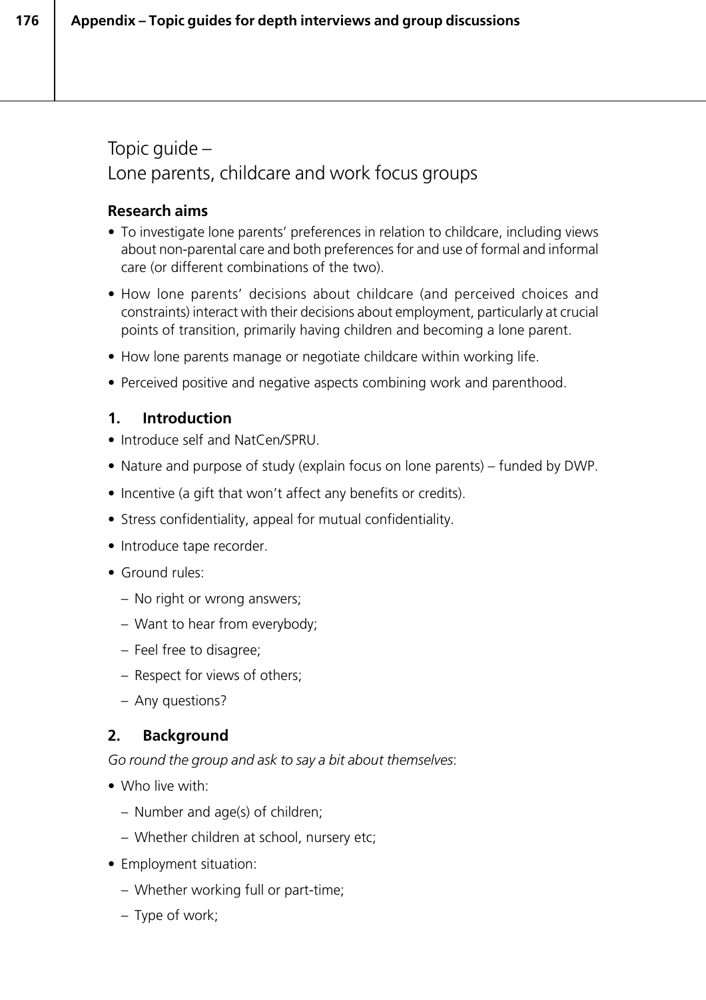Topic guide – Lone parents, childcare and work focus groups

# **Research aims**

- To investigate lone parents' preferences in relation to childcare, including views about non-parental care and both preferences for and use of formal and informal care (or different combinations of the two).
- How lone parents' decisions about childcare (and perceived choices and constraints) interact with their decisions about employment, particularly at crucial points of transition, primarily having children and becoming a lone parent.
- How lone parents manage or negotiate childcare within working life.
- Perceived positive and negative aspects combining work and parenthood.

# **1. Introduction**

- Introduce self and NatCen/SPRU.
- Nature and purpose of study (explain focus on lone parents) funded by DWP.
- Incentive (a gift that won't affect any benefits or credits).
- Stress confidentiality, appeal for mutual confidentiality.
- Introduce tape recorder.
- Ground rules:
	- No right or wrong answers;
	- Want to hear from everybody;
	- Feel free to disagree;
	- Respect for views of others;
	- Any questions?

# **2. Background**

*Go round the group and ask to say a bit about themselves*:

- Who live with:
	- Number and age(s) of children;
	- Whether children at school, nursery etc;
- Employment situation:
	- Whether working full or part-time;
	- Type of work;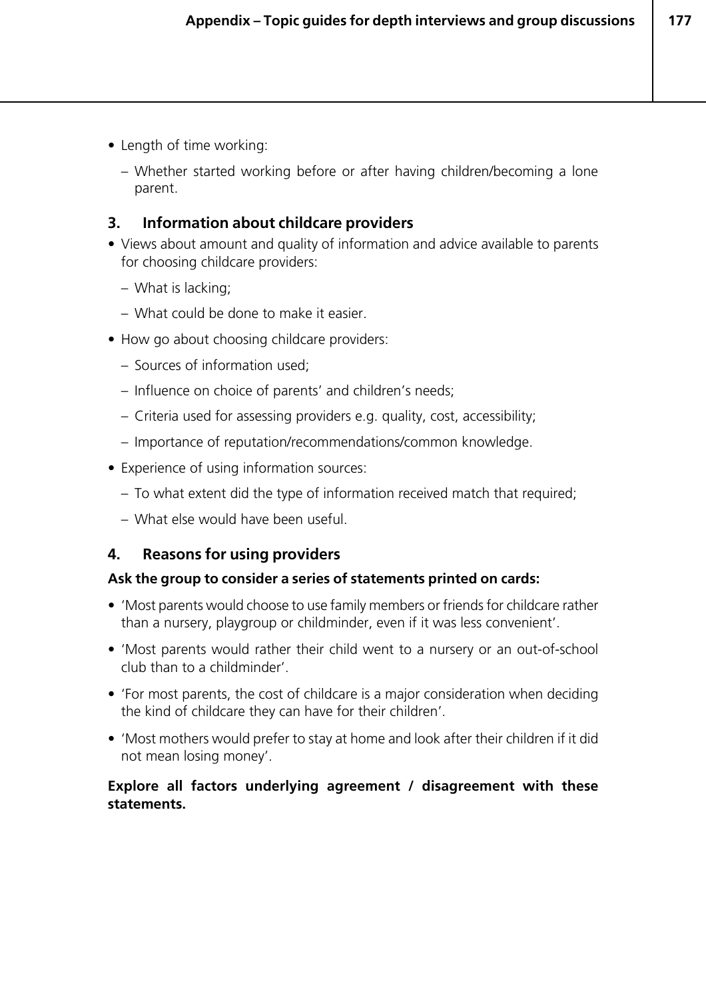- Length of time working:
	- Whether started working before or after having children/becoming a lone parent.

# **3. Information about childcare providers**

- Views about amount and quality of information and advice available to parents for choosing childcare providers:
	- What is lacking;
	- What could be done to make it easier.
- How go about choosing childcare providers:
	- Sources of information used;
	- Influence on choice of parents' and children's needs;
	- Criteria used for assessing providers e.g. quality, cost, accessibility;
	- Importance of reputation/recommendations/common knowledge.
- Experience of using information sources:
	- To what extent did the type of information received match that required;
	- What else would have been useful.

# **4. Reasons for using providers**

#### **Ask the group to consider a series of statements printed on cards:**

- 'Most parents would choose to use family members or friends for childcare rather than a nursery, playgroup or childminder, even if it was less convenient'.
- 'Most parents would rather their child went to a nursery or an out-of-school club than to a childminder'.
- 'For most parents, the cost of childcare is a major consideration when deciding the kind of childcare they can have for their children'.
- 'Most mothers would prefer to stay at home and look after their children if it did not mean losing money'.

#### **Explore all factors underlying agreement / disagreement with these statements.**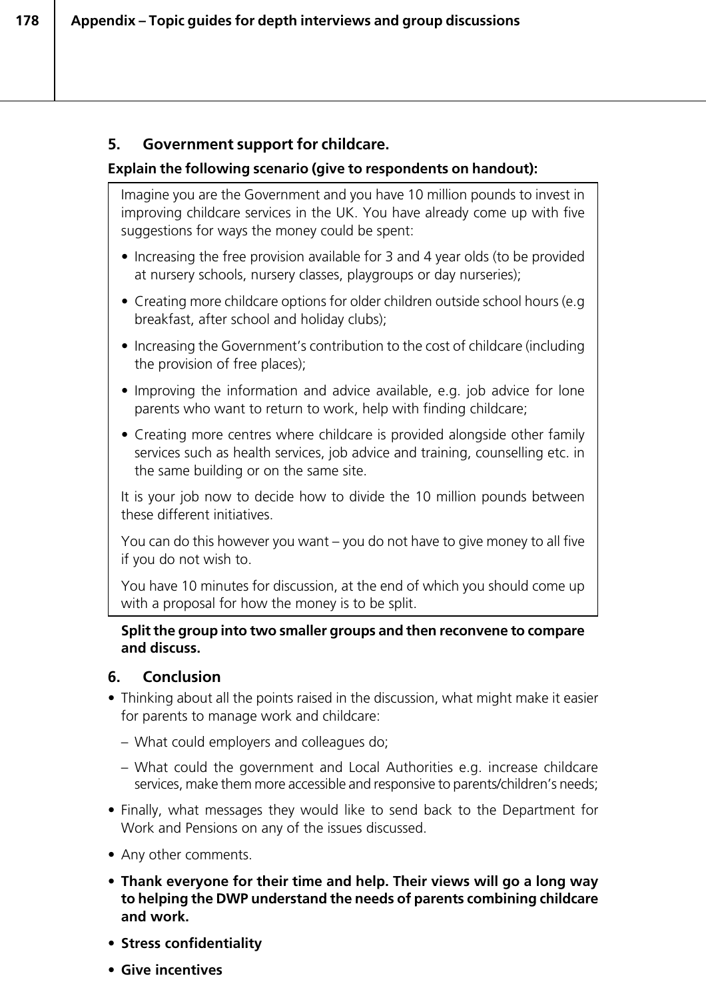# **5. Government support for childcare.**

# **Explain the following scenario (give to respondents on handout):**

Imagine you are the Government and you have 10 million pounds to invest in improving childcare services in the UK. You have already come up with five suggestions for ways the money could be spent:

- Increasing the free provision available for 3 and 4 year olds (to be provided at nursery schools, nursery classes, playgroups or day nurseries);
- Creating more childcare options for older children outside school hours (e.g breakfast, after school and holiday clubs);
- Increasing the Government's contribution to the cost of childcare (including the provision of free places);
- Improving the information and advice available, e.g. job advice for lone parents who want to return to work, help with finding childcare;
- Creating more centres where childcare is provided alongside other family services such as health services, job advice and training, counselling etc. in the same building or on the same site.

It is your job now to decide how to divide the 10 million pounds between these different initiatives.

You can do this however you want – you do not have to give money to all five if you do not wish to.

You have 10 minutes for discussion, at the end of which you should come up with a proposal for how the money is to be split.

#### **Split the group into two smaller groups and then reconvene to compare and discuss.**

# **6. Conclusion**

- Thinking about all the points raised in the discussion, what might make it easier for parents to manage work and childcare:
	- What could employers and colleagues do;
	- What could the government and Local Authorities e.g. increase childcare services, make them more accessible and responsive to parents/children's needs;
- Finally, what messages they would like to send back to the Department for Work and Pensions on any of the issues discussed.
- Any other comments.
- **Thank everyone for their time and help. Their views will go a long way to helping the DWP understand the needs of parents combining childcare and work.**
- **Stress confidentiality**
- **Give incentives**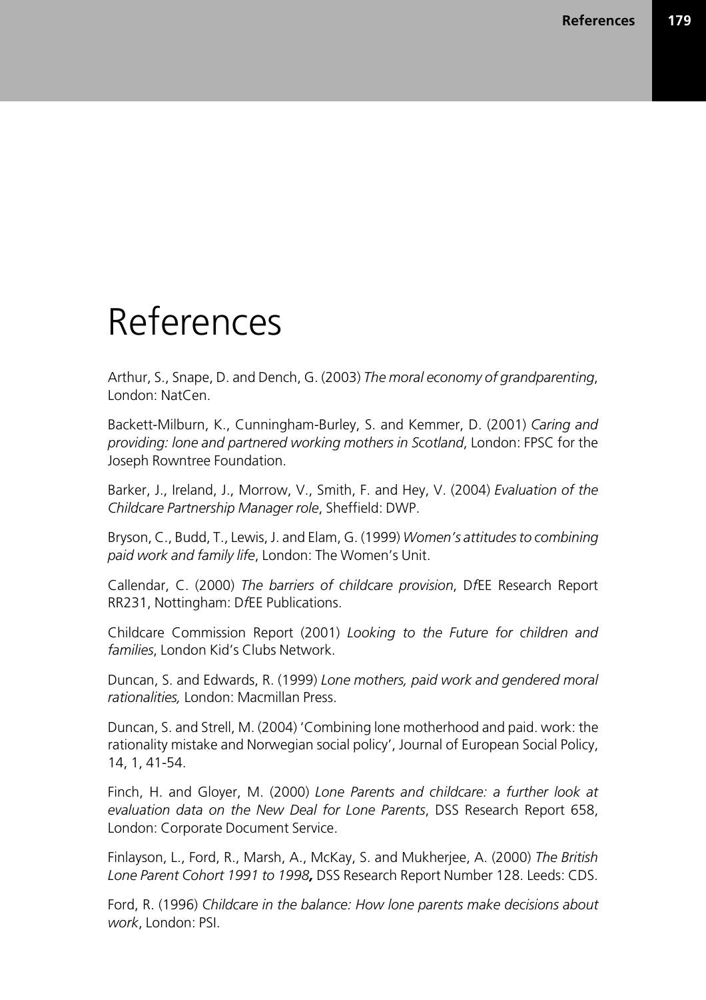# References

Arthur, S., Snape, D. and Dench, G. (2003) *The moral economy of grandparenting*, London: NatCen.

Backett-Milburn, K., Cunningham-Burley, S. and Kemmer, D. (2001) *Caring and providing: lone and partnered working mothers in Scotland*, London: FPSC for the Joseph Rowntree Foundation.

Barker, J., Ireland, J., Morrow, V., Smith, F. and Hey, V. (2004) *Evaluation of the Childcare Partnership Manager role*, Sheffield: DWP.

Bryson, C., Budd, T., Lewis, J. and Elam, G. (1999) *Women's attitudes to combining paid work and family life*, London: The Women's Unit.

Callendar, C. (2000) *The barriers of childcare provision*, D*f*EE Research Report RR231, Nottingham: D*f*EE Publications.

Childcare Commission Report (2001) *Looking to the Future for children and families*, London Kid's Clubs Network.

Duncan, S. and Edwards, R. (1999) *Lone mothers, paid work and gendered moral rationalities,* London: Macmillan Press.

Duncan, S. and Strell, M. (2004) 'Combining lone motherhood and paid. work: the rationality mistake and Norwegian social policy', Journal of European Social Policy, 14, 1, 41-54.

Finch, H. and Gloyer, M. (2000) *Lone Parents and childcare: a further look at evaluation data on the New Deal for Lone Parents*, DSS Research Report 658, London: Corporate Document Service.

Finlayson, L., Ford, R., Marsh, A., McKay, S. and Mukherjee, A. (2000) *The British Lone Parent Cohort 1991 to 1998,* DSS Research Report Number 128. Leeds: CDS.

Ford, R. (1996) *Childcare in the balance: How lone parents make decisions about work*, London: PSI.